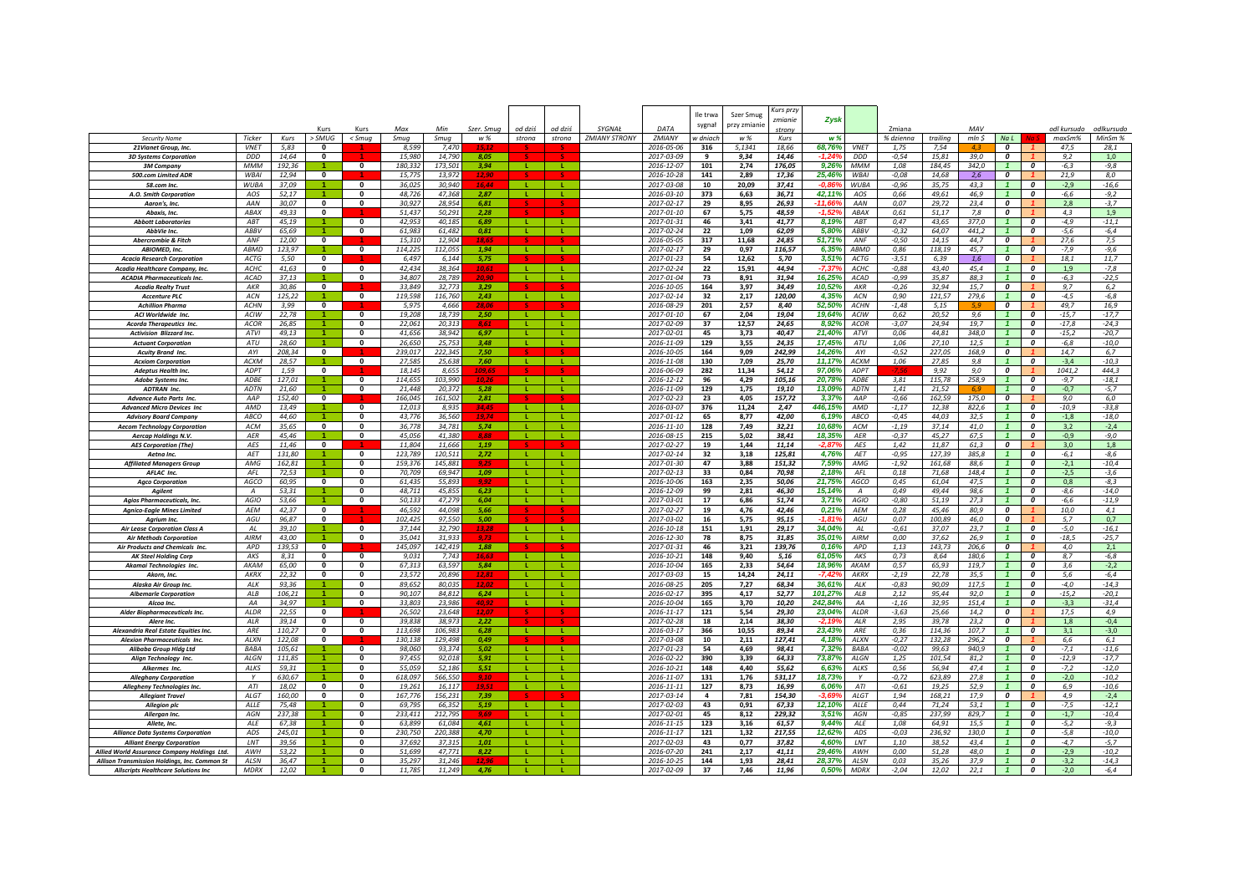|                                                                        |                               |                 |                          |                              |                  |                  |                   |                   |                   |                                |                                | lle trwa  | Szer Smug      | Curs przy       |                   |                          |                     |                 |                |                              |                                      |                       |                       |
|------------------------------------------------------------------------|-------------------------------|-----------------|--------------------------|------------------------------|------------------|------------------|-------------------|-------------------|-------------------|--------------------------------|--------------------------------|-----------|----------------|-----------------|-------------------|--------------------------|---------------------|-----------------|----------------|------------------------------|--------------------------------------|-----------------------|-----------------------|
|                                                                        |                               |                 |                          |                              |                  | Min              |                   |                   |                   |                                |                                | sygnał    | przy zmianie   | zmianie         | Zysk              |                          |                     |                 |                |                              |                                      |                       |                       |
| <b>Security Name</b>                                                   | Ticker                        | Kurs            | Kurs<br>> SMUG           | Kurs<br>< Smuq               | Max<br>Smug      | Smug             | Szer. Smug<br>w % | od dziś<br>strona | od dziś<br>strona | SYGNAŁ<br><b>ZMIANY STRONY</b> | DATA<br>ZMIANY                 | v dniach  | w %            | trony<br>Kurs   | w %               |                          | Zmiana<br>% dzienna | trailing        | MAV<br>mln \$  | Na L                         |                                      | odl kursudo<br>maxSm% | odlkursudo<br>MinSm % |
| 21 Vianet Group, Inc.                                                  | <b>VNET</b>                   | 5.83            | $\Omega$                 |                              | 8.599            | 7.47             |                   |                   |                   |                                | 2016-05-06                     | 316       | 5.1341         | 18.66           | 68.76%            | <b>VNET</b>              | 1.75                | 7.54            |                | $\boldsymbol{o}$             |                                      | 47.5                  | 28,1                  |
| <b>3D Systems Corporation</b>                                          | <b>DDL</b>                    | 14,64           | 0                        |                              | 15.98            | 14.79            | 8.05              |                   |                   |                                | 2017-03-09                     | 9         | 9.34           | 14,46           |                   | <b>DDD</b>               | $-0,54$             | 15.81           | 39,0           | 0                            |                                      | 9,2                   | 1,0                   |
| <b>3M Company</b>                                                      | <b>MMN</b>                    | 192,36          |                          | 0                            | 180,33.          | 173,50           | 3,94              | -11               |                   |                                | 2016-12-07                     | 101       | 2,74           | 176,05          | 9,26%             | MMM                      | 1,08                | 184,45          | 342,0          |                              | 0                                    | $-6,3$                | $-9,8$                |
| 500.com Limited ADR                                                    | <b>WBAI</b>                   | 12,94           | $\mathbf{0}$             |                              | 15.77            | 13,972           | 12,90             |                   |                   |                                | 2016-10-28                     | 141       | 2.89           | 17.36           | 25,46%            | <b>WBAI</b>              | $-0.08$             | 14,68           | 2,6            | $\boldsymbol{o}$             |                                      | 21,9                  | 8,0                   |
| 58.com Inc.                                                            | <b>WUBA</b><br>AOS            | 37,09<br>52,17  |                          | $\mathbf{0}$<br>$\mathbf{0}$ | 36,025<br>48,726 | 30.940<br>47.368 | 16.44<br>2,87     | л.<br>-11         | - 12<br><b>L</b>  |                                | 2017-03-08<br>2016-03-10       | 10<br>373 | 20.09          | 37.41<br>36,71  | -0.86<br>42,11%   | <b>WUBA</b><br>AOS       | $-0,96$<br>0,66     | 35.75<br>49,61  | 43,3<br>46.9   | $\mathbf{1}$<br>$\mathbf{1}$ | $\boldsymbol{0}$<br>$\Omega$         | $-2,9$<br>$-6,6$      | $-16,6$<br>$-9,2$     |
| A.O. Smith Corporation<br>Aaron's, Inc.                                | AAN                           | 30,07           | $\mathbf{0}$             | $\mathbf{0}$                 | 30,927           | 28,954           | 6,81              |                   |                   |                                | 2017-02-17                     | 29        | 6,63<br>8,95   | 26,93           | $-11,66$          | AAN                      | 0,07                | 29,72           | 23,4           | $\boldsymbol{0}$             |                                      | 2,8                   | $-3,7$                |
| Abaxis, Inc.                                                           | ABAX                          | 49,33           | $\mathbf{0}$             |                              | 51,437           | 50,291           | 2,28              |                   |                   |                                | 2017-01-10                     | 67        | 5,75           | 48,59           | $-1.52$           | ABAX                     | 0,61                | 51,17           | 7,8            | $\boldsymbol{0}$             |                                      | 4,3                   | 1,9                   |
| <b>Abbott Laboratories</b>                                             | ABT                           | 45,19           |                          | $\mathbf{0}$                 | 42,95            | 40,185           | 6,89              | -11               | ÷.                |                                | 2017-01-31                     | 46        | 3,41           | 41,77           | 8,19%             | ABT                      | 0,47                | 43,65           | 377,0          | $\mathbf{1}$                 | 0                                    | -4,9                  | $-11,1$               |
| AbbVie Inc                                                             | <b>ABB\</b>                   | 65,69           | $\blacktriangleleft$     | $\mathbf{0}$                 | 61.98            | 61.48            | 0,81              | <b>L</b>          | -11               |                                | 2017-02-24                     | 22        | 1,09           | 62,09           | 5.80%             | ABBV                     | $-0,32$             | 64,07           | 441.2          | $\mathbf{1}$                 | $\boldsymbol{0}$                     | -5,6                  | $-6,4$                |
| Abercrombie & Fitch                                                    | ANF                           | 12,00           | $\mathbf{0}$             |                              | 15.31            | 12.904           | 18.65             |                   |                   |                                | 2016-05-05                     | 317       | 11,68          | 24,85           | 51.71%            | ANF                      | -0,50               | 14,15           | 44.7           | $\boldsymbol{o}$             |                                      | 27,6                  | 7,5                   |
| <b>ABIOMED, Inc.</b>                                                   | <b>ABMD</b>                   | 123.97          |                          | $\mathbf{0}$                 | 114.225          | 112.055          | 1.94              | $\mathbf{L}$      | $\mathbf{L}$      |                                | 2017-02-17                     | 29        | 0.97           | 116,57          | 6.35%             | <b>ABMD</b>              | 0,86                | 118.19          | 45.7           |                              | $\boldsymbol{o}$                     | $-7,9$                | $-9,6$                |
| <b>Acacia Research Corporation</b>                                     | <b>ACTG</b><br>ACHC           | 5,50<br>41,63   | $\Omega$<br>$\Omega$     | $\Omega$                     | 6.497<br>42.434  | 6.144<br>38.364  | 5.75<br>10.61     | $\mathbf{L}$      | - 11              |                                | 2017-01-23<br>2017-02-24       | 54<br>22  | 12,62<br>15,91 | 5,70<br>44,94   | 3,51%<br>$-7.379$ | <b>ACTG</b><br>ACHC      | $-3,51$<br>$-0,88$  | 6,39<br>43,40   | 1,6<br>45,4    | $\overline{0}$               | $\boldsymbol{o}$                     | 18,1<br>1,9           | 11,7<br>$-7,8$        |
| Acadia Healthcare Company, Inc.<br><b>ACADIA Pharmaceuticals Inc.</b>  | ACAD                          | 37,13           |                          | $\mathbf{0}$                 | 34,807           | 28,789           | 20 Q              | -11               | -11               |                                | 2017-01-04                     | 73        | 8,91           | 31,94           | 16,25%            | <b>ACAD</b>              | $-0,99$             | 35,87           | 88,3           |                              | $\boldsymbol{0}$                     | $-6,3$                | $-22,5$               |
| <b>Acadia Realty Trust</b>                                             | AKR                           | 30,86           | $\mathbf{0}$             |                              | 33,849           | 32,773           | 3,29              |                   |                   |                                | 2016-10-05                     | 164       | 3,97           | 34,49           | 10,52%            | AKR                      | $-0,26$             | 32,94           | 15,7           | $\boldsymbol{o}$             |                                      | 9,7                   | 6,2                   |
| <b>Accenture PLC</b>                                                   | ACN                           | 125,22          |                          | 0                            | 119,598          | 116,760          | 2,43              | <b>L</b>          | <b>L</b>          |                                | 2017-02-14                     | 32        | 2,17           | 120,00          | 4,35%             | ACN                      | 0,90                | 121,57          | 279,6          | $\mathbf{1}$                 | $\boldsymbol{0}$                     | $-4,5$                | $-6,8$                |
| <b>Achillion Pharma</b>                                                | <b>ACHN</b>                   | 3,99            | $\mathbf 0$              |                              | 5,975            | 4,666            | 28.0              |                   |                   |                                | 2016-08-29                     | 201       | 2,57           | 8,40            | 52.50%            | <b>ACHN</b>              | $-1,48$             | 5.15            |                | 0                            |                                      | 49,7                  | 16,9                  |
| ACI Worldwide Inc.                                                     | ACIW                          | 22,78           |                          | 0                            | 19,20            | 18.73            | 2,50              |                   |                   |                                | 2017-01-10                     | 67        | 2,04           | 19,04           | 19,64%            | ACIW                     | 0,62                | 20,52           | 9,6            |                              | $\boldsymbol{0}$                     | $-15,7$               | $-17,7$               |
| <b>Acorda Therapeutics Inc.</b>                                        | <b>ACOR</b>                   | 26.85           |                          | 0                            | 22.061           | 20.313           | 8.61              |                   |                   |                                | 2017-02-09                     | 37        | 12,57          | 24.65           | 8.92%             | <b>ACOR</b>              | $-3.07$             | 24.94           | 19.7           |                              | $\boldsymbol{o}$                     | $-17,8$               | $-24.3$               |
| <b>Activision Blizzard Inc.</b>                                        | ATVI<br>ATU                   | 49,13<br>28.60  |                          | $\mathbf{0}$<br>$\mathbf{0}$ | 41,656<br>26,650 | 38,942<br>25.75  | 6.97<br>3.48      |                   |                   |                                | 2017-02-01<br>2016-11-09       | 45<br>129 | 3,73           | 40,47<br>24,35  | 21,40%<br>17,45%  | ATVI<br>ATU              | 0,06<br>1,06        | 44,81<br>27,10  | 348,0<br>12,5  | $\mathbf{1}$<br>1.           | $\boldsymbol{0}$<br>$\boldsymbol{0}$ | $-15,2$               | $-20,7$<br>$-10,0$    |
| <b>Actuant Corporation</b><br><b>Acuity Brand Inc.</b>                 | AYI                           | 208,34          | 0                        |                              | 239,017          | 222,345          | 7.50              | . L.              | . L .             |                                | 2016-10-05                     | 164       | 3,55<br>9,09   | 242,99          | 14,26%            | AYI                      | $-0,52$             | 227,05          | 168,9          | 0                            |                                      | $-6,8$<br>14,7        | 6,7                   |
| <b>Acxiom Corporation</b>                                              | ACXM                          | 28,57           |                          | $\mathbf 0$                  | 27,585           | 25,638           | 7,60              | -11               | -11               |                                | 2016-11-08                     | 130       | 7,09           | 25,70           | 11,17%            | ACXM                     | 1,06                | 27,85           | 9,8            | $\mathbf{1}$                 | $\boldsymbol{0}$                     | $-3,4$                | $-10,3$               |
| <b>Adeptus Health Inc.</b>                                             | ADP <sub>1</sub>              | 1,59            | $\mathbf{0}$             |                              | 18,145           | 8,655            | 109.6             |                   |                   |                                | 2016-06-09                     | 282       | 11,34          | 54,12           | 97,06%            | ADPT                     |                     | 9,92            | 9,0            | $\boldsymbol{o}$             |                                      | 1041,2                | 444,3                 |
| Adobe Systems Inc.                                                     | ADBE                          | 127,01          |                          | $\mathbf{0}$                 | 114,65.          | 103.990          | 10.26             | -11               | <b>L</b>          |                                | 2016-12-12                     | 96        | 4,29           | 105,16          | 20,78%            | <b>ADBE</b>              | 3,81                | 115.78          | 258.9          | $\mathbf{1}$                 | $\boldsymbol{0}$                     | $-9.7$                | $-18,1$               |
| <b>ADTRAN Inc.</b>                                                     | <b>ADTN</b>                   | 21,60           |                          | 0                            | 21.44            | 20.37            | 5,28              |                   |                   |                                | 2016-11-09                     | 129       | 1,75           | 19,10           | 13,09%            | <b>ADTN</b>              | 1,41                | 21,52           |                | $\mathbf{1}$                 | $\boldsymbol{0}$                     | $-0,7$                | $-5,7$                |
| <b>Advance Auto Parts Inc</b>                                          | AAP                           | 152,40          | $\mathbf{0}$             |                              | 166,04           | 161,50.          | 2,81              |                   |                   |                                | 2017-02-23                     | 23        | 4,05           | 157,72          | 3,37%             | AAP                      | $-0,66$             | 162,59          | 175,0          | 0                            |                                      | 9,0                   | 6,0                   |
| <b>Advanced Micro Devices Inc</b>                                      | AMD                           | 13,49           |                          | $\mathbf{0}$<br>$\mathbf{0}$ | 12.01<br>43 77   | 8.935<br>36.566  | 34.45<br>10.74    | - 11              | - Li              |                                | 2016-03-07                     | 376       | 11,24          | 2,47            | 446.15%           | AMD                      | $-1,17$             | 12,38           | 822.6          |                              | $\boldsymbol{o}$                     | $-10,9$               | $-33,8$               |
| <b>Advisory Board Compa</b><br><b>Aecom Technology Corporation</b>     | <b>ABCO</b><br>ACM            | 44.60<br>35,65  | $\Omega$                 | $\Omega$                     | 36.778           | 34.781           | 5.74              | -11               | $\mathbf{L}$      |                                | 2017-01-12<br>2016-11-10       | 65<br>128 | 8,77<br>7,49   | 42,00<br>32,21  | 6.19%<br>10,68%   | <b>ABCO</b><br>ACM       | $-0.45$<br>$-1, 19$ | 44.03<br>37,14  | 32.5<br>41,0   |                              | $\boldsymbol{0}$<br>$\boldsymbol{0}$ | $-1,8$<br>3.2         | $-18,0$<br>$-2,4$     |
| Aercap Holdings N.V.                                                   | AFF                           | 45,46           |                          | $\mathbf{0}$                 | 45,056           | 41.380           | 8.88              | -11               | $\mathbf{L}$ .    |                                | 2016-08-15                     | 215       | 5,02           | 38,41           | 18,359            | AFR                      | $-0,37$             | 45,27           | 67.5           |                              | $\Omega$                             | $-0,9$                | $-9,0$                |
| <b>AES Corporation (The)</b>                                           | AES                           | 11,46           | $\mathbf{0}$             |                              | 11.80-           | 11.66            | 1,19              |                   |                   |                                | 2017-02-27                     | 19        | 1,44           | 11,14           | -2.87             | AES                      | 1,42                | 11,87           | 61,3           | 0                            |                                      | 3,0                   | 1,8                   |
| Aetna Inc.                                                             | AE <sub>T</sub>               | 131,80          |                          | 0                            | 123,789          | 120,51           | 2,72              |                   |                   |                                | 2017-02-14                     | 32        | 3,18           | 125,81          | 4,769             | AET                      | $-0.95$             | 127,39          | 385,8          |                              | 0                                    | $-6,1$                | $-8,6$                |
| <b>Affiliated Managers Group</b>                                       | AMG                           | 162.81          |                          | 0                            | 159.37           | 145.88           |                   |                   |                   |                                | 2017-01-30                     | 47        | 3.88           | 151,32          | 7,59%             | AMG                      | $-1,92$             | 161.68          | 88.6           |                              | $\boldsymbol{0}$                     | $-2,1$                | $-10,4$               |
| AFLAC Inc.                                                             | AFI                           | 72.53           |                          | 0                            | 70.70            | 69.94            | 1,09              |                   | L.                |                                | 2017-02-13                     | 33        | 0,84           | 70,98           | 2.18%             | <b>AFI</b>               | 0,18                | 71.68           | 148.4          |                              | $\boldsymbol{0}$                     | $-2,5$                | $-3,6$                |
| <b>Aaco Corporation</b>                                                | <b>AGCO</b><br>$\overline{A}$ | 60.95<br>53,31  | $\mathbf{0}$             | $\mathbf{0}$<br>$\mathbf{0}$ | 61.43<br>48,71   | 55.893<br>45,855 | -9.93<br>6,23     | -11               | л.                |                                | 2016-10-06<br>2016-12-09       | 163<br>99 | 2.35<br>2,81   | 50.06<br>46,30  | 21.75%<br>15,14%  | AGCO<br>$\overline{A}$   | 0.45<br>0.49        | 61.04<br>49,44  | 47.5<br>98,6   |                              | $\boldsymbol{o}$<br>$\overline{a}$   | 0.8<br>$-8,6$         | $-8.3$<br>$-14,0$     |
| Agilent<br><b>Agios Pharmaceuticals, Inc.</b>                          | AGIO                          | 53.66           |                          | $\mathbf{0}$                 | 50,135           | 47,279           | 6,04              | л.                | л.                |                                | 2017-03-01                     | 17        | 6,86           | 51,74           | 3,71%             | AGIO                     | $-0,80$             | 51,19           | 27,3           |                              | $\boldsymbol{0}$                     | -6,6                  | $-11,9$               |
| <b>Agnico-Eagle Mines Limited</b>                                      | AFM                           | 42,37           | $\mathbf{0}$             |                              | 46,592           | 44,098           | 5,66              |                   |                   |                                | 2017-02-27                     | 19        | 4,76           | 42,46           | 0,21%             | AEM                      | 0,28                | 45,46           | 80,9           | 0                            |                                      | 10,0                  | 4,1                   |
| Aarium Inc.                                                            | AGU                           | 96,87           | $\mathbf{0}$             |                              | 102,425          | 97.550           | 5,00              |                   |                   |                                | 2017-03-02                     | 16        | 5,75           | 95,15           | $-1.819$          | AGU                      | 0,07                | 100,89          | 46,0           | $\boldsymbol{0}$             |                                      | 5,7                   | 0,7                   |
| <b>Air Lease Corporation Class A</b>                                   | AL                            | 39,10           |                          | $\mathbf{0}$                 | 37,144           | 32,790           | 13.28             | -11               | -11               |                                | 2016-10-18                     | 151       | 1,91           | 29,17           | 34,04%            | AL                       | $-0,61$             | 37,07           | 23,7           |                              | $\boldsymbol{0}$                     | $-5,0$                | $-16,1$               |
| <b>Air Methods Corporation</b>                                         | <b>AIRM</b>                   | 43.00           |                          | $\mathbf{0}$                 | 35.041           | 31.933           | 9.73              | <b>L</b>          | <b>L</b>          |                                | 2016-12-30                     | 78        | 8,75           | 31,85           | 35.01%            | <b>AIRM</b>              | 0.00                | 37.62           | 26.9           | $\mathbf{1}$                 | $\boldsymbol{o}$                     | $-18,5$               | $-25,7$               |
| <b>Air Products and Chemicals Inc.</b><br><b>AK Steel Holding Corp</b> | AP <sub>C</sub><br>AKS        | 139.53<br>8,31  | $\Omega$<br>$\mathbf{0}$ | 0                            | 145.09<br>9,03   | 14241<br>7,743   | 1.88<br>16.63     | $\mathbf{L}$      | л.                |                                | $2017 - 01 - 31$<br>2016-10-21 | 46<br>148 | 3.21<br>9,40   | 139.76<br>5,16  | 0.16%<br>61,05%   | <b>APD</b><br><b>AKS</b> | 1.13<br>0,73        | 14373<br>8,64   | 206.6<br>180,6 | $\boldsymbol{o}$             | $\boldsymbol{0}$                     | 4.0<br>8,7            | 2.1<br>$-6,8$         |
| <b>Akamai Technologies Inc</b>                                         | AKAM                          | 65,00           | $\bf{0}$                 | $\mathbf{0}$                 | 67.31            | 63.597           | 5.84              | л.                | $\mathbf{L}$      |                                | 2016-10-04                     | 165       | 2,33           | 54,64           | 18,96%            | AKAM                     | 0,57                | 65,93           | 119.7          |                              | $\boldsymbol{0}$                     | 3,6                   | $-2,2$                |
| Akorn, Inc.                                                            | <b>AKRX</b>                   | 22.32           | $\overline{\mathbf{0}}$  | $\overline{\mathbf{0}}$      | 23.572           | 20.896           | 12.81             | -11               | $\mathbf{L}$      |                                | 2017-03-03                     | 15        | 14,24          | 24.11           | $-7.429$          | <b>AKRX</b>              | $-2.19$             | 22.78           | 35.5           |                              | $\boldsymbol{0}$                     | 5.6                   | $-6,4$                |
| Alaska Air Group Inc.                                                  | ALK                           | 93,36           |                          | $\Omega$                     | 89,652           | 80.035           | 120               |                   | <b>T</b>          |                                | 2016-08-25                     | 205       | 7,27           | 68,34           | 36,619            | ALK                      | $-0,83$             | 90,09           | 117.5          |                              | $\boldsymbol{0}$                     | $-4,0$                | $-14,3$               |
| <b>Albemarle Corporation</b>                                           | ALB                           | 106,21          |                          | $\mathbf{0}$                 | 90,107           | 84,812           | 6,24              |                   | T.                |                                | 2016-02-17                     | 395       | 4,17           | 52,77           | 101,27%           | ALB                      | 2,12                | 95,44           | 92,0           |                              | $\boldsymbol{0}$                     | $-15,2$               | $-20,1$               |
| Alcoa Inc.                                                             | AA                            | 34,97           |                          | $\Omega$                     | 33,805           | 23,986           | 10.92             |                   |                   |                                | 2016-10-04                     | 165       | 3,70           | 10,20           | 242,84%           | AA                       | $-1,16$             | 32,95           | 151,4          |                              | $\boldsymbol{0}$                     | $-3,3$                | $-31,4$               |
| Alder Biopharmaceuticals Inc.                                          | ALDR                          | 22,55           | 0<br>$\bf{0}$            | $\mathbf{0}$                 | 26,502<br>39.83  | 23,648<br>38.973 |                   |                   |                   |                                | 2016-11-17                     | 121<br>18 | 5,54           | 29,30           | 23,04%            | <b>ALDR</b><br>AIR       | $-3,63$             | 25.66           | 14,2           | 0                            |                                      | 17,5                  | 4,9                   |
| Alere Inc.<br>Alexandria Real Estate Equities Inc.                     | ALR<br>ARF                    | 39,14<br>110,27 | $\bf{0}$                 | $\mathbf{0}$                 | 113,698          | 106,983          | 2,22<br>6,28      |                   |                   |                                | 2017-02-28<br>2016-03-17       | 366       | 2,14<br>10,55  | 38,30<br>89,34  | 23,43%            | ARF                      | 2,95<br>0,36        | 39,78<br>114,36 | 23,2<br>107,7  | 0<br>$\mathbf{1}$            | $\boldsymbol{0}$                     | 1,8<br>3,1            | $-0,4$<br>$-3,0$      |
| <b>Alexion Pharmaceuticals Inc.</b>                                    | <b>ALXN</b>                   | 122.08          | $\bf{0}$                 |                              | 130.138          | 129.498          | 0.49              |                   |                   |                                | 2017-03-08                     | 10        | 2,11           | 127.41          | 4.18%             | AI XN                    | $-0.27$             | 132.28          | 296.2          | $\boldsymbol{o}$             |                                      | 6,6                   | 6,1                   |
| Alibaba Group Hidg Ltd                                                 | <b>RARA</b>                   | 105.61          |                          | $\Omega$                     | 98.060           | 93 374           | 5.02              | л.                |                   |                                | 2017-01-23                     | 54        | 4,69           | 98.41           | 7,32%             | <b>RARA</b>              | $-0,02$             | 99.63           | 940.9          | $\mathbf{1}$                 | $\Omega$                             | $-7,1$                | $-11,6$               |
| Align Technology Inc.                                                  | $AI$ $GN$                     | 111,85          |                          | $\Omega$                     | 97.455           | 92.018           | 5.91              | -11               | л.                |                                | 2016-02-22                     | 390       | 3,39           | 64,33           | 73.87%            | <b>ALGN</b>              | 1,25                | 101.54          | 81.2           | $\mathbf{1}$                 | $\Omega$                             | $-12,9$               | $-17,7$               |
| Alkermes Inc.                                                          | ALKS                          | 59,31           |                          | $\mathbf{0}$                 | 55,059           | 52,186           | 5,51              | ÷.                |                   |                                | 2016-10-21                     | 148       | 4,40           | 55,62           | 6,63%             | ALKS                     | 0,56                | 56,94           | 47,4           | $\mathbf{1}$                 | $\boldsymbol{0}$                     | $-7,2$                | $-12,0$               |
| <b>Alleghany Corporation</b>                                           | Y                             | 630,67          |                          | $\mathbf{0}$                 | 618,097          | 566,550          | 9.10              |                   |                   |                                | 2016-11-07                     | 131       | 1,76           | 531,17          | 18,73%            | Y                        | $-0,72$             | 623,89          | 27,8           |                              | $\boldsymbol{0}$                     | $-2,0$                | $-10,2$               |
| <b>Alleaheny Technologies Inc</b>                                      | ATI<br>$AI$ $G1$              | 18,02<br>160.00 | 0<br>$\bf{0}$            | 0<br>0                       | 19,261<br>167.77 | 16,117<br>156.23 | 19,51<br>7,39     | -11               | л.                |                                | 2016-11-11<br>2017-03-14       | 127<br>4  | 8,73           | 16,99           | 6,06%<br>-3.69    | ATI                      | $-0,61$<br>1.94     | 19,25<br>168.21 | 52,9<br>17.9   | $\boldsymbol{o}$             | 0                                    | 6.9<br>4.9            | $-10,6$<br>$-2,4$     |
| <b>Allegiant Travel</b><br><b>Allegion plc</b>                         | AIIF                          | 75.48           |                          | $\bf{0}$                     | 69.79            | 66.35            | 5,19              | - Li              | <b>L</b>          |                                | 2017-02-03                     | 43        | 7,81<br>0.91   | 154,30<br>67,33 | 12.10%            | <b>ALGT</b><br>AIIF      | 0.44                | 71.24           | 53.1           |                              | $\boldsymbol{0}$                     | $-7.5$                | $-12,1$               |
| Allergan Inc                                                           | <b>AGN</b>                    | 237.38          | $\blacktriangleleft$     | $\Omega$                     | 233.41           | 212.79           | 9.69              | -11               | л.                |                                | 2017-02-01                     | 45        | 8.12           | 229.32          | 3.519             | <b>AGN</b>               | $-0.85$             | 237.99          | 829.7          |                              | $\Omega$                             | $-1.7$                | $-10.4$               |
| Allete, Inc                                                            | AIF                           | 67,38           | Ŧ                        | $\mathbf{0}$                 | 63.89            | 61.08-           | 4.61              | $\mathbf{L}$      | $\mathbf{L}$      |                                | 2016-11-15                     | 123       | 3,16           | 61,57           | 9.44%             | AIF                      | 1,08                | 64,91           | 15.5           |                              | $\boldsymbol{o}$                     | $-5,2$                | $-9,3$                |
| <b>Alliance Data Systems Corporation</b>                               | AD <sup>o</sup>               | 245.01          | $\blacktriangleleft$     | $\mathbf{0}$                 | 230.75           | 220.38           | 4.70              | -11               | <b>L</b>          |                                | 2016-11-17                     | 121       | 1,32           | 217,55          | 12,62%            | ADS                      | $-0.03$             | 236.92          | 130.0          | $\overline{1}$               | $\boldsymbol{0}$                     | $-5,8$                | $-10,0$               |
| <b>Alliant Energy Corporation</b>                                      | LNT                           | 39,56           | $\blacktriangleleft$     | $\mathbf{0}$                 | 37,692           | 37,31            | 1.01              | -11               | л.                |                                | 2017-02-03                     | 43        | 0,77           | 37,82           | 4,60%             | LNT                      | 1,10                | 38,52           | 43,4           |                              | $\boldsymbol{0}$                     | $-4.7$                | $-5,7$                |
| Allied World Assurance Company Holdings Ltd.                           | AWH                           | 53,22           |                          | 0                            | 51,69            | 47,771           | 8,22              |                   | L.                |                                | 2016-07-20                     | 241       | 2,17           | 41,11           | 29,46%            | AWH                      | 0,00                | 51,28           | 48,0           |                              | $\boldsymbol{0}$                     | $-2,9$                | $-10,2$               |
| Allison Transmission Holdings, Inc. Common St                          | ALSN<br><b>MDRX</b>           | 36,47           |                          | 0<br>0                       | 35,29<br>11.785  | 31,246           |                   |                   |                   |                                | 2016-10-25<br>2017-02-09       | 144<br>37 | 1,93           | 28,41<br>11.96  | 28,379<br>0.50%   | ALSN<br><b>MDRX</b>      | 0,03                | 35,26<br>12.02  | 37,9           |                              | 0<br>$\boldsymbol{0}$                | $-3,2$                | $-14,3$               |
| <b>Allscripts Healthcare Solutions Inc</b>                             |                               | 12,02           |                          |                              |                  | 11,249           | 4,76              |                   |                   |                                |                                |           | 7,46           |                 |                   |                          | $-2,04$             |                 | 22,1           |                              |                                      | $-2,0$                | $-6,4$                |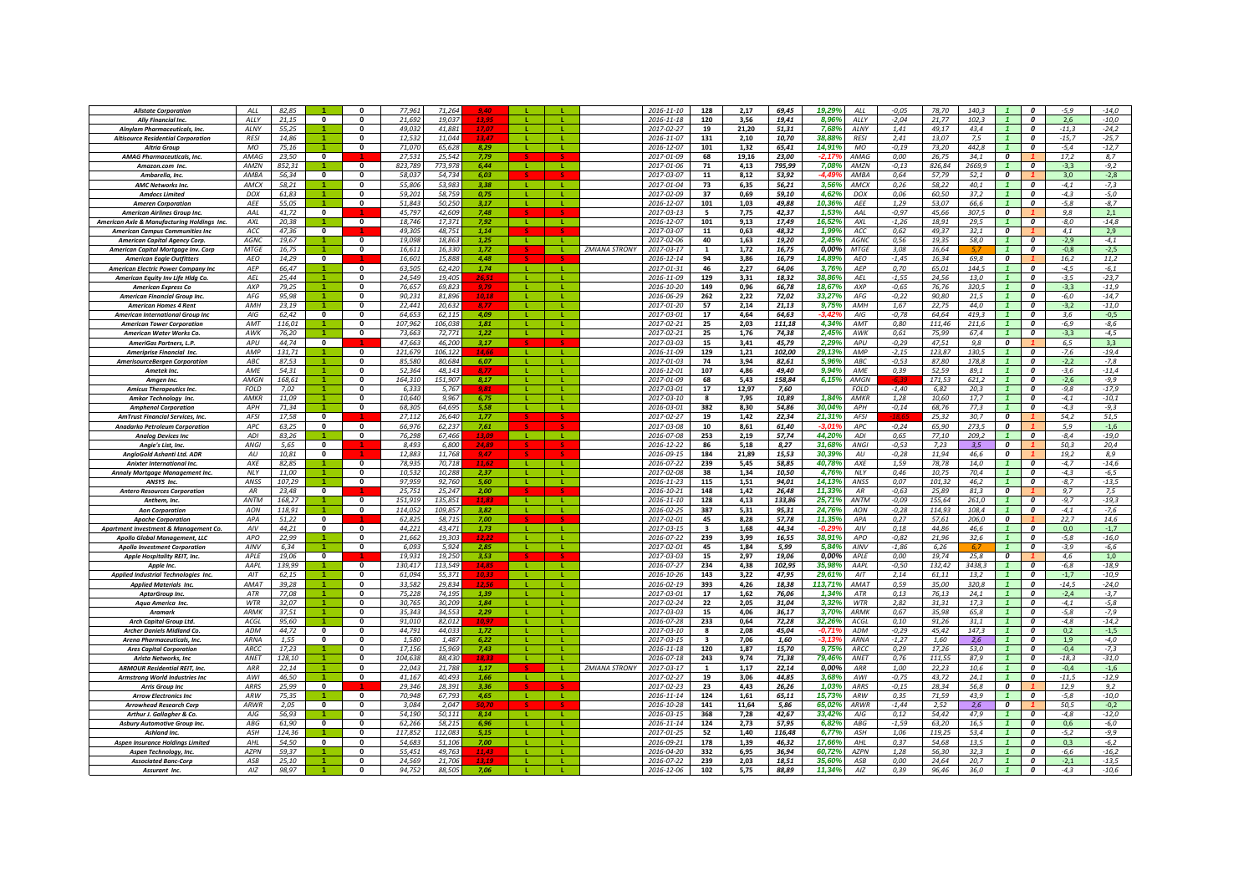| <b>Allstate Corporation</b>                                          | ALL               | 82,85          |                         | $\Omega$                 | 77,961            | 71,264           |               |              |              |                      | 2016-11-10               | 128            | 2,17         | 69,45          | 19,29%<br>ALL                   | $-0.05$         | 78,70           | 140,3         |                         | 0                                | $-5,9$            | $-14,0$           |
|----------------------------------------------------------------------|-------------------|----------------|-------------------------|--------------------------|-------------------|------------------|---------------|--------------|--------------|----------------------|--------------------------|----------------|--------------|----------------|---------------------------------|-----------------|-----------------|---------------|-------------------------|----------------------------------|-------------------|-------------------|
| <b>Ally Financial Inc.</b>                                           | ALLY              | 21,15          | $\mathbf{0}$            | 0                        | 21,692            | 19,03            |               |              |              |                      | 2016-11-18               | 120            | 3,56         | 19,41          | 8,96%<br>ALLY                   | $-2,04$         | 21,77           | 102.3         |                         | 0                                | 2,6               | $-10,0$           |
| Alnylam Pharmaceuticals, Inc.                                        | AI NY             | 55.25          |                         | $\mathbf{0}$             | 49.03.            | 41.881           |               |              |              |                      | 2017-02-27               | 19             | 21.20        | 51,31          | 7,68%<br><b>AINY</b>            | 1,41            | 49.17           | 43.4          |                         | $\boldsymbol{0}$                 | $-11.3$           | $-24,2$           |
| <b>Altisource Residential Corporation</b>                            | <b>RFSI</b>       | 14.86          |                         |                          | 12.53.            | 11.044           |               |              |              |                      | 2016-11-07               | 131            | 2,10         | 10,70          | 38.88<br><b>RESI</b>            | 2,41            | 13.07           | 7.5           |                         | $\boldsymbol{0}$                 | $-15,7$           | $-25,7$           |
| <b>Altria Group</b>                                                  | <b>MO</b>         | 75.16          |                         | $\mathbf{0}$             | 71.070            | 65.628           | 8.29          |              | ÷.           |                      | 2016-12-07               | 101            | 1.32         | 65.41          | 14.91%<br><b>MO</b>             | $-0.19$         | 73.20           | 442.8         |                         | $\Omega$                         | $-5.4$            | $-12,7$           |
| <b>AMAG Pharmaceuticals, Inc.</b>                                    | <b>AMAG</b>       | 23,50          | $\overline{\mathbf{0}}$ |                          | 27,531            | 25,542           | 7.79          |              |              |                      | 2017-01-09               | 68             | 19,16        | 23,00          | AMAG<br>-2.17                   | 0,00            | 26,75           | 34,1          | $\overline{\mathbf{c}}$ |                                  | 17,2              | 8,7               |
| Amazon.com Inc.                                                      | AMZN              | 852,31         |                         | 0                        | 823.789           | 773,978          | 6,44          | - 12         | л.           |                      | 2017-01-06               | 71             | 4,13         | 795,99         | 7,08%<br>AMZN                   | $-0,13$         | 826.84          | 2669,9        |                         | $\boldsymbol{0}$                 | $-3,3$            | $-9,2$            |
|                                                                      | AMRA              | 56,34          | $\mathbf{0}$            | 0                        | 58.037            | 54,734           | 6.03          |              |              |                      | 2017-03-07               | 11             | 8,12         | 53,92          | <b>AMRA</b><br>$-4.49$          | 0,64            | 57,79           | 52,1          | $\boldsymbol{o}$        |                                  | 3,0               | $-2,8$            |
| Ambarella, Inc.<br><b>AMC Networks Inc</b>                           | <b>AMCX</b>       | 58,21          |                         | $\Omega$                 | 55.806            | 53,983           | 3.38          | - 11 -       | т.           |                      |                          | 73             |              | 56,21          | 3,56%<br><b>AMCX</b>            |                 | 58,22           | 40,1          | $\mathbf{1}$            | $\Omega$                         | $-4,1$            |                   |
|                                                                      | DOX               |                |                         | $\mathbf{0}$             | 59.201            |                  |               |              |              |                      | 2017-01-04               |                | 6,35         |                |                                 | 0,26            |                 |               |                         | $\Omega$                         |                   | $-7,3$            |
| <b>Amdocs Limited</b>                                                |                   | 61,83          |                         |                          |                   | 58,759           | 0,75          |              | L.           |                      | 2017-02-09               | 37             | 0,69         | 59,10          | 4,62%<br>DOX                    | 0,06            | 60,50           | 37,2          |                         | $\Omega$                         | $-4,3$            | $-5,0$            |
| <b>Ameren Corporation</b>                                            | AEE               | 55,05          |                         | $\mathbf{0}$             | 51,843            | 50,250           | 3,17          |              |              |                      | 2016-12-07               | 101            | 1,03         | 49,88          | 10,36%<br>AEE                   | 1,29            | 53,07           | 66.6          |                         |                                  | $-5,8$            | $-8,7$            |
| <b>American Airlines Group Inc</b>                                   | AAL               | 41.72          | $\mathbf{0}$            |                          | 45,797            | 42.60            | 7.48          |              |              |                      | 2017-03-13               | 5              | 7,75         | 42,37          | 1,53%<br>AAL                    | $-0.97$         | 45.66           | 307,5         | 0                       |                                  | 9,8               | 2,1               |
| American Axle & Manufacturing Holdings Inc.                          | AXI               | 20,38          |                         | $\mathbf{0}$             | 18.746            | 17.37            | 7,92          | -11          |              |                      | 2016-12-07               | 101            | 9,13         | 17,49          | 16.52%<br>AXI                   | $-1,26$         | 18,91           | 29.5          |                         | $\boldsymbol{0}$                 | -8,0              | $-14,8$           |
| <b>American Campus Communities Ine</b>                               | ACC               | 47.36          | $\mathbf{0}$            |                          | 49 305            | 48.751           | 1.14          |              |              |                      | 2017-03-07               | 11             | 0.63         | 48.32          | 1.99%<br>ACC                    | 0.62            | 49.37           | 32.1          | $\boldsymbol{o}$        |                                  | 4.1               | 2.9               |
| <b>American Capital Agency Corp</b>                                  | <b>AGNC</b>       | 19.67          |                         | $\mathbf 0$              | 19.098            | 18.863           | 1.25          | - 11         | - 11         |                      | 2017-02-06               | 40             | 1,63         | 19.20          | 2,45%<br>AGNC                   | 0.56            | 19.35           | 58.0          |                         | $\boldsymbol{0}$                 | $-2.9$            | $-4.1$            |
| American Capital Mortgage Inv. Corp                                  | <b>MTGE</b>       | 16,75          |                         | $\Omega$                 | 16,611            | 16.330           | 1.72          |              |              | <b>ZMIANA STRONY</b> | 2017-03-17               | $\overline{1}$ | 1,72         | 16,75          | 0,00%<br><b>MTGE</b>            | 3,08            | 16,64           |               |                         | $\Omega$                         | $-0,8$            | $-2,5$            |
| <b>American Eagle Outfitters</b>                                     | AEO               | 14,29          | $\overline{\mathbf{0}}$ |                          | 16,601            | 15.888           | 4.48          |              |              |                      | 2016-12-14               | 94             | 3,86         | 16,79          | 14,89%<br>AEO                   | $-1,45$         | 16,34           | 69,8          | $\overline{\mathbf{c}}$ |                                  | 16,2              | 11,2              |
| American Electric Power Company Inc                                  | AEP               | 66,47          |                         | $\Omega$                 | 63,505            | 62,420           | 1,74          | - 11         | л.           |                      | 2017-01-31               | 46             | 2,27         | 64,06          | 3,76%<br>AFP                    | 0,70            | 65,01           | 144,5         |                         | 0                                | $-4,5$            | $-6,1$            |
| American Equity Inv Life Hldg Co.                                    | AEL               | 25,44          |                         | $\mathbf{0}$             | 24,549            | 19,405           |               |              |              |                      | 2016-11-09               | 129            | 3,31         | 18,32          | 38,86%<br>AEL                   | $-1,55$         | 24,56           | 13,0          |                         | 0                                | $-3,5$            | $-23,7$           |
| <b>American Express Co</b>                                           | AXP               | 79,25          |                         | $\Omega$                 | 76,657            | 69.82            |               |              |              |                      | 2016-10-20               | 149            | 0,96         | 66,78          | 18,67%<br>AXP                   | $-0,65$         | 76,76           | 320,5         |                         | $\boldsymbol{0}$                 | $-3,3$            | $-11,9$           |
| American Financial Group Inc.                                        | AFG               | 95.98          |                         | $\mathbf{0}$             | 90.231            | 81.89            | 10.18         |              |              |                      | 2016-06-29               | 262            | 2,22         | 72,02          | 33.27%<br>AFG                   | $-0,22$         | 90.80           | 21.5          |                         | $\boldsymbol{0}$                 | -6,0              | $-14,7$           |
| <b>American Homes 4 Rent</b>                                         | AMH               | 23.19          |                         | $\mathbf{0}$             | 22.441            | 20.632           |               |              |              |                      | 2017-01-20               | 57             | 2.14         | 21.13          | 9,75%<br>AMH                    | 1.67            | 22.75           | 44.0          |                         | $\boldsymbol{o}$                 | $-3,2$            | $-11.0$           |
| <b>American International Group Inc</b>                              | AIG               | 62,42          | $\mathbf 0$             | 0                        | 64,653            | 62,115           | 4,09          |              |              |                      | 2017-03-01               | 17             | 4,64         | 64,63          | AIG<br>-3,42                    | $-0,78$         | 64,64           | 419,3         |                         | 0                                | 3,6               | $-0,5$            |
| <b>American Tower Corporation</b>                                    | AMT               | 116,01         |                         | $\mathbf{0}$             | 107,962           | 106.038          | 1.81          |              |              |                      | 2017-02-21               | 25             | 2,03         | 111,18         | 4,34%<br>AMT                    | 0,80            | 111,46          | 211,6         |                         | $\boldsymbol{0}$                 | $-6,9$            | $-8,6$            |
| American Water Works Co.                                             | AWK               | 76,20          |                         | $\mathbf{0}$             | 73,663            | 72,771           | 1,22          | -11          | л.           |                      | 2017-02-21               | 25             | 1,76         | 74,38          | 2,45%<br>AWK                    | 0,61            | 75,99           | 67,4          | $\mathbf{1}$            | $\mathbf{a}$                     | $-3,3$            | $-4,5$            |
| AmeriGas Partners, L.P.                                              | APU               | 44.74          | $\mathbf{0}$            |                          | 47,663            | 46,200           | 3,17          |              |              |                      | 2017-03-03               | 15             | 3,41         | 45.79          | 2,29%<br>APU                    | $-0,29$         | 47,51           | 9.8           | $\boldsymbol{0}$        |                                  | 6.5               | 3,3               |
| Ameriprise Financial Inc.                                            | AMP               | 131,71         |                         | $\mathbf{0}$             | 121,679           | 106,122          | 14,66         | -11          | ÷.           |                      | 2016-11-09               | 129            | 1,21         | 102,00         | 29,13%<br>AMP                   | $-2,15$         | 123,87          | 130,5         |                         | $\Omega$                         | $-7,6$            | $-19,4$           |
| <b>AmerisourceBergen Corporation</b>                                 | ABC               | 87,53          |                         | $\mathbf 0$              | 85.580            | 80.684           | 6,07          |              |              |                      | 2017-01-03               | 74             | 3,94         | 82,61          | 5,96%<br>ABC                    | $-0,53$         | 87,80           | 178,8         |                         | $\boldsymbol{0}$                 | $-2,2$            | $-7,8$            |
| Ametek Inc.                                                          | AME               | 54,31          |                         | 0                        | 52,364            | 48.14            | 8.77          |              |              |                      | 2016-12-01               | 107            | 4,86         | 49,40          | 9,94%<br>AME                    | 0,39            | 52,59           | 89.1          |                         | $\boldsymbol{0}$                 | $-3.6$            | $-11,4$           |
| <b>Amaen Inc</b>                                                     | <b>AMGN</b>       | 168,61         |                         | $\mathbf{0}$             | 164,310           | 151.90           | 8,17          |              |              |                      | 2017-01-09               | 68             | 5,43         | 158,84         | 6,15%<br>AMGN                   |                 | 171,53          | 621.2         | $\overline{1}$          | $\boldsymbol{0}$                 | $-2,6$            | $-9,9$            |
| <b>Amicus Therapeutics Inc</b>                                       | <b>FOLD</b>       | 7.02           |                         | $\Omega$                 | 6.333             | 5.767            | 9.81          |              |              |                      | 2017-03-01               | 17             | 12.97        | 7.60           | <b>FOLD</b>                     | $-1.40$         | 6.82            | 20.3          |                         | $\overline{a}$                   | $-9.8$            | $-17.9$           |
| Amkor Technology Inc.                                                | AMKR              | 11.09          | $\blacktriangleleft$    | $\Omega$                 | 10.640            | 9.967            | 6.75          |              |              |                      | 2017-03-10               | 8              | 7,95         | 10.89          | 1,84%<br><b>AMKR</b>            | 1,28            | 10.60           | 17.7          |                         | $\boldsymbol{0}$                 | $-4.1$            | $-10,1$           |
| <b>Amphenol Corporation</b>                                          | <b>APH</b>        | 71.34          |                         | $\Omega$                 | 68.305            | 64.695           | 5.58          | - 11         | -11          |                      | 2016-03-01               | 382            | 8.30         | 54,86          | 30.04%<br><b>APH</b>            | $-0,14$         | 68,76           | 77.3          |                         | $\Omega$                         | $-4.3$            | $-9.3$            |
| <b>AmTrust Financial Services, Inc</b>                               | AFSI              | 17,58          | $\mathbf 0$             |                          | 27,112            | 26,640           | 1,77          |              |              |                      | 2017-02-27               | 19             | 1,42         | 22,34          | 21,319<br><b>AFSI</b>           |                 | 25,32           | 30,7          | $\overline{\mathbf{c}}$ |                                  | 54,2              | 51,5              |
| Anadarko Petroleum Corporation                                       | APC               | 63,25          | $\mathbf 0$             | $\Omega$                 | 66,976            | 62,237           | 7,61          |              |              |                      | 2017-03-08               | 10             | 8,61         | 61,40          | $-3.01$<br>APC                  | $-0,24$         | 65,90           | 273,5         | 0                       |                                  | 5,9               | $-1,6$            |
| <b>Analoa Devices Inc</b>                                            | <b>ADI</b>        | 83,26          |                         | $\mathbf{0}$             | 76,298            | 67,466           |               | $\mathbf{L}$ | $\mathbf{L}$ |                      | 2016-07-08               | 253            | 2,19         | 57,74          | 44,20%<br>ADI                   | 0,65            | 77,10           | 209,2         |                         | $\boldsymbol{o}$                 | $-8,4$            | $-19,0$           |
| Angie's List, Inc.                                                   | ANGI              | 5,65           | $\mathbf 0$             |                          | 8,495             | 6.80             | 24.89         |              |              |                      | 2016-12-22               | 86             | 5,18         | 8,27           | 31,68%<br>ANGI                  | $-0,53$         | 7,23            | 3.5           | 0                       |                                  | 50,3              | 20,4              |
| AngloGold Ashanti Ltd. ADR                                           | AlJ               | 10.81          | $\mathbf{0}$            |                          | 12.883            | 11.76            |               |              |              |                      | 2016-09-15               | 184            | 21.89        | 15,53          | 30.39<br>AlJ                    | $-0,28$         | 11.94           | 46.6          | $\boldsymbol{o}$        |                                  | 19,2              | 8,9               |
| <b>Anixter International Inc.</b>                                    | AXE               | 82.85          |                         | $\Omega$                 | 78.93             | 70.718           |               |              |              |                      | 2016-07-22               | 239            | 5.45         | 58.85          | 40.78%<br>AXE                   | 1.59            | 78.78           | 14.0          |                         | $\Omega$                         | $-4.7$            | $-14.6$           |
| Annaly Mortgage Management Inc.                                      | <b>NLY</b>        | 11,00          |                         | 0                        | 10,532            | 10,288           | 2,37          |              |              |                      | 2017-02-08               | 38             | 1,34         | 10,50          | 4,76%<br>NLY                    | 0,46            | 10,75           | 70,4          |                         | $\boldsymbol{0}$                 | $-4,3$            | $-6,5$            |
| ANSYS Inc.                                                           | ANSS              | 107,29         |                         | $\mathbf{0}$             | 97,959            | 92,760           | 5,60          | <b>L</b>     | $\mathbf{L}$ |                      | 2016-11-23               | 115            | 1,51         | 94,01          | 14.13%<br>ANSS                  | 0,07            | 101,32          | 46,2          |                         | $\boldsymbol{o}$                 | $-8,7$            | $-13,5$           |
| <b>Antero Resources Corporation</b>                                  | $\Delta R$        | 23,48          | $\mathbf{0}$            |                          | 25.751            | 25,247           | 2,00          |              |              |                      | 2016-10-21               | 148            | 1,42         | 26,48          | 11,33%<br>AR                    | $-0,63$         | 25,89           | 81,3          | $\boldsymbol{o}$        |                                  | 9,7               | 7,5               |
| Anthem, Inc.                                                         | <b>ANTM</b>       | 168,27         |                         | $\Omega$                 | 151,919           | 135,851          |               | - 11         | -11          |                      | 2016-11-10               | 128            | 4,13         | 133,86         | 25,71%<br>ANTM                  | $-0,09$         | 155.64          | 261,0         | $\mathbf{1}$            | $\Omega$                         | $-9,7$            | $-19,3$           |
| <b>Aon Corporation</b>                                               | <b>AON</b>        | 118,91         |                         | $\mathbf{0}$             | 114,052           | 109,857          | 3,82          | -11          | <b>L</b>     |                      | 2016-02-25               | 387            | 5,31         | 95,31          | 24,76%<br>AON                   | $-0,28$         | 114,93          | 108,4         |                         | $\Omega$                         | $-4,1$            | $-7,6$            |
|                                                                      | APA               | 51,22          | 0                       |                          | 62,825            | 58.715           | 7.00          |              |              |                      | 2017-02-01               | 45             | 8,28         | 57,78          | 11,35%<br>APA                   | 0,27            | 57,61           | 206,0         | 0                       |                                  | 22,7              | 14,6              |
| <b>Apache Corporation</b>                                            | AV                | 44,21          | 0                       | $\mathbf 0$              | 44,221            | 43,471           | 1,73          | -11          |              |                      | 2017-03-15               | 3              | 1,68         | 44,34          | AIV<br>-0.29                    | 0,18            | 44,86           | 46.6          | $\mathbf{1}$            | $\boldsymbol{0}$                 | 0,0               | $-1,7$            |
| Apartment Investment & Management Co.                                | APO               | 22.99          |                         | $\mathbf{0}$             | 21.663            | 19.30            | 12.22         |              |              |                      | 2016-07-22               | 239            | 3,99         | 16,55          | 38,91%<br><b>APO</b>            | $-0.82$         | 21.96           | 32,6          | $\mathbf{1}$            | $\boldsymbol{0}$                 | $-5,8$            | $-16,0$           |
| Apollo Global Management, LLC                                        |                   |                |                         | $\Omega$                 |                   |                  |               |              |              |                      |                          |                |              |                |                                 |                 |                 |               | $\overline{1}$          | $\Omega$                         |                   |                   |
| <b>Apollo Investment Corporation</b><br>Apple Hospitality REIT, Inc. | AINV<br>APLE      | 6.34<br>19.06  | $\mathbf{0}$            |                          | 6.093<br>19.931   | 5.924<br>19.250  | 2.85<br>3.53  |              |              |                      | 2017-02-01<br>2017-03-03 | 45<br>15       | 1.84<br>2,97 | 5,99<br>19.06  | 5.84%<br>AINV<br>0.00%<br>APLE  | $-1.86$<br>0.00 | 6.26<br>19.74   | 25.8          | $\boldsymbol{o}$        |                                  | $-3.9$<br>4.6     | $-6.6$<br>1.0     |
|                                                                      | AAPL              | 139.99         | $\blacktriangleleft$    | $\Omega$                 | 130.417           | 113549           | 14.8          | $\mathbf{E}$ | - 11         |                      | 2016-07-27               | 234            | 4.38         |                | 35.98%<br><b>AAPI</b>           | $-0.50$         | 132.42          | 3438.3        | $\overline{1}$          | $\Omega$                         |                   | $-18.9$           |
| Annie Inc                                                            | AIT               |                | $\blacktriangleleft$    | $\mathbf{0}$             | 61,094            | 55.371           |               | - 11         | <b>L</b>     |                      | 2016-10-26               | 143            | 3,22         | 102,95         | 29,61%<br>AIT                   |                 | 61,11           | 13,2          | $\mathbf{1}$            | 0                                | $-6,8$<br>$-1,7$  | $-10,9$           |
| Applied Industrial Technologies Inc.                                 | AMA <sub>7</sub>  | 62,15          | $\blacktriangleleft$    | $\Omega$                 | 33,582            |                  |               | - 11         | т.           |                      |                          |                |              | 47,95          | 113,71%<br><b>AMAT</b>          | 2,14<br>0,59    |                 |               |                         |                                  | $-14,5$           |                   |
| <b>Applied Materials Inc.</b>                                        |                   | 39,28          |                         | $\mathbf{0}$             | 75,228            | 29,834           | 1,39          |              | L.           |                      | 2016-02-19               | 393            | 4,26         | 18,38          | 1,34%                           | 0,13            | 35,00<br>76,13  | 320,8<br>24,1 |                         | 0                                |                   | $-24,0$<br>$-3,7$ |
| AptarGroup Inc.<br>Agua America Inc.                                 | ATR<br><b>WTR</b> | 77,08<br>32,07 |                         | $\mathbf{0}$             | 30,765            | 74,195<br>30,209 | 1,84          |              | т.           |                      | 2017-03-01<br>2017-02-24 | 17<br>22       | 1,62<br>2,05 | 76,06<br>31,04 | ATR<br>3,32%<br>WTR             | 2,82            | 31,31           | 17,3          |                         | 0<br>0                           | $-2,4$<br>$-4,1$  | $-5,8$            |
| <b>Aramark</b>                                                       | <b>ARMK</b>       | 37,51          |                         | $\mathbf{0}$             | 35.343            | 34.55            |               |              |              |                      |                          | 15             | 4,06         |                | 3,70%<br><b>ARMK</b>            | 0,67            | 35.98           | 65.8          |                         | $\boldsymbol{0}$                 | $-5,8$            | $-7,9$            |
|                                                                      |                   |                |                         | $\mathbf{0}$             |                   |                  | 2,29          |              |              |                      | 2017-03-03               |                |              | 36,17          |                                 |                 |                 |               |                         | $\boldsymbol{o}$                 |                   |                   |
| <b>Arch Capital Group Ltd.</b>                                       | ACGL              | 95,60          |                         |                          | 91,010            | 82,012           | 10.9          |              |              |                      | 2016-07-28               | 233            | 0,64         | 72,28          | 32,26%<br>ACGL                  | 0, 10           | 91,26           | 31,1          |                         |                                  | $-4,8$            | $-14,2$           |
| <b>Archer Daniels Midland Co.</b>                                    | ADM               | 44,72          | 0                       | $\Omega$                 | 44,791            | 44,033           | 1.72          |              |              |                      | 2017-03-10               | 8              | 2,08         | 45,04          | ADM<br>-0,71'                   | $-0,29$         | 45,42           | 147,3         |                         | 0                                | 0,2               | $-1,5$            |
| <b>Arena Pharmaceuticals, Inc.</b>                                   | ARNA              | 1,55           | $\mathbf{0}$            | $\mathbf{0}$             | 1,580             | 1.487            | 6.22          | л.           | л.           |                      | 2017-03-15               | 3              | 7,06         | 1,60           | <b>ARNA</b><br>-3.13            | $-1,27$         | 1,60            | 2,6           |                         | $\boldsymbol{o}$                 | 1,9               | $-4,0$            |
| <b>Ares Capital Corporation</b>                                      | ARCC<br>ANET      | 17,23          |                         | $\mathbf{0}$<br>$\Omega$ | 17,156<br>104,638 | 15,969           | 7.43<br>18 3: |              |              |                      | 2016-11-18               | 120            | 1,87         | 15,70          | 9,75%<br>ARCC<br>79,46%<br>ANET | 0,29            | 17,26<br>111,55 | 53,0<br>87.9  | $\overline{1}$          | $\boldsymbol{0}$<br>$\mathbf{a}$ | $-0,4$<br>$-18,3$ | $-7,3$<br>$-31,0$ |
| <b>Arista Networks, Inc.</b>                                         |                   | 128,10         |                         |                          |                   | 88,430           |               | л.           |              |                      | 2016-07-18               | 243            | 9,74         | 71,38          |                                 | 0,76            |                 |               |                         |                                  |                   |                   |
| <b>ARMOUR Residential REIT, Inc.</b>                                 | ARR               | 22,14          |                         | $\mathbf{0}$             | 22,043            | 21.788           | 1,17          |              |              | <b>ZMIANA STRONY</b> | 2017-03-17               | 1              | 1,17         | 22,14          | 0,00%<br>ARR                    | 1,00            | 22,23           | 10,6          | $\mathbf{1}$            | $\mathbf{a}$                     | $-0,4$            | $-1,6$            |
| <b>Armstrong World Industries Inc</b>                                | AWI               | 46,50          |                         | $\mathbf 0$              | 41,167            | 40,493           | 1,66          | -L.          |              |                      | 2017-02-27               | 19             | 3,06         | 44,85          | 3,68%<br>AWI                    | $-0,75$         | 43,72           | 24,1          |                         | $\boldsymbol{0}$                 | $-11,5$           | $-12,9$           |
| <b>Arris Group Inc.</b>                                              | ARRS              | 25,99          | 0                       |                          | 29,346            | 28.391           | 3.36          |              |              |                      | 2017-02-23               | 23             | 4.43         | 26,26          | 1,03%<br>ARRS                   | $-0.15$         | 28,34           | 56,8          | 0                       |                                  | 12,9              | 9,2               |
| <b>Arrow Electronics Inc</b>                                         | ARW               | 75.35          |                         | $\mathbf{0}$             | 70,948            | 67.79            | 4,65          | -11          | - L          |                      | 2016-11-14               | 124            | 1,61         | 65,11          | 15.73%<br>ARW                   | 0.35            | 71,59           | 43.9          | $\overline{1}$          | $\boldsymbol{0}$                 | $-5.8$            | $-10,0$           |
| <b>Arrowhead Research Corp</b>                                       | ARWI              | 2,05           | $\bf{0}$                | $\mathbf{0}$             | 3.084             | 2.04             | 50.7          |              |              |                      | 2016-10-28               | 141            | 11,64        | 5,86           | 65,02%<br>ARWF                  | $-1,44$         | 2,52            | 2.6           | 0                       |                                  | 50.5              | $-0,2$            |
| Arthur J. Gallagher & Co.                                            | $A$ J $G$         | 56.93          |                         | $\Omega$                 | 54.190            | 50.111           | 8.14          | - 11         |              |                      | 2016-03-15               | 368            | 7.28         | 42.67          | 33.42%<br>A/G                   | 0,12            | 54.42           | 47.9          |                         | $\Omega$                         | $-4.8$            | $-12,0$           |
| Asbury Automotive Group Inc.                                         | <b>ARG</b>        | 61.90          | $\Omega$                | $\mathbf{r}$             | 62.266            | 58.215           | 6.96          | - 11         | п.           |                      | 2016-11-14               | 124            | 2.73         | 57.95          | 6.82%<br>ABC                    | $-1,59$         | 63.20           | 16.5          |                         | $\Omega$                         | 0.6               | $-6.0$            |
| <b>Ashland Inc.</b>                                                  | ASH               | 124,36         |                         | $\Omega$                 | 117.852           | 112.08           | 5.15          | - 11         | л.           |                      | 2017-01-25               | 52             | 1,40         | 116,48         | 6,77%<br>ASH                    | 1,06            | 119,25          | 53,4          | $\overline{1}$          | $\boldsymbol{0}$                 | $-5,2$            | $-9,9$            |
| <b>Aspen Insurance Holdings Limited</b>                              | AHL               | 54,50          | $\mathbf{0}$            | $\Omega$                 | 54.683            | 51,106           | 7.00          | - 11         | т.           |                      | 2016-09-21               | 178            | 1,39         | 46,32          | 17,669<br>AHL                   | 0,37            | 54,68           | 13,5          |                         | $\boldsymbol{0}$                 | 0,3               | $-6,2$            |
| Aspen Technology, Inc.                                               | <b>AZPN</b>       | 59,37          |                         | $\Omega$                 | 55,451            | 49,763           |               |              |              |                      | 2016-04-20               | 332            | 6,95         | 36,94          | 60,72%<br><b>AZPN</b>           | 1,28            | 56,30           | 32,3          |                         | $\boldsymbol{0}$                 | -6,6              | $-16,2$           |
| <b>Associated Banc-Corp</b>                                          | ASB               | 25,10          |                         | $\mathbf{0}$             | 24,56             | 21,706           |               |              |              |                      | 2016-07-22               | 239            | 2,03         | 18,51          | <b>35,60%</b><br>ASB            | 0,00            | 24,64           | 20,7          |                         | 0                                | $-2,1$            | $-13,5$           |
| Assurant Inc.                                                        | AIZ               | 98.97          |                         | $\mathbf{0}$             | 94.752            | 88.50            | 7.06          |              |              |                      | 2016-12-06               | 102            | 5,75         | 88,89          | 11.349<br>AIZ                   | 0.39            | 96.46           | 36,0          | $\mathbf{1}$            | $\boldsymbol{o}$                 | $-4,3$            | $-10,6$           |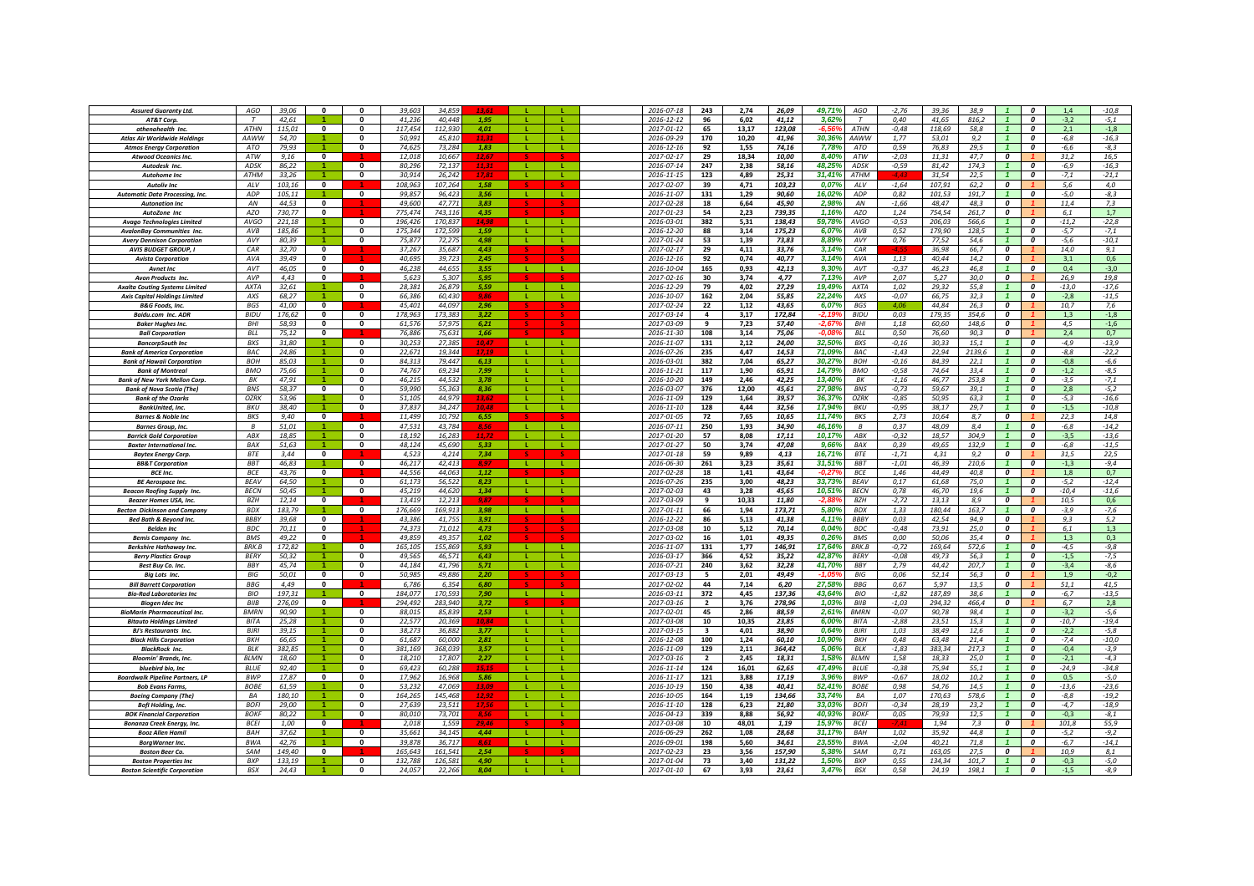| <b>Assured Guaranty Ltd.</b>           | AGO              | 39.06  | $\mathbf{0}$            | $\Omega$                | 39.60   | 34.85   |       |              |              | 2016-07-18       | 243                      | 2.74  | 26,09  | 49,71%  | AGO            | $-2,76$ | 39.36  | 38.9   |                         | $\boldsymbol{0}$        | 1,4     | $-10,8$ |
|----------------------------------------|------------------|--------|-------------------------|-------------------------|---------|---------|-------|--------------|--------------|------------------|--------------------------|-------|--------|---------|----------------|---------|--------|--------|-------------------------|-------------------------|---------|---------|
|                                        |                  |        |                         |                         |         |         |       |              |              |                  |                          |       |        |         |                |         |        |        |                         |                         |         |         |
| AT&T Corp.                             |                  | 42,61  |                         | $\Omega$                | 41,236  | 40.448  | 1.95  |              |              | 2016-12-12       | 96                       | 6,02  | 41,12  | 3,62%   | $\tau$         | 0,40    | 41,65  | 816,2  |                         | $\mathbf{a}$            | $-3,2$  | $-5,1$  |
| athenahealth Inc.                      | ATHN             | 115,01 | $\mathbf{0}$            | $\Omega$                | 117.454 | 112.930 | 4.01  |              |              | 2017-01-12       | 65                       | 13,17 | 123,08 |         | <b>ATHN</b>    | $-0.48$ | 118.69 | 58.8   |                         | $\boldsymbol{0}$        | 2,1     | $-1,8$  |
| <b>Atlas Air Worldwide Holdings</b>    | AAWW             | 54,70  |                         | $\Omega$                | 50,991  | 45,810  |       | -11          | <b>T</b>     | 2016-09-29       | 170                      | 10,20 | 41,96  | 30,36%  | AAWW           | 1,77    | 53,01  | 9.2    |                         | $\boldsymbol{0}$        | $-6,8$  | $-16,3$ |
|                                        |                  |        |                         |                         |         |         |       |              |              |                  |                          |       |        |         |                |         |        |        |                         |                         |         |         |
| <b>Atmos Energy Corporation</b>        | ATO              | 79.93  |                         | $\mathbf{0}$            | 74.625  | 73.284  | 1.83  |              | т.           | 2016-12-16       | 92                       | 1.55  | 74,16  | 7,78%   | ATO            | 0.59    | 76.83  | 29.5   |                         | $\boldsymbol{0}$        | $-6.6$  | $-8,3$  |
| Atwood Oceanics Inc.                   | ATW              | 9.16   | $\mathbf 0$             |                         | 12.01   | 10.66   |       |              |              | 2017-02-17       | 29                       | 18,34 | 10.00  | 8.40    | ATW            | $-2,03$ | 11.31  | 47.7   | 0                       |                         | 31.2    | 16,5    |
| Autodesk Inc.                          | ADSK             | 86,22  |                         | $\mathbf{0}$            | 80,296  | 72,137  | (1.3) |              |              | 2016-07-14       | 247                      | 2,38  | 58,16  | 48,25   | ADSK           | $-0,59$ | 81,42  | 174,3  |                         | $\boldsymbol{0}$        | -6,9    | $-16,3$ |
|                                        |                  |        |                         |                         |         |         |       |              |              |                  |                          |       |        |         |                |         |        |        |                         |                         |         |         |
| Autohome Inc                           | <b>ATHM</b>      | 33.26  |                         | $\mathbf{0}$            | 30.914  | 26.242  | 17.81 | - L -        | <b>L</b>     | 2016-11-15       | 123                      | 4.89  | 25.31  | 31.41%  | <b>ATHM</b>    |         | 31.54  | 22.5   |                         | $\boldsymbol{o}$        | $-7,1$  | $-21,1$ |
| <b>Autoliv Inc.</b>                    | ALV              | 103.16 | $\overline{\mathbf{0}}$ |                         | 108.963 | 107,264 | 1.58  |              |              | 2017-02-07       | 39                       | 4.71  | 103.23 | 0.07%   | ALV            | $-1.64$ | 107.91 | 62.2   | $\overline{0}$          |                         | 5.6     | 4,0     |
|                                        | ADP              | 105,11 |                         | $\mathbf{0}$            | 99.857  | 96.423  | 3.56  | -11          | -11          | 2016-11-07       | 131                      | 1,29  | 90,60  | 16,02%  | ADP            | 0,82    | 101.53 | 191.7  | $\mathbf{1}$            | $\boldsymbol{o}$        | $-5.0$  | $-8,3$  |
| <b>Automatic Data Processing, Inc.</b> |                  |        |                         |                         |         |         |       |              |              |                  |                          |       |        |         |                |         |        |        |                         |                         |         |         |
| <b>Autonation Inc</b>                  | $\Delta N$       | 44,53  | $\mathbf{0}$            |                         | 49,600  | 47,771  | 3,83  |              |              | 2017-02-28       | 18                       | 6,64  | 45,90  | 2.98%   | AN             | $-1,66$ | 48.47  | 48,3   | $\boldsymbol{o}$        |                         | 11,4    | 7,3     |
| AutoZone Inc                           | A ZO             | 730,77 | $\mathbf{0}$            |                         | 775,474 | 743,116 | 4,35  |              |              | 2017-01-23       | 54                       | 2,23  | 739,35 | 1,16%   | AZO            | 1,24    | 754,54 | 261,7  | $\overline{\mathbf{c}}$ |                         | 6,1     | 1,7     |
|                                        | AVGO             | 221,18 |                         | $\mathbf{0}$            | 196,426 | 170,837 | 14.98 | -11          | ÷.           | 2016-03-01       | 382                      | 5,31  | 138,43 | 59,78%  | AVGO           | $-0,53$ | 206,03 | 566,6  |                         | 0                       | $-11,2$ | $-22,8$ |
| <b>Avago Technologies Limited</b>      |                  |        |                         |                         |         |         |       |              |              |                  |                          |       |        |         |                |         |        |        |                         |                         |         |         |
| <b>AvalonBay Communities Inc</b>       | AVB              | 185.86 |                         | $\mathbf{0}$            | 175.344 | 172.59  | 1,59  |              |              | 2016-12-20       | 88                       | 3,14  | 175,23 | 6.07%   | AVB            | 0,52    | 179.90 | 128.5  | $\overline{1}$          | $\boldsymbol{0}$        | $-5.7$  | $-7,1$  |
| <b>Avery Dennison Corporation</b>      | AVY              | 80.39  |                         | $\mathbf{0}$            | 75.877  | 72.27   | 4.98  | $\mathbf{L}$ | $\mathbf{L}$ | 2017-01-24       | 53                       | 1,39  | 73,83  | 8.89%   | AVY            | 0,76    | 77.52  | 54.6   | $\mathbf{1}$            | $\boldsymbol{0}$        | $-5,6$  | $-10,1$ |
| <b>AVIS BUDGET GROUP.</b>              | CAR              | 32.70  | $\mathbf{0}$            |                         | 37.267  | 35.687  | 4.43  |              |              | 2017-02-17       | 29                       | 4.11  | 33.76  | 3.14%   | CAR            |         | 36.98  | 66.7   | 0                       |                         | 14.0    | 9.1     |
|                                        |                  |        |                         |                         |         |         |       |              |              |                  |                          |       |        |         |                |         |        |        |                         |                         |         |         |
| <b>Avista Corporation</b>              | AVA              | 39.49  | $\mathbf{0}$            |                         | 40.69   | 39.723  | 2.45  |              |              | 2016-12-16       | 92                       | 0.74  | 40.77  | 3.14%   | <b>AVA</b>     | 1.13    | 40.44  | 14.2   | $\overline{0}$          |                         | 3.1     | 0,6     |
| <b>Avnet Inc.</b>                      | AVT              | 46.05  | $\mathbf{0}$            | $\Omega$                | 46.238  | 44.655  | 3.55  | $\mathbf{L}$ | - 11         | 2016-10-04       | 165                      | 0.93  | 42,13  | 9.30%   | AVT            | $-0.37$ | 46.23  | 46.8   | $\overline{1}$          | $\Omega$                | 0.4     | $-3,0$  |
| <b>Avon Products Inc</b>               | AVP              | 4,43   | $\mathbf{0}$            |                         | 5,623   | 5,307   | 5.95  |              |              | 2017-02-16       | 30                       | 3,74  | 4,77   | 7,13%   | AVP            | 2,07    | 5,27   | 30,0   | $\boldsymbol{o}$        |                         | 26,9    | 19,8    |
|                                        |                  |        |                         |                         |         |         |       |              |              |                  |                          |       |        |         |                |         |        |        |                         |                         |         |         |
| <b>Axalta Couting Systems Limited</b>  | <b>AXTA</b>      | 32,61  |                         | $\mathbf{0}$            | 28,381  | 26,879  | 5,59  |              |              | 2016-12-29       | 79                       | 4,02  | 27,29  | 19,49%  | AXTA           | 1,02    | 29,32  | 55.8   |                         | $\boldsymbol{0}$        | $-13,0$ | $-17,6$ |
| <b>Axis Capital Holdings Limited</b>   | AXS              | 68,27  |                         | $\Omega$                | 66,386  | 60,430  |       |              | T.           | 2016-10-07       | 162                      | 2,04  | 55,85  | 22,24%  | AXS            | $-0.07$ | 66,75  | 32,3   |                         | $\boldsymbol{0}$        | $-2,8$  | $-11,5$ |
| <b>B&amp;G Foods, Inc.</b>             | BGS              | 41.00  | $\mathbf{0}$            |                         | 45.40   | 44.097  | 2.96  |              |              | 2017-02-24       | 22                       | 1,12  | 43,65  | 6,07%   | <b>BGS</b>     | 4,06    | 44.84  | 26.3   | 0                       |                         | 10,7    | 7,6     |
|                                        |                  |        | $\bf{0}$                | $\mathbf{0}$            | 178.963 | 173.38  | 3.22  |              |              | 2017-03-14       | 4                        |       |        | -2.19   | <b>BIDU</b>    |         | 179.35 | 354.6  | $\overline{0}$          |                         | 1.3     | $-1,8$  |
| Baidu.com Inc. ADR                     | <b>BIDU</b>      | 176,62 |                         |                         |         |         |       |              |              |                  |                          | 3,17  | 172,84 |         |                | 0,03    |        |        |                         |                         |         |         |
| <b>Baker Hughes Inc.</b>               | BHI              | 58.93  | $\mathbf{0}$            | $\mathbf{0}$            | 61.576  | 57.975  | 6.21  |              |              | 2017-03-09       | 9                        | 7.23  | 57.40  | $-2,67$ | BHI            | 1.18    | 60.60  | 148.6  | 0                       |                         | 4.5     | $-1,6$  |
| <b>Ball Corporation</b>                | <b>BLL</b>       | 75,12  | $\mathbf{0}$            |                         | 76,886  | 75,631  | 1,66  |              |              | 2016-11-30       | 108                      | 3,14  | 75,06  | -0.08   | BII            | 0,50    | 76,60  | 90,3   | 0                       |                         | 2,4     | 0,7     |
| <b>BancorpSouth Inc</b>                | <b>BXS</b>       | 31.80  |                         | $\mathbf{0}$            | 30.253  | 27.38   |       |              |              | 2016-11-07       | 131                      | 2,12  | 24.00  | 32.50%  | <b>BXS</b>     | $-0,16$ | 30.33  | 15.1   | $\mathbf{1}$            | $\boldsymbol{0}$        | $-4.9$  | $-13,9$ |
|                                        |                  |        |                         |                         |         |         | 10,47 | - 12         | п.           |                  |                          |       |        |         |                |         |        |        |                         |                         |         |         |
| <b>Bank of America Corporation</b>     | BAC              | 24,86  |                         | $\mathbf{0}$            | 22,671  | 19,344  |       |              |              | 2016-07-26       | 235                      | 4,47  | 14,53  | 71,09%  | BAC            | $-1,43$ | 22,94  | 2139,6 |                         | $\boldsymbol{0}$        | $-8,8$  | $-22,2$ |
| <b>Bank of Hawaii Corporation</b>      | <b>BOH</b>       | 85,03  |                         | $\Omega$                | 84,313  | 79,447  | 6,13  |              |              | 2016-03-01       | 382                      | 7,04  | 65,27  | 30,27%  | <b>BOH</b>     | $-0,16$ | 84,39  | 22,1   |                         | $\boldsymbol{0}$        | $-0,8$  | $-6,6$  |
| <b>Bank of Montreal</b>                | <b>BMO</b>       | 75,66  |                         | $\mathbf{0}$            | 74,767  | 69,234  | 7,99  | л.           | L.           | 2016-11-21       | 117                      | 1,90  | 65,91  | 14,79%  | <b>BMO</b>     | $-0,58$ | 74,64  | 33,4   |                         | $\boldsymbol{0}$        | $-1,2$  | $-8,5$  |
|                                        |                  |        |                         |                         |         |         |       |              |              |                  |                          |       |        |         |                |         |        |        |                         |                         |         |         |
| <b>Bank of New York Mellon Corp.</b>   | <b>BK</b>        | 47.91  |                         | $\mathbf{0}$            | 46.215  | 44.532  | 3,78  | $\mathbf{L}$ |              | 2016-10-20       | 149                      | 2,46  | 42,25  | 13.40%  | <b>BK</b>      | $-1,16$ | 46.77  | 253.8  |                         | $\boldsymbol{0}$        | $-3.5$  | $-7,1$  |
| <b>Bank of Nova Scotia (The)</b>       | <b>BNS</b>       | 58.37  | $\mathbf{0}$            | $\mathbf{0}$            | 59.99   | 55.36   | 8,36  |              |              | 2016-03-07       | 376                      | 12,00 | 45,61  | 27,98%  | <b>BNS</b>     | $-0.73$ | 59.67  | 39.1   | $\overline{1}$          | $\boldsymbol{0}$        | 2,8     | $-5,2$  |
| <b>Bank of the Ozarks</b>              | O <sub>ZRK</sub> | 53,96  |                         | $\mathbf{0}$            | 51,105  | 44.97   | 13,62 |              |              | 2016-11-09       | 129                      | 1,64  | 39,57  | 36,37%  | <b>OZRK</b>    | $-0.85$ | 50,95  | 63.3   |                         | $\boldsymbol{0}$        | $-5,3$  | $-16,6$ |
|                                        |                  |        |                         |                         |         |         |       |              |              |                  |                          |       |        |         |                |         |        |        |                         |                         |         |         |
| <b>BankUnited, Inc.</b>                | <b>BKU</b>       | 38.40  | $\blacktriangleleft$    | $\mathbf{0}$            | 37.837  | 34.24   | 10.48 | - 11         | $\mathbf{I}$ | 2016-11-10       | 128                      | 4.44  | 32,56  | 17,94%  | <b>BKU</b>     | $-0.95$ | 38.17  | 29.7   |                         | $\boldsymbol{o}$        | $-1,5$  | $-10,8$ |
| <b>Barnes &amp; Noble Inc</b>          | <b>RKS</b>       | 940    | $\Omega$                |                         | 11 49   | 10.79   | 6.55  |              |              | 2017-01-05       | 72                       | 7,65  | 10,65  | 11.74%  | <b>RKS</b>     | 2.73    | 10,64  | 8.7    | $\Omega$                |                         | 22.3    | 14,8    |
| <b>Barnes Group, Inc.</b>              | $\overline{R}$   | 51,01  |                         | $\Omega$                | 47.53   | 43.784  | 8.51  | $\mathbf{L}$ | $\mathbf{L}$ | 2016-07-11       | 250                      | 1,93  | 34,90  | 46,16%  | $\overline{R}$ | 0,37    | 48,09  | 8.4    |                         | $\Omega$                | $-6,8$  | $-14,2$ |
|                                        |                  |        |                         |                         |         |         |       |              |              |                  |                          |       |        |         |                |         |        |        |                         |                         |         |         |
| <b>Barrick Gold Corporation</b>        | ABX              | 18,85  |                         | $\mathbf{r}$            | 18.192  | 16,283  |       |              | т.           | 2017-01-20       | 57                       | 8,08  | 17,11  | 10,17%  | ABX            | $-0,32$ | 18,57  | 304.9  |                         | $\mathbf{a}$            | $-3,5$  | $-13,6$ |
| <b>Baxter International Inc</b>        | BAX              | 51,63  |                         | $\Omega$                | 48,124  | 45.690  | 5.33  | -11          | L.           | 2017-01-27       | 50                       | 3,74  | 47,08  | 9,66%   | BAX            | 0,39    | 49.65  | 132,9  |                         | 0                       | $-6,8$  | $-11,5$ |
| <b>Baytex Energy Corp.</b>             | <b>BTE</b>       | 3,44   | 0                       |                         | 4,523   | 4,214   | 7,34  |              |              | 2017-01-18       | 59                       | 9,89  | 4,13   | 16,719  | <b>BTE</b>     | $-1,71$ | 4,31   | 9.2    | 0                       |                         | 31,5    | 22,5    |
|                                        |                  |        |                         |                         |         |         |       |              |              |                  |                          |       |        |         |                |         |        |        |                         |                         |         |         |
| <b>BB&amp;T</b> Corporation            | <b>BBT</b>       | 46,83  |                         | $\mathbf 0$             | 46.217  | 42,413  |       |              |              | 2016-06-30       | 261                      | 3,23  | 35,61  | 31.51%  | <b>BBT</b>     | $-1,01$ | 46.39  | 210,6  |                         | $\boldsymbol{0}$        | $-1,3$  | $-9,4$  |
| <b>BCE Inc.</b>                        | <b>BCF</b>       | 43.76  | $\mathbf{0}$            |                         | 44.55   | 44.06   | 1.12  |              |              | 2017-02-28       | 18                       | 1,41  | 43,64  | 0.27    | <b>BCF</b>     | 1,46    | 44.49  | 40.8   | 0                       |                         | 1,8     | 0,7     |
| <b>BE Aerospace Inc.</b>               | <b>BEAV</b>      | 64.50  |                         | $\mathbf 0$             | 61.173  | 56.522  | 8.23  |              | л.           | 2016-07-26       | 235                      | 3.00  | 48.23  | 33.73%  | <b>BEAV</b>    | 0.17    | 61.68  | 75.0   |                         | $\boldsymbol{o}$        | $-5.2$  | $-12,4$ |
|                                        | <b>BECN</b>      | 50,45  |                         | $\overline{\mathbf{0}}$ | 45.219  |         |       |              |              |                  | 43                       | 3.28  | 45,65  | 10,51%  | <b>BECN</b>    | 0.78    | 46.70  | 19,6   |                         | $\Omega$                | $-10,4$ | $-11,6$ |
| <b>Beacon Roofing Supply Inc.</b>      |                  |        |                         |                         |         | 44,620  | 1,34  | -11          | <b>L</b>     | 2017-02-03       |                          |       |        |         |                |         |        |        |                         |                         |         |         |
| <b>Beazer Homes USA, Inc.</b>          | R <sub>7</sub> H | 12,14  | $\mathbf{0}$            |                         | 13.419  | 12,213  |       |              |              | 2017-03-09       | 9                        | 10,33 | 11,80  |         | <b>BZH</b>     | $-2,72$ | 13.13  | 8,9    | $\boldsymbol{0}$        |                         | 10,5    | 0,6     |
| <b>Becton Dickinson and Company</b>    | BDX              | 183,79 |                         | $\mathbf 0$             | 176,669 | 169,913 | 3.98  | <b>L</b>     | <b>L</b>     | 2017-01-11       | 66                       | 1,94  | 173,71 | 5,80%   | BDX            | 1,33    | 180,44 | 163,7  | $\mathbf{1}$            | 0                       | $-3,9$  | $-7,6$  |
| Bed Bath & Beyond Inc.                 | <b>BBBY</b>      | 39,68  | $\mathbf{0}$            |                         | 43.386  | 41,755  | 3,91  |              |              | 2016-12-22       | 86                       | 5,13  | 41,38  | 4,11%   | BBBY           | 0,03    | 42,54  | 94.9   | $\boldsymbol{0}$        |                         | 9,3     | 5,2     |
|                                        |                  |        |                         |                         |         |         |       |              |              |                  |                          |       |        |         |                |         |        |        |                         |                         |         |         |
| <b>Belden Inc</b>                      | <b>BDC</b>       | 70,11  | $\mathbf{0}$            |                         | 74,373  | 71,012  | 4,73  |              |              | 2017-03-08       | 10                       | 5,12  | 70,14  | 0,04%   | <b>BDC</b>     | $-0,48$ | 73,91  | 25,0   | $\boldsymbol{0}$        |                         | 6,1     | 1,3     |
| <b>Bemis Company Inc.</b>              | <b>BMS</b>       | 49,22  | $\bf{0}$                |                         | 49.859  | 49.357  | 1.02  |              |              | 2017-03-02       | 16                       | 1,01  | 49,35  | 0.269   | <b>BMS</b>     | 0,00    | 50.06  | 35.4   | 0                       |                         | 1.3     | 0,3     |
| <b>Berkshire Hathaway Inc</b>          | <b>RRK R</b>     | 172.82 |                         | $\Omega$                | 165 10  | 15586   | 5.93  | - 11         |              | 2016-11-07       | 131                      | 1.77  | 146.91 | 17.64%  | <b>RRK F</b>   | $-0.72$ | 169.64 | 572.6  |                         | $\Omega$                | $-4.5$  | $-9.8$  |
|                                        |                  |        |                         | $\mathbf{0}$            | 49.56   | 46.57   |       |              |              |                  | 366                      |       |        |         |                |         |        |        | $\overline{1}$          |                         | $-1,5$  |         |
| <b>Berry Plastics Group</b>            | BERY             | 50,32  |                         |                         |         |         | 6,43  |              |              | 2016-03-17       |                          | 4,52  | 35,22  | 42,87%  | BERY           | $-0.08$ | 49,73  | 56,3   |                         | 0                       |         | $-7,5$  |
| Best Buy Co. Inc.                      | <b>BBY</b>       | 45.74  |                         | $\mathbf{0}$            | 44.184  | 41.796  | 5.71  | $\mathbf{L}$ | $\mathbf{L}$ | 2016-07-21       | 240                      | 3,62  | 32,28  | 41,70%  | BBY            | 2,79    | 44.42  | 207.7  | $\mathbf{1}$            | $\boldsymbol{o}$        | $-3,4$  | $-8,6$  |
| <b>Big Lots Inc</b>                    | BIG              | 50,01  | $\overline{\mathbf{0}}$ | $\mathbf{0}$            | 50.985  | 49.886  | 2.20  |              |              | 2017-03-13       | -5                       | 2,01  | 49,49  | -1 05   | BIG            | 0,06    | 52,14  | 56.3   | $\overline{\mathbf{c}}$ |                         | 1,9     | $-0,2$  |
| <b>Bill Barrett Corporation</b>        | BBG              | 4.49   | $\mathbf{0}$            |                         | 6,786   | 6,354   | 6.80  |              |              | 2017-02-02       | 44                       | 7,14  | 6,20   | 27,58%  | <b>BBG</b>     | 0,67    | 5,97   | 13.5   | $\boldsymbol{o}$        |                         | 51,1    | 41,5    |
|                                        |                  |        |                         | $\Omega$                |         |         |       |              |              |                  |                          |       |        |         |                |         |        |        |                         |                         |         |         |
| <b>Bio-Rad Laboratories Inc</b>        | BIO              | 197,31 |                         |                         | 184.077 | 170,593 | 7.90  | $\mathbf{L}$ | $\mathbf{L}$ | 2016-03-11       | 372                      | 4,45  | 137,36 | 43,64%  | <b>BIO</b>     | $-1,82$ | 187,89 | 38,6   |                         | $\boldsymbol{0}$        | $-6,7$  | $-13,5$ |
| <b>Biogen Idec Inc</b>                 | BIIB             | 276,09 | $\mathbf{0}$            |                         | 294.492 | 283.940 | 3,72  |              |              | 2017-03-16       | $\overline{2}$           | 3,76  | 278,96 | 1,03%   | <b>BIIB</b>    | $-1,03$ | 294,32 | 466,4  | $\overline{0}$          |                         | 6,7     | 2,8     |
| <b>BioMarin Pharmaceutical Inc.</b>    | <b>BMRN</b>      | 90,90  |                         | $\mathbf 0$             | 88,015  | 85,839  | 2,53  |              |              | 2017-02-01       | 45                       | 2,86  | 88,59  | 2,61%   | <b>BMRN</b>    | $-0,07$ | 90,78  | 98,4   |                         | 0                       | $-3,2$  | $-5,6$  |
|                                        |                  |        |                         | $\mathbf{0}$            |         |         | 10.84 |              |              |                  |                          |       |        |         |                |         |        |        |                         |                         |         | $-19,4$ |
| <b>Bitauto Holdings Limited</b>        | <b>BITA</b>      | 25,28  |                         |                         | 22,57;  | 20,369  |       |              |              | 2017-03-08       | 10                       | 10,35 | 23,85  | 6,00%   | <b>BITA</b>    | $-2,88$ | 23,51  | 15,3   |                         | 0                       | $-10,7$ |         |
| <b>BJ's Restaurants Inc.</b>           | <b>BJRI</b>      | 39,15  |                         | $\mathbf{0}$            | 38,273  | 36,882  | 3,77  |              |              | 2017-03-15       | 3                        | 4,01  | 38,90  | 0,64%   | <b>BJRI</b>    | 1,03    | 38,49  | 12,6   |                         | 0                       | $-2,2$  | $-5,8$  |
| <b>Black Hills Corporation</b>         | <b>BKH</b>       | 66.65  |                         | $\mathbf{0}$            | 61.687  | 60.000  | 2.81  | -11          | т.           | 2016-12-08       | 100                      | 1.24  | 60,10  | 10.90%  | <b>BKH</b>     | 0.48    | 63.48  | 21.4   |                         | $\boldsymbol{o}$        | $-7,4$  | $-10,0$ |
| <b>BlackRock Inc.</b>                  | BLK              | 382,85 |                         | $\Omega$                | 381,169 | 368.039 | 3,57  |              |              | 2016-11-09       | 129                      | 2,11  | 364,42 | 5,06%   | R1K            | $-1,83$ | 383.34 | 217,3  |                         | $\Omega$                | $-0,4$  | $-3,9$  |
|                                        |                  |        |                         |                         |         |         |       |              |              |                  |                          |       |        |         |                |         |        |        |                         |                         |         |         |
| <b>Bloomin' Brands, Inc.</b>           | <b>RIMN</b>      | 18.60  |                         | $\Omega$                | 18,210  | 17.807  | 2,27  | -11          | л.           | 2017-03-16       | $\overline{\phantom{a}}$ | 2,45  | 18,31  | 1,58%   | <b>RIMN</b>    | 1,58    | 18.33  | 25.0   | $\mathbf{1}$            | $\Omega$                | $-2,1$  | $-4,3$  |
| bluebird bio, Inc                      | <b>BLUE</b>      | 92,40  |                         | 0                       | 69,423  | 60,288  | 15.15 | л.           | L.           | 2016-11-14       | 124                      | 16,01 | 62,65  | 47,49%  | <b>BLUE</b>    | $-0,38$ | 75,94  | 55,1   |                         | 0                       | -24,9   | $-34,8$ |
| <b>Boardwalk Pipeline Partners, LP</b> | <b>BWP</b>       | 17,87  | $\mathbf{0}$            | $\mathbf 0$             | 17,962  | 16.968  | 5,86  |              |              | 2016-11-17       | 121                      | 3,88  | 17,19  | 3,96%   | <b>BWP</b>     | $-0,67$ | 18,02  | 10,2   |                         | 0                       | 0,5     | $-5,0$  |
|                                        |                  |        |                         |                         |         |         |       |              |              |                  |                          |       |        |         |                |         |        |        |                         |                         |         |         |
| <b>Bob Evans Farms</b>                 | <b>BOBE</b>      | 61,59  |                         | $\mathbf{0}$            | 53,232  | 47,069  | 13,09 | -11          | L.           | 2016-10-19       | 150                      | 4,38  | 40,41  | 52,41%  | <b>BOBE</b>    | 0,98    | 54,76  | 14,5   |                         | 0                       | $-13,6$ | $-23,6$ |
| <b>Boeing Company (The)</b>            | <b>BA</b>        | 180.10 |                         | $\mathbf{0}$            | 164,265 | 145.468 | 12,92 | $\mathbf{L}$ |              | 2016-10-05       | 164                      | 1,19  | 134,66 | 33.74%  | <b>BA</b>      | 1.07    | 170,63 | 578.6  | $\mathbf{1}$            | $\boldsymbol{0}$        | $-8.8$  | $-19,2$ |
| <b>Bofl Holding, Inc.</b>              | <b>BOF</b>       | 29,00  |                         | $\mathbf{0}$            | 27,63   | 23.51   |       | <b>L</b>     |              | $2016 - 11 - 10$ | 128                      | 6,23  | 21,80  | 33.03   | <b>BOFI</b>    | $-0.34$ | 28,19  | 23.2   |                         | $\boldsymbol{0}$        | $-4,7$  | $-18,9$ |
|                                        | <b>BOKF</b>      | 80.22  |                         | $\Omega$                | 80.01   | 73.70   | 8.56  | $\mathbf{L}$ | $\mathbf{L}$ | 2016-04-13       | 339                      | 8.88  | 56.92  | 40.93%  | <b>BOKF</b>    | 0.05    | 79.93  | 12.5   |                         | $\boldsymbol{o}$        | $-0.3$  |         |
| <b>BOK Financial Corporation</b>       |                  |        |                         |                         |         |         |       |              |              |                  |                          |       |        |         |                |         |        |        |                         |                         |         | $-8,1$  |
| <b>Bonanza Creek Energy, Inc.</b>      | <b>BCFI</b>      | 1.00   | $\mathbf{0}$            |                         | 2.011   | 1.55    | 29 AF |              |              | 2017-03-08       | 10                       | 48,01 | 1,19   | 15.97%  | <b>BCEI</b>    |         | 1,94   | 7.3    | $\boldsymbol{0}$        |                         | 101.8   | 55,9    |
| <b>Booz Allen Hamil</b>                | <b>BAH</b>       | 37,62  |                         | $\overline{\mathbf{0}}$ | 35.66   | 34.14   | 4.44  | $\mathbf{L}$ | -11          | 2016-06-29       | 262                      | 1,08  | 28,68  | 31,17%  | BAH            | 1,02    | 35.92  | 44.8   | $\overline{1}$          | $\overline{\mathbf{c}}$ | $-5,2$  | $-9,2$  |
|                                        | <b>BWA</b>       | 42,76  |                         | $\Omega$                | 39.878  | 36,712  |       | - 11         | л.           | 2016-09-01       | 198                      | 5,60  | 34,61  | 23,55%  | <b>BWA</b>     | $-2,04$ | 40,21  | 71.8   | $\overline{1}$          | $\mathbf{r}$            | $-6,7$  | $-14,1$ |
| <b>BorgWarner Inc.</b>                 |                  |        |                         |                         |         |         |       |              |              |                  |                          |       |        |         |                |         |        |        |                         |                         |         |         |
| <b>Boston Beer Co</b>                  | SAM              | 149,40 | $\mathbf{0}$            |                         | 165,643 | 161,541 | 2,54  |              |              | 2017-02-23       | 23                       | 3,56  | 157,90 | 5,38%   | SAM            | 0,71    | 163,05 | 27,5   | 0                       |                         | 10,9    | 8,1     |
| <b>Boston Properties Ind</b>           | <b>BXP</b>       | 133,19 |                         | $\overline{\mathbf{0}}$ | 132,788 | 126,581 | 4,90  |              |              | 2017-01-04       | 73                       | 3,40  | 131,22 | 1,50%   | <b>BXP</b>     | 0,55    | 134,34 | 101,7  |                         | 0                       | $-0,3$  | $-5,0$  |
| <b>Boston Scientific Corporation</b>   | <b>BSX</b>       | 24,43  |                         | $\mathbf{0}$            | 24.057  | 22.266  | 8.04  |              |              | 2017-01-10       | 67                       | 3,93  | 23,61  | 3.47%   | <b>BSX</b>     | 0.58    | 24.19  | 198.1  |                         | $\boldsymbol{0}$        | $-1,5$  | $-8.9$  |
|                                        |                  |        |                         |                         |         |         |       |              |              |                  |                          |       |        |         |                |         |        |        |                         |                         |         |         |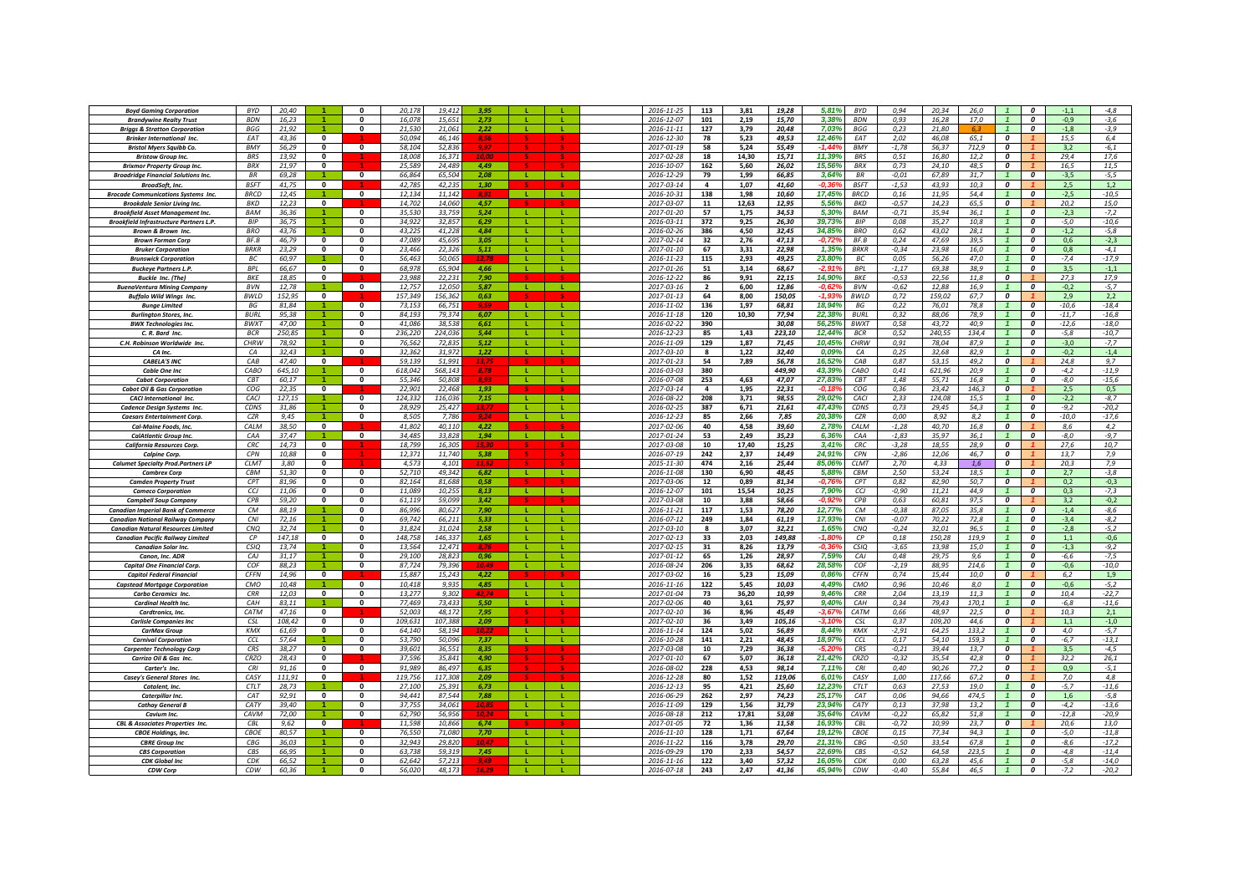| <b>Boyd Gaming Corporation</b>                 | <b>BYD</b>       | 20,40  |                      | n            | 20,17   | 19.412  | 3.95  |              |                | 2016-11-25       | 113                     | 3,81  | 19,28  | 5,81%    | <b>BYD</b>     | 0,94    | 20,34  | 26,0  |                         | $\boldsymbol{0}$        | $-1,1$  | $-4,8$  |
|------------------------------------------------|------------------|--------|----------------------|--------------|---------|---------|-------|--------------|----------------|------------------|-------------------------|-------|--------|----------|----------------|---------|--------|-------|-------------------------|-------------------------|---------|---------|
|                                                | <b>BDN</b>       |        |                      | 0            |         | 15,65   |       |              |                |                  |                         |       |        | 3,38%    |                |         |        |       |                         |                         | $-0,9$  |         |
| <b>Brandvwine Realty Trust</b>                 |                  | 16,23  |                      |              | 16,07   |         | 2,73  |              |                | 2016-12-07       | 101                     | 2,19  | 15,70  |          | <b>BDN</b>     | 0,93    | 16,28  | 17,0  |                         | 0                       |         | $-3,6$  |
| <b>Briggs &amp; Stratton Corporation</b>       | <b>BGG</b>       | 21.92  |                      | 0            | 21.53   | 21.06   | 2,22  |              |                | $2016 - 11 - 11$ | 127                     | 3,79  | 20,48  | 7.03%    | <b>BGG</b>     | 0.23    | 21.80  |       |                         | $\boldsymbol{0}$        | $-1.8$  | $-3,9$  |
| <b>Brinker International Inc.</b>              | EAT              | 43.36  | $\mathbf{0}$         |              | 50.094  | 46.14   |       |              |                | 2016-12-30       | 78                      | 5,23  | 49.53  | 12,46%   | <b>FAT</b>     | 2,02    | 46.08  | 65.1  | 0                       |                         | 15,5    | 6,4     |
| <b>Bristol Myers Squibb Co.</b>                | <b>BMY</b>       | 56.29  | $\mathbf{0}$         | $\mathbf{0}$ | 58.104  | 52.836  |       |              |                | 2017-01-19       | 58                      | 5.24  | 55.49  |          | <b>BMY</b>     | $-1.78$ | 56.37  | 712.9 | $\Omega$                |                         | 3.2     | $-6.1$  |
| <b>Bristow Group Inc.</b>                      | <b>BRS</b>       | 13,92  | $\overline{0}$       |              | 18,008  | 16,37   | 10.0  |              |                | 2017-02-28       | 18                      | 14,30 | 15,71  | 11,39%   | <b>BRS</b>     | 0,51    | 16,80  | 12,2  | $\overline{0}$          |                         | 29,4    | 17,6    |
| <b>Brixmor Property Group Inc.</b>             | <b>BRX</b>       | 21.97  | $\mathbf{0}$         |              | 25.589  | 24.489  | 4.49  |              |                | 2016-10-07       | 162                     | 5,60  | 26,02  | 15,56%   | <b>BRX</b>     | 0,73    | 24,10  | 48.5  | 0                       |                         | 16.5    | 11,5    |
| <b>Broadridge Financial Solutions Inc.</b>     | <b>BR</b>        | 69,28  |                      | $\mathbf{0}$ | 66,864  | 65,504  | 2.08  | <b>L</b>     | л.             | 2016-12-29       | 79                      | 1,99  | 66,85  | 3,64%    | <b>RR</b>      | $-0.01$ | 67.89  | 31,7  | $\overline{1}$          | $\boldsymbol{0}$        | $-3,5$  | $-5,5$  |
|                                                | <b>RSFT</b>      |        | $\Omega$             |              |         |         |       |              |                | 2017-03-14       | $\overline{\mathbf{a}}$ |       |        | $-0.36$  | <b>BSFT</b>    |         | 43.93  |       | $\Omega$                |                         | 2,5     | 1,2     |
| BroadSoft, Inc.                                |                  | 41,75  |                      |              | 42,785  | 42,235  | 1,30  |              |                |                  |                         | 1,07  | 41,60  |          |                | $-1,53$ |        | 10,3  |                         |                         |         |         |
| <b>Brocade Communications Systems Inc.</b>     | <b>BRCD</b>      | 12,45  |                      | $\Omega$     | 12,134  | 11,142  | 8,91  | <b>L</b>     | Æ.             | 2016-10-31       | 138                     | 1,98  | 10,60  | 17,45%   | <b>BRCD</b>    | 0, 16   | 11,95  | 54,4  |                         | $\boldsymbol{0}$        | $-2,5$  | $-10,5$ |
| <b>Brookdale Senior Living Inc.</b>            | <b>BKD</b>       | 12,23  | $\mathbf{0}$         |              | 14,702  | 14,060  | 4,57  |              |                | 2017-03-07       | 11                      | 12,63 | 12,95  | 5,56%    | BKD            | $-0,57$ | 14,23  | 65,5  | 0                       |                         | 20,2    | 15,0    |
| <b>Brookfield Asset Management Inc.</b>        | <b>BAM</b>       | 36.36  |                      | $\mathbf{0}$ | 35.53   | 33.75   | 5,24  | -11          | -11            | 2017-01-20       | 57                      | 1,75  | 34,53  | 5,30%    | BAM            | $-0,71$ | 35.94  | 36.1  |                         | 0                       | $-2,3$  | $-7,2$  |
| <b>Brookfield Infrastructure Partners L.P.</b> | <b>BIP</b>       | 36,75  |                      | 0            | 34.92   | 32.85   | 6,29  |              |                | 2016-03-11       | 372                     | 9,25  | 26,30  | 39,73%   | <b>BIP</b>     | 0,08    | 35.27  | 10.8  |                         | $\boldsymbol{0}$        | $-5,0$  | $-10,6$ |
| <b>Brown &amp; Brown Inc.</b>                  | <b>RRO</b>       | 43.76  | $\blacktriangleleft$ | $\Omega$     | 43.22   | 41.228  | 4.84  |              |                | 2016-02-26       | 386                     | 4.50  | 32.45  | 34.85%   | <b>BRO</b>     | 0.62    | 43.02  | 28.1  |                         | $\Omega$                | $-1.2$  | $-5.8$  |
| <b>Brown Forman Corp</b>                       | BF.B             | 46.79  | $\mathbf{0}$         | $\Omega$     | 47.089  | 45.695  | 3.05  | $\mathbf{L}$ | $\mathbf{L}$   | 2017-02-14       | 32                      | 2.76  | 47.13  | $-0.729$ | BF.B           | 0.24    | 47.69  | 39.5  |                         | $\boldsymbol{o}$        | 0.6     | $-2,3$  |
|                                                | <b>BRKR</b>      | 23.29  | $\Omega$             | $\Omega$     | 23,466  | 22.326  | 5.11  | $\mathbf{L}$ | $\mathbf{L}$   | 2017-01-10       | 67                      | 3,31  | 22,98  | 1,35%    | <b>BRKR</b>    | $-0,34$ | 23.98  | 16.0  |                         | $\Omega$                | 0.8     | $-4,1$  |
| <b>Bruker Corporation</b>                      |                  |        |                      |              |         |         |       |              |                |                  |                         |       |        |          |                |         |        |       |                         |                         |         |         |
| <b>Brunswick Corporation</b>                   | BC               | 60,97  |                      | $\bf{0}$     | 56,463  | 50,065  | 12.78 |              | $\mathbf{L}$   | $2016 - 11 - 23$ | 115                     | 2,93  | 49,25  | 23,80%   | ВC             | 0,05    | 56,26  | 47,0  |                         | 0                       | $-7,4$  | $-17,9$ |
| <b>Buckeye Partners L.P.</b>                   | <b>BPL</b>       | 66,67  | 0                    | $\Omega$     | 68,978  | 65,904  | 4.66  | - 11         | <b>T</b>       | 2017-01-26       | 51                      | 3,14  | 68,67  | $-2,919$ | <b>BPL</b>     | $-1,17$ | 69,38  | 38,9  |                         | $\boldsymbol{0}$        | 3,5     | $-1,1$  |
| <b>Buckle Inc. (The)</b>                       | <b>BKE</b>       | 18,85  | $\mathbf{0}$         |              | 23,988  | 22,231  | 7,90  |              |                | 2016-12-22       | 86                      | 9,91  | 22,15  | 14,90%   | BKE            | $-0,53$ | 22,56  | 11,8  | 0                       |                         | 27,3    | 17,9    |
| <b>BuenaVentura Mining Company</b>             | <b>BVN</b>       | 12.78  |                      | $\mathbf{0}$ | 12.757  | 12.05   | 5,87  |              |                | 2017-03-16       | $\overline{2}$          | 6,00  | 12,86  | $-0.62$  | <b>BVN</b>     | $-0,62$ | 12.88  | 16.9  |                         | $\boldsymbol{0}$        | $-0,2$  | $-5,7$  |
| <b>Buffalo Wild Wings Inc.</b>                 | <b>BWLD</b>      | 152.95 | $\mathbf{0}$         |              | 157.349 | 156.36. | 0,63  |              |                | 2017-01-13       | 64                      | 8,00  | 150,05 | -1.93    | <b>BWID</b>    | 0,72    | 159.02 | 67.7  | 0                       |                         | 2.9     | 2,2     |
| <b>Bunge Limited</b>                           | <b>BG</b>        | 81.84  |                      | $\mathbf{0}$ | 73.153  | 66.75   | 9.59  |              |                | 2016-11-02       | 136                     | 1.97  | 68.81  | 18.94%   | BG             | 0.22    | 76.01  | 78.8  |                         | $\boldsymbol{o}$        | $-10.6$ | $-18,4$ |
|                                                |                  |        |                      | 0            |         |         |       |              |                |                  |                         |       |        |          |                |         |        |       |                         |                         |         |         |
| <b>Burlington Stores, Inc.</b>                 | <b>BURL</b>      | 95,38  |                      |              | 84,193  | 79,374  | 6,07  |              |                | 2016-11-18       | 120                     | 10,30 | 77,94  | 22,38%   | <b>BURL</b>    | 0,32    | 88,06  | 78,9  |                         | 0                       | $-11,7$ | $-16,8$ |
| <b>BWX Technologies Inc.</b>                   | <b>BWXT</b>      | 47,00  |                      | 0            | 41.086  | 38.538  | 6,61  |              |                | 2016-02-22       | 390                     |       | 30,08  | 56.25%   | <b>BWXT</b>    | 0,58    | 43.72  | 40.9  |                         | $\boldsymbol{0}$        | $-12,6$ | $-18,0$ |
| C. R. Bard Inc.                                | <b>BCR</b>       | 250,85 |                      | n.           | 236,220 | 224,036 | 5.44  |              | L.             | 2016-12-23       | 85                      | 1,43  | 223,10 | 12,44%   | <b>BCR</b>     | 0,52    | 240,55 | 134,4 | $\mathbf{1}$            | $\mathbf{a}$            | $-5,8$  | $-10,7$ |
| C.H. Robinson Worldwide Inc.                   | CHRW             | 78.92  |                      | 0            | 76.562  | 72.835  | 5.12  | -11          | L.             | 2016-11-09       | 129                     | 1.87  | 71,45  | 10,45%   | <b>CHRW</b>    | 0,91    | 78.04  | 87.9  | $\mathbf{1}$            | $\boldsymbol{o}$        | $-3,0$  | $-7,7$  |
| CA Inc.                                        | CA               | 32,43  |                      | $\mathbf{0}$ | 32,362  | 31,972  | 1,22  | -11          | <b>L</b>       | 2017-03-10       | -8                      | 1,22  | 32,40  | 0,09%    | CA             | 0,25    | 32,68  | 82,9  |                         | $\boldsymbol{0}$        | $-0,2$  | $-1,4$  |
| <b>CABELA'S INC</b>                            | CAB              | 47,40  | $\mathbf{0}$         |              | 59,13   | 51,991  | 13,75 |              |                | 2017-01-23       | 54                      | 7,89  | 56,78  | 16,52%   | CAB            | 0,87    | 53,15  | 49,2  | 0                       |                         | 24,8    | 9,7     |
| Cable One Inc                                  | CABO             | 645,10 |                      | $\mathbf 0$  | 618,042 | 568,14  | 8,78  | -11          | -11            | 2016-03-03       | 380                     |       | 449,90 | 43,39%   | CABO           | 0,41    | 621,96 | 20,9  |                         | 0                       | $-4,2$  | $-11,9$ |
|                                                | C <sub>R</sub> T |        |                      | 0            | 55.34   | 50.80   | 8.93  | $\mathbf{L}$ |                | 2016-07-08       | 253                     |       |        |          |                |         |        |       |                         | $\boldsymbol{0}$        |         |         |
| <b>Cabot Corporation</b>                       |                  | 60,17  |                      |              |         |         |       |              |                |                  |                         | 4,63  | 47,07  | 27,83%   | CBT            | 1,48    | 55,71  | 16,8  |                         |                         | -8,0    | $-15,6$ |
| <b>Cabot Oil &amp; Gas Corporation</b>         | COG              | 22.35  | $\mathbf{0}$         |              | 22.90:  | 22.468  | 1.93  |              |                | 2017-03-14       | $\Delta$                | 1.95  | 22.31  | -0 18    | COG            | 0.36    | 23.42  | 146.3 | $\boldsymbol{o}$        |                         | 2.5     | 0.5     |
| <b>CACI</b> International Inc.                 | CACI             | 127.15 |                      | $\mathbf{0}$ | 124.332 | 116.036 | 7.15  | - 11         | $\mathbf{L}$   | 2016-08-22       | 208                     | 3.71  | 98.55  | 29.02%   | CACI           | 2.33    | 124.08 | 15.5  |                         | $\boldsymbol{o}$        | $-2.2$  | $-8,7$  |
| Cadence Design Systems Inc.                    | CDNS             | 31.86  | $\overline{4}$       | $\Omega$     | 28.929  | 25,427  | 13.77 | $\mathbf{L}$ | $\mathbf{L}$   | 2016-02-25       | 387                     | 6,71  | 21,61  | 47.43%   | CDNS           | 0.73    | 29.45  | 54.3  | $\overline{1}$          | $\Omega$                | $-9.2$  | $-20,2$ |
| <b>Caesars Entertainment Corp</b>              | CZR              | 9,45   |                      | $\Omega$     | 8,505   | 7,78    |       | - 11         |                | 2016-12-23       | 85                      | 2,66  | 7,85   | 20,389   | CZR            | 0,00    | 8,92   | 8,2   |                         | $\boldsymbol{0}$        | $-10,0$ | $-17,6$ |
| Cal-Maine Foods, Inc.                          | CALM             | 38,50  | $\mathbf{0}$         |              | 41,802  | 40,110  | 4,22  |              |                | 2017-02-06       | 40                      | 4,58  | 39,60  | 2,78%    | CALM           | $-1,28$ | 40,70  | 16,8  | $\boldsymbol{o}$        |                         | 8,6     | 4,2     |
| <b>CalAtlantic Group Inc.</b>                  | CAA              | 37,47  |                      | $\mathbf{0}$ | 34,485  | 33,828  | 1.94  | <b>L</b>     | $\mathbf{L}$   | 2017-01-24       | 53                      | 2,49  | 35,23  | 6,36%    | CAA            | $-1,83$ | 35,97  | 36,1  |                         | $\boldsymbol{0}$        | $-8,0$  | $-9,7$  |
| <b>California Resources Corp.</b>              | CRC              | 14,73  | $\mathbf 0$          |              | 18.79   | 16,305  |       |              |                | 2017-03-08       | 10                      | 17,40 | 15,25  | 3,41%    | CRC            | $-3,28$ | 18,55  | 28,9  | 0                       |                         | 27,6    | 10,7    |
|                                                |                  |        |                      |              |         |         |       |              |                |                  |                         |       |        |          |                |         |        |       |                         |                         |         |         |
| Calpine Corp.                                  | CPN              | 10.88  | $\mathbf{0}$         |              | 12.37   | 11,740  | 5,38  |              |                | 2016-07-19       | 242                     | 2.37  | 14,49  | 24.91%   | CPN            | $-2,86$ | 12.06  | 46,7  | 0                       |                         | 13.7    | 7,9     |
| <b>Calumet Specialty Prod.Partners LP</b>      | <b>CLMT</b>      | 3.80   | $\Omega$             |              | 4.573   | 4.10:   |       |              |                | 2015-11-30       | 474                     | 2.16  | 25.44  | 85.069   | <b>CLMT</b>    | 2.70    | 4.33   | 1.6   | 0                       |                         | 20.3    | 7,9     |
| <b>Cambrex Corp</b>                            | CBM              | 51,30  | 0                    | $\mathbf 0$  | 52,710  | 49,342  | 6,82  | . L.         | ъ.             | 2016-11-08       | 130                     | 6,90  | 48,45  | 5,88%    | CBM            | 2,50    | 53,24  | 18,5  |                         | 0                       | 2,7     | $-3,8$  |
| <b>Camden Property Trust</b>                   | CPT              | 81,96  | $\mathbf{0}$         | $\mathbf{0}$ | 82,164  | 81,688  | 0.58  |              |                | 2017-03-06       | 12                      | 0.89  | 81,34  | -0,769   | CPT            | 0,82    | 82,90  | 50.7  | 0                       |                         | 0,2     | $-0,3$  |
| <b>Cameco Corporation</b>                      | CCJ              | 11,06  | $\Omega$             | $\mathbf{0}$ | 11.089  | 10,255  | 8.13  | <b>L</b>     | <b>L</b>       | 2016-12-07       | 101                     | 15,54 | 10,25  | 7,90%    | CCJ            | $-0,90$ | 11,21  | 44.9  | $\overline{1}$          | $\boldsymbol{0}$        | 0,3     | $-7,3$  |
| <b>Campbell Soup Company</b>                   | <b>CPB</b>       | 59,20  | $\Omega$             | $\mathbf{0}$ | 61,119  | 59,099  | 3.42  |              |                | 2017-03-08       | 10                      | 3,88  | 58,66  | -0.92    | <b>CPB</b>     | 0,63    | 60,81  | 97,5  | $\Omega$                |                         | 3,2     | $-0,2$  |
| <b>Canadian Imperial Bank of Commerce</b>      | CM               | 88,19  |                      | $\mathbf{0}$ | 86.99   | 80,62   | 7,90  | -11          | л.             | 2016-11-21       | 117                     | 1,53  | 78,20  | 12,77%   | CM             | $-0,38$ | 87,05  | 35,8  |                         | $\boldsymbol{0}$        | $-1,4$  | $-8,6$  |
|                                                |                  |        |                      |              |         |         |       |              |                |                  |                         |       |        |          |                |         |        |       |                         |                         |         |         |
| <b>Canadian National Railway Company</b>       | CNI              | 72,16  |                      | $\mathbf{0}$ | 69,742  | 66.21   | 5,33  |              |                | 2016-07-12       | 249                     | 1,84  | 61,19  | 17,93%   | CNI            | $-0.07$ | 70,22  | 72,8  |                         | 0                       | $-3,4$  | $-8,2$  |
| <b>Canadian Natural Resources Limited</b>      | <b>CNQ</b>       | 32,74  |                      | 0            | 31,824  | 31.024  | 2.58  | -11          | л.             | 2017-03-10       | 8                       | 3,07  | 32,21  | 1,65%    | CNQ            | $-0,24$ | 32,01  | 96,5  |                         | 0                       | $-2,8$  | $-5,2$  |
| <b>Canadian Pacific Railway Limited</b>        | $\mathcal{C}P$   | 147,18 | $\mathbf{0}$         | 0            | 148.75  | 146.33  | 1,65  | $\mathbf{L}$ |                | 2017-02-13       | 33                      | 2,03  | 149,88 | $-1.80$  | $\mathcal{C}P$ | 0,18    | 150.28 | 119.9 |                         | $\boldsymbol{0}$        | 1,1     | $-0,6$  |
| <b>Canadian Solar Ing</b>                      | CSIO             | 13.74  |                      | $\Omega$     | 13.564  | 12.47   | 8.76  |              |                | 2017-02-15       | 31                      | 8.26  | 13.79  | -0.36    | <b>CSIO</b>    | $-3.65$ | 13.98  | 15.0  |                         | $\Omega$                | $-1.3$  | $-9.2$  |
| Canon, Inc. ADR                                | CAJ              | 31.17  | $\blacktriangleleft$ | $\Omega$     | 29.100  | 28.823  | 0.96  | $\mathbf{L}$ | $\mathbf{L}$   | 2017-01-12       | 65                      | 1,26  | 28.97  | 7.59%    | CAJ            | 0.48    | 29.75  | 9.6   |                         | $\boldsymbol{o}$        | $-6,6$  | $-7,5$  |
| <b>Capital One Financial Corp.</b>             | COF              | 88.23  | $\overline{4}$       | $\Omega$     | 87.724  | 79 39   | 10.49 | $\mathbf{L}$ | $\mathbf{L}$   | 2016-08-24       | 206                     | 3,35  | 68,62  | 28.58%   | COF            | $-2.19$ | 88.95  | 214.6 |                         | $\Omega$                | $-0.6$  | $-10,0$ |
| <b>Capitol Federal Financial</b>               | <b>CFFN</b>      | 14,96  | $\mathbf{0}$         |              | 15,887  | 15.243  | 4.22  |              |                | 2017-03-02       | 16                      | 5,23  | 15,09  | 0,86%    | <b>CFFN</b>    | 0,74    | 15,44  | 10,0  | $\overline{\mathbf{c}}$ |                         | 6,2     | 1,9     |
| <b>Capstead Mortgage Corporation</b>           | CMO              | 10,48  |                      | $\mathbf{0}$ | 10,418  | 9,935   | 4.85  | $\mathbf{L}$ | -11            | 2016-11-16       | 122                     | 5,45  | 10,03  | 4,49%    | CMO            | 0,96    | 10,46  | 8,0   |                         | $\boldsymbol{0}$        | $-0,6$  | $-5,2$  |
|                                                |                  |        | $\mathbf{0}$         | 0            | 13,277  |         |       |              | <b>L</b>       |                  |                         | 36,20 |        | 9,46%    |                | 2,04    | 13,19  |       |                         |                         | 10,4    | $-22,7$ |
| Carbo Ceramics Inc.                            | CRR              | 12,03  |                      |              |         | 9,302   |       |              |                | 2017-01-04       | 73                      |       | 10,99  |          | CRR            |         |        | 11,3  |                         | 0                       |         |         |
| Cardinal Health Inc.                           | CAH              | 83,11  |                      | 0            | 77,469  | 73,433  | 5,50  |              | т.             | 2017-02-06       | 40                      | 3,61  | 75,97  | 9,40%    | CAH            | 0,34    | 79,43  | 170,1 |                         | $\boldsymbol{0}$        | $-6,8$  | $-11,6$ |
| Cardtronics, Inc.                              | CATM             | 47,16  | $\mathbf{0}$         |              | 52.003  | 48.172  | 7,95  |              |                | 2017-02-10       | 36                      | 8,96  | 45,49  | $-3.67$  | CATM           | 0,66    | 48.97  | 22.5  | 0                       |                         | 10,3    | 2,1     |
| <b>Carlisle Companies Inc</b>                  | CSL              | 108,42 | 0                    | $\mathbf 0$  | 109,631 | 107,388 | 2,09  |              |                | 2017-02-10       | 36                      | 3,49  | 105,16 | -3,10    | <b>CSL</b>     | 0,37    | 109,20 | 44,6  | 0                       |                         | 1,1     | $-1,0$  |
| <b>CarMax Group</b>                            | KMX              | 61,69  | $\mathbf 0$          | $\mathbf 0$  | 64,140  | 58,194  | 10.2. |              |                | 2016-11-14       | 124                     | 5,02  | 56,89  | 8,44%    | KMX            | $-2,91$ | 64,25  | 133,2 | $\mathbf{1}$            | 0                       | 4,0     | $-5,7$  |
| <b>Carnival Corporation</b>                    | CCL              | 57,64  |                      | 0            | 53,790  | 50.096  | 7.37  | л.           | л.             | 2016-10-28       | 141                     | 2,21  | 48,45  | 18,97%   | CCI            | 0,17    | 54,10  | 159.3 | $\mathbf{1}$            | $\boldsymbol{0}$        | $-6,7$  | $-13,1$ |
| <b>Carpenter Technology Corp</b>               | CRS              | 38,27  | $\mathbf{0}$         | $\mathbf{0}$ | 39,601  | 36,55:  | 8,35  |              |                | 2017-03-08       | 10                      | 7,29  | 36,38  | -5.20    | CRS            | $-0,21$ | 39,44  | 13,7  | 0                       |                         | 3,5     | $-4,5$  |
| Carrizo Oil & Gas Inc.                         | CRZO             | 28,43  | $\mathbf{0}$         |              | 37.596  | 35.841  | 4.90  |              |                | 2017-01-10       | 67                      | 5,07  | 36,18  | 21,42%   | CRZO           | $-0,32$ | 35.54  | 42,8  | $\mathbf{r}$            |                         | 32,2    | 26,1    |
| Carter's Inc.                                  | CRI              | 91,16  | $\mathbf{0}$         | $\Omega$     | 91,989  | 86,497  | 6,35  |              |                | 2016-08-02       | 228                     | 4,53  | 98,14  | 7,11%    | <b>CRI</b>     | 0,40    | 90,26  | 77,2  | $\Omega$                |                         | 0,9     | $-5,1$  |
|                                                |                  |        |                      |              |         |         |       |              |                |                  |                         |       |        |          |                |         |        |       |                         |                         |         |         |
| Casey's General Stores Inc.                    | CASY             | 111,91 | $\mathbf 0$          |              | 119,756 | 117,308 | 2,09  |              |                | 2016-12-28       | 80                      | 1,52  | 119,06 | 6,01%    | CASY           | 1,00    | 117,66 | 67,2  | $\boldsymbol{0}$        |                         | 7,0     | 4,8     |
| Catalent, Inc.                                 | <b>CTLT</b>      | 28,73  |                      | $\mathbf{0}$ | 27.10   | 25.39   | 6.73  | -11          | -11            | 2016-12-13       | 95                      | 4,21  | 25,60  | 12,23%   | <b>CTLT</b>    | 0,63    | 27,53  | 19,0  |                         | 0                       | $-5,7$  | $-11,6$ |
| <b>Caterpillar Inc.</b>                        | CAT              | 92,91  | $\mathbf{0}$         | 0            | 94.44   | 87.54   | 7,88  | - L          |                | 2016-06-29       | 262                     | 2,97  | 74,23  | 25,17%   | CAT            | 0.06    | 94.66  | 474.5 | $\mathbf{1}$            | $\boldsymbol{0}$        | 1,6     | $-5,8$  |
| <b>Cathay General L</b>                        | CAT              | 39,40  |                      | $\bf{0}$     | 37.75   | 34.06   | 10,85 |              |                | 2016-11-09       | 129                     | 1,56  | 31,79  | 23.94    | CATY           | 0,13    | 37.98  | 13.2  |                         | $\boldsymbol{0}$        | $-4,2$  | $-13,6$ |
| Cavium Inc.                                    | CAVM             | 72.00  |                      | 0            | 62.790  | 56.95   | 10.24 | - 11         | $\mathbf{L}$ . | 2016-08-18       | 212                     | 17.81 | 53.08  | 35.649   | CAVM           | $-0,22$ | 65.82  | 51.8  |                         | $\boldsymbol{o}$        | $-12,8$ | $-20,9$ |
| <b>CBL &amp; Associates Properties Inc.</b>    | CBL              | 9.62   | $\Omega$             |              | 11.598  | 10.86   | 6.74  |              |                | 2017-01-05       | 72                      | 1.36  | 11,58  | 16.93%   | CRI            | $-0.72$ | 10.99  | 23.7  | $\Omega$                |                         | 20.6    | 13.0    |
| <b>CBOE Holdings, Inc.</b>                     | CBOE             | 80,57  | -1                   | $\mathbf{0}$ | 76.55   | 71.08   | 7.70  | -11          | -11            | 2016-11-10       | 128                     | 1,71  | 67,64  | 19,12%   | CBOF           | 0,15    | 77,34  | 94.3  | $\overline{1}$          | $\overline{\mathbf{c}}$ | $-5,0$  | $-11,8$ |
|                                                |                  |        |                      |              |         |         |       | -11          |                |                  |                         |       |        |          |                |         |        |       |                         |                         |         |         |
| <b>CBRE Group Inc</b>                          | CBG              | 36,03  |                      | n            | 32.943  | 29,820  |       |              | т.             | 2016-11-22       | 116                     | 3,78  | 29,70  | 21,319   | CBG            | $-0,50$ | 33,54  | 67,8  |                         | $\boldsymbol{0}$        | $-8,6$  | $-17,2$ |
| <b>CBS Corporation</b>                         | CBS              | 66,95  |                      | 0            | 63,738  | 59,319  | 7,45  |              | L.             | 2016-09-29       | 170                     | 2,33  | 54,57  | 22,69%   | CBS            | $-0.52$ | 64,58  | 223,5 |                         | $\boldsymbol{0}$        | $-4,8$  | $-11,4$ |
| <b>CDK Global Inc</b>                          | CDK              | 66,52  |                      | 0            | 62,642  | 57,213  |       |              |                | 2016-11-16       | 122                     | 3,40  | 57,32  | 16,059   | CDK            | 0,00    | 63,28  | 45,6  |                         | 0                       | $-5,8$  | $-14,0$ |
| CDW Corp                                       | CDW              | 60.36  |                      | 0            | 56.020  | 48.173  |       |              |                | 2016-07-18       | 243                     | 2,47  | 41,36  | 45.94%   | CDW            | $-0,40$ | 55.84  | 46.5  |                         | 0                       | $-7,2$  | $-20,2$ |
|                                                |                  |        |                      |              |         |         |       |              |                |                  |                         |       |        |          |                |         |        |       |                         |                         |         |         |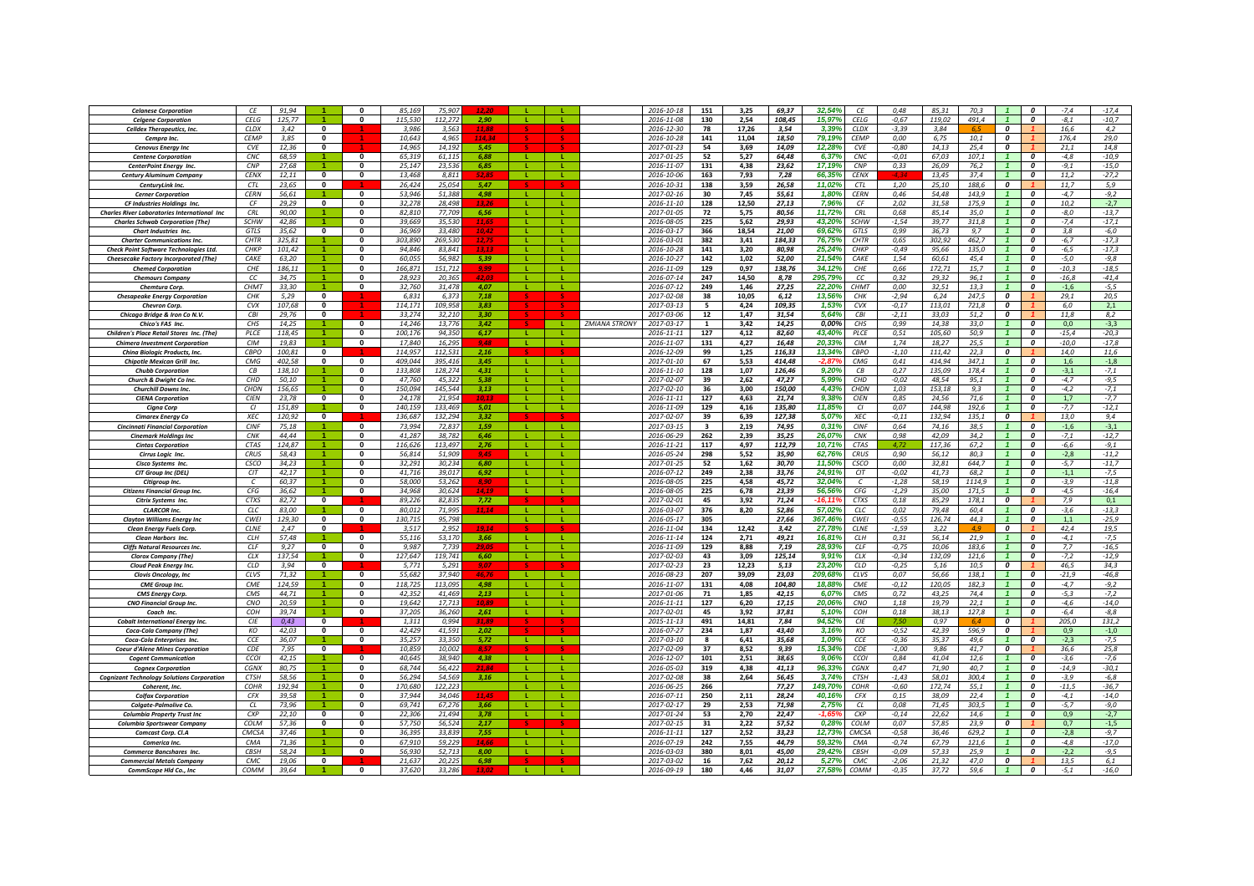| <b>Celanese Corporation</b>                         | СE          | 91,94  |                      | n                       | 85.16   | 75.90   |       |              |              |                      | 2016-10-18       | 151                     | 3,25  | 69.37  | 32.54%  | СE           | 0.48     | 85.31  | 70.5   |                         | $\boldsymbol{0}$        | $-7,4$  | $-17,4$ |
|-----------------------------------------------------|-------------|--------|----------------------|-------------------------|---------|---------|-------|--------------|--------------|----------------------|------------------|-------------------------|-------|--------|---------|--------------|----------|--------|--------|-------------------------|-------------------------|---------|---------|
|                                                     | CELG        | 125,77 |                      | n                       | 115.530 | 112,272 | 2.90  |              |              |                      | 2016-11-08       | 130                     | 2,54  | 108,45 | 15,97%  | CELG         |          | 119,02 | 491,4  |                         | $\boldsymbol{0}$        | $-8,1$  | $-10,7$ |
| <b>Celgene Corporation</b>                          |             |        |                      |                         |         |         |       |              |              |                      |                  |                         |       |        |         |              | $-0,67$  |        |        |                         |                         |         |         |
| <b>Celldex Therapeutics, Inc.</b>                   | <b>CLDX</b> | 3,42   | $\mathbf{0}$         |                         | 3.98    | 3,563   |       |              |              |                      | 2016-12-30       | 78                      | 17,26 | 3,54   | 3,39%   | <b>CLDX</b>  | $-3,39$  | 3,84   |        | $\boldsymbol{o}$        |                         | 16,6    | 4,2     |
| Cempra Inc.                                         | <b>CFMP</b> | 3,85   | $\mathbf{0}$         |                         | 10,643  | 4,965   |       |              |              |                      | 2016-10-28       | 141                     | 11,04 | 18,50  | 79,19%  | <b>CEMP</b>  | 0,00     | 6,75   | 10,1   | $\boldsymbol{0}$        |                         | 176,4   | 29,0    |
| Cenovus Energy Inc                                  | CVE         | 12.36  | $\mathbf{0}$         |                         | 14.96   | 14.19.  | 5.45  |              |              |                      | 2017-01-23       | 54                      | 3,69  | 14,09  | 12.28%  | <b>CVF</b>   | $-0.80$  | 14.13  | 25.4   | $\boldsymbol{o}$        |                         | 21.1    | 14.8    |
| <b>Centene Corporation</b>                          | CNC         | 68.59  |                      | $\overline{\mathbf{0}}$ | 65.31   | 61.11   | 6.88  |              |              |                      | 2017-01-25       | 52                      | 5,27  | 64,48  | 6.37    | CNC          | $-0,01$  | 67,03  | 107.1  |                         | 0                       | $-4,8$  | $-10.9$ |
| CenterPoint Energy Inc.                             | CNP         | 27,68  |                      | 0                       | 25,147  | 23,536  | 6,85  |              |              |                      | 2016-11-07       | 131                     | 4,38  | 23,62  | 17,199  | <b>CNP</b>   | 0,33     | 26,09  | 76,2   |                         | $\boldsymbol{0}$        | $-9,1$  | $-15,0$ |
| <b>Century Aluminum Company</b>                     | <b>CENX</b> | 12,11  | $\mathbf{0}$         | $\Omega$                | 13,468  | 8.81    | 52.R. | - 12         | <b>L</b>     |                      | 2016-10-06       | 163                     | 7.93  | 7.28   | 66.35%  | <b>CENX</b>  |          | 13.45  | 37.4   |                         | $\boldsymbol{0}$        | 11.2    | $-27,2$ |
| CenturyLink Inc.                                    | CTI         | 23.65  | $\mathbf{0}$         |                         | 26.424  | 25.054  | 5,47  |              |              |                      | 2016-10-31       | 138                     | 3,59  | 26.58  | 11.02%  | CTL          | 1,20     | 25.10  | 188.6  | $\overline{\mathbf{c}}$ |                         | 11.7    | 5,9     |
|                                                     |             |        |                      |                         |         |         |       |              |              |                      |                  |                         |       |        |         |              |          |        |        |                         |                         |         |         |
| <b>Cerner Corporation</b>                           | <b>CERN</b> | 56,61  |                      | $\Omega$                | 53.946  | 51,388  | 4,98  | -1.          | -11          |                      | 2017-02-16       | 30                      | 7,45  | 55,61  | 1,80%   | <b>CERN</b>  | 0,46     | 54.48  | 143,9  | $\overline{1}$          | $\Omega$                | $-4.7$  | $-9,2$  |
| CF Industries Holdings Inc.                         | CF          | 29,29  | $\mathbf{0}$         | $\mathbf{0}$            | 32,278  | 28,498  | 13.26 | -11          | L.           |                      | 2016-11-10       | 128                     | 12,50 | 27,13  | 7,96%   | CF           | 2,02     | 31.58  | 175,9  |                         | $\boldsymbol{0}$        | 10,2    | $-2,7$  |
| <b>Charles River Laboratories International Inc</b> | <b>CRI</b>  | 90,00  |                      | $\Omega$                | 82,810  | 77,709  | 6,56  | л.           | L.           |                      | 2017-01-05       | 72                      | 5,75  | 80,56  | 11,72%  | CRL          | 0,68     | 85,14  | 35,0   |                         | $\boldsymbol{0}$        | -8,0    | $-13,7$ |
| <b>Charles Schwab Corporation (The)</b>             | <b>SCHW</b> | 42,86  |                      | 0                       | 39,669  | 35,530  | 11,65 | -11          | Æ.           |                      | 2016-08-05       | 225                     | 5,62  | 29,93  | 43,20%  | <b>SCHW</b>  | $-1,54$  | 39,77  | 311,8  |                         | 0                       | $-7,4$  | $-17,1$ |
| <b>Chart Industries Inc</b>                         | GTLS        | 35,62  | $\mathbf{0}$         | $\bf{0}$                | 36.96   | 33.48   | 10,42 |              |              |                      | 2016-03-17       | 366                     | 18,54 | 21,00  | 69,62%  | <b>GTLS</b>  | 0,99     | 36.73  | 9.7    |                         | $\boldsymbol{0}$        | 3,8     | $-6,0$  |
| <b>Charter Communications Inc</b>                   | CHTR        | 325,81 |                      | 0                       | 303.89  | 269.53  | 12.75 | $\mathbf{L}$ |              |                      | 2016-03-01       | 382                     | 3,41  | 184,33 | 76,75%  | CHTR         | 0,65     | 302.92 | 462.7  |                         | $\boldsymbol{0}$        | $-6,7$  | $-17,3$ |
| Check Point Software Technologies Ltd.              | CHKP        | 101.42 | $\blacktriangleleft$ | $\Omega$                | 94.846  | 83.841  | 13.13 | $\mathbf{L}$ | $\mathbf{L}$ |                      | 2016-10-28       | 141                     | 3.20  | 80,98  | 25.24%  | <b>CHKP</b>  | $-0,49$  | 95.66  | 135.0  |                         | $\boldsymbol{o}$        | $-6,5$  | $-17,3$ |
|                                                     |             |        |                      |                         |         |         |       |              |              |                      |                  |                         |       |        |         |              |          |        |        |                         |                         |         |         |
| Cheesecake Factory Incorporated (The)               | CAKE        | 63.20  |                      | $\Omega$                | 60.05   | 56.982  | 5.39  |              |              |                      | 2016-10-27       | 142                     | 1,02  | 52,00  | 21.54%  | CAKF         | 1.54     | 60.61  | 45.4   |                         | $\Omega$                | $-5.0$  | $-9,8$  |
| <b>Chemed Corporation</b>                           | CHE         | 186,11 | $\overline{4}$       | $\Omega$                | 166.87  | 151.712 | 9.99  | $\mathbf{L}$ | $\mathbf{L}$ |                      | 2016-11-09       | 129                     | 0.97  | 138,76 | 34.12%  | <b>CHF</b>   | 0,66     | 172.71 | 15.7   |                         | $\overline{0}$          | $-10.3$ | $-18,5$ |
| <b>Chemours Company</b>                             | cc          | 34,75  | $\blacktriangleleft$ | 0                       | 28,923  | 20,365  |       | л.           | т.           |                      | 2016-07-14       | 247                     | 14,50 | 8,78   | 295,79% | СC           | 0,32     | 29,32  | 96,1   |                         | $\boldsymbol{0}$        | $-16,8$ | $-41,4$ |
| Chemtura Corp.                                      | CHMT        | 33,30  |                      | $\Omega$                | 32,760  | 31,478  | 4,07  |              |              |                      | 2016-07-12       | 249                     | 1,46  | 27,25  | 22,20%  | <b>CHMT</b>  | 0,00     | 32,51  | 13,3   |                         | $\boldsymbol{0}$        | $-1,6$  | $-5,5$  |
| <b>Chesapeake Energy Corporation</b>                | CHK         | 5,29   | $\mathbf{0}$         |                         | 6,831   | 6,373   | 7,18  |              |              |                      | 2017-02-08       | 38                      | 10,05 | 6,12   | 13,56%  | <b>CHK</b>   | $-2,94$  | 6,24   | 247,5  | 0                       |                         | 29,1    | 20,5    |
| Chevron Corp.                                       | CVX         | 107,68 | $\mathbf{0}$         |                         | 114.17  | 109.958 | 3,83  |              |              |                      | 2017-03-13       | 5.                      | 4,24  | 109,35 | 1,53%   | $C\vee x$    | $-0,17$  | 113.01 | 721.8  | 0                       |                         | 6.0     | 2,1     |
| Chicago Bridge & Iron Co N.V.                       | CRI         | 29,76  | $\mathbf{0}$         |                         | 33,274  | 32.210  | 3,30  |              |              |                      | 2017-03-06       | 12                      | 1,47  | 31,54  | 5.64%   | CRI          | $-2,11$  | 33,03  | 51.2   | 0                       |                         | 11,8    | 8,2     |
|                                                     |             |        |                      |                         |         |         |       |              |              |                      |                  |                         |       |        |         |              |          |        |        |                         |                         |         |         |
| Chico's FAS Inc.                                    | CHS         | 14.25  |                      | $\mathbf{0}$            | 14.246  | 13.776  | 3.42  |              |              | <b>ZMIANA STRONY</b> | 2017-03-17       | $\mathbf{1}$            | 3.42  | 14.25  | 0.00%   | CHS          | 0.99     | 14.38  | 33.0   |                         | 0                       | 0.0     | $-3.3$  |
| Children's Place Retail Stores Inc. (The)           | PLCE        | 118,45 |                      | $\mathbf{0}$            | 100,176 | 94.350  | 6,17  | - 12         |              |                      | 2016-11-11       | 127                     | 4,12  | 82,60  | 43.40%  | PLCE         | 0,51     | 105,60 | 50,9   | $\mathbf{1}$            | $\boldsymbol{0}$        | $-15,4$ | $-20,3$ |
| <b>Chimera Investment Corporation</b>               | CIM         | 19,83  |                      | $\mathbf{0}$            | 17,840  | 16,29   | 9.48  | - L -        | л.           |                      | 2016-11-07       | 131                     | 4,27  | 16,48  | 20.33%  | CIM          | 1,74     | 18,27  | 25,5   |                         | $\boldsymbol{0}$        | $-10,0$ | $-17,8$ |
| China Biologic Products, Inc.                       | CBPO        | 100,81 | $\Omega$             |                         | 114,957 | 112,53: | 2.16  |              |              |                      | 2016-12-09       | 99                      | 1,25  | 116,33 | 13,34%  | CBPO         | $-1,10$  | 111,42 | 22,3   | $\boldsymbol{0}$        |                         | 14,0    | 11,6    |
| <b>Chipotle Mexican Grill Inc</b>                   | CMG         | 402,58 | $\mathbf{0}$         | $\Omega$                | 409,044 | 395,41  | 3,45  |              |              |                      | 2017-01-10       | 67                      | 5,53  | 414,48 | -2.87   | CMG          | 0,41     | 414,94 | 347,1  | $\mathbf{1}$            | $\boldsymbol{0}$        | 1,6     | $-1,8$  |
| <b>Chubb Corporation</b>                            | CВ          | 138,10 |                      | $\mathbf{0}$            | 133,808 | 128,274 | 4,31  | -11          | L.           |                      | 2016-11-10       | 128                     | 1,07  | 126,46 | 9,20%   | CB           | 0,27     | 135,09 | 178,4  |                         | $\boldsymbol{0}$        | $-3,1$  | $-7,1$  |
|                                                     | CHD         | 50,10  |                      | 0                       | 47.76   | 45.322  |       | $\mathbf{L}$ |              |                      | 2017-02-07       | 39                      | 2.62  | 47,27  | 5.99%   | CHD          | $-0.02$  | 48.54  | 95.1   | $\mathbf{1}$            | $\boldsymbol{0}$        | $-4.7$  | $-9,5$  |
| Church & Dwight Co Inc                              |             |        |                      |                         |         |         | 5,38  |              |              |                      |                  |                         |       |        |         |              |          |        |        |                         |                         |         |         |
| <b>Churchill Downs Inc</b>                          | CHDN        | 156,65 |                      | 0                       | 150,09  | 145,544 | 3,13  |              |              |                      | 2017-02-10       | 36                      | 3,00  | 150,00 | 4.439   | CHDN         | 1,03     | 153.18 | 9.3    |                         | $\boldsymbol{0}$        | $-4,2$  | $-7,1$  |
| <b>CIENA Corporation</b>                            | <b>CIEN</b> | 23,78  | $\mathbf{0}$         | $\bf{0}$                | 24,17   | 21,954  | 10.13 |              |              |                      | 2016-11-11       | 127                     | 4,63  | 21,74  | 9,38%   | <b>CIEN</b>  | 0,85     | 24,56  | 71,6   |                         | $\boldsymbol{0}$        | 1,7     | $-7,7$  |
| <b>Ciana Corp</b>                                   | $\alpha$    | 151.89 |                      | $\mathbf{0}$            | 140.15  | 133.46  | 5.01  | - 11         | -11          |                      | 2016-11-09       | 129                     | 4,16  | 135,80 | 11.85%  | $\alpha$     | 0.07     | 144.98 | 192.6  | $\overline{1}$          | $\boldsymbol{o}$        | $-7,7$  | $-12,1$ |
| <b>Cimarex Energy Co</b>                            | XEC         | 120,92 | $\Omega$             |                         | 136.687 | 132.294 | 3.32  |              |              |                      | 2017-02-07       | 39                      | 6,39  | 127,38 | 5.07%   | XEC          | $-0,11$  | 132,94 | 135.1  | $\boldsymbol{o}$        |                         | 13,0    | 9,4     |
| <b>Cincinnati Financial Corporation</b>             | <b>CINF</b> | 75,18  |                      | $\Omega$                | 73.994  | 72.837  | 1.59  | $\mathbf{L}$ | $\mathbf{L}$ |                      | 2017-03-15       | $\overline{\mathbf{a}}$ | 2,19  | 74,95  | 0.319   | <b>CINF</b>  | 0,64     | 74,16  | 385    | $\overline{1}$          | $\Omega$                | $-1.6$  | $-3,1$  |
| <b>Cinemark Holdings Inc</b>                        | CNK         | 44.44  |                      | $\Omega$                | 41,287  | 38,782  | 6.46  |              | т.           |                      | 2016-06-29       | 262                     | 2,39  | 35,25  | 26,07%  | CNK          | 0,98     | 42,09  | 34.2   |                         | $\Omega$                | $-7,1$  | $-12,7$ |
|                                                     |             |        |                      | 0                       | 116.62  | 113.49  |       |              | т.           |                      |                  |                         |       |        |         |              |          |        |        |                         | 0                       |         | $-9,1$  |
| <b>Cintas Corporation</b>                           | CTAS        | 124,87 |                      |                         |         |         | 2,76  |              |              |                      | 2016-11-21       | 117                     | 4,97  | 112,79 | 10,71%  | CTAS         |          | 117,36 | 67,2   |                         |                         | $-6,6$  |         |
| Cirrus Logic Inc.                                   | CRUS        | 58,43  |                      | 0                       | 56,814  | 51,909  |       |              | L.           |                      | 2016-05-24       | 298                     | 5,52  | 35,90  | 62,769  | <b>CRUS</b>  | 0,90     | 56,12  | 80,3   |                         | 0                       | $-2,8$  | $-11,2$ |
| Cisco Systems Inc.                                  | csco        | 34,23  |                      | 0                       | 32.29   | 30.23   | 6.80  |              |              |                      | 2017-01-25       | 52                      | 1,62  | 30,70  | 11.50   | CSCO         | 0,00     | 32.81  | 644.7  |                         | $\boldsymbol{0}$        | $-5.7$  | $-11,7$ |
| CIT Group Inc (DEL)                                 | <b>CIT</b>  | 42,17  |                      | 0                       | 41.71   | 39,011  | 6,92  |              |              |                      | 2016-07-12       | 249                     | 2,38  | 33,76  | 24.91   | CIT          | $-0.02$  | 41.73  | 68,2   |                         | $\boldsymbol{0}$        | $-1,1$  | $-7,5$  |
| Citigroup Inc.                                      | $\epsilon$  | 60.37  |                      | 0                       | 58.000  | 53.262  | 8.90  |              | T.           |                      | 2016-08-05       | 225                     | 4.58  | 45.72  | 32.04%  | $\epsilon$   | $-1,28$  | 58.19  | 1114.9 |                         | 0                       | $-3.9$  | $-11.8$ |
| <b>Citizens Financial Group Inc.</b>                | CFG         | 36.62  |                      | $\Omega$                | 34.968  | 30.624  | 14.19 | -11          | <b>L</b>     |                      | 2016-08-05       | 225                     | 6.78  | 23.39  | 56.56%  | CFG          | $-1.29$  | 35.00  | 171.5  |                         | $\Omega$                | $-4,5$  | $-16.4$ |
| Citrix Systems Inc.                                 | CTXS        | 82,72  | $\mathbf{0}$         |                         | 89,22   | 82,835  | 7,72  |              |              |                      | 2017-02-01       | 45                      | 3,92  | 71,24  | 16.11.  | <b>CTXS</b>  | 0,18     | 85,29  | 178,1  | 0                       |                         | 7,9     | 0,1     |
|                                                     | CLC         | 83,00  |                      | $\mathbf{0}$            | 80,012  | 71,995  |       |              | л.           |                      | 2016-03-07       |                         |       |        | 57,02%  | CLC          |          | 79,48  | 60,4   | $\mathbf{1}$            | $\boldsymbol{o}$        |         | $-13,3$ |
| <b>CLARCOR Inc.</b>                                 |             |        |                      |                         |         |         | 11,14 | -1.          |              |                      |                  | 376                     | 8,20  | 52,86  |         |              | 0,02     |        |        |                         |                         | $-3,6$  |         |
| <b>Clayton Williams Energy Inc</b>                  | <b>CWEI</b> | 129,30 | $\mathbf{0}$         | $\mathbf{0}$            | 130,71  | 95,798  |       | -11          | Æ.           |                      | 2016-05-17       | 305                     |       | 27,66  | 367,46% | CWEI         | $-0,55$  | 126,74 | 44,3   |                         | $\boldsymbol{0}$        | 1,1     | $-25,9$ |
| <b>Clean Energy Fuels Corp.</b>                     | CLNF        | 2,47   | $\mathbf{0}$         |                         | 3,517   | 2,952   | 19.14 |              |              |                      | 2016-11-04       | 134                     | 12,42 | 3,42   | 27,78%  | <b>CLNE</b>  | $-1,59$  | 3,22   |        | $\boldsymbol{0}$        |                         | 42,4    | 19,5    |
| Clean Harbors Inc.                                  | <b>CLH</b>  | 57.48  |                      | $\mathbf{0}$            | 55.116  | 53.170  | 3,66  | - Li         | <b>L</b>     |                      | 2016-11-14       | 124                     | 2.71  | 49,21  | 16.81%  | $CII$ H      | 0.31     | 56.14  | 21.9   | $\overline{1}$          | $\boldsymbol{0}$        | $-4,1$  | $-7,5$  |
| <b>Cliffs Natural Resources Inc.</b>                | C1F         | 9.27   | $\Omega$             | $\Omega$                | 9.98    | 773     | 29.N  |              |              |                      | 2016-11-09       | 129                     | 8.88  | 7.19   | 28.939  | CIF          | $-0.75$  | 10.06  | 183.6  |                         | $\Omega$                | 7.7     | $-16.5$ |
| <b>Clorox Company (The)</b>                         | CLX         | 137,54 |                      | $\bf{0}$                | 127,647 | 119,74  | 6,60  | $\mathbf{L}$ |              |                      | 2017-02-03       | 43                      | 3,09  | 125,14 | 9,91%   | CLX          | $-0, 34$ | 132,09 | 121,6  |                         | $\boldsymbol{0}$        | $-7,2$  | $-12,9$ |
| Cloud Peak Energy Inc.                              | <b>CLD</b>  | 3.94   | $\mathbf{0}$         |                         | 5.771   | 5.29    | 9.07  |              |              |                      | 2017-02-23       | 23                      | 12,23 | 5,13   | 23.20%  | <b>CLD</b>   | $-0,25$  | 5,16   | 10.5   | $\boldsymbol{o}$        |                         | 46.5    | 34,3    |
| Clovis Oncology, Inc.                               | <b>CLVS</b> | 71,32  |                      | $\mathbf{0}$            | 55.682  | 37.940  | 46.7  | -11          | -11          |                      | 2016-08-23       | 207                     | 39,09 | 23,03  | 209,68% | CIVS         | 0,07     | 56.66  | 138.1  |                         | $\boldsymbol{0}$        | $-21,9$ | $-46,8$ |
|                                                     | CME         | 124,59 | $\blacktriangleleft$ | $\Omega$                | 118.725 | 113.09  | 4.98  | - 11         | $\mathbf{L}$ |                      | 2016-11-07       | 131                     | 4,08  | 104,80 | 18,88%  | CME          | $-0,12$  | 120,05 | 182,3  |                         | $\boldsymbol{o}$        | $-4.7$  | $-9,2$  |
| <b>CME Group Inc.</b>                               |             |        |                      |                         |         |         |       |              |              |                      |                  |                         |       |        |         |              |          |        |        |                         |                         |         |         |
| <b>CMS Energy Corp.</b>                             | CMS         | 44,71  |                      | $\Omega$                | 42,352  | 41,469  | 2,13  |              | T.           |                      | 2017-01-06       | 71                      | 1,85  | 42,15  | 6,07%   | CMS          | 0,72     | 43,25  | 74.4   |                         | $\boldsymbol{0}$        | $-5,3$  | $-7,2$  |
| <b>CNO Financial Group Inc.</b>                     | CNO         | 20,59  |                      | 0                       | 19,642  | 17,713  |       |              | т.           |                      | 2016-11-11       | 127                     | 6,20  | 17,15  | 20,06%  | CNO          | 1,18     | 19,79  | 22,1   |                         | $\boldsymbol{0}$        | $-4,6$  | $-14,0$ |
| Coach Inc.                                          | COH         | 39,74  |                      | 0                       | 37,20   | 36,260  | 2,61  |              |              |                      | 2017-02-01       | 45                      | 3,92  | 37,81  | 5,10%   | COH          | 0,18     | 38,13  | 127,8  |                         | 0                       | $-6,4$  | $-8,8$  |
| <b>Cobalt International Energy Inc.</b>             | <b>CIE</b>  | 0,43   | $\mathbf{0}$         |                         | 1,311   | 0,994   | 31.89 |              |              |                      | 2015-11-13       | 491                     | 14,81 | 7,84   | 94,52%  | CIE          | 7.50     | 0,97   |        | 0                       |                         | 205,0   | 131,2   |
| Coca-Cola Company (The)                             | кo          | 42,03  | $\mathbf{0}$         | 0                       | 42,429  | 41,59:  | 2,02  |              |              |                      | 2016-07-27       | 234                     | 1,87  | 43,40  | 3,16%   | КO           | $-0,52$  | 42,39  | 596,9  | 0                       |                         | 0,9     | $-1,0$  |
| Coca-Cola Enterprises Inc.                          | CCE         | 36.07  |                      | $\mathbf{0}$            | 35.257  | 33.350  | 5.72  | - 12         | л.           |                      | 2017-03-10       | 8                       | 6.41  | 35.68  | 1.09%   | CCF          | $-0,36$  | 35.37  | 49.6   |                         | $\boldsymbol{0}$        | $-2,3$  | $-7,5$  |
| <b>Coeur d'Alene Mines Corporation</b>              | CDE         | 7.95   | $\mathbf{0}$         |                         | 10.859  | 10.002  | 8.5.  |              |              |                      | 2017-02-09       | 37                      | 8,52  | 9,39   | 15,34%  | CDF          | $-1,00$  | 9.86   | 41.7   | $\mathbf{r}$            |                         | 36,6    | 25,8    |
|                                                     | CCOI        | 42,15  |                      | $\Omega$                | 40.645  | 38,940  | 4,38  | - 12         | -11          |                      | 2016-12-07       | 101                     | 2,51  | 38,65  | 9.06%   | ccou         | 0.84     | 41.04  | 12,6   | $\overline{1}$          | $\Omega$                | $-3,6$  | $-7,6$  |
| <b>Cogent Communication</b>                         |             |        |                      |                         |         |         |       |              |              |                      |                  |                         |       |        |         |              |          |        |        |                         |                         |         |         |
| <b>Cognex Corporation</b>                           | CGNX        | 80,75  |                      | 0                       | 68,744  | 56,422  | 21,84 | л.           |              |                      | 2016-05-03       | 319                     | 4,38  | 41,13  | 96,33%  | CGNX         | 0,47     | 71,90  | 40,7   | $\mathbf{1}$            | $\boldsymbol{o}$        | $-14,9$ | $-30,1$ |
| <b>Cognizant Technology Solutions Corporation</b>   | <b>CTSH</b> | 58,56  |                      | 0                       | 56,294  | 54,569  | 3,16  |              |              |                      | 2017-02-08       | 38                      | 2,64  | 56,45  | 3,74%   | <b>CTSH</b>  | $-1,43$  | 58,01  | 300,4  |                         | 0                       | $-3,9$  | $-6,8$  |
| Coherent, Inc.                                      | <b>COHR</b> | 192,94 |                      | 0                       | 170,680 | 122,223 |       | л.           | L.           |                      | 2016-06-25       | 266                     |       | 77,27  | 149,70% | <b>COHR</b>  | $-0,60$  | 172,74 | 55,1   |                         | 0                       | $-11,5$ | $-36,7$ |
| <b>Colfax Corporation</b>                           | <b>CFX</b>  | 39.58  |                      | 0                       | 37.944  | 34.04   | 11.45 | $\mathbf{L}$ |              |                      | 2016-07-11       | 250                     | 2,11  | 28,24  | 40.16%  | <b>CFX</b>   | 0.15     | 38.09  | 22.4   |                         | $\boldsymbol{0}$        | $-4,1$  | $-14,0$ |
| <b>Colgate-Palmolive Co</b>                         | $\alpha$    | 73,96  |                      | $\bf{0}$                | 69.74   | 67.27   | 3.66  |              |              |                      | $2017 - 02 - 17$ | 29                      | 2,53  | 71,98  | 2,75%   | $\alpha$     | 0.08     | 71,45  | 303.5  |                         | $\boldsymbol{0}$        | $-5.7$  | $-9,0$  |
| <b>Columbia Property Trust Inc</b>                  | CXP         | 22.10  | $\Omega$             | $\Omega$                | 22.30   | 21.494  | 3.78  | $\mathbf{I}$ | -11          |                      | 2017-01-24       | 53                      | 2.70  | 22.47  | -1.65   | <b>CXP</b>   | $-0.14$  | 22.62  | 14.6   |                         | $\boldsymbol{o}$        | 0.9     | $-2,7$  |
|                                                     | <b>COLM</b> | 57,36  | $\mathbf{0}$         | $\bf{0}$                | 57.750  | 56.524  | 2.17  |              |              |                      | 2017-02-15       | 31                      |       |        | 0.28%   | COLM         |          | 57,85  | 23.9   | $\boldsymbol{0}$        |                         | 0.7     |         |
| Columbia Sportswear Company                         |             |        |                      |                         |         |         |       |              |              |                      |                  |                         | 2,22  | 57,52  |         |              | 0,07     |        |        |                         |                         |         | $-1,5$  |
| <b>Comcast Corp. Cl.A</b>                           | CMCSA       | 37,46  |                      | 0                       | 36.39   | 33.83   | 7.55  | -11          | -11          |                      | 2016-11-11       | 127                     | 2,52  | 33,23  | 12,73%  | <b>CMCSA</b> | $-0,58$  | 36,46  | 629,2  |                         | $\overline{\mathbf{c}}$ | $-2,8$  | $-9,7$  |
| Comerica Inc.                                       | CMA         | 71,36  |                      | $\Omega$                | 67,91   | 59,229  | 14 G  | -11          | т.           |                      | 2016-07-19       | 242                     | 7,55  | 44,79  | 59,32%  | CMA          | $-0,74$  | 67,79  | 121,6  |                         | $\boldsymbol{0}$        | $-4,8$  | $-17,0$ |
| <b>Commerce Bancshares Inc.</b>                     | CBSH        | 58,24  |                      | 0                       | 56,930  | 52,713  | 8,00  |              | <b>L</b>     |                      | 2016-03-03       | 380                     | 8,01  | 45,00  | 29,42%  | CBSH         | $-0.09$  | 57,33  | 25,9   |                         | $\boldsymbol{0}$        | $-2,2$  | $-9,5$  |
| <b>Commercial Metals Company</b>                    | CMC         | 19,06  | $\mathbf{0}$         |                         | 21,637  | 20,22   | 6.98  |              |              |                      | 2017-03-02       | 16                      | 7,62  | 20,12  | 5,279   | CMC          | $-2,06$  | 21,32  | 47,0   | 0                       |                         | 13,5    | 6,1     |
| CommScope Hld Co., Inc                              | COMM        | 39.64  |                      | $\mathbf{0}$            | 37.620  | 33,286  |       |              |              |                      | 2016-09-19       | 180                     | 4,46  | 31,07  | 27.58%  | COMM         | $-0,35$  | 37,72  | 59,6   |                         | 0                       | $-5,1$  | $-16,0$ |
|                                                     |             |        |                      |                         |         |         |       |              |              |                      |                  |                         |       |        |         |              |          |        |        |                         |                         |         |         |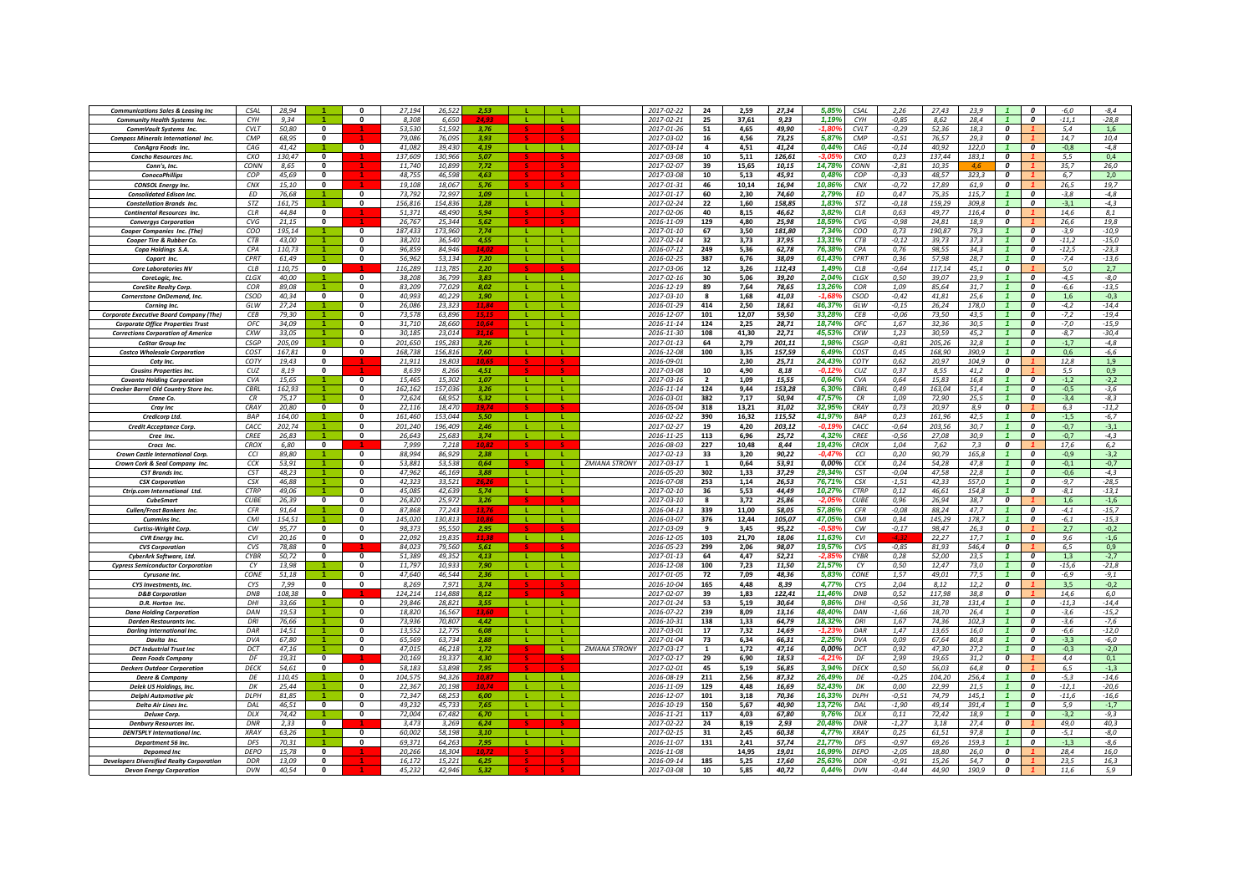| <b>Communications Sales &amp; Leasing Inc</b>    | C <sub>SAI</sub> | 28.94  |                      | n                       | 27.194  | 26.52   | 2.53  |              |              |                      | 2017-02-22       | 24             | 2,59  | 27,34  | 5.85%           | CSAL        | 2,26     | 27.43  | 23.9  |                           | $\boldsymbol{0}$        | $-6,0$  | $-8,4$  |
|--------------------------------------------------|------------------|--------|----------------------|-------------------------|---------|---------|-------|--------------|--------------|----------------------|------------------|----------------|-------|--------|-----------------|-------------|----------|--------|-------|---------------------------|-------------------------|---------|---------|
| <b>Community Health Systems Inc.</b>             | CYH              | 9.34   |                      | n                       | 8,308   | 6,650   |       |              |              |                      | 2017-02-21       | 25             | 37,61 | 9,23   | 1,19%           | CYH         | $-0,85$  | 8,62   | 28,4  |                           | $\boldsymbol{0}$        | $-11,1$ | $-28,8$ |
| CommVault Systems Inc.                           | <b>CVLT</b>      | 50,80  | $\mathbf{0}$         |                         | 53,530  | 51.592  | 3,76  |              |              |                      | 2017-01-26       | 51             | 4,65  | 49,90  |                 | <b>CVLT</b> | $-0.29$  | 52,36  | 18,3  | $\boldsymbol{o}$          |                         | 5,4     | 1,6     |
| <b>Compass Minerals International Inc.</b>       | CMP              | 68,95  | $\mathbf{0}$         |                         | 79,086  | 76,095  | 3.93  |              |              |                      | 2017-03-02       | 16             | 4,56  | 73,25  | 5,87%           | CMP         | $-0,51$  | 76,57  | 29,3  | $\boldsymbol{0}$          |                         | 14,7    | 10,4    |
|                                                  |                  |        |                      |                         |         |         |       | $\mathbf{L}$ | $\mathbf{L}$ |                      |                  |                |       |        |                 |             |          |        |       |                           |                         |         |         |
| ConAgra Foods Inc.                               | CAG              | 41.42  |                      | $\mathbf{0}$            | 41.082  | 39.430  | 4.19  |              |              |                      | 2017-03-14       | $\overline{a}$ | 4,51  | 41,24  | 0,449           | CAG         | $-0.14$  | 40.92  | 122.0 |                           | 0                       | $-0.8$  | $-4.8$  |
| Concho Resources Inc.                            | CXO              | 130,47 | $\mathbf 0$          |                         | 137.60  | 130,96  | 5.07  |              |              |                      | 2017-03-08       | 10             | 5,11  | 126,61 |                 | CXO         | 0,23     | 137.44 | 183.1 | 0                         |                         | 5,5     | 0,4     |
| Conn's, Inc.                                     | CONN             | 8,65   | $\mathbf{0}$         |                         | 11,74   | 10,89   | 7,72  |              |              |                      | 2017-02-07       | 39             | 15,65 | 10,15  | 14,78%          | CONN        | $-2,81$  | 10,35  |       | 0                         |                         | 35,7    | 26,0    |
| <b>ConocoPhillips</b>                            | COP              | 45.69  | $\mathbf{0}$         |                         | 48.75   | 46.59   | 4.63  |              |              |                      | 2017-03-08       | 10             | 5,13  | 45.91  | 0.48%           | COP         | $-0,33$  | 48.57  | 323.3 | 0                         |                         | 6.7     | 2,0     |
| <b>CONSOL Energy Inc.</b>                        | CNX              | 15,10  | $\mathbf{0}$         |                         | 19.108  | 18.067  | 5.76  |              |              |                      | 2017-01-31       | 46             | 10.14 | 16.94  | 10.86%          | <b>CNX</b>  | $-0,72$  | 17.89  | 61.9  | $\overline{\mathbf{c}}$   |                         | 26.5    | 19,7    |
| <b>Consolidated Edison Inc</b>                   | FD.              | 76,68  |                      | $\Omega$                | 73.792  | 72.997  | 1.09  | -1.          | -11          |                      | 2017-01-17       | 60             | 2,30  | 74.60  | 2.79%           | <b>ED</b>   | 0,47     | 75.35  | 115,7 | $\overline{1}$            | $\Omega$                | $-3,8$  | $-4,8$  |
| <b>Constellation Brands Inc.</b>                 | STZ              | 161,75 |                      | $\mathbf{0}$            | 156,816 | 154,836 | 1,28  | -11          | л.           |                      | 2017-02-24       | 22             | 1,60  | 158,85 | 1,83%           | STZ         | $-0,18$  | 159,29 | 309,8 |                           | $\boldsymbol{0}$        | $-3,1$  | $-4,3$  |
| <b>Continental Resources Inc.</b>                | CIR              | 44,84  | $\mathbf{0}$         |                         | 51,371  | 48,490  | 5.94  |              |              |                      | 2017-02-06       | 40             | 8,15  | 46,62  | 3,82%           | CLR         | 0,63     | 49.77  | 116,4 | $\Omega$                  |                         | 14,6    | 8,1     |
|                                                  | CVG              |        | 0                    |                         | 26,767  | 25,344  | 5,62  |              |              |                      | 2016-11-09       | 129            | 4,80  | 25,98  | 18,59%          | CVG         | $-0,98$  | 24,81  | 18,9  | 0                         |                         | 26,6    | 19,8    |
| <b>Convergys Corporation</b>                     |                  | 21,15  |                      |                         |         |         |       |              |              |                      |                  |                |       |        |                 |             |          |        |       |                           |                         |         |         |
| Cooper Companies Inc. (The                       | COO              | 195,14 |                      | $\mathbf{0}$            | 187.43  | 173.96  | 7,74  | - Li         |              |                      | $2017 - 01 - 10$ | 67             | 3,50  | 181,80 | 7,34%           | coo         | 0,73     | 190,87 | 79,3  |                           | $\boldsymbol{0}$        | $-3,9$  | $-10,9$ |
| Cooper Tire & Rubber Co.                         | <b>CTB</b>       | 43,00  |                      | 0                       | 38.20   | 36.54   | 4,55  |              |              |                      | 2017-02-14       | 32             | 3,73  | 37,95  | 13,31%          | <b>CTB</b>  | $-0,12$  | 39.73  | 37,3  | $\mathbf{1}$              | $\boldsymbol{0}$        | $-11,2$ | $-15,0$ |
| Copa Holdings S.A.                               | CPA              | 110.73 | $\blacktriangleleft$ | 0                       | 96.859  | 84.946  | 14.02 | $\mathbf{L}$ | $\mathbf{L}$ |                      | 2016-07-12       | 249            | 5,36  | 62,78  | 76.38%          | CPA         | 0.76     | 98.55  | 34.3  | $\overline{1}$            | $\boldsymbol{o}$        | $-12,5$ | $-23,3$ |
| Copart Inc                                       | CPRT             | 61,49  |                      | $\Omega$                | 56.962  | 53.134  | 7.20  |              | $\mathbf{L}$ |                      | 2016-02-25       | 387            | 6,76  | 38,09  | 61.43%          | CPRT        | 0.36     | 57.98  | 28.7  |                           | $\Omega$                | $-7.4$  | $-13,6$ |
| <b>Core Laboratories NV</b>                      | CIB              | 110.75 | $\overline{0}$       |                         | 116.289 | 113 78  | 2.20  |              |              |                      | 2017-03-06       | 12             | 3,26  | 112,43 | 1.49%           | <b>CLB</b>  | $-0,64$  | 117.14 | 45.1  | $\overline{\mathbf{c}}$   |                         | 5.0     | 2,7     |
| CoreLogic, Inc.                                  | CLGX             | 40,00  |                      | $\mathbf{0}$            | 38,208  | 36,799  | 3,83  | -11          | -11          |                      | 2017-02-16       | 30             | 5,06  | 39,20  | 2,04%           | <b>CLGX</b> | 0,50     | 39,07  | 23,9  |                           | $\boldsymbol{0}$        | $-4,5$  | $-8,0$  |
| CoreSite Realty Corp.                            | COR              | 89,08  |                      | 0                       | 83,209  | 77,029  | 8,02  |              |              |                      | 2016-12-19       | 89             | 7,64  | 78,65  | 13,26%          | COR         | 1,09     | 85,64  | 31,7  |                           | 0                       | -6,6    | $-13,5$ |
| Cornerstone OnDemand, Inc.                       | <b>CSOD</b>      | 40,34  | $\mathbf{0}$         | 0                       | 40,993  | 40,229  | 1,90  |              | L.           |                      | 2017-03-10       | 8              | 1,68  | 41,03  | $-1.68^{\circ}$ | <b>CSOD</b> | $-0,42$  | 41,81  | 25,6  |                           | 0                       | 1,6     | $-0,3$  |
|                                                  |                  |        |                      | 0                       | 26.086  | 23.323  |       |              |              |                      |                  |                | 2,50  | 18,61  | 46,379          | GIW         | $-0, 15$ | 26,24  | 178.0 |                           | $\boldsymbol{0}$        | $-4,2$  | $-14,4$ |
| Corning Inc.                                     | GLW              | 27,24  |                      |                         |         |         | 11,84 |              |              |                      | 2016-01-29       | 414            |       |        |                 |             |          |        |       |                           |                         |         |         |
| <b>Corporate Executive Board Company (The)</b>   | <b>CFB</b>       | 79,30  |                      | $\bf{0}$                | 73.57   | 63.89   |       |              |              |                      | 2016-12-07       | 101            | 12,07 | 59,50  | 33,28%          | <b>CFB</b>  | $-0,06$  | 73,50  | 43.5  |                           | $\boldsymbol{0}$        | $-7,2$  | $-19,4$ |
| <b>Corporate Office Properties Trust</b>         | OFC              | 34.09  |                      | 0                       | 31.710  | 28,660  | 10,64 |              |              |                      | 2016-11-14       | 124            | 2.25  | 28.71  | 18.74%          | OFC         | 1.67     | 32.36  | 30.5  |                           | $\boldsymbol{o}$        | $-7.0$  | $-15,9$ |
| <b>Corrections Corporation of America</b>        | CXW              | 33,05  |                      | 0                       | 30.185  | 23.014  | 31.11 | a ka         | л.           |                      | 2016-11-30       | 108            | 41,30 | 22,71  | 45,53%          | CXW         | 1,23     | 30.59  | 45,2  |                           | $\boldsymbol{0}$        | $-8,7$  | $-30,4$ |
| <b>CoStar Group Inc</b>                          | <b>CSGP</b>      | 205,09 |                      | 0                       | 201,650 | 195,283 | 3.26  | - L.         | п.           |                      | 2017-01-13       | 64             | 2,79  | 201,11 | 1,98%           | <b>CSGP</b> | $-0,81$  | 205,26 | 32,8  |                           | $\boldsymbol{0}$        | $-1,7$  | $-4,8$  |
| <b>Costco Wholesale Corporation</b>              | COST             | 167,81 | $\mathbf{0}$         | $\mathbf{0}$            | 168,738 | 156,816 | 7,60  | - L -        | л.           |                      | 2016-12-08       | 100            | 3,35  | 157,59 | 6,49%           | COST        | 0,45     | 168,90 | 390,9 | $\mathbf{1}$              | $\boldsymbol{0}$        | 0,6     | $-6,6$  |
| Coty Inc                                         | COTY             | 19,43  | $\mathbf{0}$         |                         | 21,911  | 19,803  | 10.6  |              |              |                      | 2016-09-01       |                | 2,30  | 25,71  | 24,43%          | COTY        | 0,62     | 20,97  | 104,9 | $\boldsymbol{0}$          |                         | 12,8    | 1,9     |
| <b>Cousins Properties Inc.</b>                   | CUZ              | 8,19   | $\mathbf{0}$         |                         | 8,639   | 8,266   | 4,51  |              |              |                      | 2017-03-08       | 10             | 4,90  | 8,18   | $-0.129$        | CUZ         | 0,37     | 8,55   | 41,2  | $\boldsymbol{0}$          |                         | 5,5     | 0,9     |
| <b>Covanta Holding Corporation</b>               | <b>CVA</b>       | 15.65  |                      | $\mathbf{0}$            | 15.465  | 15.302  | 1.07  | -11          | <b>L</b>     |                      | 2017-03-16       | $\overline{2}$ | 1.09  | 15.55  | 0.64%           | CVA         | 0,64     | 15.83  | 16.8  | $\overline{1}$            | $\boldsymbol{0}$        | $-1.2$  | $-2,2$  |
|                                                  | <b>CBRI</b>      |        |                      | $\bf{0}$                |         |         |       |              |              |                      |                  |                |       |        |                 | <b>CBRI</b> |          |        |       |                           | $\boldsymbol{0}$        |         |         |
| <b>Cracker Barrel Old Country Store Inc</b>      |                  | 162,93 |                      |                         | 162,16  | 157,03  | 3,26  |              |              |                      | 2016-11-14       | 124            | 9,44  | 153,28 | 6,30%           |             | 0,49     | 163,04 | 51,4  |                           |                         | $-0,5$  | $-3,6$  |
| Crane Co                                         | CR               | 75,17  |                      | 0                       | 72,62   | 68.95   | 5,32  | - Li         | <b>L</b>     |                      | 2016-03-01       | 382            | 7,17  | 50,94  | 47,57%          | CR          | 1,09     | 72,90  | 25,5  |                           | 0                       | $-3,4$  | $-8,3$  |
| <b>Cray Inc</b>                                  | CRAY             | 20,80  | $\mathbf{0}$         | 0                       | 22.11   | 18,470  | 19.74 |              |              |                      | 2016-05-04       | 318            | 13.21 | 31,02  | 32.95%          | CRAY        | 0.73     | 20.97  | 8.9   | $\boldsymbol{o}$          |                         | 6,3     | $-11,2$ |
| <b>Credicorp Ltd.</b>                            | <b>BAP</b>       | 164,00 |                      | $\Omega$                | 161 46  | 153.044 | 5.50  | - 11         | -11          |                      | 2016-02-22       | 390            | 16,32 | 115,52 | 41.97%          | <b>RAP</b>  | 0,23     | 161,96 | 42.5  |                           | $\boldsymbol{o}$        | $-1,5$  | $-6,7$  |
| Credit Acceptance Corp.                          | CACC             | 202.74 | $\blacktriangleleft$ | $\Omega$                | 201.240 | 196,409 | 246   | $\mathbf{L}$ | $\mathbf{L}$ |                      | 2017-02-27       | 19             | 4,20  | 203,12 | -0.19           | CACC        | $-0,64$  | 203.56 | 30.7  | $\overline{1}$            | $\Omega$                | $-0.7$  | $-3,1$  |
| Cree Inc.                                        | CREE             | 26,83  |                      | $\Omega$                | 26,643  | 25.683  | 3.74  | $\mathbf{I}$ | L.           |                      | 2016-11-25       | 113            | 6,96  | 25,72  | 4.32%           | <b>CREE</b> | $-0,56$  | 27,08  | 30.9  |                           | $\Omega$                | $-0,7$  | $-4,3$  |
| Crocs Inc.                                       | CROX             | 6,80   | $\mathbf{0}$         |                         | 7.99    | 7,218   |       |              |              |                      | 2016-08-03       | 227            | 10,48 | 8,44   | 19,43%          | <b>CROX</b> | 1,04     | 7,62   | 7,3   | $\overline{\mathbf{c}}$   |                         | 17,6    | 6,2     |
| Crown Castle International Corp.                 | CCI              | 89,80  |                      | $\mathbf{0}$            | 88,994  | 86,929  | 2,38  | <b>L</b>     |              |                      | 2017-02-13       | 33             | 3,20  | 90,22  | $-0,47$         | CCI         | 0,20     | 90,79  | 165,8 |                           | 0                       | $-0,9$  | $-3,2$  |
| Crown Cork & Seal Company Inc.                   | CCK              | 53,91  |                      | 0                       | 53.88   | 53.53   | 0.64  |              |              | <b>ZMIANA STRONY</b> | 2017-03-17       | $\mathbf{1}$   | 0.64  | 53,91  | 0.00%           | CCK         | 0,24     | 54.28  | 47.8  |                           | $\boldsymbol{0}$        | $-0,1$  | $-0,7$  |
| <b>CST Brands Inc.</b>                           | CST              | 48,23  |                      | 0                       | 47.96   | 46,169  | 3,88  |              |              |                      | 2016-05-20       | 302            | 1,33  | 37,29  | 29,349          | <b>CST</b>  | $-0,04$  | 47,58  | 22,8  |                           | $\boldsymbol{0}$        | $-0,6$  | $-4,3$  |
|                                                  | CSX              | 46.88  |                      | 0                       | 42.323  | 33.52   | 26.21 |              |              |                      | 2016-07-08       | 253            | 1.14  | 26.53  | 76.71%          | CSX         | $-1,51$  | 42.33  | 557.0 |                           | 0                       | $-9.7$  | $-28.5$ |
| <b>CSX Corporation</b>                           | <b>CTRP</b>      | 49.06  |                      | $\Omega$                | 45.085  | 42.639  |       |              |              |                      | 2017-02-10       |                |       | 44.49  | 10.27%          | <b>CTRP</b> |          |        | 154.8 |                           | $\Omega$                |         |         |
| Ctrip.com International Ltd.                     |                  |        |                      |                         |         |         | 5.74  | -11          | -11          |                      |                  | 36             | 5,53  |        |                 |             | 0,12     | 46.61  |       |                           |                         | $-8,1$  | $-13,1$ |
| <b>CubeSmart</b>                                 | <b>CURE</b>      | 26,39  | $\mathbf{0}$         | $\mathbf{0}$            | 26,820  | 25.97.  | 3,26  |              |              |                      | 2017-03-10       | -8             | 3,72  | 25,86  | -2.05           | <b>CUBE</b> | 0,96     | 26,94  | 38,7  | $\overline{\mathfrak{o}}$ |                         | 1,6     | $-1,6$  |
| Cullen/Frost Bankers Inc.                        | <b>CFR</b>       | 91,64  |                      | 0                       | 87,868  | 77,243  | 13,76 | л.           | л.           |                      | 2016-04-13       | 339            | 11,00 | 58,05  | 57,86%          | CFR         | $-0,08$  | 88,24  | 47,7  | $\mathbf{1}$              | $\boldsymbol{o}$        | $-4,1$  | $-15,7$ |
| <b>Cummins Inc.</b>                              | CMI              | 154,51 |                      | $\Omega$                | 145,020 | 130,813 | 10.8  | -11          | л.           |                      | 2016-03-07       | 376            | 12,44 | 105,07 | 47,05%          | CMI         | 0,34     | 145,29 | 178,7 |                           | $\boldsymbol{0}$        | $-6,1$  | $-15,3$ |
| Curtiss-Wright Corp.                             | CW               | 95,77  | $\mathbf{0}$         | $\mathbf{0}$            | 98,373  | 95,550  | 2,95  |              |              |                      | 2017-03-09       | 9              | 3,45  | 95,22  | $-0.589$        | CW          | $-0,17$  | 98,47  | 26,3  | $\boldsymbol{0}$          |                         | 2,7     | $-0,2$  |
| <b>CVR</b> Energy Inc.                           | CVI              | 20.16  | $\mathbf{0}$         | $\mathbf{0}$            | 22.092  | 19.835  | 11.38 | -11          | -11          |                      | 2016-12-05       | 103            | 21.70 | 18,06  | 11.63%          | CVI         |          | 22.27  | 17.7  | $\overline{1}$            | $\boldsymbol{0}$        | 9.6     | $-1,6$  |
| <b>CVS Corporation</b>                           | CVS              | 78.88  | $\Omega$             |                         | 84.02   | 79.56   | 5.61  |              |              |                      | 2016-05-23       | 299            | 2.06  | 98.07  | 19.57%          | CVS         | $-0.85$  | 81.93  | 546.4 | $\Omega$                  |                         | 6.5     | 0.9     |
| CyberArk Software, Ltd.                          | <b>CYBR</b>      | 50,72  | $\mathbf{0}$         | $\Omega$                | 51,38   | 49.35   | 4,13  | $\mathbf{L}$ |              |                      | 2017-01-13       | 64             | 4,47  | 52,21  | <u>ית כ-</u>    | CYBR        | 0,28     | 52,00  | 23,5  |                           | 0                       | 1,3     | $-2,7$  |
| <b>Cypress Semiconductor Corporation</b>         | CY               | 13.98  |                      | 0                       | 11.797  | 10.93   | 7.90  | $\mathbf{L}$ | -11          |                      | 2016-12-08       | 100            | 7,23  | 11,50  | 21.57%          | CY          | 0,50     | 12,47  | 73.0  | $\overline{1}$            | $\boldsymbol{o}$        | $-15,6$ | $-21,8$ |
| Cyrusone Inc.                                    | CONE             | 51,18  |                      | 0                       | 47.640  | 46.544  | 2.36  | -11          | <b>L</b>     |                      | 2017-01-05       | 72             | 7,09  | 48,36  | 5.83%           | CONE        | 1,57     | 49.01  | 77,5  | $\mathbf{1}$              | $\overline{\mathbf{c}}$ | $-6,9$  | $-9,1$  |
| CYS Investments, Inc.                            | CYS              | 7.99   | $\mathbf{0}$         | $\Omega$                | 8,269   | 7,97    | 3.74  |              |              |                      | 2016-10-04       | 165            | 4,48  | 8,39   | 4,77%           | CYS         | 2,04     | 8,12   | 12,2  | $\overline{\mathbf{c}}$   |                         | 3,5     | $-0,2$  |
| <b>D&amp;B</b> Corporation                       | DNB              | 108,38 | $\mathbf{0}$         |                         | 124.214 | 114,888 | 8,12  |              |              |                      | 2017-02-07       | 39             | 1,83  | 122,41 | 11,46%          | <b>DNB</b>  | 0,52     | 117,98 | 38,8  | $\boldsymbol{o}$          |                         | 14,6    | 6,0     |
|                                                  |                  |        |                      | $\overline{\mathbf{0}}$ |         |         | 3.55  | $\mathbf{I}$ | т.           |                      |                  |                |       |        | 9,86%           | DHI         | $-0,56$  |        | 131,4 |                           | $\boldsymbol{0}$        | $-11,3$ | $-14,4$ |
| D.R. Horton Inc.                                 | DHI              | 33,66  |                      |                         | 29,846  | 28,821  |       |              |              |                      | 2017-01-24       | 53             | 5,19  | 30,64  |                 |             |          | 31,78  |       |                           |                         |         |         |
| <b>Dana Holding Corporation</b>                  | DAN              | 19,53  |                      | 0                       | 18,820  | 16.56   | 13.60 |              |              |                      | 2016-07-22       | 239            | 8,09  | 13,16  | 48,40%          | DAN         | $-1,66$  | 18,70  | 26,4  |                           | 0                       | $-3,6$  | $-15,2$ |
| <b>Darden Restaurants Inc.</b>                   | DRI              | 76,66  |                      | 0                       | 73,936  | 70,807  | 4,42  |              |              |                      | 2016-10-31       | 138            | 1,33  | 64,79  | 18,329          | DRI         | 1,67     | 74,36  | 102,3 |                           | $\boldsymbol{0}$        | $-3,6$  | $-7,6$  |
| <b>Darlina International Inc.</b>                | DAR              | 14,51  |                      | 0                       | 13,552  | 12,775  | 6,08  |              |              |                      | 2017-03-01       | 17             | 7,32  | 14,69  | -1.23           | DAR         | 1,47     | 13,65  | 16,0  |                           | 0                       | -6,6    | $-12,0$ |
| Davita Inc.                                      | <b>DVA</b>       | 67.80  |                      | 0                       | 65.569  | 63.734  | 2.88  | л.           |              |                      | 2017-01-04       | 73             | 6.34  | 66.31  | 2.25%           | DVA         | 0.09     | 67.64  | 80.8  |                           | $\boldsymbol{0}$        | $-3,3$  | $-6,0$  |
| <b>DCT</b> Industrial Trust Inc.                 | DCT              | 47.16  |                      | $\Omega$                | 47.015  | 46.218  | 1.72  |              |              | <b>ZMIANA STRONY</b> | 2017-03-17       | $\mathbf{1}$   | 1,72  | 47.16  | 0.00%           | DCT         | 0,92     | 47.30  | 27.2  |                           | $\Omega$                | $-0,3$  | $-2,0$  |
| <b>Dean Foods Company</b>                        | DE               | 19.31  | $\Omega$             |                         | 20.169  | 19.337  | 4.30  |              |              |                      | 2017-02-17       | 29             | 6,90  | 18.53  | $-4.219$        | DE          | 2.99     | 19,65  | 31,2  | $\mathbf{r}$              |                         | 4.4     | 0,1     |
| <b>Deckers Outdoor Corporation</b>               | DECK             | 54,61  | $\mathbf 0$          | $\mathbf{0}$            | 58,183  | 53,898  | 7,95  |              |              |                      | 2017-02-01       | 45             | 5,19  | 56,85  | 3,94%           | DECK        | 0,50     | 56,03  | 64,8  | $\boldsymbol{o}$          |                         | 6,5     | $-1,3$  |
| <b>Deere &amp; Company</b>                       | DE               | 110,45 |                      | 0                       | 104,575 | 94,326  | 10,87 | -11          |              |                      | 2016-08-19       | 211            | 2,56  | 87,32  | 26,49%          | DE          | $-0.25$  | 104,20 | 256,4 | $\mathbf{1}$              | $\boldsymbol{0}$        | $-5,3$  | $-14,6$ |
| Delek US Holdings, Inc.                          | DK               | 25,44  |                      | 0                       | 22,367  | 20,198  | 10,74 | -11          |              |                      | 2016-11-09       | 129            | 4,48  | 16,69  | 52,43%          | DK          | 0,00     | 22,99  | 21,5  |                           | 0                       | $-12,1$ | $-20,6$ |
| Delphi Automotive plo                            | DLPH             | 81,85  |                      | 0                       | 72,347  | 68.25   | 6,00  | $\mathbf{L}$ |              |                      | 2016-12-07       | 101            | 3,18  | 70,36  | 16,33%          | <b>DLPH</b> | $-0.51$  | 74,79  | 145.1 |                           | $\boldsymbol{0}$        | $-11,6$ | $-16,6$ |
|                                                  | DA               |        | $\mathbf{0}$         |                         | 49.23   | 45.73   |       |              |              |                      | 2016-10-19       | 150            |       |        |                 | DAI         |          | 49.14  | 391.4 |                           | $\boldsymbol{0}$        | 5.9     |         |
| Delta Air Lines Inc.                             |                  | 46,51  |                      |                         |         |         | 7,65  |              |              |                      |                  |                | 5,67  | 40,90  | 13,72%          |             | $-1,90$  |        |       |                           |                         |         | $-1,7$  |
| <b>Deluxe Corr</b>                               | DLX              | 74.42  |                      | 0                       | 72.004  | 67.48   | 6.70  | $\mathbf{I}$ | $\mathbf{L}$ |                      | 2016-11-21       | 117            | 4.03  | 67.80  | 9.76%           | DLX         | 0.11     | 72.42  | 18.9  |                           | $\boldsymbol{o}$        | $-3.2$  | $-9.3$  |
| <b>Denbury Resources Inc.</b>                    | <b>DNR</b>       | 2,33   | $\mathbf{0}$         |                         | 3.475   | 3.269   | 6.24  |              |              |                      | 2017-02-22       | 24             | 8,19  | 2,93   | 20,48%          | <b>DNR</b>  | $-1,27$  | 3,18   | 27.4  | $\boldsymbol{0}$          |                         | 49.0    | 40,3    |
| <b>DENTSPLY International Inc.</b>               | <b>XRAY</b>      | 63,26  | -1                   | $\mathbf{0}$            | 60.00   | 58.198  | 3.10  | -11          | -11          |                      | 2017-02-15       | 31             | 2,45  | 60,38  | 4,77%           | <b>XRAY</b> | 0,25     | 61,51  | 97.8  | $\overline{1}$            | $\overline{\mathbf{c}}$ | $-5,1$  | $-8,0$  |
| Department 56 Inc.                               | DFS              | 70,31  |                      | n                       | 69,371  | 64,263  | 7.95  | - 11         | л.           |                      | 2016-11-07       | 131            | 2,41  | 57,74  | 21,77%          | DFS         | $-0.97$  | 69,26  | 159.3 |                           | $\Omega$                | $-1,3$  | $-8,6$  |
| <b>Depomed Inc</b>                               | <b>DEPO</b>      | 15,78  | $\mathbf{0}$         |                         | 20,266  | 18,304  |       |              |              |                      | 2016-11-08       |                | 14,95 | 19,01  | 16,99%          | <b>DEPO</b> | $-2,05$  | 18,80  | 26,0  | 0                         |                         | 28,4    | 16,0    |
| <b>Developers Diversified Realty Corporation</b> | <b>DDR</b>       | 13,09  | $\mathbf{0}$         |                         | 16,17.  | 15,22:  | 6,25  |              |              |                      | 2016-09-14       | 185            | 5,25  | 17,60  | 25,639          | DDR         | $-0.91$  | 15,26  | 54,7  | 0                         |                         | 23,5    | 16,3    |
| <b>Devon Energy Corporation</b>                  | <b>DVN</b>       | 40.54  |                      |                         | 45.232  | 42,946  | 5.32  |              |              |                      | 2017-03-08       | 10             | 5,85  | 40,72  | 0.449           | <b>DVN</b>  | $-0,44$  | 44.90  | 190.9 | $\boldsymbol{o}$          |                         | 11,6    | 5.9     |
|                                                  |                  |        |                      |                         |         |         |       |              |              |                      |                  |                |       |        |                 |             |          |        |       |                           |                         |         |         |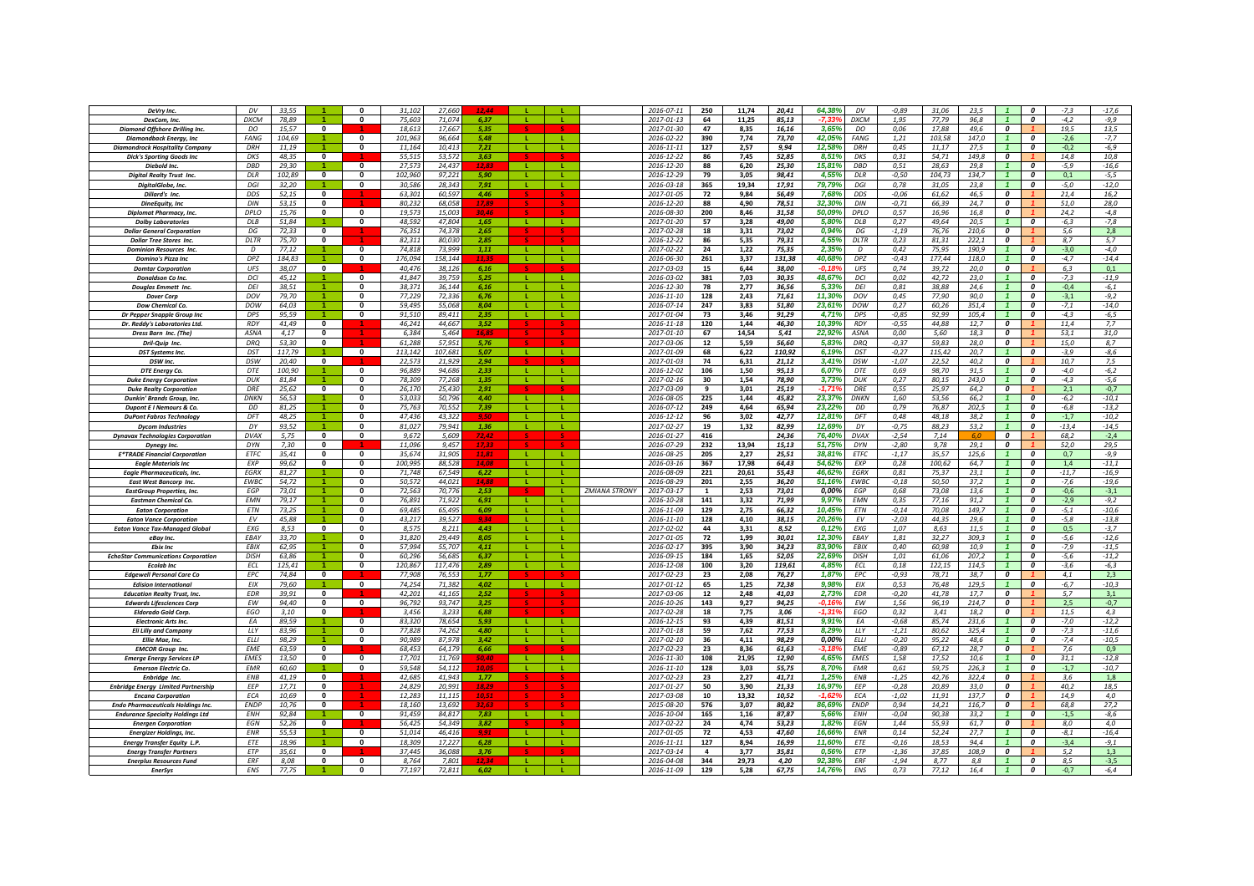| DeVry Inc.                                       | DV            | 33.55         |                         | $\Omega$                                | 31.102          | 27.66           | 12 AL          |              |              |                      | 2016-07-11               | 250          | 11,74         | 20,41         | 64,38%           | DV              | $-0,89$         | 31,06         | 23.5        |                         | $\boldsymbol{0}$        | $-7,3$        | $-17,6$          |
|--------------------------------------------------|---------------|---------------|-------------------------|-----------------------------------------|-----------------|-----------------|----------------|--------------|--------------|----------------------|--------------------------|--------------|---------------|---------------|------------------|-----------------|-----------------|---------------|-------------|-------------------------|-------------------------|---------------|------------------|
| DexCom, Inc.                                     | <b>DXCM</b>   | 78,89         |                         | $\Omega$                                | 75,603          | 71,074          | 6.37           |              |              |                      | 2017-01-13               | 64           | 11,25         | 85,13         | $-73$            | <b>DXCM</b>     | 1,95            | 77,79         | 96,8        |                         | $\Omega$                | $-4,2$        | $-9,9$           |
| <b>Diamond Offshore Drilling Inc.</b>            | DO            | 15,57         | $\mathbf{0}$            |                                         | 18,613          | 17.667          | 5.35           |              |              |                      | 2017-01-30               | 47           | 8,35          | 16,16         | 3,65%            | DO              | 0,06            | 17,88         | 49,6        | $\boldsymbol{o}$        |                         | 19,5          | 13,5             |
| <b>Diamondback Energy, Inc</b>                   | <b>FANG</b>   | 104,69        |                         | $\Omega$                                | 101,965         | 96,664          | 5.48           | -11          | <b>T</b>     |                      | 2016-02-22               | 390          | 7,74          | 73,70         | 42,05%           | <b>FANG</b>     | 1,21            | 103,58        | 147,0       |                         | $\boldsymbol{0}$        | $-2,6$        | $-7,7$           |
| <b>Diamondrock Hospitality Company</b>           | DRH           | 11.19         |                         | $\mathbf{0}$                            | 11.164          | 10.413          | 7.21           |              |              |                      | 2016-11-11               | 127          | 2.57          | 9,94          | 12.589           | DRH             | 0,45            | 11.17         | 27.5        |                         | $\boldsymbol{0}$        | $-0.2$        | $-6,9$           |
| <b>Dick's Sporting Goods Inc</b>                 | DKS           | 48,35         | $\overline{\mathbf{0}}$ |                                         | 55.51           | 53.57           | 3,63           |              |              |                      | 2016-12-22               | 86           | 7,45          | 52,85         | 8.519            | DKS             | 0.31            | 54.71         | 149.8       | 0                       |                         | 14,8          | 10,8             |
| Diebold Inc.                                     | <b>DBD</b>    | 29,30         |                         | $\mathbf{0}$                            | 27,57           | 24,437          |                |              |              |                      | 2016-12-20               | 88           | 6,20          | 25,30         | 15,819           | DBD             | 0,51            | 28,63         | 29,8        |                         | $\boldsymbol{0}$        | $-5,9$        | $-16,6$          |
| <b>Digital Realty Trust Inc.</b>                 | <b>DLR</b>    | 102.89        | $\mathbf{0}$            | $\Omega$                                | 102.960         | 97,221          | 5.90           |              | л.           |                      | 2016-12-29               | 79           | 3.05          | 98.41         | 4.55%            | <b>DLR</b>      | $-0,50$         | 104.73        | 134.7       |                         | $\boldsymbol{0}$        | 0,1           | $-5,5$           |
| DigitalGlobe, Inc.                               | DGI           | 32,20         |                         | $\overline{\mathbf{0}}$                 | 30.586          | 28.343          | 7.91           | - 12         | -11          |                      | 2016-03-18               | 365          | 19.34         | 17.91         | 79.79%           | DGI             | 0.78            | 31.05         | 23.8        |                         | $\overline{\mathbf{c}}$ | $-5.0$        | $-12,0$          |
| Dillard's Inc.                                   | DDS           | 52,15         | $\Omega$                |                                         | 63.301          | 60.597          | 4,46           |              |              |                      | 2017-01-05               | 72           | 9,84          | 56,49         | 7.68%            | <b>DDS</b>      | $-0,06$         | 61.62         | 46.5        | $\mathbf{r}$            |                         | 21,4          | 16,2             |
|                                                  | DIN           |               | $\bf{0}$                |                                         | 80.232          | 68.058          |                |              |              |                      |                          |              |               |               |                  |                 |                 | 66.39         |             | 0                       |                         |               |                  |
| <b>DineEquity, Inc</b>                           |               | 53,15         | $\mathbf{0}$            | $\mathbf{0}$                            | 19.575          |                 | 17.89<br>30.46 |              |              |                      | 2016-12-20               | 88           | 4,90          | 78,51         | 32,30%           | DIN             | $-0,71$         |               | 24,7        |                         |                         | 51,0          | 28,0             |
| Diplomat Pharmacy, Inc.                          | DPLO          | 15,76         |                         |                                         |                 | 15,003          |                |              |              |                      | 2016-08-30               | 200          | 8,46          | 31,58         | 50,09%           | DPLO            | 0,57            | 16,96         | 16,8        | $\overline{\mathbf{c}}$ |                         | 24,2          | $-4,8$           |
| <b>Dolby Laboratories</b>                        | <b>DLB</b>    | 51,84         |                         | 0                                       | 48,592          | 47,804          | 1,65           | <b>L</b>     | ÷.           |                      | 2017-01-20               | 57           | 3,28          | 49,00         | 5,80%            | DLB             | 0,27            | 49,64         | 20,5        | $\mathbf{1}$            | 0                       | $-6,3$        | $-7,8$           |
| <b>Dollar General Corporation</b>                | DG            | 72,33         | $\mathbf{0}$            |                                         | 76.351          | 74.378          | 2,65           |              |              |                      | 2017-02-28               | 18           | 3,31          | 73,02         | 0.94%            | DG              | $-1, 19$        | 76,76         | 210.6       | $\boldsymbol{0}$        |                         | 5,6           | 2,8              |
| <b>Dollar Tree Stores Inc.</b>                   | DI TR         | 75,70         | $\mathbf{0}$            |                                         | 82.311          | 80.030          | 2,85           |              |              |                      | 2016-12-22               | 86           | 5,35          | 79,31         | 4.55%            | <b>DITR</b>     | 0,23            | 81.31         | 222.1       | $\boldsymbol{0}$        |                         | 8.7           | 5,7              |
| <b>Dominion Resources Inc.</b>                   | $\mathcal{D}$ | 77.12         |                         | $\mathbf{0}$                            | 74.818          | 73.999          | 1.11           | $\mathbf{L}$ | $\mathbf{I}$ |                      | 2017-02-22               | 24           | 1.22          | 75.35         | 2.35%            | $\mathcal{D}$   | 0.42            | 75.95         | 190.9       |                         | $\boldsymbol{o}$        | $-3.0$        | $-4,0$           |
| Domino's Pizza In                                | <b>DPZ</b>    | 184.83        |                         | $\Omega$                                | 176.094         | 158.144         | 11.21          |              |              |                      | 2016-06-30               | 261          | 3,37          | 131.38        | 40.68%           | DP7             | $-0,43$         | 177.44        | 118.0       |                         | $\overline{0}$          | $-4.7$        | $-14,4$          |
| <b>Domtar Corporation</b>                        | UFS           | 38.07         | $\overline{0}$          |                                         | 40.476          | 38.126          | 6.16           |              |              |                      | 2017-03-03               | 15           | 6,44          | 38.00         | $-0.189$         | <b>UFS</b>      | 0.74            | 39.72         | 20.0        | $\overline{0}$          |                         | 6.3           | 0,1              |
| Donaldson Co Inc.                                | DCI           | 45,12         |                         | $\Omega$                                | 41,847          | 39,759          | 5,25           | -11          | л.           |                      | 2016-03-02               | 381          | 7,03          | 30,35         | 48,67%           | DCI             | 0,02            | 42,72         | 23,0        |                         | $\boldsymbol{0}$        | $-7,3$        | $-11,9$          |
| <b>Douglas Emmett Inc.</b>                       | DEI           | 38,51         |                         | $\mathbf{0}$                            | 38,371          | 36,144          | 6,16           |              |              |                      | 2016-12-30               | 78           | 2,77          | 36,56         | 5,33%            | DEI             | 0,81            | 38,88         | 24,6        |                         | $\boldsymbol{0}$        | $-0,4$        | $-6,1$           |
| <b>Dover Corp</b>                                | DOV           | 79,70         |                         | $\Omega$                                | 77,229          | 72,336          | 6,76           |              | T.           |                      | 2016-11-10               | 128          | 2,43          | 71,61         | 11,30%           | DOV             | 0,45            | 77,90         | 90,0        |                         | 0                       | $-3,1$        | $-9,2$           |
| Dow Chemical Co.                                 | DOW           | 64,03         |                         | $\mathbf{0}$                            | 59.495          | 55.068          | 8,04           |              |              |                      | 2016-07-14               | 247          | 3,83          | 51,80         | 23,61%           | <b>DOW</b>      | 0,27            | 60,26         | 351.4       |                         | $\boldsymbol{0}$        | $-7,1$        | $-14,0$          |
| Dr Pepper Snapple Group Inc                      | DPS           | 95.59         |                         | $\Omega$                                | 91.510          | 89.411          | 2.35           |              |              |                      | 2017-01-04               | 73           | 3,46          | 91,29         | 4.71%            | D <sub>PS</sub> | $-0,85$         | 92,99         | 105.4       |                         | $\boldsymbol{0}$        | $-4,3$        | $-6,5$           |
| Dr. Reddy's Laboratories Ltd.                    | <b>RDY</b>    | 41.49         | $\mathbf{0}$            |                                         | 46.241          | 44.667          | 3.52           |              |              |                      | 2016-11-18               | 120          | 1.44          | 46.30         | 10.39%           | <b>RDY</b>      | $-0.55$         | 44.88         | 12.7        | 0                       |                         | 11.4          | 7,7              |
| Dress Barn Inc. (The)                            | ASNA          | 4,17          | $\mathbf{0}$            |                                         | 6,384           | 5,464           | 16.85          |              |              |                      | 2017-01-10               | 67           | 14,54         | 5,41          | 22,92%           | <b>ASNA</b>     | 0,00            | 5,60          | 18,3        | 0                       |                         | 53,1          | 31,0             |
| Dril-Quip Inc.                                   | <b>DRO</b>    | 53.30         | $\mathbf{0}$            |                                         | 61.288          | 57.951          | 5,76           |              |              |                      | 2017-03-06               | 12           | 5,59          | 56.60         | 5.83%            | <b>DRO</b>      | $-0,37$         | 59.83         | 28,0        | $\overline{\mathbf{c}}$ |                         | 15,0          | 8,7              |
| <b>DST Systems Inc.</b>                          | DST           | 117,79        |                         | $\mathbf 0$                             | 113,142         | 107,681         | 5,07           | -11          | л.           |                      | 2017-01-09               | 68           | 6,22          | 110,92        | 6,19%            | DST             | $-0,27$         | 115,42        | 20,7        | $\mathbf{1}$            | $\boldsymbol{0}$        | $-3,9$        | $-8,6$           |
| DSW Inc.                                         | DSW           | 20,40         | $\mathbf{0}$            |                                         | 22,573          | 21.929          | 2,94           |              |              |                      | 2017-01-03               | 74           | 6,31          | 21,12         | 3,41%            | DSW             | $-1,07$         | 22,52         | 40.2        | $\boldsymbol{0}$        |                         | 10,7          | 7,5              |
| DTE Energy Co.                                   | DTF           | 100,90        |                         | $\mathbf{0}$                            | 96,889          | 94.686          | 2,33           | -11          | л.           |                      | 2016-12-02               | 106          | 1,50          | 95,13         | 6,07%            | DTE             | 0,69            | 98,70         | 91,5        |                         | $\boldsymbol{0}$        | $-4,0$        | $-6,2$           |
| <b>Duke Energy Corporation</b>                   | DUK           | 81.84         |                         | $\mathbf{0}$                            | 78.309          | 77.268          | 1,35           | $\mathbf{L}$ | л.           |                      | 2017-02-16               | 30           | 1.54          | 78,90         | 3,73%            | <b>DUK</b>      | 0,27            | 80.15         | 243.0       |                         | $\boldsymbol{0}$        | $-4.3$        | $-5,6$           |
| <b>Duke Realty Corporation</b>                   | DRF           | 25.62         | $\bf{0}$                | $\mathbf{0}$                            | 26,170          | 25.430          | 2,91           |              |              |                      | 2017-03-09               | 9            | 3.01          | 25,19         | $-1.71$          | DRF             | 0.55            | 25.97         | 64.2        | $\boldsymbol{0}$        |                         | 2,1           | $-0,7$           |
| <b>Dunkin' Brands Group, Inc.</b>                | <b>DNKN</b>   | 56,53         |                         | $\mathbf{0}$                            | 53,035          | 50.796          | 4,40           | $\mathbf{L}$ |              |                      | 2016-08-05               | 225          | 1,44          | 45,82         | 23,37%           | <b>DNKN</b>     | 1,60            | 53,56         | 66,2        |                         | $\boldsymbol{0}$        | $-6,2$        | $-10,1$          |
| Dunont E I Nemours & Co.                         | DD            | 81,25         | $\blacktriangleleft$    | $\Omega$                                | 75.763          | 70.552          | 7.39           | -11          |              |                      | 2016-07-12               | 249          | 4,64          | 65,94         | 23.22%           | DD              | 0,79            | 76,87         | 202.5       |                         | $\boldsymbol{o}$        | $-6,8$        | $-13,2$          |
| <b>DuPont Fabros Technolog</b>                   | DFT           | 48.25         |                         | $\Omega$                                | 47.436          | 43.322          | 0<             |              |              |                      | 2016-12-12               | 96           | 3,02          | 42,77         | 12,81%           | DFT             | 0,48            | 48.18         | 38.2        |                         | $\Omega$                | $-1.7$        | $-10,2$          |
| <b>Dycom Industries</b>                          | DY            | 93,52         |                         | $\Omega$                                | 81,027          | 79.941          | 1.36           | -11          | <b>T</b>     |                      | 2017-02-27               | 19           | 1,32          | 82,99         | 12,69%           | DY              | $-0,75$         | 88,23         | 53.2        |                         | $\Omega$                | $-13,4$       | $-14,5$          |
|                                                  |               | 5,75          | $\mathbf{0}$            | $\Omega$                                | 9,672           | 5,609           | 72.42          |              |              |                      | 2016-01-27               |              |               | 24,36         | 76,40%           |                 | $-2,54$         | 7,14          |             | $\boldsymbol{o}$        |                         | 68.2          | $-2,4$           |
| <b>Dynavax Technologies Corporation</b>          | DVAX          |               |                         |                                         |                 |                 |                |              |              |                      |                          | 416          |               |               |                  | <b>DVAX</b>     |                 |               |             |                         |                         |               |                  |
| Dynegy Inc.                                      | DYN           | 7,30          | $\mathbf 0$             |                                         | 11,096          | 9,457           | (1.8)          |              |              |                      | 2016-07-29               | 232          | 13,94         | 15,13         | 51,75%           | DYN             | $-2,80$         | 9,78          | 29,1        | 0                       |                         | 52,0          | 29,5             |
| <b>E*TRADE Financial Corporation</b>             | <b>ETFC</b>   | 35,41         | $\mathbf 0$             | $\Omega$                                | 35,674          | 31,905          |                |              |              |                      | 2016-08-25               | 205          | 2,27          | 25,51         | 38,819           | <b>ETFC</b>     | $-1,17$         | 35,57         | 125,6       |                         | 0                       | 0,7           | $-9,9$           |
| <b>Eagle Materials Inc</b>                       | <b>EXP</b>    | 99.62         | $\mathbf{0}$            | $\mathbf{0}$                            | 100.995         | 88.52           | 14.01          |              |              |                      | 2016-03-16               | 367          | 17,98         | 64,43         | 54.629           | <b>FXP</b>      | 0,28            | 100.62        | 64.7        |                         | $\boldsymbol{0}$        | 1,4           | $-11,1$          |
| <b>Eagle Pharmaceuticals, Inc.</b>               | <b>FGRX</b>   | 81,27         |                         | $\mathbf{0}$                            | 71.748          | 67.549          | 6,22           |              | L.           |                      | 2016-08-09               | 221          | 20,61         | 55,43         | 46.62            | <b>FGRX</b>     | 0,81            | 75.37         | 23.1        |                         | $\boldsymbol{0}$        | $-11,7$       | $-16,9$          |
| <b>East West Bancorp Inc.</b>                    | <b>EWBC</b>   | 54.72         |                         | $\mathbf{0}$                            | 50.572          | 44.021          | 14.81          | л.           |              |                      | 2016-08-29               | 201          | 2.55          | 36.20         | 51.16%           | <b>EWBC</b>     | $-0.18$         | 50.50         | 37.2        |                         | 0                       | $-7,6$        | $-19,6$          |
| <b>EastGroup Properties, Inc.</b>                | FGP           | 73,01         |                         | $\Omega$                                | 72.563          | 70,776          | 2.53           |              |              | <b>ZMIANA STRONY</b> | 2017-03-17               | $\mathbf{1}$ | 2,53          | 73.01         | 0.00%            | FGP             | 0,68            | 73.08         | 13,6        |                         | $\overline{0}$          | $-0,6$        | $-3,1$           |
| <b>Eastman Chemical Co.</b>                      | <b>EMN</b>    | 79,17         |                         | 0                                       | 76,891          | 71,922          | 6.91           | -11          | л.           |                      | 2016-10-28               | 141          | 3,32          | 71,99         | 9.97%            | <b>EMN</b>      | 0,35            | 77,16         | 91,2        |                         | $\boldsymbol{o}$        | $-2,9$        | $-9,2$           |
| <b>Eaton Corporation</b>                         | <b>ETN</b>    | 73,25         |                         | $\mathbf{0}$                            | 69,485          | 65,495          | 6,09           | -11          |              |                      | 2016-11-09               | 129          | 2,75          | 66,32         | 10,45%           | ETN             | $-0,14$         | 70,08         | 149,7       |                         | $\boldsymbol{0}$        | $-5,1$        | $-10,6$          |
| <b>Eaton Vance Corporation</b>                   | <b>FV</b>     | 45,88         |                         | $\Omega$                                | 43,217          | 39,527          | 9.34           |              |              |                      | 2016-11-10               | 128          | 4,10          | 38,15         | 20,26%           | <b>FV</b>       | $-2,03$         | 44,35         | 29,6        |                         | $\boldsymbol{0}$        | $-5,8$        | $-13,8$          |
| <b>Eaton Vance Tax-Managed Global</b>            | EXG           | 8,53          | $\mathbf{0}$            | $\Omega$                                | 8,575           | 8,211           | 4,43           | -11          |              |                      | 2017-02-02               | 44           | 3,31          | 8,52          | 0,12%            | EXG             | 1,07            | 8,63          | 11,5        |                         | $\boldsymbol{0}$        | 0,5           | $-3,7$           |
| eBay Inc                                         | EBAY          | 33.70         |                         | $\mathbf{0}$                            | 31.820          | 29.449          | 8,05           |              |              |                      | 2017-01-05               | 72           | 1,99          | 30,01         | 12,30%           | EBAY            | 1,81            | 32.27         | 309.3       |                         | 0                       | $-5,6$        | $-12,6$          |
| <b>Ebix Inc</b>                                  | EBIX          | 62.95         |                         | $\Omega$                                | 57.994          | 55.707          | 4.11           |              |              |                      | 2016-02-17               | 395          | 3.90          | 34.23         | 83.90%           | EBIX            | 0.40            | 60.98         | 10.9        |                         | $\Omega$                | $-7.9$        | $-11.5$          |
| <b>EchoStar Communications Corporation</b>       | <b>DISH</b>   | 63,86         |                         | $\mathbf{0}$                            | 60,296          | 56,685          | 6,37           |              |              |                      | 2016-09-15               | 184          | 1,65          | 52,05         | 22,69%           | DISH            | 1,01            | 61,06         | 207,2       |                         | $\boldsymbol{0}$        | $-5,6$        | $-11,2$          |
| Ecolab Ind                                       | ECL           | 125.41        |                         | $\Omega$                                | 120,867         | 117,476         | 2.89           | -11          | л.           |                      | 2016-12-08               | 100          | 3,20          | 119,61        | 4,85%            | ECL             | 0,18            | 122,15        | 114.5       |                         | $\boldsymbol{o}$        | $-3,6$        | $-6,3$           |
| <b>Edaewell Personal Care Co</b>                 | EPC           | 74,84         | $\overline{\mathbf{0}}$ |                                         | 77,908          | 76.553          | 1.77           |              |              |                      | 2017-02-23               | 23           | 2,08          | 76,27         | 1,87%            | EPC             | $-0,93$         | 78,71         | 38.7        | $\overline{\mathbf{c}}$ |                         | 4,1           | 2,3              |
| <b>Edision International</b>                     | EIX           | 79,60         |                         | $\Omega$                                | 74,254          | 71,382          | 402            | - 11         | - 11         |                      | 2017-01-12               | 65           | 1,25          | 72,38         | 9,98%            | EIX             | 0,53            | 76,48         | 129,5       |                         | $\Omega$                | $-6,7$        | $-10,3$          |
| <b>Education Realty Trust, Inc.</b>              | <b>EDR</b>    | 39,91         | $\mathbf{0}$            |                                         | 42,201          | 41,165          | 2.52           |              |              |                      | 2017-03-06               | 12           | 2,48          | 41,03         | 2,73%            | <b>EDR</b>      | $-0,20$         | 41,78         | 17.7        | 0                       |                         | 5,7           | 3,1              |
| <b>Edwards Lifesciences Corp</b>                 | EW            | 94,40         | $\mathbf 0$             | $\overline{\mathbf{0}}$                 | 96,792          | 93,747          | 3,25           |              |              |                      | 2016-10-26               | 143          | 9,27          | 94,25         | -0.16            | EW              | 1,56            | 96,19         | 214,7       | $\boldsymbol{0}$        |                         | 2,5           | $-0,7$           |
| Eldorado Gold Corp.                              | EGO           | 3,10          | $\mathbf 0$             |                                         | 3,456           | 3,233           | 6,88           |              |              |                      | 2017-02-28               | 18           | 7,75          | 3,06          | $-1, 31$         | EGO             | 0,32            | 3,41          | 18,2        | 0                       |                         | 11,5          | 4,3              |
| <b>Electronic Arts Inc.</b>                      | EA            | 89,59         |                         | $\mathbf{0}$                            | 83,320          | 78,654          | 5,93           |              |              |                      | 2016-12-15               | 93           | 4,39          | 81,51         | 9,91%            | ΕA              | $-0,68$         | 85,74         | 231,6       |                         | 0                       | $-7,0$        | $-12,2$          |
| <b>Eli Lilly and Company</b>                     | <b>LLY</b>    | 83,96         |                         | 0                                       | 77,828          | 74,262          | 4,80           |              |              |                      | 2017-01-18               | 59           | 7,62          | 77,53         | 8,29%            | LLY             | $-1,21$         | 80,62         | 325,4       |                         | 0                       | $-7,3$        | -11,6            |
| Ellie Mae, Inc.                                  | <b>ELLI</b>   | 98.29         |                         | $\mathbf{0}$                            | 90.989          | 87.978          | 3.42           | <b>L</b>     | L.           |                      | 2017-02-10               | 36           | 4,11          | 98.29         | 0.00%            | <b>ELLI</b>     | $-0,20$         | 95.22         | 48.6        |                         | $\boldsymbol{o}$        | $-7,4$        | $-10,5$          |
| <b>EMCOR Group Inc.</b>                          | <b>FMF</b>    | 63,59         | $\mathbf{0}$            |                                         | 68,453          | 64,179          | 6,66           |              |              |                      | 2017-02-23               | 23           | 8,36          | 61,63         | -3.18%           | <b>FMF</b>      | $-0,89$         | 67,12         | 28,7        | $\mathbf{a}$            |                         | 7,6           | 0,9              |
| <b>Emerge Energy Services LP</b>                 | <b>EMES</b>   | 13.50         | $\Omega$                | $\Omega$                                | 17.701          | 11.769          | 50,40          | - 11 -       | -11          |                      | 2016-11-30               | 108          | 21,95         | 12,90         | 4,65%            | <b>EMES</b>     | 1,58            | 17,52         | 10,6        | $\overline{1}$          | $\Omega$                | 31,1          | $-12,8$          |
| Emerson Electric Co.                             | EMR           | 60,60         |                         | $\mathbf 0$                             | 59,548          | 54,112          | 10.0           | л.           | L.           |                      | 2016-11-10               | 128          | 3,03          | 55,75         | 8,70%            | EMR             | 0,61            | 59,75         | 226,3       | $\mathbf{1}$            | $\boldsymbol{o}$        | $-1,7$        | $-10,7$          |
| Enbridge Inc.                                    | <b>ENB</b>    | 41,19         | 0                       |                                         | 42,685          | 41,943          | 1,77           |              |              |                      | 2017-02-23               | 23           | 2,27          | 41,71         | 1,25%            | ENB             | $-1,25$         | 42,76         | 322,4       | 0                       |                         | 3,6           | 1,8              |
| <b>Enbridge Energy Limited Partnership</b>       | EEP           | 17,71         | 0                       |                                         | 24,829          | 20,991          | 18,29          |              |              |                      | 2017-01-27               | 50           | 3.90          | 21,33         | 16,97%           | EEP             | $-0.28$         | 20,89         | 33,0        | 0                       |                         | 40,2          | 18,5             |
| <b>Encana Corporation</b>                        | <b>FCA</b>    | 10.69         | $\mathbf{0}$            |                                         | 12.28           | 11.11'          | 10.51          |              |              |                      | 2017-03-08               | 10           | 13,32         | 10,52         | $-1.62$          | <b>FCA</b>      | $-1,02$         | 11.91         | 137.7       | $\boldsymbol{0}$        |                         | 14.9          | 4,0              |
| <b>Endo Pharmaceuticals Holdings Inc.</b>        | <b>FND</b>    | 10,76         | $\bf{0}$                |                                         | 18.16           | 13.69           | 32.63          |              |              |                      | 2015-08-20               | 576          | 3,07          | 80,82         | 86,69%           | <b>FNDP</b>     | 0.94            | 14,21         | 116.7       | 0                       |                         | 68.8          | 27,2             |
| <b>Endurance Specialty Holdings Ltd</b>          | ENH           | 92.84         |                         | $\mathbf{0}$                            | 91.459          | 84.817          | 7.83           | - 11         | $\mathbf{L}$ |                      | 2016-10-04               | 165          | 1.16          | 87.87         | 5.66%            | <b>ENH</b>      | $-0.04$         | 90.38         | 33.2        |                         | $\boldsymbol{o}$        | $-1.5$        | $-8,6$           |
| <b>Energen Corporation</b>                       | EGN           | 52,26         | $\mathbf{0}$            |                                         | 56.425          | 54.349          | 3.82           |              |              |                      | 2017-02-22               | 24           | 4,74          | 53,23         | 1.82%            | <b>EGN</b>      | 1,44            | 55.93         | 61.7        | $\boldsymbol{0}$        |                         | 8.0           | 4.0              |
| Energizer Holdings, Inc.                         | <b>FNR</b>    | 55,53         |                         | $\overline{\mathbf{0}}$                 | 51,014          | 46,416          |                | -11          | -11          |                      | 2017-01-05               | 72           | 4,53          | 47,60         | 16,66%           | <b>ENR</b>      | 0,14            | 52,24         | 27.7        | $\overline{1}$          | $\boldsymbol{0}$        | $-8,1$        | $-16,4$          |
|                                                  |               |               |                         |                                         |                 | 17,227          | 6.28           | - 11         | л.           |                      |                          |              | 8,94          | 16,99         | 11,60%           | ETE             | $-0,16$         | 18,53         | 94.4        |                         | $\Omega$                | $-3,4$        | $-9,1$           |
|                                                  |               |               |                         |                                         |                 |                 |                |              |              |                      |                          |              |               |               |                  |                 |                 |               |             |                         |                         |               |                  |
| <b>Energy Transfer Equity L.P.</b>               | ETE           | 18,96         |                         | $\Omega$                                | 18,309          |                 |                |              |              |                      | 2016-11-11               | 127          |               |               |                  |                 |                 |               |             |                         |                         |               |                  |
| <b>Energy Transfer Partners</b>                  | ETP           | 35,61         | $\bf{0}$                |                                         | 37,445          | 36,088          | 3,76           |              |              |                      | 2017-03-14               | 4            | 3,77          | 35,81         | 0,56%            | <b>ETP</b>      | $-1,36$         | 37,85         | 108,9       | $\boldsymbol{o}$        |                         | 5,2           | 1,3              |
| <b>Enerplus Resources Fund</b><br><b>EnerSys</b> | ERF<br>ENS    | 8,08<br>77,75 | $\bf{0}$                | $\overline{\mathbf{0}}$<br>$\mathbf{0}$ | 8,764<br>77.197 | 7,801<br>72,811 | 6.02           | -11          |              |                      | 2016-04-08<br>2016-11-09 | 344<br>129   | 29,73<br>5,28 | 4,20<br>67,75 | 92,389<br>14.769 | ERF<br>ENS      | $-1,94$<br>0,73 | 8,77<br>77,12 | 8,8<br>16,4 |                         | 0<br>0                  | 8,5<br>$-0,7$ | $-3,5$<br>$-6,4$ |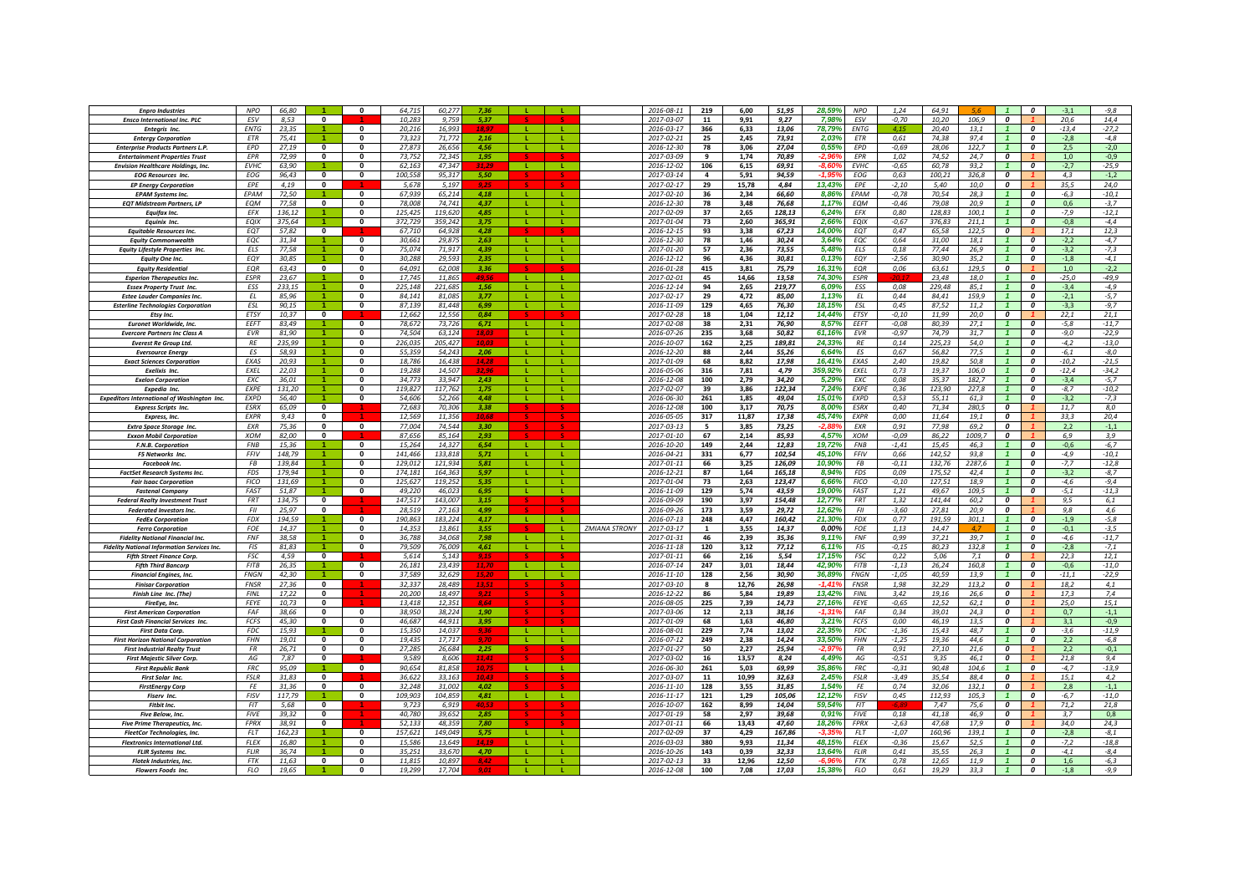| <b>Enpro Industries</b>                                               | <b>NPO</b>                 | 66,80            |                              |                                         | 64.71<br>60.27                          | 7.36           |              |                  |                      | 2016-08-11               | 219                           | 6,00          | 51,95            | 28,59%            | <b>NPO</b>                 | 1,24               | 64,91            |                |                                      | $\boldsymbol{0}$                            | $-3,1$            | $-9,8$             |
|-----------------------------------------------------------------------|----------------------------|------------------|------------------------------|-----------------------------------------|-----------------------------------------|----------------|--------------|------------------|----------------------|--------------------------|-------------------------------|---------------|------------------|-------------------|----------------------------|--------------------|------------------|----------------|--------------------------------------|---------------------------------------------|-------------------|--------------------|
| <b>Ensco International Inc. PLC</b>                                   | ESV                        | 8.53             | $\mathbf{0}$                 |                                         | 10.283<br>9.759                         | 5.37           |              |                  |                      | 2017-03-07               | 11                            | 9,91          | 9,27             | 7,98%             | ESV                        | $-0,70$            | 10,20            | 106.9          | 0                                    |                                             | 20,6              | 14,4               |
| <b>Entegris Inc</b>                                                   | ENTG                       | 23,35            |                              | $\Omega$                                | 20.216<br>16 99                         | 19 O           | - 11         |                  |                      | 2016-03-17               | 366                           | 6,33          | 13,06            | 78,79%            | <b>ENTG</b>                | 41 <sup>14</sup>   | 20,40            | 13,1           |                                      | $\boldsymbol{0}$                            | $-13,4$           | $-27,2$            |
| <b>Entergy Corporation</b>                                            | <b>FTR</b>                 | 75,41            |                              | $\Omega$                                | 73.323<br>71.772                        | 2.16           | - 11         | л.               |                      | 2017-02-21               | 25                            | 2,45          | 73,91            | 2,03%             | <b>FTR</b>                 | 0,61               | 74.38            | 97.4           |                                      | $\boldsymbol{0}$                            | $-2.8$            | $-4,8$             |
| <b>Enterprise Products Partners L.P</b>                               | <b>EPD</b>                 | 27,19            | $\mathbf{0}$                 | $\Omega$                                | 27.873<br>26.65                         | 4.56           | - 11         | -11              |                      | 2016-12-30               | 78                            | 3,06          | 27,04            | 0,55%             | <b>EPD</b>                 | $-0.69$            | 28,06            | 122,7          |                                      | $\boldsymbol{0}$                            | 2,5               | $-2,0$             |
| <b>Entertainment Properties Trust</b>                                 | <b>FPR</b>                 | 72,99            | $\mathbf{0}$                 | $\Omega$                                | 73,752<br>72,345                        | 1,95           | $\mathbf{L}$ | $\mathbf{L}$     |                      | 2017-03-09               | 9                             | 1,74          | 70,89            |                   | <b>FPR</b>                 | 1,02               | 74,52            | 24.7           | $\boldsymbol{0}$                     |                                             | 1,0               | $-0,9$             |
| <b>Envision Healthcare Holdings, Inc.</b>                             | <b>EVHC</b>                | 63,90            |                              | $\mathbf{0}$                            | 62,163<br>47,347                        |                |              |                  |                      | 2016-12-02               | 106                           | 6,15          | 69,91            | -8.6              | <b>EVHC</b>                | $-0,65$            | 60.78            | 93,2           |                                      | 0                                           | $-2,7$            | $-25,9$            |
| <b>EOG Resources Inc.</b>                                             | EOG<br><b>FPF</b>          | 96,43<br>4,19    | $\mathbf{0}$<br>$\mathbf{0}$ | $\mathbf{0}$                            | 100.55<br>95,317<br>5,678<br>5,197      | 5,50           |              |                  |                      | 2017-03-14<br>2017-02-17 | $\overline{\mathbf{a}}$<br>29 | 5,91<br>15,78 | 94,59<br>4,84    | ى.1<br>13,43%     | EOG<br>EPE                 | 0,63<br>$-2,10$    | 100,21<br>5.40   | 326,8<br>10,0  | $\boldsymbol{o}$<br>$\boldsymbol{o}$ |                                             | 4,3<br>35,5       | $-1,2$<br>24,0     |
| <b>EP Energy Corporation</b><br><b>EPAM Systems Inc.</b>              | EPAM                       | 72,50            |                              | $\mathbf{0}$                            | 67.939<br>65,214                        | 4.18           | -11          | -11              |                      | 2017-02-10               | 36                            | 2.34          | 66.60            | 8.86%             | EPAM                       | $-0,78$            | 70.54            | 28.3           |                                      | $\boldsymbol{o}$                            | $-6.3$            | $-10,1$            |
|                                                                       | <b>FOM</b>                 | 77,58            | $\Omega$                     | $\Omega$                                | 78,008<br>74.741                        | 4,37           |              |                  |                      | 2016-12-30               | 78                            | 3,48          | 76,68            | 1.17%             | EQM                        | $-0,46$            | 79.08            | 20.9           | $\overline{1}$                       | $\Omega$                                    | 0,6               | $-3,7$             |
| <b>EQT Midstream Partners, LP</b><br><b>Equifax Inc.</b>              | <b>FFX</b>                 | 136,12           |                              | $\Omega$                                | 125.425<br>119,620                      | 4.85           | -11          | -11              |                      | 2017-02-09               | 37                            | 2,65          | 128,13           | 6,24%             | <b>FFX</b>                 | 0,80               | 128.83           | 100,1          | $\mathcal{I}$                        | $\Omega$                                    | $-7,9$            | $-12,1$            |
| Equinix Inc.                                                          | <b>EQIX</b>                | 375,64           |                              | $\Omega$                                | 372,729<br>359,242                      | 3,75           | -11          | <b>L</b>         |                      | 2017-01-04               | 73                            | 2,60          | 365,91           | 2.669             | EQIX                       | $-0,67$            | 376.83           | 211,1          |                                      | $\boldsymbol{0}$                            | $-0,8$            | $-4,4$             |
| <b>Equitable Resources Inc.</b>                                       | EQT                        | 57,82            | $\mathbf 0$                  |                                         | 67,710<br>64,928                        | 4.28           |              |                  |                      | 2016-12-15               | 93                            | 3,38          | 67,23            | 14,00%            | EQT                        | 0,47               | 65,58            | 122,5          | $\boldsymbol{0}$                     |                                             | 17,1              | 12,3               |
| <b>Eauity Commonwealth</b>                                            | EOC                        | 31,34            |                              | $\Omega$                                | 30,661<br>29,875                        | 2.63           | -11          | л.               |                      | 2016-12-30               | 78                            | 1,46          | 30,24            | 3,64%             | EQC                        | 0,64               | 31,00            | 18.1           |                                      | 0                                           | $-2,2$            | $-4,7$             |
| <b>Equity Lifestyle Properties Inc.</b>                               | <b>FIS</b>                 | 77,58            |                              | $\mathbf{0}$                            | 75.074<br>71.91                         | 4,39           |              |                  |                      | 2017-01-20               | 57                            | 2,36          | 73,55            | 5.48%             | ELS                        | 0,18               | 77,44            | 26.9           | $\overline{1}$                       | $\boldsymbol{0}$                            | $-3,2$            | $-7,3$             |
| <b>Equity One Inc.</b>                                                | EOY                        | 30.85            |                              | $\Omega$                                | 30.288<br>29.59                         | 2.35           |              |                  |                      | 2016-12-12               | 96                            | 4.36          | 30.81            | 0.13%             | EQY                        | $-2.56$            | 30.90            | 35.2           |                                      | $\Omega$                                    | $-1.8$            | $-4.1$             |
| <b>Equity Residential</b>                                             | EOR                        | 63.43            | $\mathbf{0}$                 | $\Omega$                                | 64.091<br>62.008                        | 3.36           |              |                  |                      | 2016-01-28               | 415                           | 3.81          | 75.79            | 16.31%            | <b>EOR</b>                 | 0.06               | 63.61            | 129.5          | $\boldsymbol{o}$                     |                                             | 1.0               | $-2,2$             |
| <b>Esperion Therapeutics Inc.</b>                                     | <b>ESPR</b>                | 23.67            | $\blacktriangleleft$         | $\Omega$                                | 17.745<br>11.861                        | 49.5           | <b>TELE</b>  | - 11             |                      | 2017-02-01               | 45                            | 14.66         | 13,58            | 74.30%            | <b>FSPR</b>                |                    | 23.48            | 18.0           |                                      | $\Omega$                                    | $-25.0$           | $-49.9$            |
| <b>Essex Property Trust Inc</b>                                       | ESS                        | 233,15           | $\blacktriangleleft$         | $\Omega$                                | 225,148<br>221,685                      | 1.56           |              | л.               |                      | 2016-12-14               | 94                            | 2,65          | 219,77           | 6,09%             | ESS                        | 0,08               | 229,48           | 85,1           | $\mathbf{1}$                         | 0                                           | $-3,4$            | $-4,9$             |
| <b>Estee Lauder Companies Inc.</b>                                    | ΕL                         | 85,96            | $\blacktriangleleft$         | $\Omega$                                | 84,141<br>81,085                        | 3.77           | - 11 -       | $\mathbf{L}$     |                      | 2017-02-17               | 29                            | 4,72          | 85,00            | 1,13%             | ΕL                         | 0,44               | 84,41            | 159,9          |                                      | 0                                           | $-2,1$            | $-5,7$             |
| <b>Esterline Technologies Corporation</b>                             | ESL                        | 90,15            |                              | $\Omega$                                | 87,139<br>81,448                        | 6,99           |              | т.               |                      | 2016-11-09               | 129                           | 4,65          | 76,30            | 18, 15%           | ESL                        | 0,45               | 87,52            | 11,2           |                                      | $\boldsymbol{0}$                            | $-3,3$            | $-9,7$             |
| Etsy Inc.                                                             | ETSY                       | 10,37            | $\mathbf 0$                  |                                         | 12,662<br>12,556                        | 0,84           |              |                  |                      | 2017-02-28               | 18                            | 1,04          | 12,12            | 14,44%            | ETSY                       | $-0,10$            | 11,99            | 20,0           | 0                                    |                                             | 22,1              | 21,1               |
| <b>Euronet Worldwide, Inc.</b>                                        | EEFT                       | 83,49            |                              | $\mathbf{0}$                            | 78,672<br>73,726                        | 6,71           |              |                  |                      | 2017-02-08               | 38                            | 2,31          | 76,90            | 8.57%             | EEFT                       | $-0.08$            | 80.39            | 27.1           |                                      | $\boldsymbol{0}$                            | $-5,8$            | $-11,7$            |
| <b>Evercore Partners Inc Class A</b>                                  | <b>EVR</b>                 | 81.90            |                              | $\mathbf{0}$                            | 74.504<br>63.124                        | 18.03          |              | T.               |                      | 2016-07-26               | 235                           | 3,68          | 50.82            | 61.16%            | <b>EVR</b>                 | $-0.97$            | 74.79            | 31.7           |                                      | $\boldsymbol{o}$                            | $-9.0$            | $-22,9$            |
| <b>Everest Re Group Ltd.</b>                                          | RE                         | 235.99           |                              | $\mathbf{0}$                            | 226.035<br>205.427                      |                |              |                  |                      | 2016-10-07               | 162                           | 2.25          | 189.81           | 24.33%            | RE                         | 0.14               | 225.23           | 54.0           |                                      | $\boldsymbol{0}$                            | $-4.2$            | $-13,0$            |
| <b>Eversource Energy</b>                                              | ES                         | 58,93            |                              | $\mathbf{0}$                            | 55,359<br>54,243                        | 2.06           | - 12         |                  |                      | 2016-12-20               | 88                            | 2,44          | 55,26            | 6,64%             | ES                         | 0,67               | 56,82            | 77,5           |                                      | $\boldsymbol{0}$                            | $-6,1$            | $-8,0$             |
| <b>Exact Sciences Corporation</b>                                     | EXAS<br>EXEL               | 20,93            |                              | $\Omega$<br>$\mathbf{0}$                | 18,786<br>16,438<br>19,288<br>14,507    | 14,28<br>32.9  | -11          |                  |                      | 2017-01-09<br>2016-05-06 | 68<br>316                     | 8,82          | 17,98            | 16,41%<br>359,92% | EXAS<br>EXEL               | 2,40               | 19,82<br>19,37   | 50,8<br>106,0  | $\mathbf{1}$                         | 0<br>$\boldsymbol{o}$                       | $-10,2$           | $-21,5$<br>$-34,2$ |
| Exelixis Inc.<br><b>Exelon Corporation</b>                            | EXC                        | 22,03<br>36,01   |                              | $\Omega$                                | 34,773<br>33,947                        | 2,43           | л.           | ÷.               |                      | 2016-12-08               | 100                           | 7,81<br>2,79  | 4,79<br>34,20    | 5,29%             | EXC                        | 0,73<br>0,08       | 35,37            | 182,7          |                                      | $\boldsymbol{0}$                            | $-12,4$<br>$-3,4$ | $-5,7$             |
| Expedia Inc.                                                          | <b>FXPF</b>                | 131.20           |                              | $\Omega$                                | 119.827<br>117.762                      | 1,75           |              |                  |                      | 2017-02-07               | 39                            | 3,86          | 122,34           | 7.24%             | <b>FXPF</b>                | 0.36               | 123.90           | 227.8          |                                      | $\boldsymbol{0}$                            | $-8.7$            | $-10.2$            |
| <b>Expeditors International of Washington Inc.</b>                    | <b>FXPD</b>                | 56.40            |                              | $\Omega$                                | 54.606<br>52.266                        | 4,48           | $\mathbf{L}$ |                  |                      | 2016-06-30               | 261                           | 1,85          | 49,04            | 15.01%            | <b>EXPD</b>                | 0.53               | 55.11            | 61.3           |                                      | $\boldsymbol{0}$                            | $-3.2$            | $-7,3$             |
| <b>Express Scripts Inc</b>                                            | ESRX                       | 65,09            | $\mathbf 0$                  |                                         | 72,683<br>70,306                        | 3,38           |              |                  |                      | 2016-12-08               | 100                           | 3,17          | 70,75            | 8,00%             | <b>ESRX</b>                | 0,40               | 71,34            | 280,5          | 0                                    |                                             | 11,7              | 8,0                |
| <b>Express</b> , Inc.                                                 | EXPR                       | 9.43             | $\mathbf{0}$                 |                                         | 12,569<br>11.356                        | 10.68          |              |                  |                      | 2016-05-05               | 317                           | 11,87         | 17,38            | 45.74%            | <b>EXPR</b>                | 0.00               | 11,64            | 19.1           | 0                                    |                                             | 33.3              | 20,4               |
| <b>Extra Space Storage Inc.</b>                                       | EXR                        | 75.36            | $\mathbf{0}$                 | $\mathbf{0}$                            | 77.004<br>74.544                        | 3.30           |              |                  |                      | 2017-03-13               | -5                            | 3,85          | 73,25            | -2 R              | <b>FXR</b>                 | 0,91               | 77,98            | 69.2           | 0                                    |                                             | 2,2               | $-1,1$             |
| <b>Exxon Mobil Corporation</b>                                        | <b>XOM</b>                 | 82,00            | $\mathbf{0}$                 |                                         | 87.656<br>85,164                        | 2.93           |              |                  |                      | 2017-01-10               | 67                            | 2,14          | 85,93            | 4,57%             | <b>XOM</b>                 | $-0,09$            | 86,22            | 1009,7         | $\boldsymbol{o}$                     |                                             | 6.9               | 3,9                |
| F.N.B. Corporation                                                    | <b>FNB</b>                 | 15,36            |                              | ō                                       | 14.327<br>15,264                        | 6.54           | T.           | -11              |                      | 2016-10-20               | 149                           | 2,44          | 12,83            | 19,72%            | <b>FNB</b>                 | $-1,41$            | 15,45            | 46,3           | $\mathbf{1}$                         | $\boldsymbol{0}$                            | $-0,6$            | $-6,7$             |
| F5 Networks Inc.                                                      | FFIV                       | 148,79           |                              | $\Omega$                                | 141.466<br>133,818                      | 5.71           |              | $\mathbf{L}$     |                      | 2016-04-21               | 331                           | 6,77          | 102,54           | 45,10%            | FFIV                       | 0,66               | 142,52           | 93,8           |                                      | $\boldsymbol{0}$                            | $-4,9$            | $-10,1$            |
| <b>Facebook Inc.</b>                                                  | FB<br><b>FDS</b>           | 139.84<br>179.94 |                              | $\Omega$                                | 129.012<br>121.934<br>174.18<br>164.365 | 5.81<br>5,97   |              | L.               |                      | 2017-01-11<br>2016-12-21 | 66<br>87                      | 3,25<br>1,64  | 126,09           | 10.909<br>8.94    | <b>FB</b><br><b>FDS</b>    | $-0.11$            | 132.76<br>175.5. | 2287.6<br>42.4 |                                      | 0<br>0                                      | $-7.7$            | $-12,8$            |
| <b>FactSet Research Systems Inc.</b><br><b>Fair Isaac Corporation</b> | <b>FICO</b>                | 131,69           |                              | $\mathbf{0}$                            | 125,627<br>119,252                      | 5,35           |              |                  |                      | 2017-01-04               | 73                            | 2,63          | 165,18<br>123,47 | 6,669             | <b>FICO</b>                | 0,09<br>$-0,10$    | 127,51           | 18,9           |                                      | $\boldsymbol{0}$                            | $-3,2$<br>-4,6    | $-8,7$<br>$-9,4$   |
| <b>Fastenal Company</b>                                               | FAST                       | 51,87            |                              | $\mathbf{0}$                            | 49.220<br>46.023                        | 6.95           | -11          | $\mathbf{L}$     |                      | 2016-11-09               | 129                           | 5,74          | 43.59            | 19.00%            | FAST                       | 1,21               | 49.67            | 109.5          |                                      | $\boldsymbol{o}$                            | $-5,1$            | $-11,3$            |
| <b>Federal Realty Investment Trust</b>                                | <b>FRT</b>                 | 134.75           | $\mathbf{0}$                 |                                         | 147.517<br>143,007                      | 3.15           |              |                  |                      | 2016-09-09               | 190                           | 3,97          | 154,48           | 12,77%            | <b>FRT</b>                 | 1,32               | 141.44           | 60.2           | $\overline{\mathbf{c}}$              |                                             | 9.5               | 6,1                |
| Federated Investors Inc.                                              | FII                        | 25.97            | $\Omega$                     |                                         | 28.519<br>27,163                        | 4.99           |              |                  |                      | 2016-09-26               | 173                           | 3,59          | 29,72            | 12,62%            | FII                        | $-3,60$            | 27,81            | 20.9           | $\mathbf{r}$                         |                                             | 9.8               | 4,6                |
| <b>FedEx Corporation</b>                                              | <b>FDX</b>                 | 194,59           |                              | $\Omega$                                | 190.863<br>183,224                      | 4,17           | $\mathbf{L}$ |                  |                      | 2016-07-13               | 248                           | 4,47          | 160,42           | 21.30%            | <b>FDX</b>                 | 0,77               | 191,59           | 301,1          | $\overline{1}$                       | $\boldsymbol{0}$                            | $-1,9$            | $-5,8$             |
| <b>Ferro Corporation</b>                                              | <b>FOF</b>                 | 14,37            |                              | $\Omega$                                | 14.35<br>13.861                         | 3,55           |              | л.               | <b>ZMIANA STRONY</b> | 2017-03-17               | 1                             | 3,55          | 14,37            | 0.00%             | FOE                        | 1,13               | 14,47            |                |                                      | $\boldsymbol{0}$                            | $-0,1$            | $-3,5$             |
| <b>Fidelity National Financial Inc.</b>                               | FNF                        | 38,58            |                              | 0                                       | 36,788<br>34,068                        | 7,98           | -11          |                  |                      | 2017-01-31               | 46                            | 2,39          | 35,36            | 9,11%             | <b>FNF</b>                 | 0,99               | 37,21            | 39,7           | $\mathbf{1}$                         | 0                                           | $-4,6$            | $-11,7$            |
| <b>Fidelity National Information Services Inc.</b>                    | <b>FIS</b>                 | 81,83            |                              | $\Omega$                                | 79.509<br>76.009                        | 4,61           | $\mathbf{I}$ |                  |                      | 2016-11-18               | 120                           | 3,12          | 77,12            | 6.11%             | <b>FIS</b>                 | $-0, 15$           | 80,23            | 132,8          |                                      | $\boldsymbol{0}$                            | $-2,8$            | $-7,1$             |
| <b>Fifth Street Finance Corp.</b>                                     | <b>FSC</b>                 | 4.59             | $\mathbf{0}$                 |                                         | 5.614<br>5.14                           | 9,15           |              |                  |                      | 2017-01-11               | 66                            | 2,16          | 5,54             | 17,15%            | <b>FSC</b>                 | 0,22               | 5.06             | 7,1            | $\boldsymbol{0}$                     |                                             | 22,3              | 12,1               |
| <b>Fifth Third Bancorp</b>                                            | <b>FITB</b><br><b>FNGN</b> | 26.35<br>42.30   | $\blacktriangleleft$         | $\mathbf{0}$<br>$\overline{\mathbf{0}}$ | 26.181<br>23.439<br>37.589<br>32.629    | 11.70<br>15.26 | - 11<br>-11  | - 11<br><b>T</b> |                      | 2016-07-14<br>2016-11-10 | 247<br>128                    | 3.01<br>2.56  | 18.44<br>30.90   | 42.90%<br>36.89%  | <b>FITB</b><br><b>FNGN</b> | $-1.13$<br>$-1.05$ | 26.24<br>40.59   | 160.8<br>13.9  | $\overline{1}$                       | $\boldsymbol{o}$<br>$\overline{\mathbf{c}}$ | $-0.6$<br>$-11.1$ | $-11,0$            |
| <b>Financial Engines, Inc.</b>                                        | <b>FNSR</b>                | 27.36            | $\overline{\mathbf{0}}$      |                                         | 32.337<br>28.489                        | 13.5           |              |                  |                      | 2017-03-10               | $\mathbf{R}$                  | 12,76         | 26,98            | $-1.419$          | <b>FNSR</b>                | 1.98               | 32,29            | 113.2          | $\overline{\mathbf{c}}$              |                                             | 18.2              | $-22,9$<br>4,1     |
| <b>Finisar Corporation</b><br>Finish Line Inc. (The)                  | <b>FINL</b>                | 17,22            | $\mathbf 0$                  |                                         | 20,200<br>18,497                        | 9.21           |              |                  |                      | 2016-12-22               | 86                            | 5,84          | 19,89            | 13,42%            | <b>FINL</b>                | 3,42               | 19,16            | 26,6           | $\overline{\mathbf{c}}$              |                                             | 17,3              | 7,4                |
| FireEye, Inc.                                                         | FEYE                       | 10,73            | $\mathbf 0$                  |                                         | 13,418<br>12,351                        | 8.64           |              |                  |                      | 2016-08-05               | 225                           | 7,39          | 14,73            | 27,16%            | FEYE                       | $-0,65$            | 12,52            | 62,1           | $\overline{\mathbf{c}}$              |                                             | 25,0              | 15,1               |
| <b>First American Corporation</b>                                     | FAF                        | 38,66            | $\mathbf 0$                  | $\mathbf{0}$                            | 38,950<br>38,224                        | 1,90           |              |                  |                      | 2017-03-06               | 12                            | 2,13          | 38,16            | $-1,31$           | FAF                        | 0,34               | 39,01            | 24,3           | 0                                    |                                             | 0,7               | $-1,1$             |
| <b>First Cash Financial Services Inc.</b>                             | FCFS                       | 45.30            | $\mathbf{0}$                 | $\mathbf{0}$                            | 46.687<br>44.911                        | 3.95           |              |                  |                      | 2017-01-09               | 68                            | 1,63          | 46,80            | 3,219             | <b>FCFS</b>                | 0,00               | 46.19            | 13.5           | 0                                    |                                             | 3,1               | $-0,9$             |
| <b>First Data Corp.</b>                                               | <b>FDC</b>                 | 15,93            |                              |                                         | 15,350<br>14,037                        | 9.36           |              |                  |                      | 2016-08-01               | 229                           | 7,74          | 13,02            | 22,35%            | FDC                        | $-1,36$            | 15,43            | 48,7           |                                      | $\boldsymbol{0}$                            | -3,6              | $-11,9$            |
| <b>First Horizon National Corporation</b>                             | <b>FHN</b>                 | 19.01            | $\mathbf{0}$                 | $\mathbf{0}$                            | 19.435<br>17.717                        | 9.70           | л.           | L.               |                      | 2016-07-12               | 249                           | 2.38          | 14.24            | 33.50%            | <b>FHN</b>                 | $-1,25$            | 19.36            | 44.6           |                                      | $\boldsymbol{o}$                            | 2.2               | $-6,8$             |
| <b>First Industrial Realty Trust</b>                                  | FR                         | 26,71            | $\Omega$                     | $\Omega$                                | 27,285<br>26.684                        | 2,25           |              |                  |                      | 2017-01-27               | 50                            | 2,27          | 25.94            | -2,97%            | <b>FR</b>                  | 0,91               | 27,10            | 21.6           | $\overline{a}$                       |                                             | 2,2               | $-0,1$             |
| <b>First Majestic Silver Corp.</b>                                    | AG                         | 7.87             | $\mathbf{0}$                 |                                         | 9,589<br>8.606                          | 11,41          |              |                  |                      | 2017-03-02               | 16                            | 13,57         | 8,24             | 4,49%             | AG                         | $-0,51$            | 9,35             | 46,1           | $\overline{\mathbf{c}}$              |                                             | 21,8              | 9,4                |
| <b>First Republic Bank</b>                                            | <b>FRC</b>                 | 95,09            |                              | $\mathbf{0}$                            | 90,654<br>81,858                        |                | -11          | <b>L</b>         |                      | 2016-06-30               | 261                           | 5,03          | 69,99            | 35,86%            | <b>FRC</b>                 | $-0,31$            | 90,48            | 104,6          | $\mathbf{1}$                         | 0                                           | $-4,7$            | $-13,9$            |
| First Solar Inc.                                                      | <b>FSLR</b>                | 31,83            | $\bf{0}$                     |                                         | 36,622<br>33,163                        | 10.4           |              |                  |                      | 2017-03-07               | 11                            | 10,99         | 32,63            | 2,45%             | <b>FSLR</b>                | $-3,49$            | 35,54            | 88,4           | $\boldsymbol{0}$                     |                                             | 15,1              | 4,2                |
| <b>FirstEnergy Corp</b>                                               | FE                         | 31,36            | $\mathbf 0$                  | $\Omega$                                | 32,248<br>31,002                        | 4,02           |              |                  |                      | 2016-11-10               | 128                           | 3,55          | 31,85            | 1,54%             | FE                         | 0,74               | 32,06            | 132,1          | $\boldsymbol{0}$                     |                                             | 2,8               | $-1,1$             |
| Fiserv Inc.<br><b>Fithit Inc.</b>                                     | <b>FISV</b><br>FI          | 117.79<br>5.68   | $\bf{0}$                     | $\Omega$                                | 109.903<br>104.859<br>9.72<br>6.91      | 4,81<br>40.53  | -11          | $\mathbf{L}$     |                      | 2016-11-17               | 121<br>162                    | 1,29<br>8.99  | 105,06           | 12.12%<br>59.54%  | <b>FISV</b><br><b>FIT</b>  | 0,45               | 112.93<br>7.47   | 105.3<br>75.6  | $\mathbf{1}$<br>$\boldsymbol{o}$     | $\boldsymbol{0}$                            | $-6.7$<br>71,2    | $-11.0$<br>21,8    |
| <b>Five Below, Inc.</b>                                               | <b>FIVE</b>                | 39.32            | $\Omega$                     |                                         | 40.780<br>39.652                        | 2.85           |              |                  |                      | 2016-10-07<br>2017-01-19 | 58                            | 2.97          | 14,04<br>39.68   | 0.919             | <b>FIVE</b>                | 0.18               | 41.18            | 46.9           | 0                                    |                                             | 3.7               | 0.8                |
| <b>Five Prime Therapeutics, Inc.</b>                                  | <b>FPRX</b>                | 38.91            | $\mathbf{0}$                 |                                         | 52.133<br>48.359                        | 7.80           |              |                  |                      | 2017-01-11               | 66                            | 13,43         | 47,60            | 18,26%            | <b>FPRX</b>                | $-2,63$            | 47.68            | 17.9           | $\boldsymbol{o}$                     |                                             | 34.0              | 24,3               |
| <b>FleetCor Technologies, Inc.</b>                                    | <b>FLT</b>                 | 162,23           |                              | $\overline{\mathbf{0}}$                 | 157.621<br>149.049                      | 5.75           | -11          | -11              |                      | 2017-02-09               | 37                            | 4,29          | 167,86           | -33               | FLT                        | $-1,07$            | 160.96           | 139.1          | $\mathbf{1}$                         | $\overline{\mathbf{c}}$                     | $-2.8$            | $-8,1$             |
| <b>Flextronics International Ltd.</b>                                 | <b>FLEX</b>                | 16,80            |                              | $\Omega$                                | 15.586<br>13.649                        |                | -11          | л.               |                      | 2016-03-03               | 380                           | 9,93          | 11,34            | 48,15%            | <b>FLEX</b>                | $-0,36$            | 15.67            | 52.5           |                                      | $\boldsymbol{0}$                            | $-7,2$            | $-18,8$            |
| <b>FLIR Systems Inc.</b>                                              | <b>FLIR</b>                | 36,74            |                              | $\Omega$                                | 35,251<br>33,670                        | 4,70           |              |                  |                      | 2016-10-26               | 143                           | 0,39          | 32,33            | 13,64%            | <b>FLIR</b>                | 0,41               | 35,55            | 26,3           |                                      | $\boldsymbol{0}$                            | $-4,1$            | $-8,4$             |
| Flotek Industries, Inc.                                               | <b>FTK</b>                 | 11,63            | $\mathbf{0}$                 | $\mathbf{0}$                            | 11,815<br>10,897                        |                |              |                  |                      | 2017-02-13               | 33                            | 12,96         | 12,50            |                   | FTK                        | 0,78               | 12,65            | 11,9           |                                      | 0                                           | 1,6               | $-6,3$             |
| Flowers Foods Inc.                                                    | <b>FLO</b>                 | 19.65            |                              | $\mathbf{0}$                            | 19.299<br>17.704                        |                |              |                  |                      | 2016-12-08               | 100                           | 7.08          | 17,03            | 15.38%            | <b>FLO</b>                 | 0,61               | 19.29            | 33.3           | $\mathbf{1}$                         | 0                                           | $-1.8$            | $-9.9$             |
|                                                                       |                            |                  |                              |                                         |                                         |                |              |                  |                      |                          |                               |               |                  |                   |                            |                    |                  |                |                                      |                                             |                   |                    |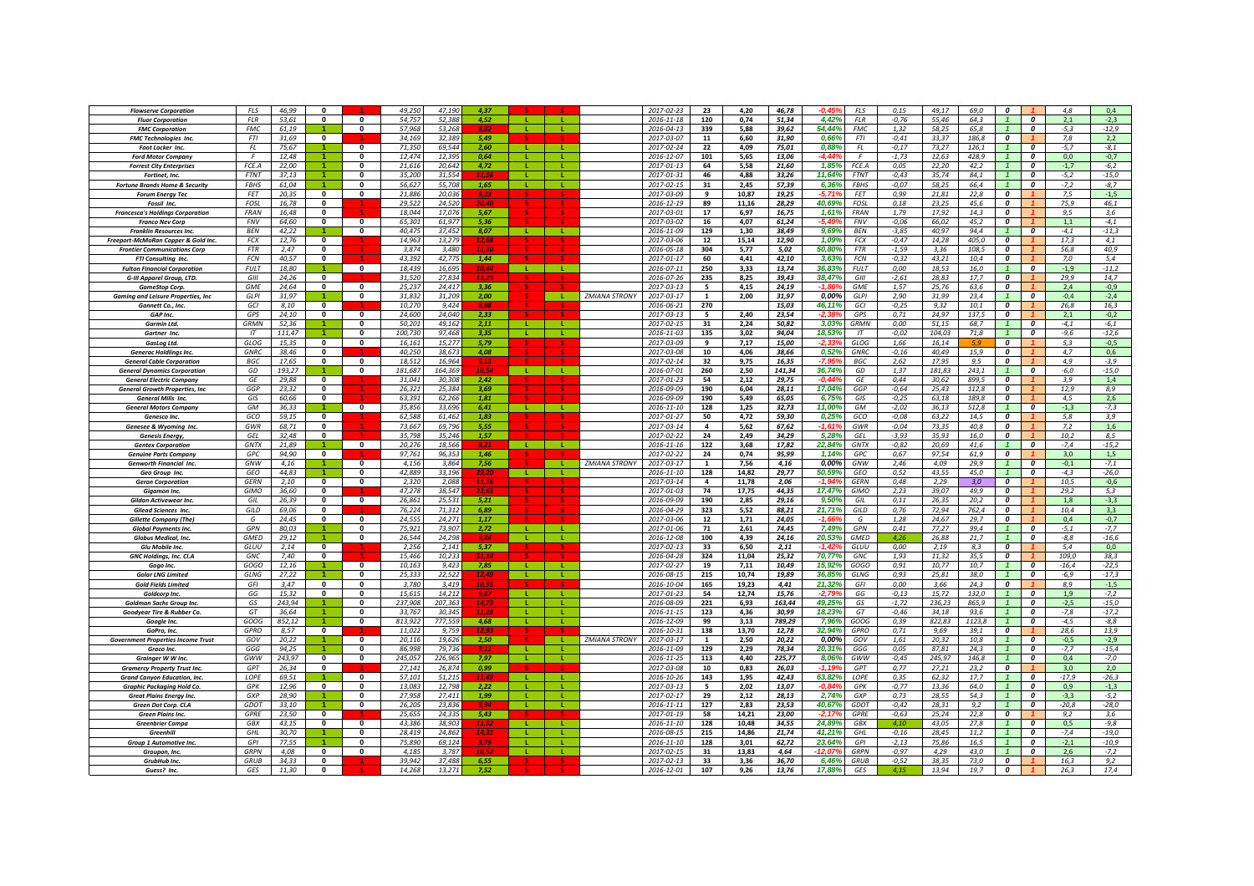| <b>Flowserve Corporation</b>               | FLS                 | 46,99  | $\mathbf{0}$        |                               | 49.250           | 47.19           | 4.37                 |              |              |                      | 2017-02-23       | 23                      | 4,20          | 46,78  | <b>FLS</b><br>ىە ە-             | 0, 15            | 49.17  | 69.0         | $\boldsymbol{o}$               |                                             | 4.8           | 0,4               |
|--------------------------------------------|---------------------|--------|---------------------|-------------------------------|------------------|-----------------|----------------------|--------------|--------------|----------------------|------------------|-------------------------|---------------|--------|---------------------------------|------------------|--------|--------------|--------------------------------|---------------------------------------------|---------------|-------------------|
| <b>Fluor Corporation</b>                   | <b>FLR</b>          | 53,61  | $\mathbf{0}$        | $\Omega$                      | 54.757           | 52.388          | 4.52                 | - 11         |              |                      | 2016-11-18       | 120                     | 0,74          | 51,34  | 4,42%<br><b>FLR</b>             | $-0,76$          | 55,46  | 64,3         |                                | $\boldsymbol{0}$                            | 2,1           | $-2,3$            |
| <b>FMC Corporation</b>                     | <b>FMC</b>          | 61,19  |                     | $\mathbf{0}$                  | 57,968           | 53,268          |                      |              |              |                      | 2016-04-13       | 339                     | 5,88          | 39,62  | 54,44%<br><b>FMC</b>            | 1,32             | 58,25  | 65.8         | $\mathbf{1}$                   | $\boldsymbol{o}$                            | $-5,3$        | $-12,9$           |
| <b>FMC Technologies Inc.</b>               | <b>FTI</b>          | 31,69  | $\mathbf{0}$        |                               | 34,169           | 32,389          | 5.49                 |              |              |                      | 2017-03-07       | 11                      | 6,60          | 31,90  | 0,66%<br><b>FTI</b>             | $-0.41$          | 33,37  | 186,8        | $\boldsymbol{0}$               |                                             | 7,8           | 2,2               |
| Foot Locker Inc.                           | FL                  | 75.67  |                     | $\Omega$                      | 71.350           | 69.544          | 2.60                 |              |              |                      | 2017-02-24       | 22                      | 4.09          | 75,01  | 0,88%<br>FL                     | $-0,17$          | 73.27  | 126.1        |                                | $\boldsymbol{o}$                            | $-5.7$        | $-8,1$            |
| <b>Ford Motor Company</b>                  |                     | 12,48  |                     |                               | 12.47            | 12.39.          | 0,64                 |              |              |                      | 2016-12-07       | 101                     | 5,65          | 13,06  | -4 44                           | $-1,73$          | 12,63  | 428.9        |                                | $\boldsymbol{o}$                            | 0,0           | $-0,7$            |
| <b>Forrest City Enterprises</b>            | FCE.A               | 22,00  |                     | $\mathbf{0}$                  | 21,616           | 20,642          | 4,72                 |              |              |                      | 2017-01-13       | 64                      | 5,58          | 21,60  | 1,859<br>FCE.A                  | 0,05             | 22,20  | 42,2         |                                | $\boldsymbol{0}$                            | $-1,7$        | $-6,2$            |
| Fortinet, Inc.                             | <b>FTNT</b>         | 37,13  |                     | $\Omega$                      | 35,200           | 31.554          |                      |              | л.           |                      | 2017-01-31       | 46                      | 4,88          | 33.26  | 11.64%<br><b>FTNT</b>           | $-0.43$          | 35.74  | 84.1         |                                | $\boldsymbol{0}$                            | $-5,2$        | $-15,0$           |
| <b>Fortune Brands Home &amp; Security</b>  | <b>FBHS</b>         | 61,04  |                     | $\mathbf{0}$                  | 56.627           | 55,708          | 1,65                 | - 12         | - L -        |                      | 2017-02-15       | 31                      | 2.45          | 57,39  | 6,36%<br><b>FBHS</b>            | $-0.07$          | 58.25  | 66.4         |                                | $\overline{\mathbf{c}}$                     | $-7,2$        | $-8,7$            |
|                                            | <b>FFT</b>          | 20,35  | $\mathbf{0}$        | $\mathbf{0}$                  | 21.886           | 20,036          |                      |              |              |                      | 2017-03-09       | $\mathbf{q}$            | 10.87         | 19,25  | <b>FET</b><br>$-5.71$           | 0.99             | 21,81  | 22,8         | $\Omega$                       |                                             | 7,5           | $-1,5$            |
| <b>Forum Energy Tec</b>                    | <b>FOSL</b>         |        | $\mathbf{0}$        |                               | 29.522           | 24.521          | 9,23<br>20.4         |              |              |                      |                  |                         |               |        |                                 |                  |        |              | $\boldsymbol{0}$               |                                             |               |                   |
| Fossil Inc.                                | <b>FRAN</b>         | 16,78  | 0                   |                               | 18.044           |                 |                      |              |              |                      | 2016-12-19       | 89<br>17                | 11,16         | 28,29  | 40,69%<br>FOSL<br><b>FRAN</b>   | 0,18             | 23,25  | 45,6         | $\Omega$                       |                                             | 75,9          | 46,1              |
| <b>Francesca's Holdings Corporation</b>    |                     | 16,48  |                     |                               |                  | 17,076          | 5,67                 |              |              |                      | 2017-03-01       |                         | 6,97          | 16,75  | 1,61%                           | 1,79             | 17,92  | 14,3         |                                |                                             | 9,5           | 3,6               |
| <b>Franco Nev Corp</b>                     | <b>FNV</b>          | 64,60  | 0                   | $\mathbf 0$                   | 65,301           | 61,977          | 5,36                 |              |              |                      | 2017-03-02       | 16                      | 4,07          | 61,24  | $-5,49$<br><b>FNV</b>           | $-0,06$          | 66,02  | 45,2         | 0                              |                                             | 1,1           | $-4,1$            |
| <b>Franklin Resources Inc.</b>             | <b>BFN</b>          | 42,22  |                     | $\mathbf{0}$                  | 40.475           | 37,452          | 8,07                 | -11          |              |                      | 2016-11-09       | 129                     | 1,30          | 38,49  | 9,69%<br><b>BFN</b>             | $-3,85$          | 40.97  | 94.4         | $\mathbf{1}$                   | $\boldsymbol{0}$                            | $-4,1$        | $-11,3$           |
| Freeport-McMoRan Copper & Gold Inc.        | <b>FCX</b>          | 12,76  | $\mathbf{0}$        |                               | 14.963           | 13.279          | 12,68                |              |              |                      | 2017-03-06       | 12                      | 15,14         | 12,90  | 1,09%<br><b>FCX</b>             | $-0,47$          | 14,28  | 405.0        | 0                              |                                             | 17,3          | 4,1               |
| <b>Frontier Communications Corp</b>        | <b>FTR</b>          | 2.47   | $\bf{0}$            |                               | 3.874            | 3.480           | 11.31                |              |              |                      | 2016-05-18       | 304                     | 5.77          | 5,02   | 50.80%<br><b>FTR</b>            | $-1,59$          | 3,36   | 108.5        | $\boldsymbol{o}$               |                                             | 56.8          | 40.9              |
| FTI Consulting Inc.                        | <b>FCN</b>          | 40.57  | $\Omega$            |                               | 43.392           | 42.775          | 1.44                 |              |              |                      | 2017-01-17       | 60                      | 4.41          | 42.10  | 3,63%<br><b>FCN</b>             | $-0.32$          | 43.21  | 10.4         | $\overline{0}$                 |                                             | 7.0           | 5.4               |
| <b>Fulton Financial Corporation</b>        | <b>FULT</b>         | 18.80  |                     | $\Omega$                      | 18.439           | 16.695          | 10.44                | - 11         | - 11         |                      | 2016-07-11       | 250                     | 3.33          | 13,74  | 36.83%<br><b>FULT</b>           | 0.00             | 18.53  | 16.0         | $\mathbf{1}$                   | $\Omega$                                    | $-1.9$        | $-11.2$           |
| G-III Apparel Group, LTD.                  | GIII                | 24,26  | $\mathbf 0$         |                               | 31,520           | 27,834          |                      |              |              |                      | 2016-07-26       | 235                     | 8,25          | 39,43  | 38,47%<br>GIII                  | $-2,61$          | 28,83  | 17,7         | 0                              |                                             | 29,9          | 14,7              |
| <b>GameStop Corp.</b>                      | <b>GME</b>          | 24,64  | $\mathbf 0$         | $\mathbf 0$                   | 25,237           | 24,417          | 3,36                 |              |              |                      | 2017-03-13       | 5                       | 4,15          | 24,19  | -1.8<br><b>GME</b>              | 1,57             | 25,76  | 63,6         | $\boldsymbol{o}$               |                                             | 2,4           | $-0,9$            |
| <b>Gaming and Leisure Properties, Inc.</b> | <b>GLPI</b>         | 31,97  |                     | $\mathbf{0}$                  | 31,832           | 31,209          | 2,00                 |              | л.           | <b>ZMIANA STRONY</b> | 2017-03-17       | 1                       | 2,00          | 31,97  | 0,00%<br><b>GLPI</b>            | 2,90             | 31,99  | 23,4         | $\mathbf{1}$                   | $\boldsymbol{o}$                            | $-0,4$        | $-2,4$            |
| Gannett Co., Inc.                          | GCI                 | 8.10   | $\bf{0}$            |                               | 10,270           | 9,424           |                      |              |              |                      | 2016-06-21       | 270                     |               | 15,03  | 46,11%<br>GCI                   | $-0.25$          | 9.32   | 10,1         | 0                              |                                             | 26,8          | 16,3              |
| GAP Inc.                                   | GPS                 | 24,10  | 0                   | $\mathbf{0}$                  | 24,600           | 24.040          | 2.33                 |              |              |                      | 2017-03-13       | 5                       | 2,40          | 23,54  | <b>GPS</b><br>2.3               | 0,71             | 24,97  | 137,5        | $\overline{\mathbf{c}}$        |                                             | 2,1           | $-0,2$            |
| Garmin Ltd.                                | <b>GRMN</b>         | 52.36  |                     | $\Omega$                      | 50.201           | 49.162          | 2.11                 |              |              |                      | 2017-02-15       | 31                      | 2.24          | 50.82  | 3.03%<br><b>GRMN</b>            | 0.00             | 51.15  | 68.7         | $\mathbf{1}$                   | $\boldsymbol{o}$                            | $-4.1$        | $-6,1$            |
| Gartner Inc.                               | IT                  | 111,47 |                     | $\Omega$                      | 100.730          | 97.468          | 3.35                 | -11          | л.           |                      | 2016-11-03       | 135                     | 3,02          | 94.04  | 18,53%<br>IT                    | $-0.02$          | 104,03 | 71,8         | $\mathbf{1}$                   | $\boldsymbol{0}$                            | $-9,6$        | $-12,6$           |
| GasLog Ltd.                                | GLOG                | 15,35  | $\bf{0}$            | $\mathbf{0}$                  | 16,161           | 15,277          | 5.79                 |              |              |                      | 2017-03-09       | -9                      | 7,17          | 15,00  | GLOG<br>-2,33                   | 1,66             | 16,14  |              | $\overline{\mathbf{c}}$        |                                             | 5,3           | $-0,5$            |
| <b>Generac Holdlings Inc.</b>              | <b>GNRC</b>         | 38,46  | 0                   |                               | 40,250           | 38,673          | 4,08                 |              |              |                      | 2017-03-08       | 10                      | 4,06          | 38,66  | <b>GNRC</b><br>0,52%            | $-0,16$          | 40,49  | 15,9         | $\boldsymbol{o}$               |                                             | 4,7           | 0,6               |
| <b>General Cable Corporation</b>           | <b>BGC</b>          | 17,65  | $\mathbf{0}$        | $\Omega$                      | 18,512           | 16,964          | 9,13                 |              |              |                      | 2017-02-14       | 32                      | 9,75          | 16,35  | -7,95<br>BGC                    | 2,62             | 17,95  | 9,5          | $\boldsymbol{0}$               |                                             | 4,9           | $-3,9$            |
| <b>General Dynamics Corporation</b>        | GD                  | 193,27 |                     | $\mathbf{0}$                  | 181,687          | 164,369         | 10.5                 | <b>L</b>     | <b>L</b>     |                      | 2016-07-01       | 260                     | 2,50          | 141,34 | 36,74%<br>GD                    | 1,37             | 181,83 | 243,1        | $\mathbf{1}$                   | $\boldsymbol{0}$                            | $-6,0$        | $-15,0$           |
| <b>General Electric Company</b>            | GF                  | 29.88  | $\mathbf{0}$        |                               | 31.041           | 30.308          | 2.42                 |              |              |                      | 2017-01-23       | 54                      | 2.12          | 29.75  | $-0.449$<br>GF                  | 0.44             | 30.62  | 899.5        | 0                              |                                             | 3.9           | 1,4               |
| <b>General Growth Properties, Inc.</b>     | GGE                 | 23,32  | 0                   |                               | 26,321           | 25.384          | 3,69                 |              |              |                      | 2016-09-09       | 190                     | 6,04          | 28,11  | 17,04%<br>GGP                   | $-0,64$          | 25,43  | 112,8        | 0                              |                                             | 12,9          | 8,9               |
| <b>General Mills Inc.</b>                  | GIS                 | 60,66  | $\bf{0}$            |                               | 63,391           | 62.26           | 1,81                 |              |              |                      | 2016-09-09       | 190                     | 5,49          | 65,05  | 6,75%<br>GIS                    | $-0.25$          | 63,18  | 189,8        | 0                              |                                             | 4,5           | 2,6               |
| <b>General Motors Company</b>              | <b>GM</b>           | 36.33  |                     | $\mathbf{0}$                  | 35.856           | 33.696          | 6.41                 | - 11         | -11          |                      | 2016-11-10       | 128                     | 1.25          | 32,73  | 11,00%<br><b>GM</b>             | $-2.02$          | 36.13  | 512.8        |                                | $\boldsymbol{0}$                            | $-1.3$        | $-7,3$            |
| Genesco Inc                                | GCO                 | 59.15  | $\mathbf{0}$        |                               | 62.588           | 61.462          | 1.83                 |              |              |                      | 2017-01-27       | 50                      | 4,72          | 59,30  | 0,25%<br>GCO                    | $-0.08$          | 63.22  | 14.5         | $\overline{\mathbf{c}}$        |                                             | 5.8           | 3,9               |
| Genesee & Wyoming Inc.                     | GWR                 | 68,71  | $\mathbf{0}$        |                               | 73.667           | 69.796          | 5.55                 |              |              |                      | 2017-03-14       | $\Delta$                | 5,62          | 67,62  | $-1.61$<br>GWR                  | $-0,04$          | 73.35  | 40,8         | $\Omega$                       |                                             | 7.2           | 1,6               |
| <b>Genesis Enerav.</b>                     | GEL                 | 32,48  | $\Omega$            |                               | 35,798           | 35,246          | 1,57                 |              |              |                      | 2017-02-22       | 24                      | 2,49          | 34,29  | 5.28%<br>GEL                    | $-3,93$          | 35,93  | 16,0         | $\boldsymbol{o}$               |                                             | 10,2          | 8,5               |
| <b>Gentex Corporation</b>                  | GNTX                | 21,89  |                     | $\overline{\mathbf{0}}$       | 20,276           | 18,566          |                      | п.,          | $\mathbf{L}$ |                      | 2016-11-16       | 122                     | 3,68          | 17,82  | 22,84%<br><b>GNTX</b>           | $-0,82$          | 20,69  | 41,6         |                                | 0                                           | $-7,4$        | $-15,2$           |
| <b>Genuine Parts Company</b>               | GPC                 | 94,90  | 0                   |                               | 97,761           | 96,35.          | 1,46                 |              |              |                      | 2017-02-22       | 24                      | 0,74          | 95,99  | 1,14%<br>GPC                    | 0,67             | 97,54  | 61,9         | 0                              |                                             | 3,0           | 1,5               |
| Genworth Financial Inc.                    | GNW                 | 4.16   |                     | $\mathbf{0}$                  | 4.156            | 3.86            | 7,56                 |              |              | <b>ZMIANA STRONY</b> | 2017-03-17       | $\mathbf{1}$            | 7,56          | 4,16   | 0,00%<br>GNW                    | 2,46             | 4.09   | 29.9         |                                | $\boldsymbol{0}$                            | $-0,1$        | $-7,1$            |
| Geo Group Inc.                             | GEO                 | 44,83  |                     |                               | 42.88            | 33,196          |                      |              |              |                      | 2016-11-10       | 128                     | 14,82         | 29,77  | 50,59%<br>GEO                   | 0,52             | 43.55  | 45,0         |                                | $\boldsymbol{0}$                            | $-4,3$        | $-26,0$           |
| <b>Geron Corporation</b>                   | <b>GERN</b>         | 2.10   | $\bf{0}$            | $\mathbf 0$                   | 2.320            | 2.088           | 11.11                |              |              |                      | 2017-03-14       | $\overline{\mathbf{a}}$ | 11.78         | 2.06   | <b>GERN</b><br>$-1.94$          | 0.48             | 2.29   | 3.0          | $\boldsymbol{o}$               |                                             | 10.5          | $-0.6$            |
|                                            | <b>GIMO</b>         | 36.60  | $\Omega$            |                               | 47.278           | 38.547          |                      |              |              |                      | 2017-01-03       | 74                      | 17.75         | 44.35  | 17.47%<br><b>GIMO</b>           | 2,23             | 39.07  | 49.9         | $\overline{a}$                 |                                             | 29.2          | 5.3               |
| <b>Giaamon Inc.</b>                        | GIL                 | 26,39  | $\bf{0}$            | $\mathbf 0$                   | 26,861           | 25,531          | 5,21                 |              |              |                      | 2016-09-09       | 190                     | 2,85          | 29,16  | 9,50%<br>GIL                    | 0,11             | 26,35  | 20,2         | $\boldsymbol{0}$               |                                             | 1,8           | $-3,3$            |
| Gildan Activewear Inc.                     | GILD                |        | $\bf{0}$            |                               |                  | 71.312          | 6.89                 |              |              |                      | 2016-04-29       | 323                     |               |        | 21,71%<br>GILD                  | 0,76             |        |              | $\boldsymbol{0}$               |                                             |               |                   |
| Gilead Sciences Inc.                       | G                   | 69,06  | $\ddot{\mathbf{0}}$ | $\mathbf{0}$                  | 76,224           |                 |                      |              |              |                      |                  |                         | 5,52          | 88,21  |                                 |                  | 72,94  | 762,4        | 0                              |                                             | 10,4          | 3,3               |
| <b>Gillette Company (The)</b>              | GPN                 | 24,45  |                     | $\mathbf{0}$                  | 24,555           | 24,271          | 1,17                 |              | ÷.           |                      | 2017-03-06       | 12                      | 1,71          | 24,05  | G<br>-1.66                      | 1,28             | 24,67  | 29,7         | $\mathbf{1}$                   | $\boldsymbol{o}$                            | 0,4           | $-0,7$            |
| <b>Global Payments Inc.</b>                |                     | 80,03  |                     |                               | 75,921           | 73,907          | 2,72                 | -11          | т.           |                      | 2017-01-06       | 71                      | 2,61          | 74,45  | 7,49%<br>GPN                    | 0,41             | 77,27  | 99,4         |                                |                                             | $-5,1$        | $-7,7$            |
| Globus Medical, Inc.                       | <b>GMED</b><br>GIII | 29.12  | $\Omega$            | $\mathbf{0}$                  | 26.544           | 24.298          | 9.24                 | -11          |              |                      | 2016-12-08       | 100                     | 4.39          | 24,16  | 20,53%<br><b>GMED</b><br>$-142$ | 4.26             | 26.88  | 21.7<br>83   | $\mathbf{1}$<br>$\overline{0}$ | $\boldsymbol{o}$                            | $-8.8$        | $-16,6$           |
| <b>Glu Mobile Inc.</b>                     |                     | 2.14   | $\bf{0}$            |                               | 2.256            | 2.141           | 5.37<br>51.14        |              |              |                      | 2017-02-13       | 33                      | 6.50          | 2.11   | GLUU                            | 0.00             | 2.19   |              |                                |                                             | 5.4           | 0.0               |
| GNC Holdings, Inc. Cl.A                    | GNC                 | 7,40   |                     |                               | 15,466           | 10,233          |                      |              |              |                      | 2016-04-28       | 324                     | 11,04         | 25,32  | 70,77%<br>GNC                   | 1,93             | 11,32  | 35,5         | 0                              |                                             | 109,0         | 38,3              |
| Gogo Inc                                   | GOGO<br>GLNG        | 12,16  | -1.                 | $\mathbf 0$<br>$\overline{0}$ | 10.163<br>25.333 | 9.423<br>22.522 | 7.85<br>12.4         | - Li<br>- 11 | -11<br>-11   |                      | 2017-02-27       | 19<br>215               | 7.11<br>10.74 | 10,49  | 15.92%<br>GOGO<br>36.85%        | 0.91             | 10,77  | 10.7<br>38.0 | $\overline{1}$<br>$\mathbf{1}$ | $\boldsymbol{0}$<br>$\overline{\mathbf{c}}$ | $-16,4$       | $-22,5$           |
| <b>Golar LNG Limited</b>                   |                     | 27,22  | $\mathbf{0}$        | $\Omega$                      | 3.780            |                 |                      |              |              |                      | 2016-08-15       | 165                     |               | 19,89  | <b>GLNG</b><br>21,32%<br>GFI    | 0,93             | 25,81  |              | $\overline{0}$                 |                                             | $-6,9$<br>8.9 | $-17,3$<br>$-1,5$ |
| <b>Gold Fields Limited</b>                 | GFI                 | 3,47   |                     | $\Omega$                      |                  | 3,419           | $Q$ $Q$ <sub>7</sub> | - 11         | л.           |                      | 2016-10-04       |                         | 19,23         | 4,41   |                                 | 0,00             | 3,66   | 24,3         |                                |                                             |               |                   |
| Goldcorp Inc.                              | GG                  | 15,32  | $\mathbf{0}$        | $\Omega$                      | 15,615           | 14,212          | 14.7                 |              |              |                      | 2017-01-23       | 54                      | 12,74         | 15,76  | $-2,79$<br>GG                   | $-0,13$          | 15,72  | 132,0        |                                | $\boldsymbol{o}$                            | 1,9           | $-7,2$            |
| <b>Goldman Sachs Group Inc.</b>            | GS                  | 243,94 |                     |                               | 237,908          | 207,363         |                      |              |              |                      | 2016-08-09       | 221                     | 6,93          | 163,44 | 49,25%<br>GS                    | $-1,72$          | 236,23 | 865,9        |                                | 0                                           | $-2,5$        | $-15,0$           |
| Goodyear Tire & Rubber Co.                 | GT                  | 36,64  |                     | $\mathbf{0}$                  | 33,767           | 30,345          |                      |              |              |                      | 2016-11-15       | 123                     | 4,36          | 30,99  | 18,23%<br>GT                    | $-0,46$          | 34,18  | 93,6         |                                | $\boldsymbol{o}$                            | $-7,8$        | $-17,2$           |
| Google Inc.                                | GOOG                | 852,12 |                     | $\mathbf{0}$                  | 813,922          | 777,559         | 4,68                 |              |              |                      | 2016-12-09       | 99                      | 3,13          | 789,29 | 7,96%<br>GOOG                   | 0,39             | 822,83 | 1123,8       |                                | $\boldsymbol{0}$                            | $-4,5$        | $-8,8$            |
| GoPro, Inc.                                | GPRO                | 8,57   | 0                   |                               | 11,022           | 9,759           | 12.9.                |              |              |                      | 2016-10-31       | 138                     | 13,70         | 12,78  | 32,94%<br>GPRO                  | 0,71             | 9,69   | 39,1         | 0                              |                                             | 28,6          | 13,9              |
| <b>Government Properties Income Trust</b>  | GOV                 | 20.22  |                     | $\mathbf{0}$                  | 20.116           | 19.626          | 2,50                 |              |              | <b>ZMIANA STRONY</b> | 2017-03-17       | 1                       | 2,50          | 20.22  | 0.00%<br>GOV                    | 1.61             | 20.32  | 10.8         | $\mathbf{1}$                   | $\boldsymbol{o}$                            | $-0,5$        | $-2,9$            |
| <b>Graco Inc.</b>                          | GGG                 | 94.25  |                     | $\Omega$                      | 86.998           | 79.736          | 9.11                 |              |              |                      | 2016-11-09       | 129                     | 2,29          | 78.34  | 20.31%<br>GGG                   | 0,05             | 87.81  | 24.3         | $\mathbf{1}$                   | $\Omega$                                    | $-7,7$        | $-15,4$           |
| Grainger W W Inc.                          | GWW                 | 243.97 | $\Omega$            | $\mathbf{0}$                  | 245.057          | 226.965         | 7,97                 | <b>L</b>     |              |                      | 2016-11-25       | 113                     | 4,40          | 225,77 | 8,06%<br>GWW                    | $-0.45$          | 245.97 | 146,8        | $\mathbf{1}$                   | $\mathbf{a}$                                | 0,4           | $-7.0$            |
| <b>Gramercy Property Trust Inc</b>         | GPT                 | 26,34  | 0                   |                               | 27,141           | 26,874          | 0,99                 |              |              |                      | 2017-03-08       | 10                      | 0,83          | 26,03  | $-1,19$<br><b>GPT</b>           | 0,77             | 27,21  | 23,2         | 0                              |                                             | 3,0           | 2,0               |
| <b>Grand Canyon Education, Inc.</b>        | LOPE                | 69,51  |                     | $\mathbf 0$                   | 57,101           | 51,215          | 11.4                 |              |              |                      | 2016-10-26       | 143                     | 1,95          | 42,43  | 63,82%<br>LOPE                  | 0,35             | 62,32  | 17,7         | $\mathbf{1}$                   | $\boldsymbol{o}$                            | $-17,9$       | $-26,3$           |
| Graphic Packaging Hold Co.                 | GPK                 | 12,96  | 0                   | $\mathbf{0}$                  | 13,083           | 12,798          | 2,22                 | -11          |              |                      | 2017-03-13       | 5                       | 2,02          | 13,07  | GPK<br>-0.84'                   | $-0,77$          | 13,36  | 64,0         | $\mathbf{1}$                   | $\boldsymbol{o}$                            | 0,9           | $-1,3$            |
| <b>Great Plains Energy Inc</b>             | GXP                 | 28.90  |                     | $\mathbf{0}$                  | 27.958           | 27.41           | 1,99                 | <b>L</b>     |              |                      | 2017-02-17       | 29                      | 2,12          | 28,13  | 2.74%<br>GXP                    | 0.73             | 28,55  | 54.3         | $\mathbf{1}$                   | $\boldsymbol{0}$                            | $-3,3$        | $-5,2$            |
| Green Dot Corp. Cl.A                       | GDO <sub>1</sub>    | 33.10  |                     | $\mathbf{0}$                  | 26,205           | 23.83           | 9.94                 | -11          |              |                      | $2016 - 11 - 11$ | 127                     | 2,83          | 23,53  | 40,67<br><b>GDOT</b>            | $-0.42$          | 28,31  | 9.2          |                                | $\boldsymbol{0}$                            | $-20,8$       | $-28,0$           |
| <b>Green Plains Inc.</b>                   | <b>GPRE</b>         | 23.50  | $\bf{0}$            |                               | 25.65            | 24.335          | 5.43                 |              |              |                      | 2017-01-19       | 58                      | 14.21         | 23.00  | -2.17<br><b>GPRE</b>            | $-0.63$          | 25.24  | 22.8         | $\boldsymbol{o}$               |                                             | 9.2           | 3.6               |
| <b>Greenbrier Compa</b>                    | GBX                 | 43.15  | $\mathbf{0}$        | $\overline{\mathbf{0}}$       | 43.386           | 38.903          |                      | π.           | -11          |                      | $2016 - 11 - 10$ | 128                     | 10,48         | 34,55  | 24,89%<br>GBX                   | 4.10             | 43,05  | 27.8         |                                | $\boldsymbol{0}$                            | 0.5           | $-9,8$            |
| Greenhil                                   | GHI                 | 30.70  |                     | $\Omega$                      | 28,419           | 24.86.          | $14.3^{\circ}$       | - 11         | -11          |                      | 2016-08-15       | 215                     | 14,86         | 21,74  | 41,219<br>GHI                   | $-0,16$          | 28,45  | 11,2         | $\overline{1}$                 | $\boldsymbol{0}$                            | $-7,4$        | $-19,0$           |
| Group 1 Automotive Inc.                    | GPI                 | 77,55  |                     | $\Omega$                      | 75,890           | 69,124          |                      | - 11         | т.           |                      | 2016-11-10       | 128                     | 3,01          | 62,72  | 23,64%<br>GPI                   | $-2,13$          | 75,86  | 16,5         |                                | $\boldsymbol{0}$                            | $-2,1$        | $-10,9$           |
| Groupon, Inc.                              | GRPN                | 4,08   | $\bf{0}$            | $\Omega$                      | 4,185            | 3,787           |                      |              | L.           |                      | 2017-02-15       | 31                      | 13,83         | 4,64   | GRPN                            | $-0,97$          | 4,29   | 43,0         |                                | $\boldsymbol{0}$                            | 2,6           | $-7,2$            |
| GrubHub Inc.                               | <b>GRUB</b>         | 34,33  | 0                   |                               | 39,942           | 37,488          | 6,55                 |              |              |                      | 2017-02-13       | 33                      | 3,36          | 36,70  | 6,46<br><b>GRUB</b>             | $-0,52$          | 38,35  | 73,0         | 0                              |                                             | 16,3          | 9,2               |
|                                            |                     | 11,30  | $\bf{0}$            |                               | 14.268           | 13,271          |                      |              |              |                      | 2016-12-01       | 107                     | 9,26          | 13.76  | 17,88<br>GES                    | 4.1 <sup>1</sup> | 13.94  | 19,7         | $\boldsymbol{o}$               |                                             | 26,3          | 17,4              |
| Guess? Inc.                                | GES                 |        |                     |                               |                  |                 |                      |              |              |                      |                  |                         |               |        |                                 |                  |        |              |                                |                                             |               |                   |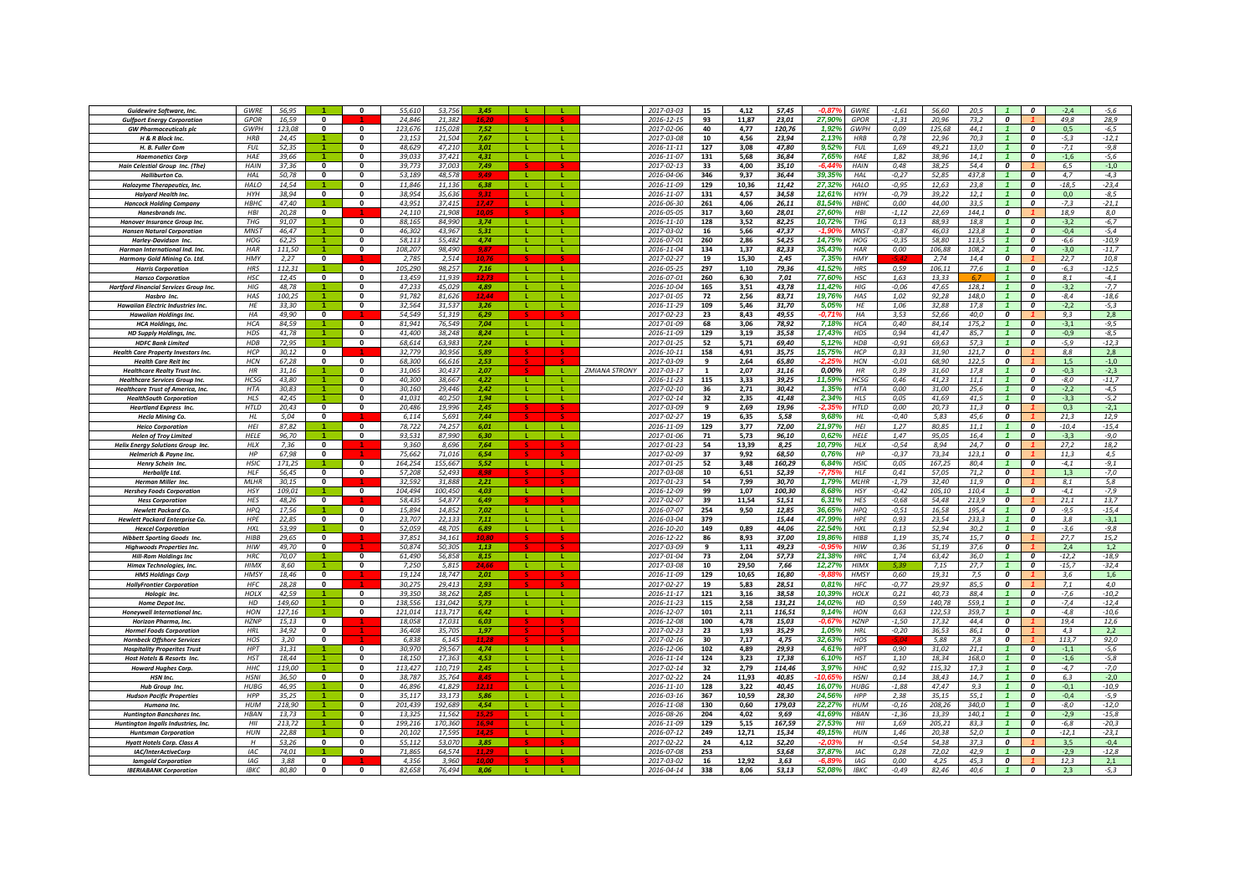| Guidewire Software, Inc.                                                         | GWRE                       | 56,95           |                              | n                 | 55.610           | 53.75            | 3.45              |              |                | 2017-03-03                                | 15                  | 4,12           | 57,45          | <b>-0.87°</b>     | <b>GWRE</b>                | $-1,61$         | 56.60<br>20,5                   |                                           | $\boldsymbol{0}$                     | $-2,4$           | $-5,6$            |
|----------------------------------------------------------------------------------|----------------------------|-----------------|------------------------------|-------------------|------------------|------------------|-------------------|--------------|----------------|-------------------------------------------|---------------------|----------------|----------------|-------------------|----------------------------|-----------------|---------------------------------|-------------------------------------------|--------------------------------------|------------------|-------------------|
| <b>Gulfport Energy Corporation</b>                                               | <b>GPOR</b>                | 16,59           | $\Omega$                     |                   | 24,846           | 21,382           |                   |              |                | 2016-12-15                                | 93                  | 11,87          | 23,01          | 27,90%            | <b>GPOR</b>                | $-1, 31$        | 73,2<br>20,96                   | $\boldsymbol{o}$                          |                                      | 49,8             | 28,9              |
| <b>GW Pharmaceuticals plc</b>                                                    | <b>GWPH</b>                | 123,08          | $\mathbf{0}$                 | $\Omega$          | 123.67           | 115,028          | 7.52              | - 11         | л.             | 2017-02-06                                | 40                  | 4,77           | 120,76         | 1,92%             | <b>GWPH</b>                | 0,09            | 44,1<br>125,68                  |                                           | $\boldsymbol{0}$                     | 0,5              | $-6,5$            |
| H & R Block Inc.                                                                 | <b>HRB</b>                 | 24,45           |                              | $\mathbf{0}$      | 23,153           | 21,504           | 7,67              |              | л.             | 2017-03-08                                | 10                  | 4,56           | 23,94          | 2,13%             | HRB                        | 0,78            | 70,3<br>22,96                   |                                           | $\boldsymbol{0}$                     | $-5,3$           | $-12,1$           |
| H. B. Fuller Com                                                                 | <b>FUL</b>                 | 52.35           |                              | 0                 | 48.629           | 47.210           | 3.01              |              | л.             | 2016-11-11                                | 127                 | 3,08           | 47,80          | 9.52%             | <b>FUI</b>                 | 1,69            | 13.0<br>49.21                   |                                           | $\boldsymbol{0}$                     | $-7,1$           | $-9,8$            |
| <b>Haemonetics Corp</b><br>Hain Celestial Group Inc. (The)                       | HAI<br>HAIN                | 39.66<br>37,36  | $\mathbf{0}$                 | $\mathbf 0$<br>0  | 39.03<br>39,77   | 37,42<br>37,003  | 4,31<br>7,49      |              |                | 2016-11-07<br>2017-02-13                  | 131<br>33           | 5,68<br>4,00   | 36,84<br>35,10 | 7,65%<br>-6,44    | HAE<br>HAIN                | 1,82<br>0,48    | 38.96<br>14.1<br>38,25<br>54,4  | 0                                         | 0                                    | $-1.6$<br>6,5    | $-5,6$<br>$-1,0$  |
| <b>Halliburton Co.</b>                                                           | HAL                        | 50.78           | $\mathbf{0}$                 | 0                 | 53,189           | 48.578           | 9.49              | -1.          | л.             | 2016-04-06                                | 346                 | 9.37           | 36.44          | 39.35%            | <b>HAL</b>                 | $-0.27$         | 52.85<br>437.8                  |                                           | $\boldsymbol{0}$                     | 4.7              | $-4,3$            |
| <b>Halozyme Therapeutics, Inc.</b>                                               | <b>HALO</b>                | 14,54           |                              | 0                 | 11.846           | 11.136           | 6,38              | - L.         | п.             | 2016-11-09                                | 129                 | 10.36          | 11.42          | 27.32%            | <b>HALO</b>                | $-0,95$         | 12.63<br>23.8                   |                                           | $\boldsymbol{0}$                     | $-18,5$          | $-23,4$           |
| <b>Halyard Health Inc.</b>                                                       | <b>HYH</b>                 | 38,94           | $\mathbf{0}$                 | $\Omega$          | 38.954           | 35,636           | 9.31              | -11          | л.             | 2016-11-07                                | 131                 | 4,57           | 34,58          | 12,61%            | <b>HYH</b>                 | $-0,79$         | 39.22<br>12,1                   | $\mathbf{1}$                              | $\Omega$                             | 0.0              | $-8,5$            |
| <b>Hancock Holding Company</b>                                                   | HBHC                       | 47,40           |                              | $\mathbf{0}$      | 43,951           | 37,415           | 17,47             | -11          | л.             | 2016-06-30                                | 261                 | 4,06           | 26,11          | 81,54%            | НВНС                       | 0,00            | 44.00<br>33,5                   |                                           | $\boldsymbol{0}$                     | $-7,3$           | $-21,1$           |
| Hanesbrands Inc.                                                                 | <b>HBI</b>                 | 20,28           | $\mathbf{0}$                 |                   | 24,110           | 21,908           | 10.0              |              |                | 2016-05-05                                | 317                 | 3,60           | 28,01          | 27,60%            | HBI                        | $-1,12$         | 144,1<br>22,69                  | $\Omega$                                  |                                      | 18,9             | 8,0               |
| <b>Hanover Insurance Group Inc</b>                                               | THG                        | 91,07           |                              | $\mathbf{0}$      | 88,165           | 84,990           | 3,74              | -11          | ÷.             | 2016-11-10                                | 128                 | 3,52           | 82,25          | 10,72%            | THG                        | 0,13            | 88,93<br>18,8                   | $\mathbf{1}$                              | 0                                    | $-3,2$           | $-6,7$            |
| <b>Hansen Natural Corporation</b>                                                | <b>MNST</b>                | 46,47           | $\blacktriangleleft$         | 0                 | 46.30            | 43.96            | 5,31              |              |                | 2017-03-02                                | 16                  | 5,66           | 47,37          | $-1.90$           | <b>MNST</b>                | $-0,87$         | 46.03<br>123,8                  |                                           | $\boldsymbol{0}$                     | $-0,4$           | $-5,4$            |
| Harley-Davidson Inc.                                                             | HOG                        | 62,25           |                              | 0                 | 58.113           | 55.48            | 4,74              | $\mathbf{L}$ |                | 2016-07-01                                | 260                 | 2.86           | 54,25          | 14,75%            | HOG                        | $-0,35$         | 58.80<br>113.5                  |                                           | $\boldsymbol{0}$                     | -6,6             | $-10.9$           |
| Harman International Ind. Inc.                                                   | <b>HAR</b>                 | 111.50          | $\blacktriangleleft$         | $\mathbf{0}$      | 108.207          | 98.490           | 9.87              | $\mathbf{L}$ | $\mathbf{L}$ . | 2016-11-04                                | 134                 | 1.37           | 82.33          | 35.43%            | <b>HAR</b>                 | 0,00            | 106.88<br>108.2                 |                                           | $\boldsymbol{o}$                     | $-3,0$           | $-11,7$           |
| Harmony Gold Mining Co. Ltd.                                                     | <b>HMY</b><br><b>HRS</b>   | 2,27            | $\overline{0}$               | $\Omega$          | 2.785<br>105.290 | 2.514<br>98.257  | 10.7<br>7.16      | $\mathbf{L}$ | - 11           | 2017-02-27                                | 19<br>297           | 15.30          | 2,45           | 7,35%<br>41.52%   | <b>HMY</b><br><b>HRS</b>   | 0.59            | 2.74<br>14.4<br>77.6            | $\Omega$                                  | $\Omega$                             | 22.7<br>$-6.3$   | 10,8              |
| <b>Harris Corporation</b>                                                        | HSC                        | 112,31<br>12,45 | $\mathbf{0}$                 | 0                 | 13,459           | 11,939           | 12.7              |              | т.             | 2016-05-25                                |                     | 1,10           | 79,36<br>7,01  | 77,60%            | HSC                        |                 | 106,11<br>13,33                 |                                           | $\boldsymbol{0}$                     | 8,1              | $-12,5$<br>$-4,1$ |
| <b>Harsco Corporation</b><br><b>Hartford Financial Services Group Inc.</b>       | HIG                        | 48,78           |                              | 0                 | 47,233           | 45,029           | 4,89              |              |                | 2016-07-01<br>2016-10-04                  | 260<br>165          | 6,30<br>3,51   | 43,78          | 11,42%            | HIG                        | 1,63<br>$-0,06$ | 47,65<br>128,1                  |                                           | 0                                    | $-3,2$           | $-7,7$            |
| Hasbro Inc.                                                                      | HAS                        | 100,25          |                              | 0                 | 91,782           | 81,626           | 12,44             |              | <b>L</b>       | 2017-01-05                                | 72                  | 2,56           | 83,71          | 19,76%            | HAS                        | 1,02            | 92,28<br>148,0                  |                                           | 0                                    | $-8,4$           | $-18,6$           |
| <b>Hawaiian Electric Industries Inc.</b>                                         | HE                         | 33,30           |                              | 0                 | 32.564           | 31.53            | 3,26              |              |                | 2016-11-29                                | 109                 | 5,46           | 31,70          | 5,05%             | HF                         | 1,06            | 32.88<br>17.8                   |                                           | $\boldsymbol{0}$                     | $-2,2$           | $-5,3$            |
| Hawaiian Holdings Inc.                                                           | HA                         | 49,90           | $\mathbf{0}$                 |                   | 54.54            | 51,319           | 6,29              |              |                | 2017-02-23                                | 23                  | 8,43           | 49,55          | -0,719            | HA                         | 3,53            | 52,66<br>40.0                   | 0                                         |                                      | 9.3              | 2,8               |
| HCA Holdings, Inc.                                                               | <b>HCA</b>                 | 84.59           |                              | $\mathbf{0}$      | 81.941           | 76.549           | 7.04              |              |                | 2017-01-09                                | 68                  | 3.06           | 78.92          | 7.18%             | <b>HCA</b>                 | 0.40            | 84.14<br>175.2                  |                                           | 0                                    | $-3.1$           | $-9,5$            |
| HD Supply Holdings, Inc.                                                         | <b>HDS</b>                 | 41,78           |                              | $\mathbf{0}$      | 41,400           | 38,248           | 8.24              | п.           |                | 2016-11-09                                | 129                 | 3,19           | 35,58          | 17,43%            | <b>HDS</b>                 | 0,94            | 85,7<br>41,47                   | $\mathbf{1}$                              | $\boldsymbol{0}$                     | $-0,9$           | $-8,5$            |
| <b>HDFC Bank Limited</b>                                                         | <b>HDB</b>                 | 72,95           |                              | $\Omega$          | 68,614           | 63.98            | 7.24              | - L -        | л.             | 2017-01-25                                | 52                  | 5,71           | 69,40          | 5,12%             | HDB                        | $-0.91$         | 57,3<br>69.63                   |                                           | $\boldsymbol{0}$                     | $-5,9$           | $-12,3$           |
| <b>Health Care Property Investors Inc.</b>                                       | <b>HCP</b>                 | 30,12           | $\Omega$                     |                   | 32,779           | 30,956           | 5.89              |              |                | 2016-10-11                                | 158                 | 4,91           | 35,75          | 15,75%            | <b>HCP</b>                 | 0,33            | 121,7<br>31,90                  | $\Omega$                                  |                                      | 8,8              | 2,8               |
| <b>Health Care Reit Inc.</b>                                                     | HCN                        | 67,28           | $\mathbf{0}$                 | $\Omega$          | 68,300           | 66,616           | 2,53              |              |                | 2017-03-09                                | 9                   | 2,64           | 65,80          | -2.25             | HCN                        | $-0.01$         | 68,90<br>122,5                  | $\Omega$                                  |                                      | 1,5              | $-1,0$            |
| <b>Healthcare Realty Trust Inc.</b>                                              | HR<br><b>HCSG</b>          | 31,16<br>43.80  |                              | $\mathbf{0}$<br>0 | 31,065<br>40.300 | 30,437<br>38.667 | 2,07<br>4.22      | - Li         | л.             | ZMIANA STRONY<br>2017-03-17<br>2016-11-23 | $\mathbf{1}$<br>115 | 2,07           | 31,16          | 0,00%<br>11.59%   | HR<br><b>HCSG</b>          | 0,39<br>0.46    | 31,60<br>17,8<br>41.23<br>11.1  | $\mathbf{1}$<br>$\mathbf{1}$              | $\boldsymbol{0}$<br>$\boldsymbol{0}$ | $-0,3$<br>$-8.0$ | $-2,3$            |
| <b>Healthcare Services Group Inc.</b><br><b>Healthcare Trust of America, Inc</b> | <b>HTA</b>                 | 30,83           |                              | $\bf{0}$          | 30,16            | 29.44            | 2,42              |              |                | 2017-02-10                                | 36                  | 3,33<br>2,71   | 39,25<br>30,42 | 1.359             | <b>HTA</b>                 | 0,00            | 31,00<br>25,6                   |                                           | $\boldsymbol{0}$                     | $-2,2$           | $-11,7$<br>$-4,5$ |
| <b>HealthSouth Corporation</b>                                                   | HLS                        | 42,45           |                              | 0                 | 41,03            | 40.25            | 1,94              | - Li         | <b>L</b>       | 2017-02-14                                | 32                  | 2,35           | 41,48          | 2,34%             | HLS                        | 0,05            | 41.69<br>41,5                   |                                           | $\boldsymbol{0}$                     | $-3,3$           | $-5,2$            |
| <b>Heartland Express Inc.</b>                                                    | <b>HTLD</b>                | 20.43           | $\mathbf{0}$                 | $\mathbf{0}$      | 20.486           | 19.99            | 2.45              |              |                | 2017-03-09                                | 9                   | 2.69           | 19,96          | $-2.35$           | <b>HTLD</b>                | 0.00            | 20.73<br>11.3                   | $\boldsymbol{o}$                          |                                      | 0.3              | $-2,1$            |
| <b>Hecla Minina Co</b>                                                           | HL                         | 5,04            | $\mathbf{0}$                 |                   | 6,114            | 5.69             | 7.44              |              |                | 2017-02-27                                | 19                  | 6,35           | 5,58           | 9.68%             | HL                         | $-0,40$         | 5.83<br>45.6                    | $\boldsymbol{o}$                          |                                      | 21,3             | 12,9              |
| <b>Heico Corporation</b>                                                         | HEI                        | 87,82           |                              | $\Omega$          | 78.722           | 74.257           | 6.01              | $\mathbf{L}$ | $\mathbf{L}$   | 2016-11-09                                | 129                 | 3,77           | 72,00          | 21,97%            | HEI                        | 1,27            | 80,85<br>11.1                   | $\overline{1}$                            | $\Omega$                             | $-10.4$          | $-15,4$           |
| <b>Helen of Troy Limited</b>                                                     | HELE                       | 96,70           |                              | $\Omega$          | 93,531           | 87.990           | 6.30              | $\mathbf{I}$ | л.             | 2017-01-06                                | 71                  | 5,73           | 96,10          | 0,629             | HELE                       | 1,47            | 95,05<br>16,4                   |                                           | $\Omega$                             | $-3,3$           | $-9,0$            |
| <b>Helix Energy Solutions Group Inc.</b>                                         | HLX                        | 7,36            | $\mathbf{0}$                 |                   | 9.360            | 8,69             | 7.64              |              |                | 2017-01-23                                | 54                  | 13,39          | 8,25           | 10,79%            | HLX                        | $-0,54$         | 24,7<br>8.94                    | $\overline{\mathbf{c}}$                   |                                      | 27,2             | 18,2              |
| Helmerich & Payne Inc.                                                           | HP                         | 67,98           | 0                            |                   | 75,662           | 71,01            | 6,54              |              |                | 2017-02-09                                | 37                  | 9,92           | 68,50          | 0,769             | HP                         | $-0.37$         | 73,34<br>123,1                  | 0                                         |                                      | 11,3             | 4,5               |
| Henry Schein Inc.                                                                | <b>HSIC</b>                | 171,25          |                              | 0                 | 164.254          | 155.66           | 5,52              | $\mathbf{L}$ |                | 2017-01-25                                | 52                  | 3,48           | 160,29         | 6.84%             | <b>HSIC</b>                | 0,05            | 167,25<br>80.4                  |                                           | $\boldsymbol{0}$                     | $-4,1$           | $-9,1$            |
| Herbalife Ltd.<br>Herman Miller Inc.                                             | HLF<br><b>MLHR</b>         | 56,45<br>30.15  | $\mathbf{0}$<br>$\mathbf{0}$ | 0                 | 57,20<br>32.592  | 52,493<br>31.888 | 2.21              |              |                | 2017-03-08<br>2017-01-23                  | 10<br>54            | 6,51<br>7.99   | 52,39<br>30.70 | 7.75<br>1.79%     | HLF<br><b>MLHR</b>         | 0,41<br>$-1,79$ | 57,05<br>71,2<br>32.40<br>11.9  | $\boldsymbol{0}$<br>0                     |                                      | 1,3<br>8.1       | $-7,0$<br>5,8     |
| <b>Hershev Foods Corporation</b>                                                 | <b>HSY</b>                 | 109.01          |                              | $\mathbf{0}$      | 104.494          | 100.450          | 4.03              | -11          | <b>L</b>       | 2016-12-09                                | 99                  | 1.07           | 100.30         | 8.68%             | <b>HSY</b>                 | $-0,42$         | 110.4<br>105.10                 | $\overline{1}$                            | $\Omega$                             | $-4,1$           | $-7,9$            |
| <b>Hess Corporation</b>                                                          | <b>HES</b>                 | 48,26           | $\mathbf{0}$                 |                   | 58.43            | 54,877           | 6.49              |              |                | 2017-02-07                                | 39                  | 11,54          | 51,51          | 6,31%             | HES                        | $-0,68$         | 54,48<br>213,9                  | 0                                         |                                      | 21,1             | 13,7              |
| <b>Hewlett Packard Co.</b>                                                       | <b>HPQ</b>                 | 17,56           |                              | $\mathbf{0}$      | 15,894           | 14,852           | 7,02              | л.           | л.             | 2016-07-07                                | 254                 | 9,50           | 12,85          | 36,65%            | HPQ                        | $-0,51$         | 16,58<br>195,4                  | $\mathbf{1}$                              | $\boldsymbol{o}$                     | $-9,5$           | $-15,4$           |
| <b>Hewlett Packard Enterprise Co.</b>                                            | HPF                        | 22,85           | $\mathbf{0}$                 | 0                 | 23,707           | 22,133           | 7,11              |              |                | 2016-03-04                                | 379                 |                | 15,44          | 47,99%            | HPE                        | 0,93            | 23,54<br>233,3                  |                                           | $\boldsymbol{0}$                     | 3,8              | $-3,1$            |
| <b>Hexcel Corporation</b>                                                        | HXI                        | 53,99           |                              | $\Omega$          | 52,059           | 48,705           | 6,89              | -11          | <b>L</b>       | 2016-10-20                                | 149                 | 0,89           | 44,06          | 22,54%            | <b>HXL</b>                 | 0,13            | 52,94<br>30,2                   |                                           | $\boldsymbol{0}$                     | $-3,6$           | $-9,8$            |
| <b>Hibbett Sporting Goods Inc.</b>                                               | <b>HIBB</b>                | 29.65           | $\mathbf{0}$                 |                   | 37.851           | 34.16            | 10.80             |              |                | 2016-12-22                                | 86                  | 8.93           | 37,00          | 19.86%            | <b>HIBB</b>                | 1,19            | 15.7<br>35.74                   | 0                                         |                                      | 27,7             | 15,2              |
| <b>Highwoods Properties Inc</b>                                                  | HIM                        | 49.70           | $\Omega$                     |                   | 50.874           | 50.30            | 1.13              |              |                | 2017-03-09                                | $\mathbf{q}$        | 1.11           | 49.23          | به ۵-             | HIW                        | 0.36            | 51.19<br>37.6                   | $\Omega$                                  |                                      | 2.4              | 1.2               |
| <b>Hill-Rom Holdings Inc</b>                                                     | HRC                        | 70,07           | $\blacktriangleleft$         | $\Omega$          | 61,490           | 56,858           | 8,15              | $\mathbf{L}$ | -11            | 2017-01-04                                | 73                  | 2,04           | 57,73          | 21,38%            | HRC                        | 1,74            | 63,42<br>36,0                   |                                           | 0                                    | $-12,2$          | $-18,9$           |
| Himax Technologies, Inc.<br><b>HMS Holdings Corp</b>                             | <b>HIMX</b><br><b>HMSY</b> | 8,60<br>18,46   | $\overline{\mathbf{0}}$      | $\mathbf{0}$      | 7,250<br>19.124  | 5.81<br>18.747   | 24.66<br>2.01     | - 11         | -11            | 2017-03-08<br>2016-11-09                  | 10<br>129           | 29.50<br>10,65 | 7,66<br>16,80  | 12,27%<br>$-9.88$ | <b>HIMX</b><br><b>HMSY</b> | 5.39<br>0,60    | 27.7<br>7,15<br>19.31<br>7,5    | $\overline{1}$<br>$\overline{\mathbf{c}}$ | $\boldsymbol{o}$                     | $-15,7$<br>3,6   | $-32,4$<br>1,6    |
| <b>HollyFrontier Corporation</b>                                                 | <b>HFC</b>                 | 28,28           | $\Omega$                     |                   | 30.275           | 29.413           | 2.93              |              |                | 2017-02-27                                | 19                  | 5,83           | 28,51          | 0,81%             | <b>HFC</b>                 | $-0,77$         | 29.97<br>85.5                   | $\overline{\mathbf{c}}$                   |                                      | 7,1              | 4,0               |
| Hologic Inc.                                                                     | HOLX                       | 42,59           |                              | $\mathbf{0}$      | 39,350           | 38,262           | 2,85              | $\mathbf{I}$ | л.             | 2016-11-17                                | 121                 | 3,16           | 38,58          | 10,39%            | HOLX                       | 0,21            | 40,73<br>88.4                   |                                           | 0                                    | $-7,6$           | $-10,2$           |
| Home Depot Inc.                                                                  | HD                         | 149,60          |                              | 0                 | 138.556          | 131,042          | 5,73              |              | т.             | 2016-11-23                                | 115                 | 2,58           | 131,21         | 14,02%            | HD                         | 0,59            | 140,78<br>559,1                 |                                           | $\boldsymbol{0}$                     | $-7,4$           | $-12,4$           |
| Honeywell International Inc.                                                     | HON                        | 127,16          |                              | $\mathbf 0$       | 121,014          | 113,71           | 6,42              |              |                | 2016-12-07                                | 101                 | 2,11           | 116,51         | 9,14%             | <b>HON</b>                 | 0,63            | 122,53<br>359,7                 |                                           | 0                                    | $-4,8$           | $-10,6$           |
| Horizon Pharma, Inc.                                                             | <b>HZNP</b>                | 15,13           | $\mathbf{0}$                 |                   | 18,058           | 17,03:           | 6,03              |              |                | 2016-12-08                                | 100                 | 4,78           | 15,03          | $-0,67$           | <b>HZNP</b>                | $-1,50$         | 17,32<br>44.4                   | 0                                         |                                      | 19,4             | 12,6              |
| <b>Hormel Foods Corporation</b>                                                  | HRL                        | 34,92           | $\mathbf{0}$                 |                   | 36,408           | 35,70            | 1,97              |              |                | 2017-02-23                                | 23                  | 1,93           | 35,29          | 1,05%             | <b>HRL</b>                 | $-0,20$         | 36,53<br>86,1                   | 0                                         |                                      | 4,3              | 2,2               |
| <b>Hornbeck Offshore Services</b>                                                | <b>HOS</b><br><b>HPT</b>   | 3.20            | $\mathbf{0}$                 | $\Omega$          | 6.838<br>30.970  | 6.14             | 11.28             |              |                | 2017-02-16                                | 30                  | 7,17           | 4.75<br>29.93  | 32.63%            | HOS<br><b>HPT</b>          |                 | 7.8<br>5.88                     | 0<br>$\overline{1}$                       | $\Omega$                             | 113.7            | 92,0              |
| <b>Hospitality Properites Trust</b><br><b>Host Hotels &amp; Resorts Inc.</b>     | <b>HST</b>                 | 31,31<br>18.44  |                              | $\Omega$          | 18.150           | 29.567<br>17.363 | 4.74<br>4.53      | -1.<br>-11   |                | 2016-12-06<br>2016-11-14                  | 102<br>124          | 4,89<br>3,23   | 17.38          | 4.61%<br>6.10%    | <b>HST</b>                 | 0,90<br>1,10    | 31.02<br>21.1<br>18.34<br>168.0 | $\overline{1}$                            | $\Omega$                             | $-1,1$<br>$-1.6$ | $-5,6$<br>$-5,8$  |
| <b>Howard Hughes Corp.</b>                                                       | HHC                        | 119,00          |                              | $\mathbf{0}$      | 113,427          | 110,719          | 2,45              | ÷.           | L.             | 2017-02-14                                | 32                  | 2,79           | 114,46         | 3,97%             | HHC                        | 0,92            | 115,32<br>17,3                  | $\mathbf{1}$                              | $\boldsymbol{o}$                     | $-4,7$           | $-7,0$            |
| <b>HSN Inc.</b>                                                                  | <b>HSNI</b>                | 36,50           | $\mathbf{0}$                 | 0                 | 38,787           | 35,764           | 8,45              |              |                | 2017-02-22                                | 24                  | 11,93          | 40,85          | $-10,65$          | <b>HSNI</b>                | 0,14            | 38,43<br>14,7                   |                                           | 0                                    | 6,3              | $-2,0$            |
| <b>Hub Group Inc.</b>                                                            | <b>HUBG</b>                | 46,95           |                              | 0                 | 46,896           | 41,829           | 12,11             | -11          | ÷.             | 2016-11-10                                | 128                 | 3,22           | 40,45          | 16,07%            | <b>HUBG</b>                | $-1,88$         | 47,47<br>9,3                    |                                           | 0                                    | $-0,1$           | $-10,9$           |
| <b>Hudson Pacific Properties</b>                                                 | <b>HPP</b>                 | 35.25           |                              | 0                 | 35,11            | 33.17            | 5,86              | $\mathbf{L}$ |                | 2016-03-16                                | 367                 | 10,59          | 28,30          | 24.56%            | <b>HPP</b>                 | 2.38            | 35.15<br>55.1                   | $\mathbf{1}$                              | $\boldsymbol{0}$                     | $-0,4$           | $-5,9$            |
| Humana Inc.                                                                      | <b>HUM</b>                 | 218,90          |                              | $\bf{0}$          | 201.43           | 192.68           | 4,54              |              |                | 2016-11-08                                | 130                 | 0.60           | 179,03         | 22,27             | <b>HUM</b>                 | $-0,16$         | 208,26<br>340.0                 |                                           | $\boldsymbol{0}$                     | -8,0             | $-12,0$           |
| <b>Huntington Bancshares Inc.</b>                                                | <b>HBAN</b>                | 13.73           |                              | $\Omega$          | 13.32            | 11.56.           | 15.25             | $\mathbf{I}$ |                | 2016-08-26                                | 204                 | 4.02           | 9.69           | 41.69%            | <b>HBAN</b>                | $-1, 36$        | 13.39<br>140.1                  |                                           | $\boldsymbol{o}$                     | $-2.9$           | $-15.8$           |
| Huntington Ingalls Industries, Inc.                                              | HII                        | 213.72          | $\overline{1}$               | $\bf{0}$          | 199.21           | 170.360          | 16.94             | $\mathbf{L}$ | $\mathbf{L}$   | 2016-11-09                                | 129                 | 5,15           | 167,59         | 27.53%            | HII                        | 1,69            | 205,21<br>83.3                  |                                           | $\boldsymbol{0}$                     | $-6,8$           | $-20,3$           |
| <b>Huntsman Corporation</b>                                                      | <b>HUN</b>                 | 22,88           |                              | 0                 | 20,10            | 17.59            | 14.2 <sup>1</sup> | -11          | <b>L</b>       | 2016-07-12                                | 249                 | 12,71          | 15,34          | 49, 15%           | <b>HUN</b>                 | 1,46            | 52.0<br>20,38                   | $\mathbf{1}$                              | $\overline{\mathbf{c}}$              | $-12,1$          | $-23,1$           |
| <b>Hyatt Hotels Corp. Class A</b>                                                | H                          | 53,26           | $\mathbf{0}$                 | <sup>0</sup>      | 55,112           | 53,070           | 3.85              |              |                | 2017-02-22                                | 24                  | 4,12           | 52,20          | -2.03             | H                          | $-0,54$         | 54.38<br>37.3                   | $\boldsymbol{o}$                          |                                      | 3,5              | $-0,4$            |
| IAC/InterActiveCorp                                                              | IAC                        | 74,01           |                              | 0                 | 71,865           | 64,574           |                   | $\mathbf{L}$ | L.             | 2016-07-08                                | 253                 |                | 53,68          | 37,87%            | IAC                        | 0,28            | 72,02<br>42,9                   |                                           | $\boldsymbol{0}$                     | $-2,9$           | $-12,8$           |
| <b>Iamaold Corporation</b>                                                       | IAG                        | 3,88            | $\mathbf 0$<br>$\mathbf{0}$  | $\mathbf{0}$      | 4,356<br>82.658  | 3,960            | 8.06              |              |                | 2017-03-02<br>2016-04-14                  | 16<br>338           | 12,92          | 3,63           | 52.08%            | IAG                        | 0,00            | 4,25<br>45,3                    | 0                                         | 0                                    | 12,3             | 2,1               |
| <b>IBERIABANK Corporation</b>                                                    | <b>IBKC</b>                | 80,80           |                              |                   |                  | 76,494           |                   |              |                |                                           |                     | 8,06           | 53,13          |                   | <b>IBKC</b>                | $-0,49$         | 82,46<br>40,6                   |                                           |                                      | 2,3              | $-5,3$            |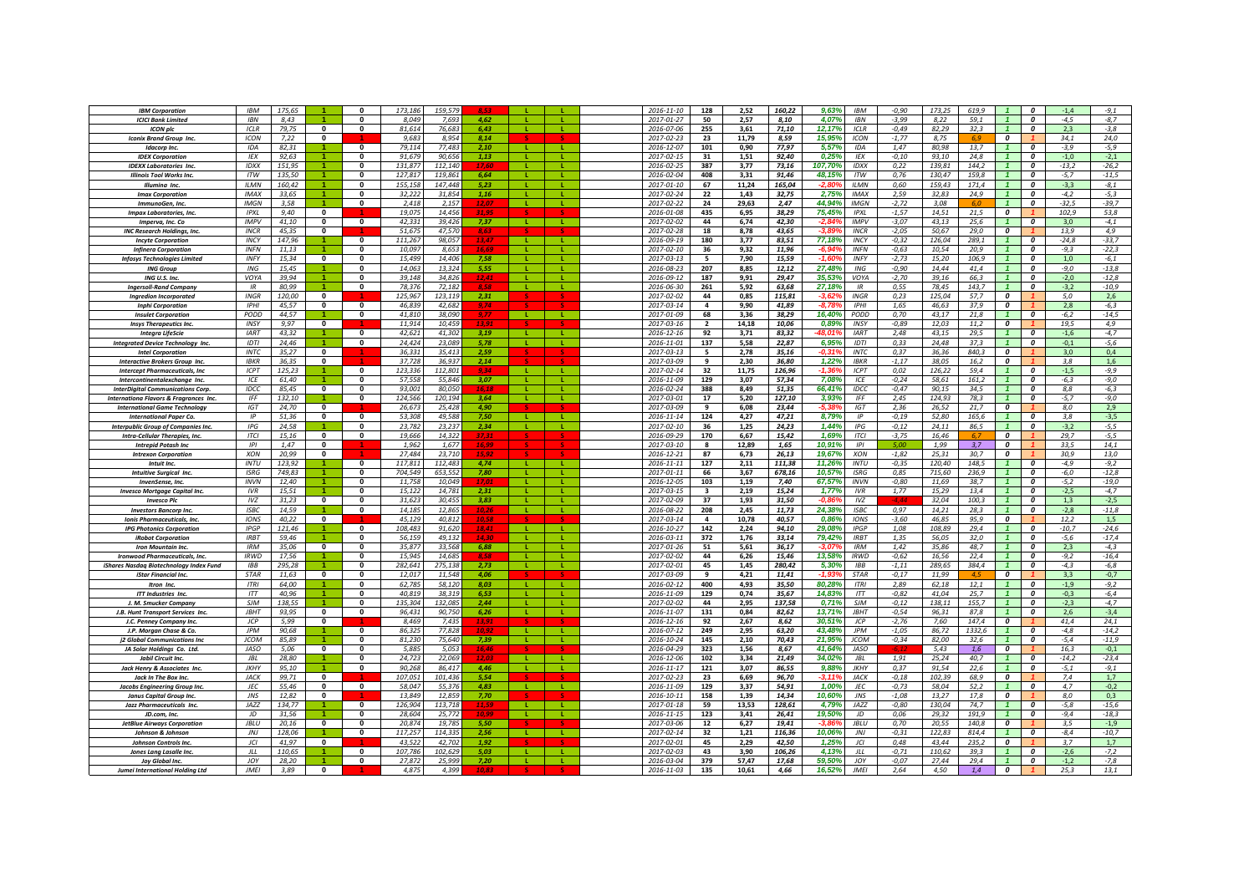| <b>IBM Corporation</b>                             | <b>IBM</b>         | 175.65         |                          |                          | 173.186          | 159.57           |               |                  |              | 2016-11-10               | 128                     | 2,52           | 160,22         | 9,63%<br><b>IBM</b>                    | $-0,90$            | 173.25<br>619,9                 |                         | 0                            | $-1,4$         | $-9,1$           |
|----------------------------------------------------|--------------------|----------------|--------------------------|--------------------------|------------------|------------------|---------------|------------------|--------------|--------------------------|-------------------------|----------------|----------------|----------------------------------------|--------------------|---------------------------------|-------------------------|------------------------------|----------------|------------------|
| <b>ICICI Bank Limited</b>                          | <b>IBN</b>         | 8,43           |                          | $\Omega$                 | 8,049            | 7.69             | 462           |                  |              | 2017-01-27               | 50                      | 2,57           | 8,10           | 4,07%<br><b>IBN</b>                    | $-3,99$            | 8,22<br>59.1                    |                         | $\boldsymbol{0}$             | $-4.5$         | $-8,7$           |
| <b>ICON plc</b>                                    | ICLR               | 79,75          | $\overline{\mathbf{0}}$  | $\mathbf{0}$             | 81,614           | 76,683           | 6.43          |                  | т.           | 2016-07-06               | 255                     | 3,61           | 71,10          | 12,17%<br>ICLR                         | $-0,49$            | 82,29<br>32,3                   | $\mathbf{1}$            | $\boldsymbol{0}$             | 2,3            | $-3,8$           |
| <b>Iconix Brand Group Inc.</b>                     | ICON               | 7,22           | $\mathbf{0}$             |                          | 9,683            | 8,954            | 8.14          |                  |              | 2017-02-23               | 23                      | 11,79          | 8,59           | 15,95%<br><b>ICON</b>                  | $-1,77$            | 8,75                            | $\boldsymbol{o}$        |                              | 34,1           | 24,0             |
| <b>Idacorp Inc.</b>                                | <b>IDA</b>         | 82.31          |                          | $\mathbf{0}$             | 79.114           | 77,483           | 2.10          |                  |              | 2016-12-07               | 101                     | 0.90           | 77,97          | 5.57%<br><b>IDA</b>                    | 1.47               | 80.98<br>13.7                   |                         | $\boldsymbol{o}$             | $-3.9$         | $-5.9$           |
| <b>IDEX Corporation</b>                            | IEX                | 92,63          |                          |                          | 91.67            | 90.65            | 1,13          |                  |              | 2017-02-15               | 31                      | 1,51           | 92,40          | 0,25<br>IEX                            | $-0,10$            | 93.10<br>24.8                   |                         | $\boldsymbol{o}$             | $-1.0$         | $-2,1$           |
| <b>IDEXX Laboratories Inc.</b>                     | IDXX               | 151,95         |                          | $\mathbf{0}$             | 131.877          | 112,140          |               |                  |              | 2016-02-25               | 387                     | 3,77           | 73,16          | 107,70%<br>IDXX                        | 0,22               | 139,81<br>144,2                 |                         | $\boldsymbol{0}$             | $-13,2$        | $-26,2$          |
| <b>Illinois Tool Works Inc.</b>                    | <b>ITW</b>         | 135.50         |                          | $\Omega$                 | 127.817          | 119,861          | 6.64          |                  | л.           | 2016-02-04               | 408                     | 3.31           | 91.46          | 48.15%<br><b>ITW</b>                   | 0.76               | 130.47<br>159.8                 |                         | $\boldsymbol{0}$             | $-5,7$         | $-11,5$          |
| Illumina Inc.                                      | <b>ILMN</b>        | 160,42         |                          | $\mathbf{0}$             | 155.158          | 147,448          | 5.23          | - 11             |              | $2017 - 01 - 10$         | 67                      | 11.24          | 165.04         | <b>ILMN</b><br>-2.8                    | 0.60               | 159.43<br>171.4                 |                         | $\overline{\mathbf{c}}$      | $-3,3$         | $-8,1$           |
| <b>Imax Corporation</b>                            | IMAX               | 33,65          |                          | $\Omega$                 | 32,222           | 31,854           | 1,16          | - 11 -           | л.           | 2017-02-24               | 22                      | 1,43           | 32,75          | <b>IMAX</b><br>2.75%                   | 2.59               | 32,83<br>24.9                   | $\overline{1}$          | $\Omega$                     | $-4,2$         | $-5,3$           |
| ImmunoGen, Inc.                                    | <b>IMGN</b>        | 3,58           |                          | $\mathbf{0}$             | 2,418            | 2,157            | 12.0          | ΠL.              | L.           | 2017-02-22               | 24                      | 29,63          | 2,47           | 44,94%<br><b>IMGN</b>                  | $-2,72$            | 3,08                            |                         | $\Omega$                     | $-32,5$        | $-39,7$          |
| <b>Impax Laboratories, Inc.</b>                    | IPYI               | 9.40           | $\mathbf{0}$             |                          | 19.075           | 14,456           | 31.9          |                  |              | 2016-01-08               | 435                     | 6,95           | 38,29          | 75,45%<br>IPXL                         | $-1,57$            | 14,51<br>21,5                   | $\overline{\mathbf{c}}$ |                              | 102,9          | 53,8             |
| Imperva, Inc. Co                                   | <b>IMPV</b>        | 41,10          | 0                        | $\mathbf 0$              | 42,331           | 39,426           | 7,37          | -11              | л.           | 2017-02-02               | 44                      | 6,74           | 42,30          | $-2,84%$<br><b>IMPV</b>                | $-3,07$            | 43,13<br>25,6                   | $\mathbf{1}$            | $\boldsymbol{o}$             | 3,0            | $-4,1$           |
| <b>INC Research Holdings, Inc.</b>                 | <b>INCR</b>        | 45,35          | 0                        |                          | 51.675           | 47.57            | 8,63          |                  |              | 2017-02-28               | 18                      | 8,78           | 43,65          | $-3.89$<br><b>INCR</b>                 | $-2,05$            | 50,67<br>29,0                   | $\boldsymbol{o}$        |                              | 13,9           | 4.9              |
| <b>Incyte Corporation</b>                          | <b>INCY</b>        | 147,96         |                          | $\mathbf{0}$             | 111.267          | 98.057           | 13.47         | - L              |              | 2016-09-19               | 180                     | 3,77           | 83,51          | 77,18%<br><b>INCY</b>                  | $-0,32$            | 126,04<br>289.1                 | $\mathbf{1}$            | $\boldsymbol{0}$             | $-24,8$        | $-33,7$          |
| <b>Infinera Corporation</b>                        | <b>INFN</b>        | 11.13          |                          | $\Omega$                 | 10.097           | 8.653            | 16.6          | - 11             | $\mathbf{L}$ | 2017-02-10               | 36                      | 9.32           | 11.96          | $-6.94$<br><b>INFN</b>                 | $-0.63$            | 10.54<br>20.9                   |                         | $\boldsymbol{o}$             | $-9.3$         | $-22,3$          |
| <b>Infosys Technologies Limited</b>                | <b>INFY</b>        | 15.34          | $\overline{0}$           | $\Omega$                 | 15.499           | 14,406           | 7.58          |                  |              | 2017-03-13               | 5                       | 7,90           | 15,59          | $-1.60$<br>INFY                        | $-2.73$            | 15,20<br>106.9                  |                         | $\Omega$                     | 1.0            | $-6.1$           |
| <b>ING Group</b>                                   | ING                | 15.45          | $\blacktriangleleft$     | $\Omega$                 | 14.063           | 13.324           | 5.55          | - 11             | $\mathbf{L}$ | 2016-08-23               | 207                     | 8.85           | 12,12          | 27.48%<br><b>ING</b>                   | $-0.90$            | 14,44<br>41.4                   |                         | $\Omega$                     | $-9.0$         | $-13.8$          |
| ING U.S. Inc.                                      | VOYA               | 39,94          | $\blacktriangleleft$     | $\mathbf{0}$             | 39,148           | 34,826           | 12.41         | -11              | т.           | 2016-09-12               | 187                     | 9,91           | 29,47          | 35,53%<br>VOYA                         | $-2,70$            | 39,16<br>66,3                   |                         | $\boldsymbol{o}$             | $-2,0$         | $-12,8$          |
| <b>Ingersoll-Rand Company</b>                      | IR                 | 80,99          |                          | $\Omega$                 | 78,376           | 72,182           |               |                  |              | 2016-06-30               | 261                     | 5,92           | 63,68          | 27,18%<br>IR                           | 0,55               | 78,45<br>143,7                  | $\mathbf{1}$            | $\boldsymbol{o}$             | $-3,2$         | $-10,9$          |
| <b>Ingredion Incorporated</b>                      | INGR               | 120,00         | $\mathbf 0$              |                          | 125,967          | 123,119          | 2,31          |                  |              | 2017-02-02               | 44                      | 0,85           | 115,81         | $-3,62$<br>INGR                        | 0,23               | 125,04<br>57,7                  | 0                       |                              | 5,0            | 2,6              |
| <b>Inphi Corporation</b>                           | <b>IPHI</b>        | 45.57          | $\bf{0}$                 | $\mathbf{0}$             | 46.839           | 42.682           |               |                  |              | 2017-03-14               | 4                       | 9,90           | 41,89          | <b>IPHI</b><br>-8.7                    | 1,65               | 46,63<br>37,9                   | $\boldsymbol{o}$        |                              | 2,8            | $-6,3$           |
| <b>Insulet Corporation</b>                         | PODD               | 44.57          |                          | $\mathbf{0}$             | 41.81            | 38.090           |               |                  |              | 2017-01-09               | 68                      | 3,36           | 38,29          | 16,40%<br>PODD                         | 0,70               | 43,17<br>21,8                   | $\mathbf{1}$            | $\boldsymbol{0}$             | $-6,2$         | $-14,5$          |
| <b>Insys Therapeutics Inc.</b>                     | INSY               | 9.97           | $\mathbf{0}$             |                          | 11.914           | 10.459           | 12 Q          |                  |              | 2017-03-16               | $\overline{2}$          | 14.18          | 10.06          | 0.89%<br>INSY                          | $-0.89$            | 12.03<br>11.2                   | 0                       |                              | 19.5           | 4.9              |
| <b>Integra LifeScie</b>                            | <b>IART</b>        | 43,32          |                          | 0                        | 42,621           | 41.302           | 3.19          | -11              | ъ.           | 2016-12-16               | 92                      | 3,71           | 83,32          | $-48.01$<br><b>IART</b>                | 2,48               | 43,15<br>29,5                   | $\mathbf{1}$            | $\boldsymbol{0}$             | $-1,6$         | $-4,7$           |
| <b>Integrated Device Technology Inc.</b>           | IDTI               | 24,46          |                          | $\mathbf{0}$             | 24.424           | 23.089           | 5.78          | -11              | - L.         | 2016-11-01               | 137                     | 5,58           | 22,87          | <b>IDTI</b><br>6,95%                   | 0,33               | 24,48<br>37,3                   | $\mathbf{1}$            | $\boldsymbol{0}$             | $-0,1$         | $-5,6$           |
| <b>Intel Corporation</b>                           | <b>INTC</b>        | 35,27          | 0                        |                          | 36,331           | 35,413           | 2.59          |                  |              | 2017-03-13               | - 5                     | 2,78           | 35,16          | $-0.31$<br><b>INTC</b>                 | 0,37               | 36,36<br>840,3                  | 0                       |                              | 3,0            | 0,4              |
| <b>Interactive Brokers Group Inc.</b>              | <b>IBKR</b>        | 36,35          | $\mathbf{0}$             |                          | 37,728           | 36,937           | 2,14          |                  |              | 2017-03-09               | 9                       | 2,30           | 36,80          | 1,22%<br><b>IBKR</b>                   | $-1,17$            | 38,05<br>16,2                   | 0                       |                              | 3,8            | 1,6              |
| <b>Intercept Pharmaceuticals, Inc.</b>             | ICPT               | 125,23         |                          | $\mathbf{0}$             | 123,336          | 112,801          | 9,34          | -11              | Æ.           | 2017-02-14               | 32                      | 11,75          | 126,96         | -1,369<br><b>ICPT</b>                  | 0,02               | 126,22<br>59,4                  | $\mathbf{1}$            | $\Omega$                     | $-1,5$         | $-9,9$           |
| Intercontinentalexchange Inc.                      | ICF                | 61.40          |                          | $\mathbf{0}$             | 57,558           | 55.846           | 3,07          |                  |              | 2016-11-09               | 129                     | 3,07           | 57.34          | 7,08%<br>ICE                           | $-0,24$            | 58.61<br>161.2                  | $\mathbf{1}$            | $\boldsymbol{o}$             | $-6.3$         | $-9.0$           |
| <b>InterDigital Communications Corp</b>            | <b>IDCC</b>        | 85,45          | $\bf{0}$                 | $\mathbf{0}$             | 93,001           | 80,050           | 16.18         |                  |              | 2016-02-24               | 388                     | 8,49           | 51,35          | 66,41%<br><b>IDCC</b>                  | $-0.47$            | 90,15<br>34,5                   |                         | $\boldsymbol{0}$             | 8,8            | $-6,3$           |
| Internationa Flavors & Fragrances Inc.             | <b>IFF</b>         | 132,10         |                          | $\mathbf{0}$             | 124,566          | 120,194          | 3,64          | - L              |              | 2017-03-01               | 17                      | 5,20           | 127,10         | 3,93%<br><b>IFF</b><br>$-5.38$         | 2,45               | 124,93<br>78,3                  |                         | $\boldsymbol{0}$             | $-5,7$         | $-9,0$           |
| <b>International Game Technology</b>               | IGT<br>IP          | 24.70          | $\mathbf{0}$<br>$\Omega$ | $\Omega$                 | 26.673           | 25.428<br>49.588 | 4.90<br>7.50  | - 11             |              | 2017-03-09               | $\mathbf{q}$            | 6.08           | 23.44          | IGT<br>IP                              | 2.36               | 26,52<br>21.7                   | $\boldsymbol{o}$        |                              | 8.0            | 2,9              |
| <b>International Paper Co.</b>                     | <b>IPG</b>         | 51,36<br>24.58 |                          | $\Omega$                 | 53.308<br>23.782 | 23.237           | 2.34          | - 11             | - 11<br>-11  | 2016-11-14<br>2017-02-10 | 124<br>36               | 4.27<br>1,25   | 47,21<br>24,23 | 8,79%<br>1,44%<br><b>IPG</b>           | $-0,19$<br>$-0.12$ | 52,80<br>165.6<br>24,11<br>86.5 | $\overline{1}$          | $\boldsymbol{o}$<br>$\Omega$ | 3,8<br>$-3.2$  | $-3.5$<br>$-5.5$ |
| Interpublic Group of Companies Inc.                | <b>ITCI</b>        | 15,16          | $\mathbf{0}$             | $\Omega$                 | 19.666           | 14,322           |               |                  |              | 2016-09-29               | 170                     | 6,67           | 15,42          | 1,69%                                  | $-3,75$            | 16,46                           | $\overline{\mathbf{c}}$ |                              | 29,7           | $-5,5$           |
| Intra-Cellular Therapies, Inc.                     | IPI                |                | $\mathbf 0$              |                          | 1.962            | 1.67             |               |                  |              |                          | 8                       | 12,89          | 1,65           | <b>ITCI</b><br>10,91%<br>IPI           |                    | 1,99<br>3,7                     | 0                       |                              | 33,5           | 14,1             |
| <b>Intrepid Potash Inc</b>                         | XON                | 1,47<br>20,99  | 0                        |                          | 27,484           | 23,71            |               |                  |              | 2017-03-10<br>2016-12-21 | 87                      | 6,73           | 26,13          | 19,67%<br>XON                          | $-1,82$            | 30,7<br>25,31                   | 0                       |                              | 30,9           | 13,0             |
| <b>Intrexon Corporation</b><br>Intuit Inc.         | INTU               | 123.92         |                          | $\mathbf{0}$             | 117.811          | 112,483          | 4,74          |                  |              | $2016 - 11 - 11$         | 127                     | 2,11           | 111,38         | 11.26<br><b>INTU</b>                   | $-0,35$            | 120,40<br>148.5                 |                         | $\boldsymbol{0}$             | $-4.9$         | $-9,2$           |
| <b>Intuitive Surgical Inc.</b>                     | <b>ISRG</b>        | 749,83         |                          |                          | 704.54           | 653,552          | 7,80          |                  |              | 2017-01-11               | 66                      | 3,67           | 678,16         | 10,579<br><b>ISRG</b>                  | 0,85               | 715.60<br>236,9                 |                         | $\boldsymbol{0}$             | -6,0           | $-12,8$          |
| <b>InvenSense, Inc.</b>                            | <b>INVN</b>        | 12.40          |                          | $\mathbf{0}$             | 11.758           | 10.049           |               |                  | т.           | 2016-12-05               | 103                     | 1.19           | 7.40           | 67.57%<br><b>INVN</b>                  | $-0.80$            | 11.69<br>38.7                   |                         | $\boldsymbol{o}$             | $-5.2$         | $-19.0$          |
| <b>Invesco Mortgage Capital Inc.</b>               | IVR                | 15.51          |                          | $\Omega$                 | 15.122           | 14.781           | 2.31          | -11              |              | 2017-03-15               | $\overline{\mathbf{a}}$ | 2.19           | 15.24          | 1.77%<br>IVR                           | 1,77               | 15.29<br>13.4                   |                         | $\Omega$                     | $-2,5$         | $-4,7$           |
| <b>Invesco Plc</b>                                 | IVZ                | 31,23          | $\mathbf{0}$             | $\Omega$                 | 31,623           | 30,455           | 3,83          | - 12             | ш.           | 2017-02-09               | 37                      | 1,93           | 31,50          | IVZ<br>-0.81                           |                    | 32,04<br>100,3                  |                         | $\boldsymbol{o}$             | 1,3            | $-2,5$           |
| <b>Investors Bancorp Inc.</b>                      | <b>ISBC</b>        | 14,59          |                          | $\mathbf{0}$             | 14,185           | 12,865           | 10,26         | -11              | л.           | 2016-08-22               | 208                     | 2,45           | 11,73          | 24,38%<br><b>ISBC</b>                  | 0,97               | 14,21<br>28,3                   |                         | $\boldsymbol{o}$             | $-2,8$         | $-11,8$          |
| Ionis Pharmaceuticals, Inc.                        | <b>IONS</b>        | 40,22          | $\mathbf{0}$             |                          | 45,129           | 40,812           | 10,58         |                  |              | 2017-03-14               | 4                       | 10,78          | 40,57          | 0,86%<br>IONS                          | $-3,60$            | 46,85<br>95,9                   | 0                       |                              | 12,2           | 1,5              |
| <b>IPG Photonics Corporation</b>                   | <b>IPGP</b>        | 121,46         |                          | $\mathbf{0}$             | 108,483          | 91,620           | 18,41         | -11              | л.           | 2016-10-27               | 142                     | 2,24           | 94,10          | 29,08%<br>IPGP                         | 1,08               | 108,89<br>29,4                  | $\mathbf{1}$            | $\boldsymbol{o}$             | $-10,7$        | $-24,6$          |
| <b>iRobot Corporation</b>                          | <b>IRBT</b>        | 59.46          |                          | $\mathbf{0}$             | 56.159           | 49.132           | 14.30         | $\mathbf{L}$     |              | 2016-03-11               | 372                     | 1,76           | 33,14          | 79,42%<br><b>IRBT</b>                  | 1.35               | 56.05<br>32.0                   | $\mathbf{1}$            | $\boldsymbol{o}$             | $-5.6$         | $-17,4$          |
| <b>Iron Mountain Inc.</b>                          | <b>IRM</b>         | 35.06          | $\Omega$                 | $\Omega$                 | 35.877           | 33.568           | 6.88          |                  |              | 2017-01-26               | 51                      | 5.61           | 36.17          | -3.07<br><b>IRM</b>                    | 1.42               | 35.86<br>487                    |                         | $\Omega$                     | 2.3            | $-4.3$           |
| <b>Ironwood Pharmaceuticals, Inc.</b>              | <b>IRWD</b>        | 17,56          |                          | $\mathbf{0}$             | 15,945           | 14,685           | 8.58          |                  |              | 2017-02-02               | 44                      | 6,26           | 15,46          | 13,58%<br><b>IRWD</b>                  | $-0,62$            | 16,56<br>22,4                   |                         | $\boldsymbol{0}$             | $-9,2$         | $-16,4$          |
| iShares Nasdaq Biotechnology Index Fund            | <b>IBB</b>         | 295.28         |                          | $\Omega$                 | 282.641          | 275.138          | 2.73          | - 11             | -11          | 2017-02-01               | 45                      | 1,45           | 280,42         | 5,30%<br><b>IBB</b>                    | $-1, 11$           | 289,65<br>384.4                 |                         | $\boldsymbol{o}$             | $-4.3$         | $-6,8$           |
| iStar Financial Inc.                               | <b>STAR</b>        | 11,63          | $\overline{\mathbf{0}}$  | $\overline{0}$           | 12,017           | 11.548           | 4.06          |                  |              | 2017-03-09               | 9                       | 4.21           | 11,41          | $-1.93$<br><b>STAR</b>                 | $-0,17$            | 11,99                           | $\overline{\mathbf{c}}$ |                              | 3.3            | $-0,7$           |
| <b>Itron</b> Inc                                   | <b>ITRI</b>        | 64,00          |                          | $\Omega$                 | 62,785           | 58,120           | 803           | - 11             | -11          | 2016-02-12               | 400                     | 4,93           | 35,50          | 80,28%<br><b>ITRI</b>                  | 2,89               | 62,18<br>12,1                   |                         | $\boldsymbol{o}$             | $-1.9$         | $-9,2$           |
| <b>ITT Industries Inc.</b>                         | ITT                | 40,96          |                          | $\Omega$                 | 40,819           | 38,319           | 6.53          | -11              | T.           | 2016-11-09               | 129                     | 0,74           | 35,67          | 14,83%<br>ITT                          | $-0.82$            | 25,7<br>41,04                   |                         | $\boldsymbol{0}$             | $-0,3$         | $-6,4$           |
| J. M. Smucker Company                              | <b>SJM</b>         | 138,55         |                          | $\Omega$                 | 135,304          | 132,085          | 2.44          |                  |              | 2017-02-02               | 44                      | 2,95           | 137,58         | 0,71%<br><b>SIM</b>                    | $-0,12$            | 138,11<br>155,7                 |                         | $\boldsymbol{0}$             | $-2,3$         | $-4,7$           |
| J.B. Hunt Transport Services Inc.                  | <b>JBHT</b>        | 93,95          | $\overline{\mathbf{0}}$  | $\mathbf{0}$             | 96,431           | 90,750           | 6,26          |                  |              | 2016-11-07               | 131                     | 0,84           | 82,62          | 13,71%<br><b>JBHT</b>                  | $-0,54$            | 96,31<br>87,8                   |                         | $\boldsymbol{o}$             | 2,6            | $-3,4$           |
| J.C. Penney Company Inc.                           | JCP                | 5,99           | 0                        |                          | 8,469            | 7,435            | 13.9.         |                  |              | 2016-12-16               | 92                      | 2,67           | 8,62           | 30,519<br>ICP                          | $-2,76$            | 7,60<br>147,4                   | 0                       |                              | 41,4           | 24,1             |
| J.P. Morgan Chase & Co.                            | <b>JPM</b>         | 90,68          |                          | $\mathbf{0}$             | 86,325           | 77,828           |               |                  |              | 2016-07-12               | 249                     | 2,95           | 63,20          | 43,48%<br><b>JPM</b>                   | $-1,05$            | 86,72<br>1332,6                 | $\mathbf{1}$            | $\boldsymbol{0}$             | $-4,8$         | $-14,2$          |
| <b>i2 Global Communications Inc.</b>               | <b>JCOM</b>        | 85.89          |                          | $\mathbf{0}$             | 81.230           | 75.640           | 7.39          | <b>L</b>         | L.           | 2016-10-24               | 145                     | 2.10           | 70.43          | 21.95%<br><b>JCOM</b>                  | $-0,34$            | 82.00<br>32.6                   |                         | $\boldsymbol{o}$             | $-5,4$         | $-11,9$          |
| JA Solar Holdings Co. Ltd.                         | <b>JASO</b>        | 5,06           | $\Omega$                 | $\Omega$                 | 5.885            | 5.053            | 16,46         |                  |              | 2016-04-29               | 323                     | 1,56           | 8,67           | 41.64%<br>JASO                         |                    | 5,43<br>1,6                     | $\overline{0}$          |                              | 16,3           | $-0,1$           |
| Jabil Circuit Inc.                                 | <b>JBL</b>         | 28.80          |                          | $\mathbf{0}$             | 24.723           | 22.069           |               | - 11 -           | л.           | 2016-12-06               | 102                     | 3,34           | 21.49          | 34.02%<br>IBI                          | 1.91               | 25.24<br>40.7                   | $\overline{1}$          | $\mathbf{a}$                 | $-14,2$        | $-23,4$          |
| Jack Henry & Associates Inc.                       | <b>JKHY</b>        | 95,10          |                          | $\mathbf 0$              | 90,268           | 86,417           | 4.46          | л.               | L.           | 2016-11-17               | 121                     | 3,07           | 86,55          | 9,88%<br><b>JKHY</b>                   | 0,37               | 91,54<br>22,6                   | $\mathbf{1}$            | $\boldsymbol{0}$             | $-5,1$         | $-9,1$           |
| Jack In The Box Inc.                               | JACK               | 99,71          | 0                        |                          | 107,051          | 101,436          | 5,54          |                  |              | 2017-02-23               | 23                      | 6.69           | 96,70          | -3,119<br>JACK                         | $-0,18$            | 102,39<br>68,9                  | 0                       |                              | 7,4            | 1,7              |
| Jacobs Engineering Group Inc.                      | JEC                | 55,46          | 0                        | $\mathbf 0$              | 58,047           | 55,376           | 4.83          | -11              | л.           | 2016-11-09               | 129                     | 3,37           | 54,91          | 1,00%<br>JEC                           | $-0,73$            | 58,04<br>52,2                   |                         | $\boldsymbol{0}$             | 4,7            | $-0,2$           |
| <b>Janus Capital Group Inc.</b>                    | JNS                | 12.82          | $\bf{0}$                 |                          | 13,849           | 12.85            | 7,70          |                  |              | 2016-10-11               | 158                     | 1.39           | 14,34          | 10,60%<br>JNS                          | $-1,08$            | 13,27<br>17.8                   | $\boldsymbol{o}$        |                              | 8.0            | 0,3              |
| Jazz Pharmaceuticals Inc.                          | IAZZ               | 134.77         |                          | $\mathbf{0}$<br>$\Omega$ | 126.904          | 113.71           | 11,59<br>10.9 | <b>L</b><br>- 11 |              | 2017-01-18               | 59                      | 13.53          | 128,61         | $4.79^{\circ}$<br>IAZZ                 | $-0,80$            | 130.04<br>74.7                  |                         | $\boldsymbol{0}$             | $-5,8$         | $-15,6$          |
| JD.com. Inc.                                       | JD                 | 31.56          |                          |                          | 28.604           | 25.772           |               |                  |              | 2016-11-15               | 123                     | 3.41           | 26.41          | 19.50%<br>JD<br>$-3A$                  | 0.06               | 29.32<br>191.9                  |                         | $\boldsymbol{o}$             | $-9.4$         | $-18.3$          |
| <b>JetBlue Airways Corporation</b>                 | IBL                | 20,16          | $\mathbf{0}$             | $\Omega$                 | 20,874           | 19.785           | 5.50          |                  |              | 2017-03-06               | 12                      | 6,27           | 19,41          | <b>IBIU</b>                            | 0,70               | 20,55<br>140,8                  | $\overline{\mathbf{c}}$ |                              | 3.5            | $-1,9$           |
| Johnson & Johnson                                  | JNJ                | 128,06         |                          | $\mathbf{0}$             | 117,257          | 114.33           | 2.56          | -11              | - 11         | 2017-02-14               | 32                      | 1,21           | 116,36         | 10,06%<br>JNJ                          | $-0, 31$           | 122,83<br>814,4                 | $\mathbf{1}$            | $\boldsymbol{0}$             | $-8,4$         | $-10,7$          |
| Johnson Controls Inc.                              | IC                 | 41,97          | $\mathbf{0}$             |                          | 43.522           | 42,702           | 1.92          |                  |              | 2017-02-01               | 45                      | 2,29           | 42,50          | 1,25%<br>ICI                           | 0,48               | 43,44<br>235,2                  | $\boldsymbol{o}$        |                              | 3,7            | 1,7              |
| Jones Lana Lasalle Inc.                            | JLL                | 110,65         |                          | $\Omega$                 | 107,786          | 102,62           | 5,03          |                  | T.           | 2017-02-03               | 43                      | 3,90           | 106,26         | 4,13%<br>JLL                           | $-0,71$            | 110,62<br>39,3                  |                         | $\boldsymbol{0}$             | $-2,6$         | $-7,2$           |
|                                                    |                    |                |                          |                          |                  |                  |               |                  |              |                          |                         |                |                |                                        |                    |                                 |                         |                              |                |                  |
| Joy Global Inc.<br>Jumei International Holding Ltd | JOY<br><b>JMEI</b> | 28,20<br>3,89  | $\mathbf{0}$             | $\mathbf{0}$             | 27,872<br>4.875  | 25,999<br>4,399  | 7,20          |                  |              | 2016-03-04<br>2016-11-03 | 379<br>135              | 57,47<br>10,61 | 17,68<br>4,66  | 59,50%<br>JOY<br>16.529<br><b>JMEI</b> | $-0.07$<br>2,64    | 27,44<br>29,4<br>4.50<br>1.4    | $\boldsymbol{o}$        | 0                            | $-1,2$<br>25,3 | $-7,8$<br>13,1   |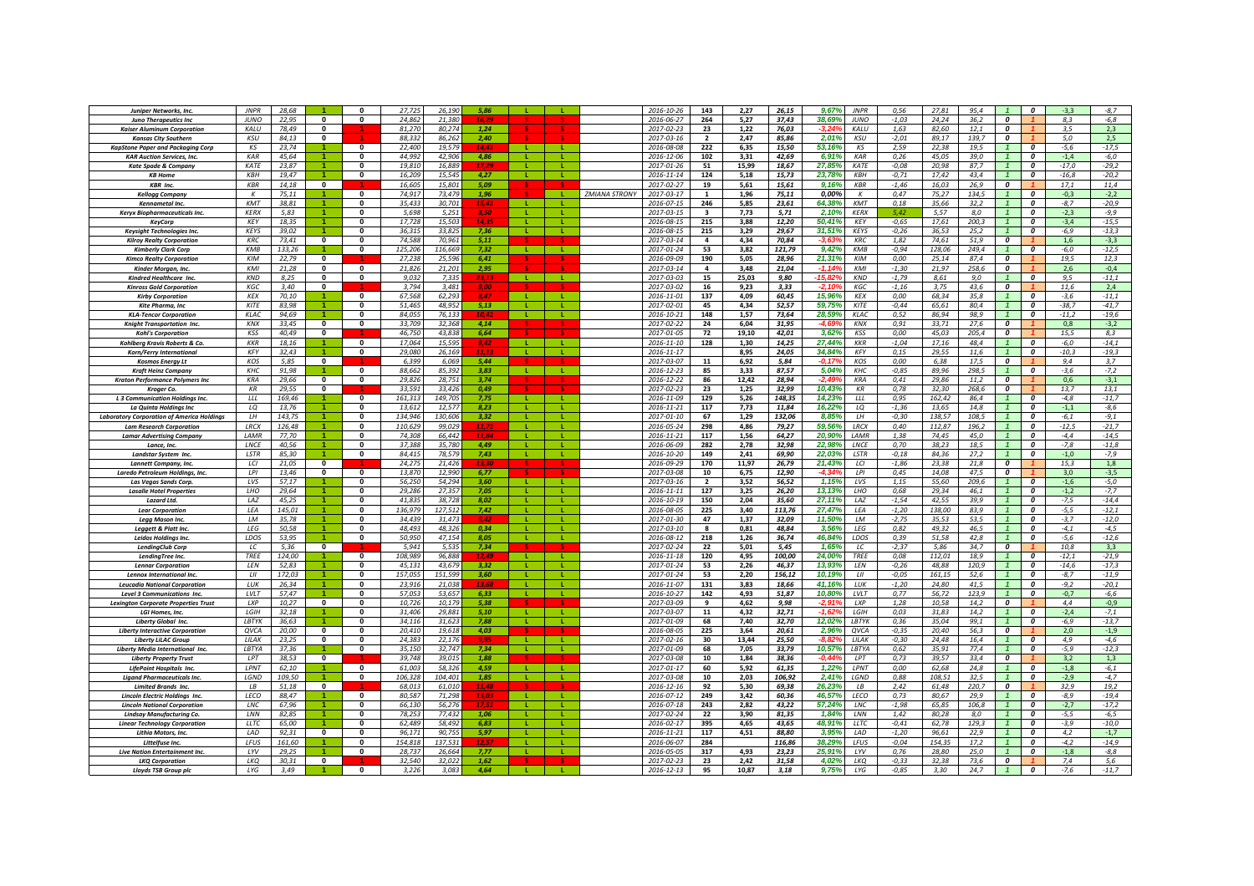| <b>Juniper Networks, Inc.</b>                                          | <b>JNPR</b>       | 28,68           |                         |                              | 27.72             | 26.19              | 5,86          |                      |                    |                      | 2016-10-26               | 143                            | 2,27          | 26,15           | 9,67%<br><b>JNPR</b>                     | 0.56               | 27,81           | 95,4          |                                    |                                      | $-3,3$           | $-8.7$             |
|------------------------------------------------------------------------|-------------------|-----------------|-------------------------|------------------------------|-------------------|--------------------|---------------|----------------------|--------------------|----------------------|--------------------------|--------------------------------|---------------|-----------------|------------------------------------------|--------------------|-----------------|---------------|------------------------------------|--------------------------------------|------------------|--------------------|
| <b>Juno Therapeutics Inc.</b>                                          | JUNO              | 22,95           | $\bf{0}$                | $\Omega$                     | 24.862            | 21.38              | 16.2          |                      |                    |                      | 2016-06-27               | 264                            | 5,27          | 37.43           | 38,69%<br>JUNO                           | $-1,03$            | 24,24           | 36,2          | $\boldsymbol{o}$                   |                                      | 8,3              | $-6,8$             |
| <b>Kaiser Aluminum Corporation</b>                                     | KALU              | 78,49           | $\mathbf 0$             |                              | 81,270            | 80.274             | 1.24          |                      |                    |                      | 2017-02-23               | 23                             | 1,22          | 76,03           | $-324$<br>KALU                           | 1,63               | 82,60           | 12,1          | 0                                  |                                      | 3,5              | 2,3                |
| <b>Kansas City Southern</b>                                            | <b>KSU</b>        | 84,13           | $\mathbf{0}$            |                              | 88.332            | 86,262             | 2.40          | - 11                 | п.                 |                      | 2017-03-16               | $\overline{\phantom{a}}$       | 2,47          | 85,86           | 2,01%<br>KSU                             | $-2,01$            | 89,17           | 139.7         | $\boldsymbol{o}$                   |                                      | 5.0              | 2,5                |
| KapStone Paper and Packaging Corp<br><b>KAR Auction Services, Inc.</b> | ΚS<br>KAR         | 23,74<br>45.64  |                         | $\Omega$<br>$\Omega$         | 22,400<br>44 992  | 19.57<br>42.90f    | 4.86          |                      |                    |                      | 2016-08-08<br>2016-12-06 | 222<br>102                     | 6,35<br>3,31  | 15,50<br>42,69  | 53,16%<br>KS<br>6,91%<br><b>KAR</b>      | 2,59<br>0,26       | 22,38<br>45,05  | 19,5<br>39.0  |                                    | $\boldsymbol{0}$<br>$\boldsymbol{0}$ | $-5,6$<br>$-1,4$ | $-17,5$<br>$-6,0$  |
| Kate Spade & Company                                                   | KATE              | 23,87           |                         | $\mathbf{0}$                 | 19,81             | 16.88              |               |                      |                    |                      | 2017-01-26               | 51                             | 15,99         | 18,67           | 27,85<br>KATE                            | $-0.08$            | 20,98           | 87,7          |                                    | 0                                    | $-17,0$          | $-29,2$            |
| <b>KB Home</b>                                                         | KBH               | 19,47           |                         | $\mathbf{0}$                 | 16,209            | 15,545             | 4,27          |                      |                    |                      | 2016-11-14               | 124                            | 5,18          | 15,73           | 23,78<br>KBH                             | $-0,71$            | 17,42           | 43,4          |                                    | $\boldsymbol{0}$                     | $-16,8$          | $-20,2$            |
| <b>KBR</b> Inc.                                                        | <b>KBR</b>        | 14,18           | $\mathbf{0}$            |                              | 16,605            | 15,801             | 5,09          |                      |                    |                      | 2017-02-27               | 19                             | 5,61          | 15,61           | 9,16%<br>KBR                             | $-1,46$            | 16,03           | 26,9          | 0                                  |                                      | 17,1             | 11,4               |
| <b>Kellogg Company</b>                                                 | К                 | 75,11           |                         | $\mathbf{0}$                 | 74.917            | 73,479             | 1,96          |                      |                    | <b>ZMIANA STRONY</b> | 2017-03-17               | $\mathbf{1}$                   | 1,96          | 75.11           | 0.00%<br>к                               | 0.47               | 75.27           | 134.5         |                                    | $\boldsymbol{o}$                     | $-0,3$           | $-2,2$             |
| Kennametal Inc.                                                        | <b>KMT</b>        | 38,81           |                         | $\Omega$                     | 35.433            | 30,701             | 15,41         | -11                  |                    |                      | 2016-07-15               | 246                            | 5,85          | 23,61           | 64,38%<br>KMT                            | 0,18               | 35.66           | 32,2          | $\mathbf{1}$                       | $\Omega$                             | $-8.7$           | $-20,9$            |
| Keryx Biopharmaceuticals Inc.                                          | <b>KFRX</b>       | 5,83            |                         | $\Omega$                     | 5.698             | 5.25               |               | - 11 -               | л.                 |                      | 2017-03-15               | $\mathbf{3}$                   | 7,73          | 5,71            | 2,10%<br><b>KFRX</b>                     | 5.42               | 5.57            | 8.0           |                                    | $\Omega$                             | $-2,3$           | $-9,9$             |
| KevCorp                                                                | KFY               | 18,35           |                         | $\Omega$                     | 17,728            | 15.50 <sup>5</sup> | 14.35         | -11                  |                    |                      | 2016-08-15               | 215                            | 3,88          | 12,20           | 50,41%<br>KEY                            | $-0,65$            | 17,61           | 200.3         |                                    | $\Omega$                             | $-3,4$           | $-15,5$            |
| Keysight Technologies Inc.                                             | KEYS              | 39,02           |                         | $\Omega$                     | 36.315            | 33,825             | 7,36          |                      |                    |                      | 2016-08-15               | 215                            | 3,29          | 29,67           | 31,51%<br>KEYS                           | $-0,26$            | 36,53           | 25,2          |                                    | $\boldsymbol{o}$                     | -6,9             | $-13,3$            |
| <b>Kilroy Realty Corporation</b>                                       | KRC               | 73,41           | 0                       | $\Omega$                     | 74,588            | 70.96              | 5,11          |                      |                    |                      | 2017-03-14               | $\overline{a}$                 | 4,34          | 70,84           | KRC<br>-3.63'                            | 1,82               | 74,61           | 51,9          | 0                                  |                                      | 1,6              | $-3,3$             |
| <b>Kimberly Clark Corp</b>                                             | <b>KMB</b>        | 133,26          |                         | $\mathbf{0}$                 | 125.206           | 116.66             | 7,32          | -11                  |                    |                      | 2017-01-24               | 53                             | 3,82          | 121,79          | 9,42%<br><b>KMB</b>                      | $-0,94$            | 128.06          | 249.4         | $\overline{1}$                     | $\boldsymbol{0}$                     | -6,0             | $-12,5$            |
| <b>Kimco Realty Corporation</b>                                        | KIM               | 22.79           | $\Omega$<br>$\bf{0}$    | $\Omega$                     | 27 238            | 25.596             | 6.41          |                      |                    |                      | 2016-09-09               | 190<br>$\Delta$                | 5.05          | 28.96           | 21.31%<br><b>KIM</b>                     | 0.00               | 25.14           | 87.4          | 0                                  |                                      | 19.5             | 12.3               |
| Kinder Morgan, Inc.<br>Kindred Healthcare Inc.                         | KMI<br><b>KND</b> | 21.28<br>8.25   | $\mathbf{0}$            | $\Omega$                     | 21.826<br>9.032   | 21.201<br>7.335    | 2.95<br>23.11 | $\mathbf{L}$         | - 11               |                      | 2017-03-14<br>2017-03-03 | 15                             | 3.48<br>25.03 | 21.04<br>9,80   | $-1.149$<br>KMI<br>$-15.8$<br><b>KND</b> | $-1,30$<br>$-1,79$ | 21.97<br>8,61   | 258.6<br>9.0  | $\boldsymbol{o}$<br>$\overline{1}$ | $\Omega$                             | 2.6<br>9.5       | $-0,4$<br>$-11,1$  |
| <b>Kinross Gold Corporation</b>                                        | KGC               | 3,40            | $\mathbf{0}$            |                              | 3,794             | 3,481              |               |                      |                    |                      | 2017-03-02               | 16                             | 9,23          | 3,33            | $-2.10$<br>KGC                           | $-1, 16$           | 3,75            | 43,6          | $\overline{\mathbf{c}}$            |                                      | 11,6             | 2,4                |
| <b>Kirby Corporation</b>                                               | KEX               | 70,10           |                         | $\Omega$                     | 67,568            | 62,293             | 8.47          | - 11                 | л.                 |                      | $2016 - 11 - 01$         | 137                            | 4,09          | 60,45           | 15,96%<br>KEX                            | 0,00               | 68,34           | 35,8          |                                    | 0                                    | $-3,6$           | $-11,1$            |
| Kite Pharma, Inc                                                       | KITE              | 83,98           |                         | $\mathbf{0}$                 | 51,465            | 48,952             | 5,13          |                      |                    |                      | 2017-02-01               | 45                             | 4,34          | 52,57           | 59,75%<br>KITE                           | $-0,44$            | 65,61           | 80,4          |                                    | 0                                    | $-38,7$          | $-41,7$            |
| <b>KLA-Tencor Corporation</b>                                          | KLAC              | 94,69           |                         | $\mathbf{0}$                 | 84,05.            | 76,133             |               |                      |                    |                      | 2016-10-21               | 148                            | 1,57          | 73,64           | 28,59%<br>KLAC                           | 0,52               | 86,94           | 98,9          |                                    | $\boldsymbol{o}$                     | $-11,2$          | $-19,6$            |
| <b>Knight Transportation Inc.</b>                                      | KNX               | 33,45           | $\mathbf{0}$            | $\mathbf{0}$                 | 33.709            | 32.368             | 4,14          |                      |                    |                      | 2017-02-22               | 24                             | 6,04          | 31,95           | -4.69<br><b>KNX</b>                      | 0,91               | 33.71           | 27,6          | 0                                  |                                      | 0,8              | $-3,2$             |
| <b>Kohl's Corporation</b>                                              | KSS               | 40.49           | $\mathbf{0}$            |                              | 46.750            | 43.838             | 6.64          |                      |                    |                      | 2017-01-05               | 72                             | 19.10         | 42.01           | 3.62%<br><b>KSS</b>                      | 0.00               | 45.03           | 205.4         | $\boldsymbol{o}$                   |                                      | 15.5             | 8.3                |
| Kohlberg Kravis Roberts & Co.                                          | <b>KKR</b>        | 18.16           |                         | $\mathbf{0}$                 | 17.064            | 15.595             | 9.42          |                      |                    |                      | 2016-11-10               | 128                            | 1.30          | 14.25           | 27.44%<br><b>KKR</b>                     | $-1.04$            | 17.16           | 48.4          | $\mathbf{1}$                       | $\boldsymbol{0}$                     | $-6.0$           | $-14.1$            |
| Korn/Ferry International                                               | KFY               | 32,43           |                         | $\overline{\mathbf{0}}$      | 29,080            | 26,169             |               | ш.                   | ъ.                 |                      | 2016-11-17               |                                | 8,95          | 24,05           | 34,84%<br>KFY                            | 0,15               | 29,55           | 11,6          | $\mathbf{1}$                       | $\boldsymbol{0}$                     | $-10,3$          | $-19,3$            |
| <b>Kosmos Energy Lt</b>                                                | KOS               | 5.85            | $\bf{0}$                |                              | 6,399             | 6.06               | 5.44          |                      |                    |                      | 2017-03-07               | 11                             | 6,92          | 5,84            | KOS<br>-0.17                             | 0,00               | 6,38            | 17,5          | 0                                  |                                      | 9,4              | 3,7                |
| <b>Kraft Heinz Company</b>                                             | KHC               | 91,98           |                         | $\mathbf{0}$                 | 88,662            | 85.392             | 3.83          | л.                   | л.                 |                      | 2016-12-23               | 85                             | 3,33          | 87,57           | 5,04%<br>KHC                             | $-0,85$            | 89.96           | 298,5         | $\mathbf{1}$                       | $\boldsymbol{0}$                     | -3,6             | $-7,2$             |
| <b>Kraton Performance Polymers Inc</b>                                 | KRA               | 29,66           | $\mathbf{0}$            | $\mathbf 0$                  | 29,826            | 28,751             | 3,74          |                      |                    |                      | 2016-12-22               | 86                             | 12,42         | 28,94           | $-2,49$<br>KRA                           | 0,41               | 29,86           | 11,2          | 0                                  |                                      | 0,6              | $-3,1$             |
| Kroger Co.<br>L 3 Communication Holdings Inc.                          | KR<br>111         | 29.55<br>169,46 | $\mathbf{0}$            | $\mathbf{0}$                 | 33.591<br>161.313 | 33.42<br>149.70    | 0,49<br>7,75  | -11                  |                    |                      | 2017-02-23<br>2016-11-09 | 23<br>129                      | 1,25<br>5,26  | 32,99<br>148,35 | 10.43%<br>KR<br>14.23%<br>111            | 0.78<br>0.95       | 32,30<br>162,42 | 268.6<br>86.4 | $\boldsymbol{o}$<br>$\overline{1}$ | $\boldsymbol{0}$                     | 13.7<br>$-4.8$   | 13,1<br>$-11,7$    |
| La Quinta Holdings Inc                                                 | LQ                | 13,76           |                         | $\Omega$                     | 13,61.            | 12,57              | 8,23          |                      |                    |                      | 2016-11-21               | 117                            | 7,73          | 11,84           | 16,22%<br>LQ                             | $-1,36$            | 13,65           | 14,8          |                                    | $\Omega$                             | $-1,1$           | $-8,6$             |
| <b>Laboratory Corporation of America Holdings</b>                      | LH                | 143.75          |                         | $\Omega$                     | 134.946           | 130.60             | 3.32          |                      |                    |                      | 2017-01-10               | 67                             | 1,29          | 132,06          | 8,85%<br>1H                              | $-0.30$            | 138.57          | 108.5         |                                    | $\boldsymbol{0}$                     | $-6,1$           | $-9.1$             |
| <b>Lam Research Corporation</b>                                        | LRCX              | 126,48          | $\blacktriangleleft$    | $\mathbf{0}$                 | 110.629           | 99.029             | 11.7          | - 11                 | -11                |                      | 2016-05-24               | 298                            | 4,86          | 79,27           | 59,56%<br><b>LRCX</b>                    | 0,40               | 112,87          | 196,2         |                                    | $\boldsymbol{o}$                     | $-12,5$          | $-21,7$            |
| <b>Lamar Advertising Company</b>                                       | LAMR              | 77,70           | $\blacktriangleleft$    | $\Omega$                     | 74.308            | 66.442             |               | - 11                 | т.                 |                      | $2016 - 11 - 21$         | 117                            | 1,56          | 64,27           | 20,90%<br><b>LAMR</b>                    | 1,38               | 74,45           | 45,0          |                                    | $\boldsymbol{0}$                     | $-4.4$           | $-14,5$            |
| Lance, Inc.                                                            | LNCE              | 40,56           |                         | $\Omega$                     | 37.388            | 35.780             | 4 4 9         | -11                  | т.                 |                      | 2016-06-09               | 282                            | 2,78          | 32,98           | 22,98%<br>LNCE                           | 0,70               | 38,23           | 18,5          |                                    | $\boldsymbol{0}$                     | $-7.8$           | $-11,8$            |
| Landstar System Inc.                                                   | LSTR              | 85,30           | $\blacktriangleleft$    | $\Omega$                     | 84.415            | 78,57              | 7,43          | - 11                 | <b>L</b>           |                      | 2016-10-20               | 149                            | 2,41          | 69,90           | 22,03%<br>LSTR                           | $-0.18$            | 84,36           | 27,2          |                                    | $\boldsymbol{0}$                     | $-1,0$           | $-7,9$             |
| Lannett Company, Inc.                                                  | LCI               | 21.05           | $\mathbf{0}$            |                              | 24.275            | 21.42              |               |                      |                    |                      | 2016-09-29               | 170                            | 11.97         | 26,79           | 21,43%<br>ICI                            | $-1,86$            | 23.38           | 21.8          | $\boldsymbol{o}$                   |                                      | 15.3             | 1.8                |
| Laredo Petroleum Holdings, Inc.                                        | LP                | 13.46           | 0                       | $\mathbf{0}$                 | 13.87             | 12.99              | 6,77          |                      |                    |                      | 2017-03-08               | 10                             | 6,75          | 12,90           | LPI                                      | 0,45               | 14,08           | 47.5          | $\overline{\mathbf{c}}$            |                                      | 3,0              | $-3.5$             |
| Las Vegas Sands Corp.                                                  | LVS<br>LHO        | 57,17<br>29.64  |                         | $\mathbf{0}$<br>$\mathbf{0}$ | 56,250<br>29.286  | 54.29              | 3,60<br>7.05  |                      |                    |                      | 2017-03-16<br>2016-11-11 | $\overline{\mathbf{2}}$<br>127 | 3,52<br>3.25  | 56,52<br>26.20  | 1, 15<br>LVS<br>13.13%<br>LHO            | 1,15<br>0.68       | 55,60<br>29.34  | 209,6<br>46.1 |                                    | $\boldsymbol{0}$<br>$\boldsymbol{o}$ | $-1,6$           | $-5,0$             |
| <b>Lasalle Hotel Properties</b><br>Lazard Ltd.                         | LAZ               | 45,25           |                         | $\Omega$                     | 41.835            | 27,357<br>38.728   | 8.02          | - 12                 |                    |                      | 2016-10-19               | 150                            | 2.04          | 35.60           | 27,11%<br>LAZ                            | $-1,54$            | 42.55           | 39.9          |                                    | $\boldsymbol{o}$                     | $-1,2$<br>$-7,5$ | $-7,7$<br>$-14,4$  |
| <b>Lear Corporation</b>                                                | LEA               | 145,01          |                         | $\Omega$                     | 136.979           | 127,512            | 7,42          | -11                  | л.                 |                      | 2016-08-05               | 225                            | 3,40          | 113,76          | 27,47%<br>LEA                            | $-1,20$            | 138.00          | 83.9          | $\overline{1}$                     | $\Omega$                             | $-5,5$           | $-12,1$            |
| Legg Mason Inc.                                                        | IM                | 35,78           |                         | $\Omega$                     | 34.439            | 31,473             |               |                      |                    |                      | 2017-01-30               | 47                             | 1,37          | 32,09           | 11,50%<br>IM                             | $-2,75$            | 35,53           | 53,5          |                                    | $\Omega$                             | $-3,7$           | $-12,0$            |
| Leggett & Platt Inc.                                                   | <b>IFG</b>        | 50,58           |                         | $\mathbf{0}$                 | 48.493            | 48.326             | 0.34          | -11                  | т.                 |                      | 2017-03-10               | 8                              | 0,81          | 48,84           | 3,56%<br>LEG                             | 0,82               | 49,32           | 46,5          |                                    | $\Omega$                             | $-4,1$           | $-4,5$             |
| Leidos Holdings Inc.                                                   | LDOS              | 53,95           |                         | $\mathbf 0$                  | 50,950            | 47,154             | 8,05          | -11                  | Æ.                 |                      | 2016-08-12               | 218                            | 1,26          | 36,74           | 46,84%<br>LDOS                           | 0,39               | 51,58           | 42,8          | $\mathbf{1}$                       | $\boldsymbol{o}$                     | $-5,6$           | $-12,6$            |
| <b>LendingClub Corp</b>                                                |                   | 5,36            | $\mathbf{0}$            |                              | 5.941             | 5.535              | 7,34          |                      |                    |                      | 2017-02-24               | 22                             | 5,01          | 5,45            | 1,65%<br>IC                              | $-2,37$            | 5,86            | 34,7          | $\boldsymbol{o}$                   |                                      | 10,8             | 3,3                |
| LendingTree Inc.                                                       | <b>TRFF</b>       | 124,00          |                         | $\mathbf{0}$                 | 108.989           | 96.888             | 12.49         | - L                  |                    |                      | 2016-11-18               | 120                            | 4,95          | 100,00          | 24,00%<br><b>TRFF</b>                    | 0,08               | 112,01          | 18.9          | $\overline{1}$                     | $\boldsymbol{0}$                     | $-12,1$          | $-21,9$            |
| <b>Lennar Corporation</b>                                              | LEN               | 52.83           | $\blacktriangleleft$    | $\Omega$                     | 45.131            | 43.679             | 3.32          | - 11                 | $\mathbf{L}$       |                      | 2017-01-24               | 53                             | 2.26          | 46.37           | 13.93%<br>LEN                            | $-0,26$            | 48.88           | 120.9         |                                    | $\boldsymbol{o}$                     | $-14.6$          | $-17,3$            |
| Lennox International Inc.                                              | 1.11<br>LUK       | 172.03          | $\blacktriangleleft$    | $\Omega$<br>$\Omega$         | 157.055<br>23,916 | 151.599<br>2103    | 3.60<br>12 C  | $\mathbf{L}$<br>- 11 | т.<br>$\mathbf{L}$ |                      | 2017-01-24               | 53<br>131                      | 2.20<br>3,83  | 156,12          | 10.19%<br>111<br>41,16%<br>111k          | $-0.05$<br>$-1,20$ | 161.15<br>24,80 | 52.6<br>41.5  |                                    | $\boldsymbol{0}$<br>$\boldsymbol{o}$ | $-8.7$<br>$-9.2$ | $-11,9$<br>$-20,1$ |
| <b>Leucadia National Corporation</b><br>Level 3 Communications Inc.    | LVLT              | 26,34<br>57,47  | $\blacktriangleleft$    | $\Omega$                     | 57,053            | 53,657             | 6,33          |                      | $\mathbf{L}$       |                      | 2016-11-07<br>2016-10-27 | 142                            | 4,93          | 18,66<br>51,87  | 10,80%<br>LVLT                           | 0,77               | 56,72           | 123,9         |                                    | $\boldsymbol{0}$                     | $-0,7$           | $-6,6$             |
| <b>Lexington Corporate Properties Trust</b>                            | <b>LXP</b>        | 10,27           | $\overline{\mathbf{0}}$ | $\Omega$                     | 10,726            | 10,179             | 5,38          |                      |                    |                      | 2017-03-09               | 9                              | 4,62          | 9,98            | $-2,91$<br><b>LXP</b>                    | 1,28               | 10,58           | 14,2          | $\boldsymbol{0}$                   |                                      | 4,4              | $-0,9$             |
| LGI Homes, Inc.                                                        | LGIH              | 32,18           |                         | $\Omega$                     | 31,406            | 29,881             | 5,10          |                      |                    |                      | 2017-03-07               | 11                             | 4,32          | 32,71           | -1,62<br>LGIH                            | 0,03               | 31,83           | 14,2          |                                    | 0                                    | $-2,4$           | $-7,1$             |
| Liberty Global Inc.                                                    | <b>IBTYK</b>      | 36,63           |                         |                              | 34.116            | 31.623             | 7,88          |                      |                    |                      | 2017-01-09               | 68                             | 7,40          | 32,70           | 12,02%<br><b>IBTYK</b>                   | 0,36               | 35,04           | 99,1          |                                    | $\boldsymbol{0}$                     | -6,9             | $-13,7$            |
| <b>Liberty Interactive Corporation</b>                                 | QVCA              | 20,00           | $\bf{0}$                |                              | 20,410            | 19,618             | 4,03          |                      |                    |                      | 2016-08-05               | 225                            | 3,64          | 20,61           | 2,96%<br>QVCA                            | $-0,35$            | 20,40           | 56,3          | 0                                  |                                      | 2,0              | $-1,9$             |
| <b>Liberty LiLAC Group</b>                                             | <b>LILAK</b>      | 23.25           | $\bf{0}$                | $\mathbf{0}$                 | 24.383            | 22.176             | Q QI          |                      |                    |                      | 2017-02-16               | 30                             | 13.44         | 25.50           | LILAK<br>$-8,82$                         | $-0.30$            | 24.48           | 16.4          |                                    | $\boldsymbol{o}$                     | 4.9              | $-4,6$             |
| Liberty Media International Inc.                                       | <b>IRTYA</b>      | 37,36           |                         | $\Omega$                     | 35,150            | 32.747             | 7.34          |                      |                    |                      | 2017-01-09               | 68                             | 7,05          | 33.79           | 10.57%<br><b>IRTYA</b>                   | 0.62               | 35.91           | 77.4          |                                    | $\Omega$                             | $-5,9$           | $-12,3$            |
| <b>Liberty Property Trust</b>                                          | <b>IPT</b>        | 38,53           | $\mathbf{0}$            |                              | 39,748            | 39,015             | 1,88          |                      |                    |                      | 2017-03-08               | 10                             | 1,84          | 38,36           | IPT<br>$-0.44$                           | 0,73               | 39,57           | 33,4          | $\overline{\mathbf{c}}$            |                                      | 3,2              | 1,3                |
| <b>LifePoint Hospitals Inc.</b>                                        | LPNT              | 62,10           |                         | $\mathbf{0}$                 | 61,003            | 58,326             | 4,59          | л.                   | л.                 |                      | 2017-01-17               | 60                             | 5,92          | 61,35           | LPNT<br>1,22%                            | 0,00               | 62,68           | 24,8          | $\mathbf{1}$                       | $\boldsymbol{o}$                     | $-1,8$           | $-6,1$             |
| <b>Ligand Pharmaceuticals Inc</b>                                      | LGND              | 109,50          |                         | $\mathbf 0$                  | 106,328           | 104,401            | 1,85          | -11                  |                    |                      | 2017-03-08               | 10                             | 2,03          | 106,92          | 2,41%<br>LGND                            | 0,88               | 108,51          | 32,5          | $\mathbf{1}$<br>0                  | $\boldsymbol{o}$                     | $-2,9$           | $-4,7$             |
| <b>Limited Brands Inc.</b><br><b>Lincoln Electric Holdings Inc.</b>    | LB<br><b>LECO</b> | 51.18<br>88.47  | 0                       | $\mathbf{0}$                 | 68,013<br>80.587  | 61.01<br>71.29     | 11,48<br>13.0 | -11                  |                    |                      | 2016-12-16<br>2016-07-12 | 92<br>249                      | 5,30<br>3,42  | 69,38<br>60,36  | 26,23%<br>LB<br>46.57%<br>LECO           | 2,42<br>0.73       | 61,48<br>80.67  | 220,7<br>29.9 | $\mathbf{1}$                       | $\boldsymbol{o}$                     | 32,9<br>$-8.9$   | 19,2<br>$-19,4$    |
| <b>Lincoln National Corporation</b>                                    | INC               | 67.96           |                         | $\Omega$                     | 66.13             | 56.27              | 17.5          |                      |                    |                      | 2016-07-18               | 243                            | 2.82          | 43,22           | 57,24%<br>INC                            | $-1,98$            | 65.85           | 106.8         |                                    | $\boldsymbol{0}$                     | $-2.7$           | $-17,2$            |
| <b>Lindsay Manufacturing Co</b>                                        | LNN               | 82.85           |                         | $\Omega$                     | 78.25             | 77.432             | 1.06          |                      |                    |                      | 2017-02-24               | 22                             | 3.90          | 81.35           | 1.84%<br>LNN                             | 1.42               | 80.28           | 8.0           |                                    | $\Omega$                             | $-5.5$           | $-6.5$             |
| <b>Linear Technology Corporation</b>                                   | 11TC              | 65,00           |                         | $\Omega$                     | 62,489            | 58.492             | 6.83          | - 11                 | -11                |                      | 2016-02-17               | 395                            | 4,65          | 43,65           | 48,91%<br>IITC                           | $-0.41$            | 62,78           | 129.3         |                                    | $\boldsymbol{0}$                     | $-3.9$           | $-10,0$            |
| Lithia Motors, Inc.                                                    | LAD               | 92,31           | $\mathbf{0}$            | $\Omega$                     | 96,171            | 90.75              | 5.97          | - 11                 | -11                |                      | 2016-11-21               | 117                            | 4,51          | 88,80           | 3,95%<br>IAD                             | $-1,20$            | 96,61           | 22.9          |                                    | $\boldsymbol{0}$                     | 4.2              | $-1,7$             |
| Littelfuse Inc.                                                        | LFUS              | 161,60          |                         | $\Omega$                     | 154.818           | 137.53             |               | -11                  | л.                 |                      | 2016-06-07               | 284                            |               | 116,86          | 38,29%<br><b>IFIJS</b>                   | $-0,04$            | 154,35          | 17.2          |                                    | $\boldsymbol{0}$                     | $-4,2$           | $-14,9$            |
| Live Nation Entertainment Inc.                                         | LYV               | 29,25           |                         | $\Omega$                     | 28,737            | 26,664             | 7,77          |                      | L.                 |                      | 2016-05-05               | 317                            | 4,93          | 23,23           | 25,91%<br>LYV                            | 0,76               | 28,80           | 25,0          |                                    | $\boldsymbol{0}$                     | $-1,8$           | $-8,8$             |
| <b>LKO</b> Corporation                                                 | LKQ               | 30,31           | 0                       |                              | 32,540            | 32,02.             | 1.62          |                      |                    |                      | 2017-02-23               | 23                             | 2,42          | 31,58           | 4,02%<br>LKQ                             | $-0,33$            | 32,38           | 73,6          | 0                                  |                                      | 7,4              | 5,6                |
| <b>Lloyds TSB Group plc</b>                                            | LYG               | 3,49            |                         | $\mathbf{0}$                 | 3.226             | 3.083              | 4.64          |                      |                    |                      | 2016-12-13               | 95                             | 10.87         | 3.18            | 9.75%<br>LYG                             | $-0.85$            | 3.30            | 24,7          |                                    | $\boldsymbol{o}$                     | $-7,6$           | $-11,7$            |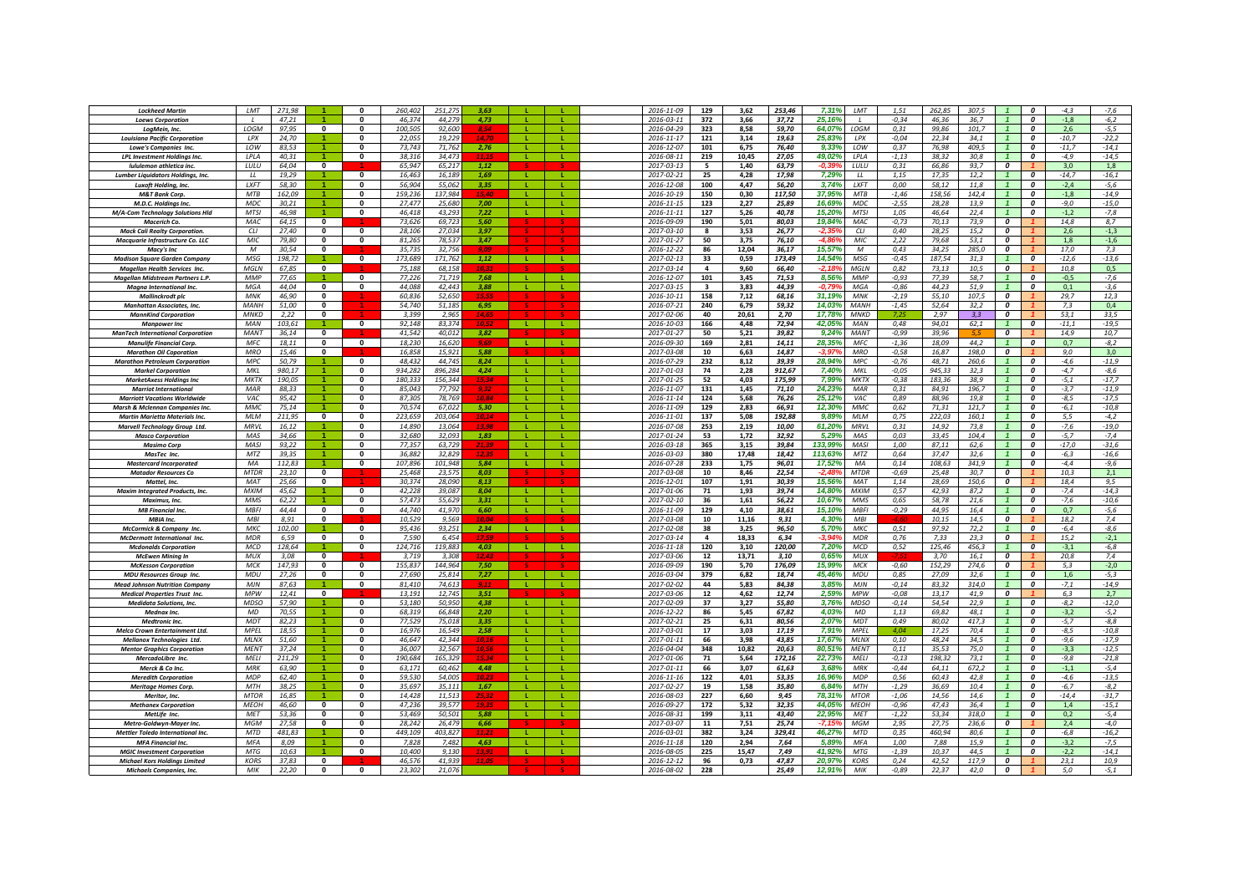| <b>Lockheed Martir</b>                                              | LMT                       | 271.98           |                         |                              | 260.402            | 251.27             | 3.63          |              |              | 2016-11-09               | 129                     | 3,62         | 253.46           | 7,31%           | LMT                       | 1.51               | 262,85<br>307.5                 |                     | 0                                    | $-4,3$           | $-7,6$             |
|---------------------------------------------------------------------|---------------------------|------------------|-------------------------|------------------------------|--------------------|--------------------|---------------|--------------|--------------|--------------------------|-------------------------|--------------|------------------|-----------------|---------------------------|--------------------|---------------------------------|---------------------|--------------------------------------|------------------|--------------------|
| <b>Loews Corporation</b>                                            |                           | 47,21            |                         | $\Omega$                     | 46,374             | 44.279             | 4,73          |              |              | 2016-03-11               | 372                     | 3,66         | 37,72            | 25,16%          |                           | $-0,34$            | 46,36<br>36.7                   |                     | $\mathbf{a}$                         | $-1,8$           | $-6,2$             |
| LoaMein, Inc.                                                       | LOGM                      | 97,95            | $\mathbf{0}$            | $\Omega$                     | 100.50             | 92,600             |               |              |              | 2016-04-29               | 323                     | 8,58         | 59,70            | 64,07%          | LOGM                      | 0,31               | 99,86<br>101,7                  |                     | $\boldsymbol{0}$                     | 2,6              | $-5,5$             |
| <b>Louisiana Pacific Corporation</b>                                | LPX                       | 24,70            |                         | $\Omega$                     | 22,055             | 19,229             |               | - 11         | <b>T</b>     | 2016-11-17               | 121                     | 3,14         | 19,63            | 25,83%          | LPX                       | $-0,04$            | 22,34<br>34,1                   |                     | $\boldsymbol{0}$                     | $-10,7$          | $-22,2$            |
| Lowe's Companies Inc.                                               | LOW                       | 83.53            |                         |                              | 73.743             | 71.762             | 2.76          |              |              | 2016-12-07               | 101                     | 6,75         | 76,40            | $9.33^{\circ}$  | 10W                       | 0.37               | 409.5<br>76.98                  |                     | 0                                    | $-11.7$          | $-14,1$            |
| <b>LPL Investment Holdings Inc.</b>                                 | LPLA                      | 40.31            |                         | $\mathbf 0$                  | 38.31              | 34.47              |               |              |              | 2016-08-11               | 219                     | 10.45        | 27,05            | 49,02%          | LPLA                      | $-1,13$            | 38.32<br>30.8                   |                     | 0                                    | $-4,9$           | $-14,5$            |
| Iululemon athletica inc.                                            | LULU                      | 64,04            | $\mathbf{0}$            |                              | 65,947             | 65,217             | 1,12          |              |              | 2017-03-13               | 5                       | 1,40         | 63,79            |                 | LULU                      | 0,31               | 66,86<br>93,7                   | 0                   |                                      | 3,0              | 1,8                |
| Lumber Liquidators Holdings, Inc.                                   | $\overline{11}$           | 19.29            |                         | $\mathbf{0}$                 | 16.463             | 16.189             | 1.69          | - L.         | л.           | 2017-02-21               | 25                      | 4.28         | 17.98            | 7.29%           | $\mu$                     | 1.15               | 17.35<br>12,2                   |                     | $\boldsymbol{0}$                     | $-14,7$          | $-16,1$            |
| Luxoft Holding, Inc.                                                | <b>LXFT</b>               | 58.30            |                         | $\mathbf{0}$                 | 56,904             | 55.062             | 3,35          | л.           | a ka         | 2016-12-08               | 100                     | 4.47         | 56.20            | 3.74%           | <b>LXFT</b>               | 0.00               | 58.12<br>11.8                   |                     | $\overline{\mathbf{c}}$              | $-2.4$           | $-5,6$             |
| <b>M&amp;T Bank Corp.</b>                                           | <b>MTB</b>                | 162,09           |                         | $\Omega$                     | 159.236            | 137,984            | 15.46         | -11          | л.           | 2016-10-19               | 150                     | 0.30         | 117,50           | 37.95%          | <b>MTB</b>                | $-1,46$            | 158.56<br>142,4                 | $\overline{1}$      | $\mathbf{a}$                         | $-1.8$           | $-14,9$            |
| M.D.C. Holdings Inc.                                                | MDC                       | 30,21            |                         | $\mathbf{0}$                 | 27,477             | 25,680             | 7,00          | л.           | L.           | 2016-11-15               | 123                     | 2,27         | 25,89            | 16,69%          | MDC                       | $-2,55$            | 28.28<br>13,9                   |                     | $\boldsymbol{0}$                     | $-9,0$           | $-15,0$            |
| M/A-Com Technology Solutions Hld                                    | <b>MTSI</b>               | 46,98            |                         | $\Omega$                     | 46.418             | 43,293             | 7,22          | -11          | <b>L</b>     | 2016-11-11               | 127                     | 5,26         | 40,78            | 15,20%          | <b>MTSI</b>               | 1,05               | 46,64<br>22,4                   |                     | $\boldsymbol{0}$                     | $-1,2$           | $-7,8$             |
| Macerich Co.                                                        | MAC.                      | 64,15            | 0                       |                              | 73,626             | 69,723             | 5,60          |              |              | 2016-09-09               | 190                     | 5,01         | 80,03            | 19,84%          | MAC                       | $-0,73$            | 70,13<br>73,9                   | 0                   |                                      | 14,8             | 8,7                |
| <b>Mack Cali Realty Corporation</b>                                 | CLI                       | 27,40            | 0                       | $\mathbf{0}$                 | 28.106             | 27.034             | 3,97          |              |              | 2017-03-10               | 8                       | 3,53         | 26,77            |                 | C11                       | 0,40               | 28.25<br>15.2                   | 0                   |                                      | 2,6              | $-1,3$             |
| Macquarie Infrastructure Co. LLC                                    | MIC.                      | 79.80            | $\mathbf{0}$            | $\mathbf{0}$                 | 81.26              | 78.537             | 3,47          |              |              | 2017-01-27               | 50                      | 3,75         | 76,10            | -4 RF           | MIC.                      | 2,22               | 79,68<br>53.1                   | 0                   |                                      | 1.8              | $-1,6$             |
| Macy's Inc.                                                         | M                         | 30.54            | $\Omega$                |                              | 35.735             | 32.756             | 9.09          |              |              | 2016-12-22               | 86                      | 12.04        | 36.17            | 15.57%          | $\boldsymbol{M}$          | 0.43               | 34.25<br>285.0                  | 0                   |                                      | 17.0             | 7,3                |
| <b>Madison Sauare Garden Compan</b>                                 | MSG                       | 198.72           |                         | $\Omega$                     | 173.689            | 171 763            | 1.12          | - 11         |              | $2017 - 02 - 13$         | 33                      | 0.59         | 173,49           | 14.54%          | MSG                       | $-0.45$            | 187.54<br>31.3                  |                     | $\Omega$                             | $-12.6$          | $-13.6$            |
| <b>Magellan Health Services Inc.</b>                                | <b>MGLN</b>               | 67,85            | $\overline{0}$          |                              | 75.188             | 68 15.             | 102           |              |              | 2017-03-14               | $\Delta$                | 9.60         | 66,40            | $-2.189$        | MGLN                      | 0.82               | 73.13<br>10.5                   | $\overline{0}$      |                                      | 10.8             | 0,5                |
| Magellan Midstream Partners L.P.                                    | MMP                       | 77,65            |                         | $\Omega$                     | 77,226             | 71,719             | 7,68          | - 11         | л.           | 2016-12-07               | 101                     | 3,45         | 71,53            | 8,56%           | <b>MMP</b>                | $-0,93$            | 77,39<br>58,7                   |                     | $\boldsymbol{0}$                     | $-0,5$           | $-7,6$             |
| Magna International Inc.                                            | MGA                       | 44,04            | $\mathbf{0}$            | $\Omega$                     | 44.088             | 42,443             | 3,88          |              |              | 2017-03-15               | $\overline{\mathbf{3}}$ | 3,83         | 44,39            | -0.79           | MGA                       | $-0,86$            | 44,23<br>51.9                   |                     | $\boldsymbol{0}$                     | 0,1              | $-3,6$             |
| <b>Mallinckrodt</b> pla                                             | MNK                       | 46,90            | 0                       |                              | 60,836             | 52,650             |               |              |              | 2016-10-11               | 158                     | 7,12         | 68,16            | 31,19%          | MNK                       | $-2,19$            | 55,10<br>107,5                  | 0                   |                                      | 29,7             | 12,3               |
| <b>Manhattan Associates, Inc.</b>                                   | <b>MANH</b>               | 51.00            | $\bf{0}$                |                              | 54.740             | 51.185             | 6,95          |              |              | 2016-07-21               | 240                     | 6,79         | 59,32            | 14,03%          | MANH                      | $-1,45$            | 52,64<br>32.2                   | 0                   |                                      | 7,3              | 0,4                |
| <b>MannKind Corporation</b>                                         | <b>MNKD</b>               | 2,22             | 0                       |                              | 3.39               | 2.96 <sup>1</sup>  |               |              |              | 2017-02-06               | 40                      | 20,61        | 2,70             | 17,78%          | MNK <sub>E</sub>          | 7,25               | 2.97<br>3.3                     | $\overline{0}$      |                                      | 53.1             | 33,5               |
| <b>Mannower Inc.</b>                                                | <b>MAN</b>                | 103.61           |                         | $\mathbf{0}$                 | 92.148             | 83.374             |               | л.           | л.           | 2016-10-03               | 166                     | 4.48         | 72.94            | 42.05%          | <b>MAN</b>                | 0.48               | 94.01<br>62.1                   |                     | $\boldsymbol{o}$                     | $-11.1$          | $-19.5$            |
| <b>ManTech International Corporation</b>                            | <b>MANT</b>               | 36,14            | $\mathbf{0}$            |                              | 41,542             | 40,012             | 3.82          |              |              | 2017-01-27               | 50                      | 5,21         | 39,82            | 9.24%           | <b>MANT</b>               | $-0,99$            | 39,96                           | 0                   |                                      | 14,9             | 10,7               |
| <b>Manulife Financial Corp.</b>                                     | <b>MFC</b>                | 18.11            | $\mathbf{0}$            | $\mathbf{0}$                 | 18,230             | 16.620             | 9.69          | - L -        | - L -        | 2016-09-30               | 169                     | 2.81         | 14.11            | 28,35%          | <b>MFC</b>                | $-1,36$            | 18.09<br>44,2                   | $\mathbf{1}$        | $\boldsymbol{0}$                     | 0,7              | $-8,2$             |
| <b>Marathon Oil Coporation</b>                                      | <b>MRO</b>                | 15,46            | $\mathbf{0}$            | $\Omega$                     | 16.858             | 15,921             | 5.88          |              |              | 2017-03-08               | 10                      | 6,63         | 14,87            | $-3.97$         | <b>MRO</b>                | $-0,58$            | 16,87<br>198,0                  | 0<br>$\overline{1}$ |                                      | 9,0              | 3,0                |
| <b>Marathon Petroleum Corporation</b>                               | MPC<br>MKI                | 50,79            |                         | $\mathbf{0}$                 | 48.432             | 44,745             | 8,24          | л.           | L.           | 2016-07-29               | 232<br>74               | 8,12         | 39,39            | 28,94%          | MPC<br><b>MKI</b>         | $-0,76$            | 48,71<br>260,6<br>945.33        |                     | $\boldsymbol{0}$<br>$\boldsymbol{0}$ | $-4,6$           | -11,9              |
| <b>Markel Corporation</b>                                           | <b>MKTX</b>               | 980,17<br>190.05 |                         | $\mathbf{0}$                 | 934,282<br>180.333 | 896,284<br>156.344 | 4,24          | $\mathbf{L}$ |              | 2017-01-03<br>2017-01-25 | 52                      | 2,28<br>4.03 | 912,67<br>175,99 | 7,40%<br>7.99%  | <b>MKTX</b>               | $-0.05$<br>$-0.38$ | 32,3<br>183.36<br>38.9          |                     | $\boldsymbol{0}$                     | $-4,7$<br>$-5,1$ | $-8,6$<br>$-17,7$  |
| <b>MarketAxess Holdings Inc</b>                                     | MAR                       | 88.33            |                         | $\mathbf{0}$                 | 85.04              | 77.79              | 15,34<br>9.32 |              |              | 2016-11-07               | 131                     |              |                  | $24.23^{\circ}$ | MAR                       | 0.31               | 84.91<br>196.7                  | $\overline{1}$      | $\boldsymbol{0}$                     | $-3.7$           |                    |
| <b>Marriot International</b><br><b>Marriott Vacations Worldwide</b> | VAC                       | 95,42            |                         | $\mathbf{0}$                 | 87,30              | 78,769             | 10.84         | -L           |              | 2016-11-14               | 124                     | 1,45<br>5,68 | 71,10<br>76,26   | 25,12%          | VAC.                      | 0,89               | 88,96<br>19.8                   |                     | $\boldsymbol{0}$                     | $-8,5$           | $-11,9$<br>$-17,5$ |
| <b>Marsh &amp; Mclennan Companies Inc.</b>                          | <b>MMC</b>                | 75,14            |                         | $\mathbf{0}$                 | 70.574             | 67.022             | 5.30          | $\mathbf{I}$ | л.           | 2016-11-09               | 129                     | 2.83         | 66,91            | 12,30%          | <b>MMC</b>                | 0,62               | 71.31<br>121.7                  |                     | $\boldsymbol{o}$                     | $-6,1$           | $-10,8$            |
| <b>Martin Marietta Materials Inc.</b>                               | MIM                       | 211.95           | $\Omega$                | $\Omega$                     | 223 651            | 203.06             | 10.14         |              |              | 2016-11-01               | 137                     | 5,08         | 192,88           | 9.89%           | <b>MIM</b>                | 0,75               | 222.03<br>1601                  |                     | $\mathbf{r}$                         | 5.5              | $-4.2$             |
| Marvell Technology Group Ltd.                                       | <b>MRVL</b>               | 16,12            |                         | $\Omega$                     | 14,890             | 13.06              |               | - 11         | $\mathbf{L}$ | 2016-07-08               | 253                     | 2,19         | 10,00            | 61,20%          | <b>MRVL</b>               | 0,31               | 14,92<br>73.8                   |                     | $\mathbf{a}$                         | $-7,6$           | $-19,0$            |
| <b>Masco Corporation</b>                                            | MAS                       | 34,66            |                         | $\mathbf{r}$                 | 32.686             | 32.093             | 1,83          |              | т.           | 2017-01-24               | 53                      | 1,72         | 32,92            | 5,29%           | MAS                       | 0,03               | 33.45<br>104.4                  |                     | $\boldsymbol{0}$                     | $-5,7$           | $-7,4$             |
| <b>Masimo Corp</b>                                                  | MASI                      | 93,22            |                         | $\Omega$                     | 77.35              | 63,729             |               |              | L.           | 2016-03-18               | 365                     | 3,15         | 39,84            | 133,99%         | MASI                      | 1,00               | 87,11<br>62,6                   |                     | 0                                    | $-17,0$          | $-31,6$            |
| MasTec Inc.                                                         | MTZ                       | 39,35            |                         | $\Omega$                     | 36,882             | 32,829             |               |              |              | 2016-03-03               | 380                     | 17,48        | 18,42            | 113,63%         | MTZ                       | 0,64               | 37,47<br>32,6                   |                     | 0                                    | $-6,3$           | $-16,6$            |
| <b>Mastercard Incorporated</b>                                      | MA                        | 112.83           |                         | $\mathbf{0}$                 | 107.89             | 101.948            | 5,84          |              |              | 2016-07-28               | 233                     | 1,75         | 96,01            | 17,52%          | MA                        | 0,14               | 108.63<br>341,9                 |                     | $\boldsymbol{0}$                     | $-4,4$           | $-9,6$             |
| <b>Matador Resources Co</b>                                         | <b>MTDR</b>               | 23.10            | $\mathbf{0}$            |                              | 25.46              | 23.57              | 8,03          |              |              | 2017-03-08               | 10                      | 8,46         | 22,54            |                 | <b>MTDR</b>               | $-0,69$            | 25.48<br>30.7                   | 0                   |                                      | 10,3             | 2,1                |
| Mattel, Inc.                                                        | <b>MAT</b>                | 25.66            | $\mathbf{0}$            |                              | 30.374             | 28.090             | 8.13          |              |              | 2016-12-01               | 107                     | 1.91         | 30.39            | 15.569          | <b>MAT</b>                | 1.14               | 28.69<br>150.6                  | 0                   |                                      | 18.4             | 9,5                |
| <b>Maxim Integrated Products, Inc.</b>                              | <b>MXIM</b>               | 45.62            |                         | $\Omega$                     | 42,228             | 39.087             | 8.04          | - 11         | -11          | 2017-01-06               | 71                      | 1,93         | 39,74            | 14.80%          | <b>MXIM</b>               | 0.57               | 42.93<br>87.2                   |                     | $\Omega$                             | $-7,4$           | $-14,3$            |
| Maximus, Inc.                                                       | <b>MMS</b>                | 62,22            |                         | 0                            | 57.47              | 55,629             | 3.31          | - L.         | л.           | $2017 - 02 - 10$         | 36                      | 1,61         | 56,22            | 10,67%          | <b>MMS</b>                | 0,65               | 58.78<br>21,6                   | -1                  | 0                                    | $-7,6$           | -10,6              |
| <b>MB Financial Inc.</b>                                            | <b>MBFI</b>               | 44,44            | $\mathbf{0}$            | $\mathbf 0$                  | 44,740             | 41,970             | 6,60          | л.           | л.           | 2016-11-09               | 129                     | 4,10         | 38,61            | 15,10%          | <b>MBFI</b>               | $-0,29$            | 44.95<br>16,4                   |                     | $\boldsymbol{0}$                     | 0,7              | $-5,6$             |
| MBIA Inc.                                                           | MBI                       | 8,91             | $\mathbf{0}$            |                              | 10,529             | 9.56               |               |              |              | 2017-03-08               | 10                      | 11,16        | 9,31             | 4,30%           | MBI                       |                    | 10,15<br>14,5                   | $\boldsymbol{0}$    |                                      | 18,2             | 7,4                |
| McCormick & Company Inc.                                            | MKC.                      | 102,00           |                         | $\mathbf{0}$                 | 95,436             | 93,251             | 2,34          | -11          | -11          | 2017-02-08               | 38                      | 3,25         | 96,50            | 5,70%           | МКС                       | 0,51               | 97,92<br>72,2                   |                     | $\boldsymbol{0}$                     | $-6,4$           | $-8,6$             |
| McDermott International Inc.                                        | <b>MDR</b>                | 6.59             | $\mathbf{0}$            | $\mathbf{0}$                 | 7.59               | 6.454              | 17.59         |              |              | 2017-03-14               | 4                       | 18.33        | 6,34             | $-3.94$         | <b>MDR</b>                | 0,76               | 23.3<br>7.33                    | 0                   |                                      | 15.2             | $-2,1$             |
| <b>Mcdonalds Corporation</b>                                        | <b>MCD</b>                | 128.64           |                         | $\Omega$                     | 124 71             | 119.883            | 4.03          | - 11         |              | 2016-11-18               | 120                     | 3.10         | 120.00           | 7.20%           | <b>MCD</b>                | 0.52               | 125.46<br>456.3                 | $\overline{1}$      | $\Omega$                             | $-3.1$           | $-6.8$             |
| <b>McEwen Mining In</b>                                             | MUX                       | 3,08             | $\mathbf{0}$            |                              | 3.71               | 3.308              | 12.43         |              |              | 2017-03-06               | 12                      | 13,71        | 3,10             | 0,65%           | MUX                       |                    | 3,70<br>16,1                    | 0                   |                                      | 20,8             | 7,4                |
| <b>McKesson Corporation</b>                                         | <b>MCK</b>                | 147.93           | $\mathbf{0}$            | $\mathbf{0}$                 | 155.837            | 144.964            | 7.50          |              |              | 2016-09-09               | 190                     | 5,70         | 176,09           | 15,99%          | <b>MCK</b>                | $-0,60$            | 152,29<br>274,6                 | 0                   |                                      | 5,3              | $-2,0$             |
| <b>MDU Resources Group Inc</b>                                      | <b>MDU</b>                | 27,26            | $\overline{\mathbf{0}}$ | $\mathbf{0}$                 | 27.690             | 25.814             | 7.27          | - 11         | -11          | 2016-03-04               | 379                     | 6.82         | 18,74            | 45,46%          | <b>MDU</b>                | 0,85               | 27.09<br>32.6                   | $\mathbf{1}$        | $\boldsymbol{0}$                     | 1,6              | $-5,3$             |
| <b>Mead Johnson Nutrition Company</b>                               | MJN                       | 87,63            |                         | $\Omega$                     | 81,410             | 74,613             | 0.1           | -11          | т.           | 2017-02-02               | 44                      | 5,83         | 84,38            | 3,85%           | MJN                       | $-0,14$            | 83,32<br>314,0                  | $\overline{1}$      | $\Omega$                             | $-7,1$           | $-14,9$            |
| <b>Medical Properties Trust Inc.</b>                                | <b>MPW</b>                | 12,41            | $\Omega$                |                              | 13,191             | 12,745             | 3.51          |              | т.           | 2017-03-06               | 12                      | 4,62         | 12,74            | 2,59%           | <b>MPW</b>                | $-0.08$            | 13,17<br>41.9                   | $\boldsymbol{o}$    |                                      | 6,3              | 2,7                |
| <b>Medidata Solutions, Inc.</b>                                     | MDSO                      | 57,90            |                         | $\Omega$                     | 53,180             | 50.950             | 4.38          |              |              | 2017-02-09               | 37                      | 3,27         | 55,80            | 3,76%           | <b>MDSO</b>               | $-0,14$            | 54,54<br>22,9                   |                     | $\boldsymbol{0}$                     | $-8,2$           | $-12,0$            |
| Mednax Inc.                                                         | MD                        | 70,55            |                         | $\mathbf{0}$                 | 68,319             | 66,848             | 2,20          |              |              | 2016-12-22               | 86                      | 5,45         | 67,82            | 4,03%           | MD                        | 1,13               | 69,82<br>48,1                   |                     | 0                                    | $-3,2$           | $-5,2$             |
| <b>Medtronic Inc</b><br>Melco Crown Entertainment Ltd.              | <b>MDT</b><br><b>MPEL</b> | 82,23<br>18,55   |                         | $\mathbf{0}$<br>$\mathbf{0}$ | 77,52<br>16,976    | 75,018<br>16,549   | 3,35<br>2,58  |              |              | 2017-02-21<br>2017-03-01 | 25<br>17                | 6,31<br>3,03 | 80,56<br>17,19   | 2,07%<br>7,91%  | <b>MDT</b><br><b>MPEL</b> | 0,49<br>4,04       | 80,02<br>417,3<br>17,25<br>70,4 |                     | 0<br>0                               | $-5,7$<br>$-8,5$ | $-8,8$<br>$-10,8$  |
|                                                                     | <b>MLNX</b>               | 51.60            |                         | $\mathbf{0}$                 | 46.647             | 42.344             |               |              | т.           | 2017-01-11               | 66                      | 3.98         | 43.85            | 17.67%          | <b>MLNX</b>               | 0, 10              | 48.24<br>34,5                   |                     | $\boldsymbol{o}$                     |                  |                    |
| Mellanox Technologies Ltd.                                          | <b>MENT</b>               | 37,24            |                         | $\Omega$                     | 36,007             | 32,567             | 10.16         |              |              | 2016-04-04               | 348                     | 10,82        |                  | 80.51%          | MENT                      | 0,11               | 35,53<br>75.0                   |                     | $\Omega$                             | $-9,6$           | $-17,9$            |
| <b>Mentor Graphics Corporation</b><br>MercadoLibre Inc.             | <b>MELI</b>               | 211,29           |                         | $\Omega$                     | 190.684            | 165,329            | 15 27         | -11          | л.           | 2017-01-06               | 71                      | 5,64         | 20,63<br>172,16  | 22,73%          | <b>MELI</b>               | $-0,13$            | 198.32<br>73.1                  | $\overline{1}$      | $\Omega$                             | $-3,3$<br>$-9.8$ | $-12,5$<br>$-21,8$ |
| Merck & Co Inc.                                                     | <b>MRK</b>                | 63,90            |                         | 0                            | 63,171             | 60,462             | 4,48          | л.           | L.           | 2017-01-11               | 66                      | 3,07         | 61,63            | 3,68%           | MRK                       | $-0,44$            | 672,2<br>64,11                  |                     | 0                                    | $-1,1$           | $-5,4$             |
| <b>Meredith Corporation</b>                                         | <b>MDP</b>                | 62,40            |                         | $\mathbf{0}$                 | 59,530             | 54,005             | 10.23         |              |              | 2016-11-16               | 122                     | 4,01         | 53,35            | 16,96%          | <b>MDP</b>                | 0,56               | 60,43<br>42,8                   |                     | 0                                    | $-4,6$           | $-13,5$            |
| <b>Meritage Homes Corp.</b>                                         | <b>MTH</b>                | 38,25            |                         | $\mathbf{0}$                 | 35,697             | 35,111             | 1,67          | -11          | L.           | 2017-02-27               | 19                      | 1,58         | 35,80            | 6,84%           | MTH                       | $-1,29$            | 36,69<br>10,4                   |                     | 0                                    | $-6,7$           | $-8,2$             |
| Meritor, Inc.                                                       | <b>MTOR</b>               | 16.85            |                         | $\mathbf{0}$                 | 14,428             | 11.51              | 25,32         | <b>L</b>     |              | 2016-08-03               | 227                     | 6.60         | 9,45             | 78,31%          | <b>MTOR</b>               | $-1.06$            | 14.56<br>14.6                   | $\mathbf{1}$        | $\boldsymbol{0}$                     | $-14,4$          | $-31,7$            |
| <b>Methanex Corporation</b>                                         | <b>MFOF</b>               | 46.60            | $\bf{0}$                | $\mathbf{0}$                 | 47.23              | 39.57              | 19.35         |              |              | 2016-09-27               | 172                     | 5,32         | 32,35            | 44.05           | <b>MFO<sub>F</sub></b>    | $-0,96$            | 47.43<br>36.4                   |                     | $\boldsymbol{0}$                     | 1,4              | $-15,1$            |
| MetLife Inc                                                         | <b>MET</b>                | 53.36            | $\Omega$                | $\Omega$                     | 53.46              | 50.50              | 5.88          | $\mathbf{L}$ | $\mathbf{L}$ | 2016-08-31               | 199                     | 3.11         | 43.40            | 22.95%          | <b>MET</b>                | $-1.22$            | 53.34<br>318.0                  |                     | $\boldsymbol{o}$                     | 0.2              | $-5.4$             |
| Metro-Goldwyn-Mayer Inc.                                            | <b>MGM</b>                | 27,58            | $\mathbf{0}$            | $\Omega$                     | 28.242             | 26.479             | 6.66          |              |              | 2017-03-07               | 11                      | 7,51         | 25,74            | $-7.15$         | <b>MGM</b>                | 2,95               | 27.75<br>236.6                  | $\boldsymbol{0}$    |                                      | 2,4              | $-4,0$             |
| Mettler Toledo International Inc.                                   | <b>MTD</b>                | 481.83           |                         | $\mathbf{0}$                 | 449.109            | 403.827            |               | $\mathbf{L}$ | $\mathbf{L}$ | 2016-03-01               | 382                     | 3,24         | 329,41           | 46,27%          | <b>MTD</b>                | 0,35               | 460.94<br>80,6                  | $\overline{1}$      | $\overline{\mathbf{c}}$              | $-6,8$           | $-16,2$            |
| <b>MFA Financial Inc.</b>                                           | <b>MFA</b>                | 8,09             |                         | $\Omega$                     | 7,828              | 7,482              | 4.63          | - 11         | л.           | 2016-11-18               | 120                     | 2,94         | 7,64             | 5,89%           | <b>MFA</b>                | 1,00               | 7,88<br>15.9                    |                     | $\mathbf{a}$                         | $-3,2$           | $-7,5$             |
| <b>MGIC Investment Corporation</b>                                  | <b>MTG</b>                | 10,63            |                         | $\Omega$                     | 10,400             | 9,130              |               | -11          | <b>L</b>     | 2016-08-05               | 225                     | 15,47        | 7,49             | 41,92%          | <b>MTG</b>                | $-1,39$            | 10,37<br>44,5                   |                     | $\boldsymbol{0}$                     | $-2,2$           | $-14,1$            |
| <b>Michael Kors Holdings Limited</b>                                | <b>KORS</b>               | 37,83            | 0                       |                              | 46,57              | 41,939             |               |              |              | 2016-12-12               | 96                      | 0,73         | 47,87            | 20,97           | <b>KORS</b>               | 0,24               | 42,52<br>117,9                  | 0                   |                                      | 23,1             | 10,9               |
| <b>Michaels Companies, Inc.</b>                                     | MIK                       | 22,20            | $\mathbf{0}$            | $\mathbf{0}$                 | 23.302             | 21,076             |               |              |              | 2016-08-02               | 228                     |              | 25,49            | 12,91%          | <b>MIK</b>                | $-0.89$            | 22.37<br>42,0                   | $\boldsymbol{o}$    |                                      | 5.0              | $-5,1$             |
|                                                                     |                           |                  |                         |                              |                    |                    |               |              |              |                          |                         |              |                  |                 |                           |                    |                                 |                     |                                      |                  |                    |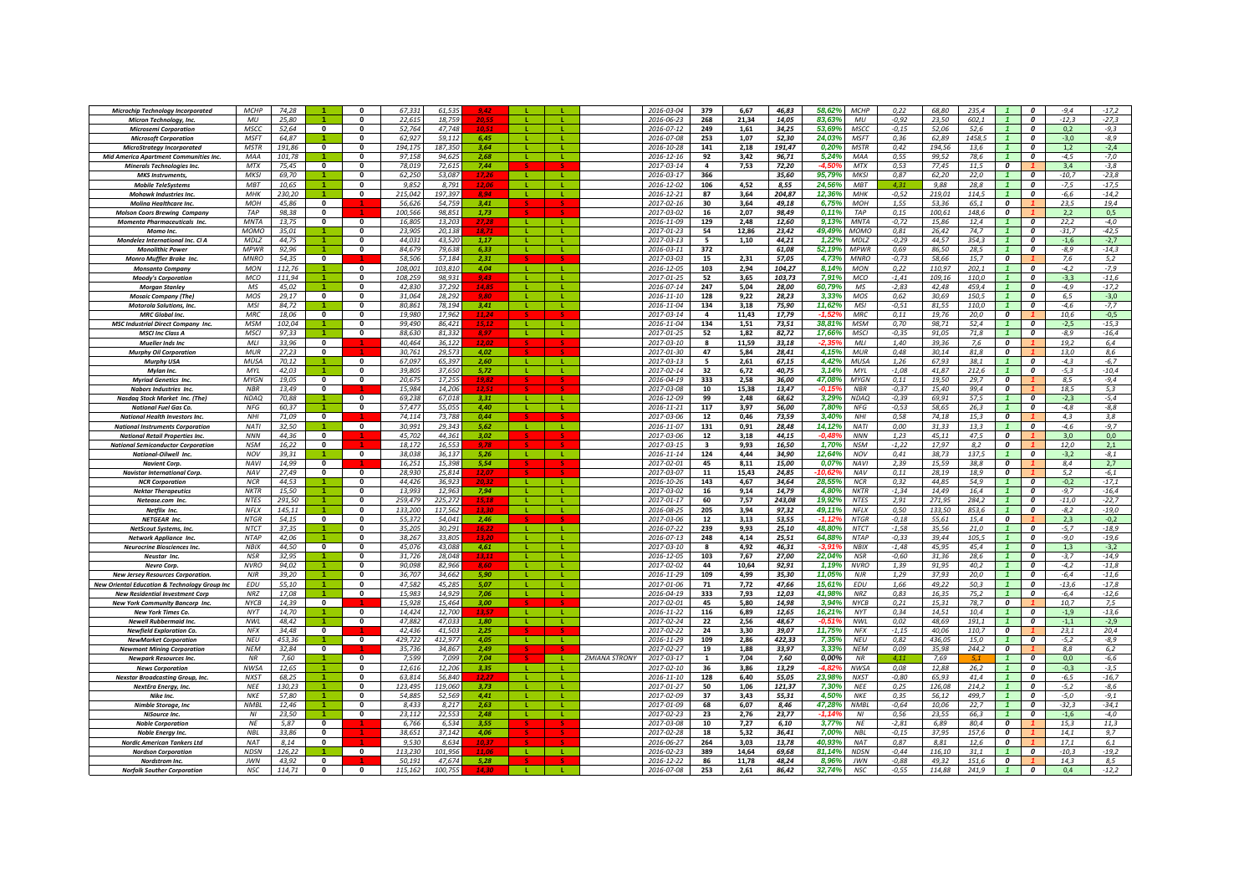| <b>Microchip Technology Incorporated</b>                 | <b>MCHP</b>               | 74,28          |                         | $\Omega$     | 67,331           | 61,535           |               |              |              |                      | 2016-03-04               | 379            | 6,67         | 46,83          | 58,62%<br><b>MCHP</b>                 | 0,22               | 68,80          | 235.4        |                         | 0                     | $-9,4$         | $-17,2$            |
|----------------------------------------------------------|---------------------------|----------------|-------------------------|--------------|------------------|------------------|---------------|--------------|--------------|----------------------|--------------------------|----------------|--------------|----------------|---------------------------------------|--------------------|----------------|--------------|-------------------------|-----------------------|----------------|--------------------|
| Micron Technology, Inc.                                  | MU                        | 25,80          |                         |              | 22,615           | 18,75            |               |              |              |                      | 2016-06-23               | 268            | 21,34        | 14,05          | 83,63%<br>MU                          | $-0.92$            | 23,50          | 602,1        |                         | 0                     | $-12,3$        | $-27,3$            |
| <b>Microsemi Corporation</b>                             | MSCC                      | 52.64          | $\mathbf{0}$            | $\mathbf{0}$ | 52.764           | 47.748           |               |              |              |                      | 2016-07-12               | 249            | 1,61         | 34,25          | 53.699<br><b>MSCC</b>                 | $-0.15$            | 52.06          | 52.6         |                         | $\boldsymbol{0}$      | 0,2            | $-9,3$             |
| <b>Microsoft Corporation</b>                             | <b>MSFT</b>               | 64.87          |                         |              | 62.927           | 59.11            | 6.45          |              |              |                      | 2016-07-08               | 253            | 1,07         | 52.30          | 24,03<br><b>MSFT</b>                  | 0.36               | 62.89          | 1458.5       |                         | $\boldsymbol{0}$      | $-3,0$         | $-8,9$             |
| <b>MicroStrategy Incorporated</b>                        | <b>MSTR</b>               | 191.86         | $\mathbf{0}$            | $\Omega$     | 194.175          | 187,350          | 3.64          |              |              |                      | 2016-10-28               | 141            | 2.18         | 191.47         | 0.20%<br><b>MSTR</b>                  | 0.42               | 194.56         | 13.6         |                         | $\Omega$              | 1.2            | $-2,4$             |
| Mid America Apartment Communities Inc.                   | MAA                       | 101,78         |                         | $\mathbf{0}$ | 97,158           | 94,625           | 2,68          |              | л.           |                      | 2016-12-16               | 92             | 3,42         | 96,71          | 5,24%<br>MAA                          | 0,55               | 99,52          | 78,6         |                         | $\overline{a}$        | $-4,5$         | $-7,0$             |
| <b>Minerals Technologies Inc.</b>                        | <b>MTX</b>                | 75,45          | $\mathbf{0}$            | $\Omega$     | 78.019           | 72,615           | 7,44          |              |              |                      | 2017-03-14               | 4              | 7,53         | 72.20          | <b>MTX</b><br>-4.50                   | 0,53               | 77.45          | 11.5         | $\boldsymbol{o}$        |                       | 3,4            | $-3,8$             |
|                                                          | MKSI                      | 69,70          |                         | $\Omega$     | 62,250           | 53,087           |               | -1.          |              |                      | 2016-03-17               | 366            |              | 35,60          | 95,79%<br>MKSI                        | 0,87               | 62,20          | 22,0         | $\mathbf{1}$            | $\Omega$              | $-10,7$        | $-23,8$            |
| <b>MKS Instruments,</b>                                  | <b>MBT</b>                |                |                         | $\Omega$     | 9.852            | 8.791            | 17,26         |              | л.           |                      |                          |                |              |                | <b>MBT</b>                            |                    |                |              | $\mathbf{1}$            | $\Omega$              |                | $-17,5$            |
| <b>Mobile TeleSystems</b>                                |                           | 10,65          |                         |              |                  |                  |               |              |              |                      | 2016-12-02               | 106            | 4,52         | 8,55           | 24,56%                                | 4.31               | 9,88           | 28,8         |                         | $\Omega$              | $-7,5$         |                    |
| Mohawk Industries Inc.                                   | MHK                       | 230,20         |                         | $\mathbf{0}$ | 215,042          | 197,397          | 8.94          | л.           | L.           |                      | 2016-12-21               | 87             | 3,64         | 204,87         | 12,36%<br>MHK                         | $-0,52$            | 219,01         | 114,5        |                         |                       | $-6,6$         | $-14,2$            |
| <b>Molina Healthcare Inc.</b>                            | <b>MOH</b>                | 45,86          | $\mathbf{0}$            |              | 56,626           | 54.759           | 3,41          |              |              |                      | 2017-02-16               | 30             | 3,64         | 49,18          | 6,75%<br><b>MOH</b>                   | 1,55               | 53,36          | 65.1         | 0                       |                       | 23,5           | 19,4               |
| <b>Molson Coors Brewing Company</b>                      | <b>TAP</b>                | 98,38          | 0                       |              | 100,566          | 98.85            | 1,73          |              |              |                      | 2017-03-02               | 16             | 2,07         | 98,49          | 0,11%<br><b>TAP</b>                   | 0,15               | 100,61         | 148.6        | 0                       |                       | 2,2            | 0,5                |
| <b>Momenta Pharmaceuticals Inc.</b>                      | <b>MNTA</b>               | 13.75          | 0                       | $\mathbf{0}$ | 16.80            | 13.20            | 27,28         | <b>L</b>     |              |                      | 2016-11-09               | 129            | 2,48         | 12,60          | 9,13%<br><b>MNTA</b>                  | $-0,72$            | 15.86          | 12.4         | $\overline{1}$          | $\boldsymbol{0}$      | 22,2           | $-4,0$             |
| Momo Inc.                                                | <b>MOMO</b>               | 35.01          |                         | $\Omega$     | 23.905           | 20.135           | 18.7          |              |              |                      | 2017-01-23               | 54             | 12.86        | 23.42          | 49.49%<br>момо                        | 0.81               | 26.42          | 74.7         | $\overline{1}$          | $\Omega$              | $-31.7$        | $-42.5$            |
| Mondelez International Inc. CLA                          | MDLZ                      | 44.75          | $\blacktriangleleft$    | $\Omega$     | 44.031           | 43.520           | 1.17          | - 11         |              |                      | 2017-03-13               | 5              | 1.10         | 44.21          | 1.22%<br>MDLZ                         | $-0,29$            | 44.57          | 354.3        |                         | $\boldsymbol{0}$      | $-1,6$         | $-2,7$             |
| <b>Monolithic Powe</b>                                   | <b>MPWR</b>               | 92,96          |                         | $\mathbf{r}$ | 84.679           | 79.638           | 6.33          | $\mathbf{L}$ |              |                      | 2016-03-11               | 372            |              | 61,08          | 52,19%<br><b>MPWR</b>                 | 0,69               | 86,50          | 28.5         |                         | $\Omega$              | $-8.9$         | $-14,3$            |
| Monro Muffler Brake Inc.                                 | <b>MNRO</b>               | 54,35          | $\overline{\mathbf{0}}$ |              | 58,506           | 57,184           | 2,31          |              |              |                      | 2017-03-03               | 15             | 2,31         | 57,05          | 4,73%<br><b>MNRO</b>                  | $-0,73$            | 58,66          | 15,7         | $\overline{\mathbf{c}}$ |                       | 7,6            | 5,2                |
| <b>Monsanto Company</b>                                  | <b>MON</b>                | 112,76         |                         | $\Omega$     | 108,001          | 103,810          | 4,04          | -11          | л.           |                      | 2016-12-05               | 103            | 2,94         | 104,27         | 8,14%<br><b>MON</b>                   | 0,22               | 110,97         | 202,1        |                         | 0                     | $-4,2$         | $-7,9$             |
| <b>Moody's Corporation</b>                               | MCO                       | 111,94         |                         | $\mathbf{0}$ | 108,259          | 98,931           | 9,43          |              |              |                      | 2017-01-25               | 52             | 3,65         | 103,73         | 7,91%<br>MCO                          | $-1,41$            | 109,16         | 110,0        |                         | 0                     | $-3,3$         | $-11,6$            |
| <b>Morgan Stanley</b>                                    | MS                        | 45.02          |                         | $\Omega$     | 42.83            | 37.29            |               |              |              |                      | 2016-07-14               | 247            | 5,04         | 28,00          | 60,79%<br>MS                          | $-2,83$            | 42.48          | 459.4        |                         | $\boldsymbol{0}$      | $-4.9$         | $-17,2$            |
| <b>Mosaic Company (The)</b>                              | <b>MOS</b>                | 29,17          | $\mathbf{0}$            | $\mathbf{0}$ | 31.064           | 28.292           |               |              |              |                      | $2016 - 11 - 10$         | 128            | 9,22         | 28,23          | 3,33%<br>MO <sub>S</sub>              | 0,62               | 30.69          | 150.5        |                         | $\boldsymbol{0}$      | 6,5            | $-3,0$             |
| <b>Motorola Solutions, Inc.</b>                          | MSI                       | 84.72          |                         | $\Omega$     | 80.861           | 78.194           | 3.41          |              |              |                      | 2016-11-04               | 134            | 3.18         | 75.90          | 11,62%<br>MSI                         | $-0.51$            | 81.55          | 110.0        |                         | $\Omega$              | $-4.6$         | $-7,7$             |
| <b>MRC</b> Global Inc.                                   | MRC                       | 18,06          | $\mathbf 0$             | 0            | 19,980           | 17,962           | 11,24         |              |              |                      | 2017-03-14               | $\overline{a}$ | 11,43        | 17,79          | MRC<br>-1,52                          | 0,11               | 19,76          | 20,0         | 0                       |                       | 10,6           | $-0,5$             |
| <b>MSC Industrial Direct Company Inc.</b>                | <b>MSM</b>                | 102,04         |                         | $\Omega$     | 99,490           | 86,421           |               |              |              |                      | 2016-11-04               | 134            | 1,51         | 73,51          | 38,81%<br><b>MSM</b>                  | 0,70               | 98.71          | 52,4         |                         | $\boldsymbol{0}$      | $-2,5$         | $-15,3$            |
| <b>MSCI Inc Class A</b>                                  | MSCI                      | 97,33          |                         | $\mathbf{0}$ | 88,630           | 81.332           | 8.97          | -11          | л.           |                      | 2017-01-25               | 52             | 1,82         | 82,72          | <b>MSCI</b><br>17,66%                 | $-0,35$            | 91,05          | 71,8         | $\mathbf{1}$            | $\overline{a}$        | $-8,9$         | $-16,4$            |
| <b>Mueller Inds Inc</b>                                  | MLI                       | 33.96          | 0                       |              | 40,464           | 36.122           |               |              |              |                      | 2017-03-10               | 8              | 11.59        | 33.18          | -2,359<br>MLI                         | 1.40               | 39,36          | 7,6          | 0                       |                       | 19,2           | 6,4                |
| <b>Murphy Oil Corporation</b>                            | MUR                       | 27,23          | $\mathbf{0}$            |              | 30,761           | 29.57            | 4,02          |              |              |                      | 2017-01-30               | 47             | 5,84         | 28,41          | 4,15%<br>MUR                          | 0,48               | 30,14          | 81,8         | $\boldsymbol{0}$        |                       | 13,0           | 8,6                |
| <b>Murphy USA</b>                                        | <b>MUSA</b>               | 70,12          |                         | $\mathbf 0$  | 67,097           | 65.397           | 2,60          |              |              |                      | 2017-03-13               | 5              | 2,61         | 67,15          | 4,42%<br>MUSA                         | 1,26               | 67,93          | 38,1         | $\overline{1}$          | $\boldsymbol{0}$      | $-4,3$         | $-6,7$             |
| Mylan Inc.                                               | MYL                       | 42,03          |                         | 0            | 39,805           | 37.65            | 5.72          | -11          |              |                      | 2017-02-14               | 32             | 6.72         | 40,75          | 3,14%<br>MYL                          | $-1,08$            | 41,87          | 212,6        |                         | 0                     | $-5,3$         | $-10,4$            |
| <b>Myriad Genetics Inc.</b>                              | <b>MYGN</b>               | 19.05          | $\bf{0}$                | $\mathbf{0}$ | 20,67            | 17.25            | 19,82         |              |              |                      | 2016-04-19               | 333            | 2,58         | 36,00          | 47,08%<br>MYGN                        | 0,11               | 19.50          | 29.7         | 0                       |                       | 8.5            | $-9,4$             |
| <b>Nabors Industries Inc.</b>                            | <b>NBR</b>                | 13.49          | $\mathbf{0}$            |              | 15.984           | 14.206           |               |              |              |                      | 2017-03-08               | 10             | 15.38        | 13.47          | -0.11<br><b>NBR</b>                   | $-0.37$            | 15.40          | 99.4         | $\Omega$                |                       | 18.5           | 5.3                |
| Nasdaq Stock Market Inc. (The)                           | <b>NDAO</b>               | 70.88          |                         | $\mathbf 0$  | 69.238           | 67.018           | 3.31          | - 11         | -11          |                      | 2016-12-09               | 99             | 2,48         | 68.62          | 3,29%<br><b>NDAO</b>                  | $-0.39$            | 69.91          | 57.5         |                         | $\boldsymbol{0}$      | $-2.3$         | $-5,4$             |
| <b>National Fuel Gas Co.</b>                             | <b>NFG</b>                | 60.37          |                         | $\Omega$     | 57.477           | 55.055           | 440           | - 11         |              |                      | 2016-11-21               | 117            | 3.97         | 56,00          | 7,80%<br><b>NFG</b>                   | $-0.53$            | 58.65          | 26.3         |                         | $\Omega$              | $-4.8$         | $-8.8$             |
| <b>National Health Investors Inc</b>                     | NHI                       | 71,09          | $\mathbf{0}$            |              | 74, 11           | 73,788           | 0.44          |              |              |                      | 2017-03-06               | 12             | 0,46         | 73,59          | 3,40%<br>NHI                          | 0,58               | 74,18          | 15,3         | $\overline{\mathbf{c}}$ |                       | 4,3            | 3,8                |
| <b>National Instruments Corporation</b>                  | <b>NATI</b>               | 32,50          |                         | $\mathbf{0}$ | 30,991           | 29.34            | 5.62          | - 11         | $\mathbf{L}$ |                      | 2016-11-07               | 131            | 0,91         | 28,48          | 14,12%<br><b>NATI</b>                 | 0,00               | 31,33          | 13,3         |                         | $\boldsymbol{0}$      | -4,6           | $-9,7$             |
| <b>National Retail Properties Inc.</b>                   | <b>NNN</b>                | 44,36          | 0                       |              | 45,702           | 44,361           | 3,02          |              |              |                      | 2017-03-06               | 12             | 3,18         | 44,15          | $-0.48$<br><b>NNN</b>                 | 1,23               | 45,11          | 47,5         | $\boldsymbol{0}$        |                       | 3,0            | 0,0                |
| <b>National Semiconductor Corporation</b>                | <b>NSM</b>                | 16,22          | $\mathbf{0}$            |              | 18,172           | 16,553           |               |              |              |                      | 2017-03-15               | 3              | 9,93         | 16,50          | 1,70%<br><b>NSM</b>                   | $-1,22$            | 17,97          | 8,2          | $\boldsymbol{0}$        |                       | 12,0           | 2,1                |
| National-Oilwell Inc.                                    | <b>NOV</b>                | 39.31          |                         | $\mathbf{0}$ | 38.038           | 36.13            | 5,26          |              |              |                      | $2016 - 11 - 14$         | 124            | 4.44         | 34,90          | 12,64%<br><b>NOV</b>                  | 0,41               | 38.73          | 137.5        |                         | $\boldsymbol{0}$      | $-3,2$         | $-8,1$             |
| <b>Navient Corp.</b>                                     | <b>NAVI</b>               | 14.99          | $\bf{0}$                |              | 16.251           | 15.398           | 5.54          |              |              |                      | 2017-02-01               | 45             | 8.11         | 15.00          | 0.07%<br><b>NAVI</b>                  | 2.39               | 15.59          | 38.8         | $\boldsymbol{o}$        |                       | 8.4            | 2.7                |
| <b>Navistar International Corp.</b>                      | NAV                       | 27,49          | 0                       | 0            | 28,930           | 25,814           |               |              |              |                      | 2017-03-07               | 11             | 15,43        | 24,85          | NAV<br>10.6.                          | 0,11               | 28,19          | 18,9         | 0                       |                       | 5,2            | $-6,1$             |
| <b>NCR Corporation</b>                                   | <b>NCR</b>                | 44.53          |                         | $\mathbf{0}$ | 44.426           | 36,923           |               | -1.          |              |                      | 2016-10-26               | 143            | 4,67         | 34,64          | 28,55%<br><b>NCR</b>                  | 0,32               | 44,85          | 54,9         |                         | $\boldsymbol{0}$      | $-0,2$         | $-17,1$            |
|                                                          | <b>NKTR</b>               | 15,50          |                         | $\Omega$     | 13.993           | 12,963           | 7,94          |              |              |                      | 2017-03-02               | 16             | 9,14         | 14,79          | 4.80%<br><b>NKTR</b>                  | $-1,34$            | 14,49          | 16,4         | $\mathbf{1}$            | $\Omega$              | $-9.7$         | $-16,4$            |
| <b>Nektar Therapeutics</b><br>Netease.com Inc.           | <b>NTFS</b>               | 291,50         |                         | $\Omega$     | 259.479          | 225.272          | 15,18         | - 11 -       |              |                      | 2017-01-17               | 60             | 7,57         | 243,08         | 19,92%<br><b>NTES</b>                 | 2,91               | 271.95         | 284,2        |                         | $\Omega$              | $-11,0$        | $-22,7$            |
| Netflix Inc.                                             | <b>NFLX</b>               | 145,11         |                         | $\mathbf{0}$ | 133,200          | 117,562          | 13.30         | <b>L</b>     | L.           |                      | 2016-08-25               | 205            | 3,94         | 97,32          | 49,11%<br>NFLX                        | 0,50               | 133.50         | 853,6        |                         | $\Omega$              | $-8,2$         | $-19,0$            |
| <b>NETGEAR Inc</b>                                       | <b>NTGR</b>               | 54,15          | $\mathbf 0$             | $\mathbf 0$  | 55.372           | 54.041           | 2,46          |              |              |                      | 2017-03-06               | 12             | 3,13         | 53,55          | <b>NTGR</b><br>$-1.12$                | $-0.18$            | 55,61          | 15,4         | 0                       |                       | 2,3            | $-0,2$             |
|                                                          | <b>NTCT</b>               | 37,35          |                         | 0            | 35.20:           | 30.29            | 16.2          | -11          | ÷.           |                      | 2016-07-22               | 239            | 9,93         | 25,10          | 48,80%<br><b>NTCT</b>                 | $-1,58$            | 35,56          | 21,0         | $\mathbf{1}$            | $\boldsymbol{0}$      | $-5,7$         | $-18,9$            |
| NetScout Systems, Inc.<br><b>Network Appliance Inc</b>   | <b>NTAP</b>               | 42.06          |                         | $\mathbf{0}$ | 38.26            | 33.80            | 13.20         |              |              |                      | 2016-07-13               | 248            | 4,14         | 25,51          | 64,88%<br><b>NTAP</b>                 | $-0,33$            | 39,44          | 105.5        | $\mathbf{1}$            | $\boldsymbol{0}$      | -9,0           | $-19,6$            |
|                                                          |                           |                | $\Omega$                | $\Omega$     |                  |                  |               |              |              |                      |                          | $\mathbf{R}$   |              |                | $-3.91$                               |                    |                |              |                         | $\Omega$              |                |                    |
| <b>Neurocrine Biosciences Inc.</b><br>Neustar Inc        | <b>NBIX</b><br><b>NSR</b> | 44.50<br>32.95 |                         | $\Omega$     | 45.076<br>31.726 | 43.088<br>28.048 | 4.61<br>13.11 | $\mathbf{I}$ | $\mathbf{L}$ |                      | 2017-03-10<br>2016-12-05 | 103            | 4.92<br>7.67 | 46.31<br>27.00 | <b>NBIX</b><br>22.04%<br><b>NSR</b>   | $-1.48$<br>$-0.60$ | 45.95<br>31.36 | 45.4<br>28.6 |                         | $\boldsymbol{0}$      | 1.3<br>$-3.7$  | $-3.2$<br>$-14.9$  |
|                                                          | <b>NVRO</b>               | 94.02          | $\overline{4}$          | $\Omega$     | 90.098           | 82.96            | 8.60          | $\mathbf{L}$ | $\mathbf{L}$ |                      |                          | 44             | 10.64        |                | 1.19%<br><b>NVRO</b>                  | 1.39               | 91.95          |              |                         | $\Omega$              | $-4.2$         |                    |
| <b>Nevro Corp</b>                                        | <b>NJR</b>                | 39,20          | $\blacktriangleleft$    | $\Omega$     | 36,707           | 34.662           | 5.90          | -11          | <b>L</b>     |                      | 2017-02-02<br>2016-11-29 | 109            | 4,99         | 92,91          | 11,05%<br><b>NJR</b>                  | 1,29               | 37,93          | 40.2<br>20,0 |                         | 0                     | $-6,4$         | $-11,8$<br>$-11,6$ |
| <b>New Jersey Resources Corporation</b>                  |                           |                | $\blacktriangleleft$    | $\Omega$     | 47,582           |                  | 5.07          | - 11         | т.           |                      |                          |                |              | 35,30          |                                       |                    |                | 50,3         |                         |                       |                | $-17,8$            |
| <b>New Oriental Education &amp; Technology Group Inc</b> | EDU                       | 55,10          | $\blacktriangleleft$    | $\mathbf{0}$ |                  | 45,285           |               |              | т.           |                      | 2017-01-06               | 71             | 7,72         | 47,66          | 15,61%<br><b>EDU</b>                  | 1,66               | 49,22          |              |                         | 0<br>$\boldsymbol{o}$ | $-13,6$        |                    |
| <b>New Residential Investment Corp</b>                   | <b>NRZ</b>                | 17,08          | $\mathbf{0}$            |              | 15,985           | 14,929           | 7,06          |              |              |                      | 2016-04-19               | 333            | 7,93         | 12,03          | 41,98%<br><b>NRZ</b>                  | 0,83               | 16,35          | 75,2         |                         |                       | $-6,4$         | $-12,6$            |
| <b>New York Community Bancorp Inc.</b>                   | NYCB<br><b>NYT</b>        | 14,39<br>14.70 |                         | $\mathbf{0}$ | 15,928<br>14.424 | 15,464<br>12.700 | 3,00<br>13.5  |              |              |                      | 2017-02-01               | 45<br>116      | 5,80<br>6,89 | 14,98<br>12,65 | 3,94%<br>NYCB<br>16,219<br><b>NYT</b> | 0,21<br>0.34       | 15,31<br>14,51 | 78,7<br>10,4 | 0<br>$\mathbf{1}$       | $\boldsymbol{o}$      | 10,7<br>$-1.9$ | 7,5<br>$-13,6$     |
| New York Times Co.                                       |                           |                |                         |              |                  |                  |               |              |              |                      | 2016-11-22               |                |              |                |                                       |                    |                |              |                         |                       |                |                    |
| <b>Newell Rubbermaid Inc.</b>                            | NWL                       | 48,42          |                         | $\mathbf 0$  | 47,882           | 47,033           | 1,80          |              |              |                      | 2017-02-24               | 22             | 2,56         | 48,67          | NWL<br>$-0.51$                        | 0,02               | 48,69          | 191,1        |                         | 0                     | $-1,1$         | $-2,9$             |
| <b>Newfield Exploration Co.</b>                          | <b>NFX</b>                | 34,48          | $\mathbf 0$             |              | 42,436           | 41,503           | 2,25          |              |              |                      | 2017-02-22               | 24             | 3,30         | 39,07          | 11,75%<br>NFX                         | $-1,15$            | 40,06          | 110,7        | 0                       |                       | 23,1           | 20,4               |
| <b>NewMarket Corporation</b>                             | <b>NEU</b>                | 453.36         |                         | $\mathbf{0}$ | 429,722          | 412.977          | 4.05          | - 11         | - L -        |                      | 2016-11-29               | 109            | 2,86         | 422,33         | 7,35%<br><b>NFU</b><br><b>NFM</b>     | 0,82               | 436.05         | 15,0         | $\mathbf{1}$            | $\boldsymbol{0}$      | $-5,2$         | $-8,9$             |
| <b>Newmont Mining Corporation</b>                        | <b>NEM</b><br><b>NR</b>   | 32,84          | $\bf{0}$                |              | 35,736           | 34,867           | 2.49          |              |              |                      | 2017-02-27               | 19             | 1,88         | 33,97          | 3,33%<br><b>NR</b>                    | 0,09               | 35,98          | 244,2        | $\boldsymbol{o}$        |                       | 8,8            | 6,2                |
| <b>Newpark Resources Inc.</b>                            |                           | 7.60           |                         | $\Omega$     | 7,599            | 7.099            | 7.04          |              |              | <b>ZMIANA STRONY</b> | 2017-03-17               | $\mathbf{1}$   | 7,04         | 7,60           | 0,00%                                 | 4.11               | 7.69           |              | $\mathbf{1}$            | $\boldsymbol{0}$      | 0.0            | $-6,6$             |
| <b>News Corporation</b>                                  | <b>NWSA</b>               | 12,65          |                         | $\mathbf{0}$ | 12,616           | 12,206           | 3,35          | -11          |              |                      | 2017-02-10               | 36             | 3,86         | 13,29          | $-4.82$<br><b>NWSA</b>                | 0,08               | 12,88          | 26,2         |                         | $\Omega$              | $-0,3$         | $-3,5$             |
| <b>Nexstar Broadcasting Group, Inc.</b>                  | <b>NXST</b>               | 68,25          |                         | $\mathbf 0$  | 63,814           | 56.840           | 12.2.         |              |              |                      | 2016-11-10               | 128            | 6.40         | 55,05          | 23,98%<br><b>NXST</b>                 | $-0,80$            | 65,93          | 41,4         |                         | $\boldsymbol{0}$      | $-6.5$         | $-16,7$            |
| NextEra Energy, Inc.                                     | <b>NEE</b>                | 130,23         |                         | $\Omega$     | 123,495          | 119.06           | 3,73          | -1.          |              |                      | 2017-01-27               | 50             | 1,06         | 121,37         | 7,30%<br><b>NEE</b>                   | 0,25               | 126,08         | 214,2        |                         | $\boldsymbol{o}$      | $-5,2$         | -8,6               |
| Nike Inc.                                                | <b>NKF</b>                | 57.80          |                         | $\mathbf{0}$ | 54.88            | 52.56            | 4.41          |              |              |                      | 2017-02-09               | 37             | 3,43         | 55,31          | $4.50^{\circ}$<br><b>NKF</b>          | 0.35               | 56,12          | 499.7        | $\mathbf{1}$            | $\boldsymbol{0}$      | $-5.0$         | $-9,1$             |
| Nimble Storage, Inc                                      | <b>NMB</b>                | 12,46          |                         |              | 8,435            | 8.21             | 2,63          |              |              |                      | 2017-01-09               | 68             | 6,07         | 8,46           | 47,28%<br><b>NMBI</b>                 | $-0,64$            | 10,06          | 22,7         |                         | $\boldsymbol{0}$      | $-32,3$        | $-34,1$            |
| <b>NiSource Inc.</b>                                     | $\overline{M}$            | 23.50          |                         | $\Omega$     | 23.112           | 22.553           | 2.48          | - 11         | $\mathbf{L}$ |                      | 2017-02-23               | 23             | 2.76         | 23.77          | $-114$<br>Nl                          | 0.56               | 23.55          | 66.3         |                         | $\boldsymbol{o}$      | $-1.6$         | $-4.0$             |
| <b>Noble Corporation</b>                                 | NF                        | 5.87           | $\Omega$                |              | 6.766            | 6.53             | 3.55          |              |              |                      | 2017-03-08               | 10             | 7.27         | 6,10           | 3.77%<br>NF                           | $-2.81$            | 6.89           | 80.4         | $\overline{a}$          |                       | 15.3           | 11.3               |
| <b>Noble Energy Inc.</b>                                 | <b>NBL</b>                | 33.86          | $\bf{0}$                |              | 38.65            | 37,142           | 4.06          |              |              |                      | 2017-02-28               | 18             | 5,32         | 36,41          | 7,00%<br><b>NBI</b>                   | $-0,15$            | 37,95          | 157.6        | $\overline{\mathbf{c}}$ |                       | 14,1           | 9,7                |
| <b>Nordic American Tankers Ltd</b>                       | <b>NAT</b>                | 8,14           | $\mathbf{0}$            |              | 9.530            | 8,634            |               |              |              |                      | 2016-06-27               | 264            | 3,03         | 13,78          | 40,93%<br><b>NAT</b>                  | 0,87               | 8,81           | 12,6         | $\boldsymbol{o}$        |                       | 17,1           | 6,1                |
| <b>Nordson Corporation</b>                               | <b>NDSN</b>               | 126,22         |                         | $\mathbf 0$  | 113,230          | 101,956          |               | -11          | <b>L</b>     |                      | 2016-02-23               | 389            | 14,64        | 69,68          | 81,14%<br><b>NDSN</b>                 | $-0,44$            | 116,10         | 31,1         |                         | $\boldsymbol{0}$      | $-10,3$        | $-19,2$            |
| Nordstrom Inc.                                           | JWN                       | 43,92          | 0                       |              | 50,191           | 47,674           | 5,28          |              |              |                      | 2016-12-22               | 86             | 11,78        | 48,24          | 8,96<br>JWN                           | $-0,88$            | 49,32          | 151,6        | 0                       |                       | 14,3           | 8,5                |
| <b>Norfolk Souther Corporation</b>                       | NSC                       | 114,71         | $\mathbf 0$             | $\mathbf{0}$ | 115.162          | 100,755          |               |              |              |                      | 2016-07-08               | 253            | 2,61         | 86,42          | 32.74%<br>NSC                         | $-0,55$            | 114.88         | 241.9        | $\mathbf{1}$            | $\boldsymbol{o}$      | 0,4            | $-12,2$            |
|                                                          |                           |                |                         |              |                  |                  |               |              |              |                      |                          |                |              |                |                                       |                    |                |              |                         |                       |                |                    |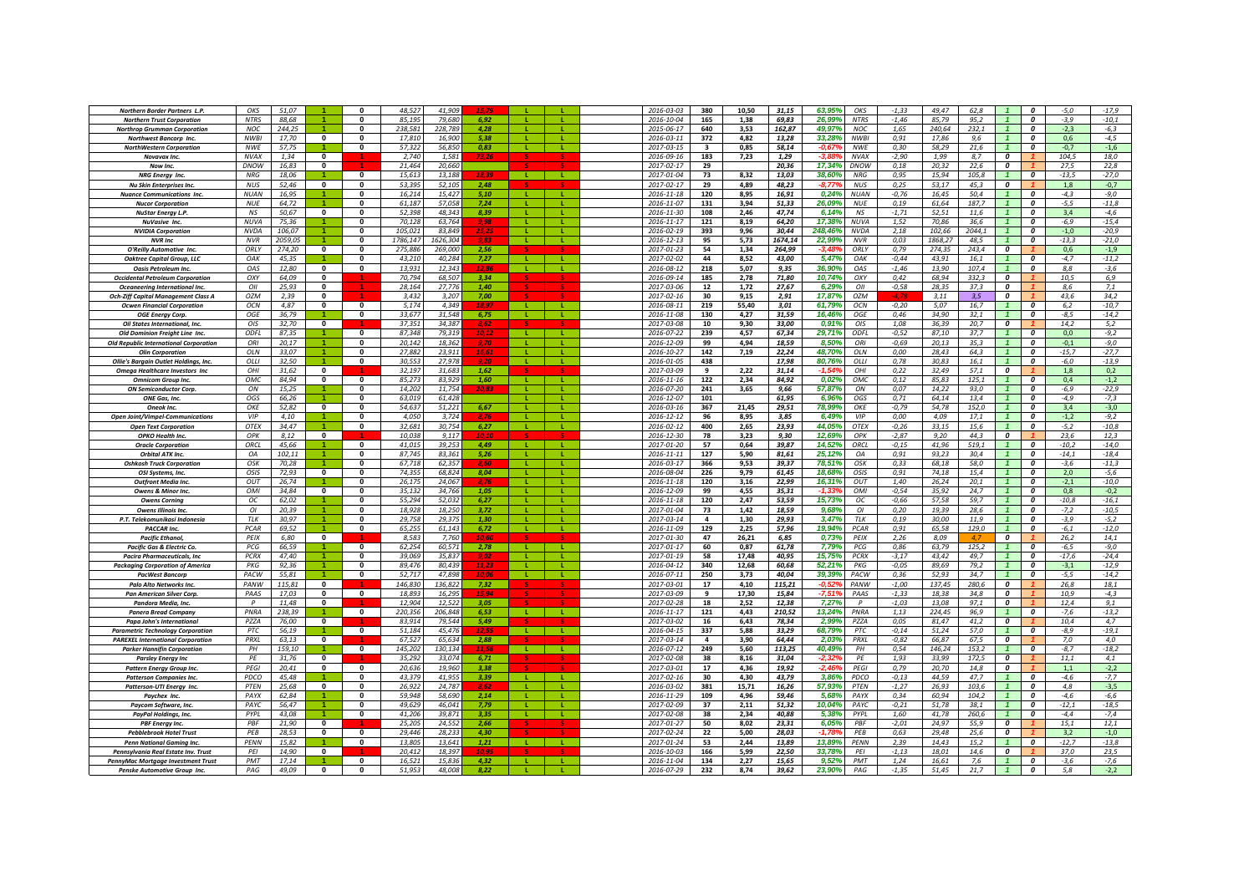| <b>Northern Border Partners L.P.</b>          | OKS              | 51,07   |                         | n                       | 48.52    | 41.90    |       |              |              | 2016-03-03       | 380                     | 10,50 | 31,15   | 63.95%   | OKS         | $-1,33$  | 49.47   | 62.8           |                         | $\boldsymbol{0}$        | $-5,0$  | $-17,9$ |
|-----------------------------------------------|------------------|---------|-------------------------|-------------------------|----------|----------|-------|--------------|--------------|------------------|-------------------------|-------|---------|----------|-------------|----------|---------|----------------|-------------------------|-------------------------|---------|---------|
|                                               | <b>NTRS</b>      | 88,68   |                         | n                       | 85,195   | 79,680   | 6.92  |              |              | 2016-10-04       | 165                     | 1,38  | 69,83   | 26,99%   | <b>NTRS</b> | $-1,46$  | 85,79   | 95,2           |                         | $\boldsymbol{o}$        | $-3,9$  | $-10,1$ |
| <b>Northern Trust Corporation</b>             |                  |         |                         |                         |          |          |       |              |              |                  |                         |       |         |          |             |          |         |                |                         |                         |         |         |
| <b>Northrop Grumman Corporation</b>           | <b>NOC</b>       | 244,25  |                         | $\Omega$                | 238.581  | 228,789  | 4.28  |              |              | 2015-06-17       | 640                     | 3,53  | 162,87  | 49,97%   | <b>NOC</b>  | 1,65     | 240,64  | 232,1          |                         | $\boldsymbol{0}$        | $-2,3$  | $-6,3$  |
| <b>Northwest Bancorp Inc.</b>                 | <b>NWBI</b>      | 17,70   | $\mathbf{0}$            | $\mathbf{0}$            | 17,810   | 16,900   | 5.38  | -11          | <b>T</b>     | 2016-03-11       | 372                     | 4,82  | 13,28   | 33,28%   | <b>NWBI</b> | 0,91     | 17,86   | 9,6            |                         | $\boldsymbol{0}$        | 0,6     | $-4,5$  |
| <b>NorthWestern Corporation</b>               | <b>NWE</b>       | 57.75   |                         | 0                       | 57.32    | 56.850   | 0.83  |              | л.           | 2017-03-15       | $\overline{\mathbf{3}}$ | 0.85  | 58,14   | $-0.67$  | <b>NWE</b>  | 0.30     | 58.29   | 21.6           |                         | 0                       | $-0.7$  | $-1,6$  |
| Novavax Inc.                                  | <b>NVAX</b>      | 1.34    | $\mathbf 0$             |                         | 2.740    | 1,58     |       |              |              | 2016-09-16       | 183                     | 7,23  | 1.29    |          | <b>NVAX</b> | $-2,90$  | 1.99    | 8.7            | 0                       |                         | 104,5   | 18,0    |
| Now Inc.                                      | DNOW             | 16,83   | $\mathbf{0}$            |                         | 21,464   | 20,660   |       |              |              | 2017-02-17       | 29                      |       | 20,36   | 17,349   | DNOW        | 0,18     | 20,32   | 22,6           | 0                       |                         | 27,5    | 22,8    |
| NRG Energy Inc.                               | <b>NRG</b>       | 18.06   |                         | $\mathbf{0}$            | 15.613   | 13.188   | 18.39 | - 12         | . L .        | 2017-01-04       | 73                      | 8.32  | 13.03   | 38.60%   | NRG         | 0,95     | 15.94   | 105.8          |                         | $\boldsymbol{0}$        | $-13,5$ | $-27,0$ |
| <b>Nu Skin Enterprises Inc.</b>               | <b>NUS</b>       | 52,46   | $\overline{\mathbf{0}}$ | $\mathbf{0}$            | 53.39    | 52.105   | 2.48  |              |              | 2017-02-17       | 29                      | 4.89  | 48.23   | -8.77°   | <b>NUS</b>  | 0,25     | 53.17   | 45.3           | $\overline{\mathbf{c}}$ |                         | 1,8     | $-0,7$  |
|                                               |                  |         |                         |                         |          |          |       |              |              |                  |                         |       |         |          |             |          |         |                |                         |                         |         |         |
| <b>Nuance Communications Inc.</b>             | <b>NUAN</b>      | 16,95   |                         | $\Omega$                | 16.214   | 15,427   | 5.10  | -1.          | -11          | $2016 - 11 - 18$ | 120                     | 8,95  | 16.91   | 0.24%    | <b>NUAN</b> | $-0,76$  | 16,45   | 50.4           | $\overline{1}$          | $\Omega$                | $-4,3$  | $-9,0$  |
| <b>Nucor Corporation</b>                      | <b>NUF</b>       | 64,72   |                         | $\mathbf{0}$            | 61,187   | 57,058   | 7,24  | -11          | L.           | 2016-11-07       | 131                     | 3,94  | 51,33   | 26,09%   | <b>NUE</b>  | 0, 19    | 61,64   | 187,7          |                         | $\boldsymbol{0}$        | $-5,5$  | $-11,8$ |
| <b>NuStar Energy L.P.</b>                     | <b>NS</b>        | 50,67   | $\mathbf{0}$            | $\Omega$                | 52,398   | 48,343   | 8,39  | л.           | L.           | 2016-11-30       | 108                     | 2,46  | 47,74   | 6,14%    | NS          | $-1,71$  | 52,51   | 11,6           |                         | $\boldsymbol{0}$        | 3,4     | -4,6    |
| <b>NuVasive Inc.</b>                          | NUVA             | 75,36   |                         | 0                       | 70,128   | 63,764   | 9,98  | -11          | ÷.           | 2016-11-17       | 121                     | 8,19  | 64,20   | 17,38%   | <b>NUVA</b> | 1,52     | 70,86   | 36,6           |                         | 0                       | -6,9    | $-15,4$ |
| <b>NVIDIA Corporation</b>                     | NVD <sub>A</sub> | 106,07  |                         | $\bf{0}$                | 105.02   | 83.84    |       |              |              | 2016-02-19       | 393                     | 9,96  | 30,44   | 248.46%  | <b>NVDA</b> | 2,18     | 102,66  | 2044.1         |                         | $\boldsymbol{0}$        | $-1,0$  | $-20,9$ |
| <b>NVR Inc</b>                                | <b>NVR</b>       | 2059,05 |                         | 0                       | 1786.147 | 1626.304 | 9.83  | $\mathbf{L}$ | <b>L</b>     | 2016-12-13       | 95                      | 5,73  | 1674,14 | 22,99%   | <b>NVR</b>  | 0,03     | 1868.27 | 48.5           |                         | $\boldsymbol{0}$        | $-13,3$ | $-21,0$ |
|                                               | ORLY             | 274.20  | $\mathbf{0}$            | $\bf{0}$                | 275.886  | 269,000  | 2.56  |              |              |                  | 54                      | 1.34  | 264.99  | $-3.48$  | ORLY        | 0.79     | 274.35  | 243.4          | $\boldsymbol{o}$        |                         | 0.6     |         |
| O'Reilly Automotive Inc.                      |                  |         |                         |                         |          |          |       |              |              | 2017-01-23       |                         |       |         |          |             |          |         |                |                         |                         |         | $-1,9$  |
| <b>Oaktree Capital Group, LLC</b>             | OAK              | 45.35   |                         | $\Omega$                | 43.210   | 40.284   | 7.27  | $\mathbf{I}$ |              | 2017-02-02       | 44                      | 8.52  | 43,00   | 5,47%    | 04K         | $-0,44$  | 43.91   | 16.1           |                         | $\Omega$                | $-4.7$  | $-11,2$ |
| <b>Oasis Petroleum Inc.</b>                   | OAS              | 12,80   | $\overline{0}$          | $\Omega$                | 13.931   | 12.34    | 12.81 | $\mathbf{L}$ | $\mathbf{L}$ | 2016-08-12       | 218                     | 5,07  | 9,35    | 36.90%   | 045         | $-1,46$  | 13.90   | 107.4          |                         | $\overline{0}$          | 8.8     | $-3,6$  |
| <b>Occidental Petroleum Corporation</b>       | OXY              | 64,09   | $\mathbf{0}$            |                         | 70,794   | 68,507   | 3.34  |              |              | 2016-09-14       | 185                     | 2,78  | 71,80   | 10,74%   | OXY         | 0,42     | 68,94   | 332,3          | 0                       |                         | 10,5    | 6,9     |
| Oceaneering International Inc.                | OII              | 25,93   | $\mathbf{0}$            |                         | 28,164   | 27,776   | 1,40  |              |              | 2017-03-06       | 12                      | 1,72  | 27,67   | 6,29%    | OII         | $-0,58$  | 28,35   | 37,3           | $\boldsymbol{o}$        |                         | 8,6     | 7,1     |
| <b>Och-Ziff Capital Management Class A</b>    | OZM              | 2,39    | $\mathbf{0}$            |                         | 3,432    | 3,207    | 7,00  |              |              | 2017-02-16       | 30                      | 9,15  | 2,91    | 17,87%   | OZM         |          | 3,11    | 3,5            | 0                       |                         | 43,6    | 34,2    |
| <b>Ocwen Financial Corporation</b>            | OCN              | 4,87    | $\mathbf{0}$            | $\mathbf{0}$            | 5.174    | 4.349    | 18.9. |              |              | 2016-08-11       | 219                     | 55,40 | 3,01    | 61,79%   | OCN         | $-0,20$  | 5.07    | 16.7           |                         | $\boldsymbol{0}$        | 6,2     | $-10,7$ |
|                                               |                  |         |                         |                         |          |          |       |              |              |                  |                         |       |         |          |             |          |         |                |                         |                         |         |         |
| <b>OGE Energy Corp.</b>                       | OGE              | 36,79   |                         | 0                       | 33,67;   | 31,548   | 6,75  |              |              | 2016-11-08       | 130                     | 4,27  | 31,59   | 16,46%   | OGE         | 0,46     | 34,90   | 32.1           |                         | $\boldsymbol{0}$        | $-8,5$  | $-14,2$ |
| <b>Oil States International, Inc.</b>         | OIS              | 32.70   | $\mathbf{0}$            |                         | 37.351   | 34.387   | 8.62  |              |              | 2017-03-08       | 10                      | 9.30  | 33.00   | 0.91%    | OIS         | 1.08     | 36.39   | 20.7           | 0                       |                         | 14.2    | 5,2     |
| Old Dominion Freight Line Inc.                | ODFL             | 87,35   |                         | $\mathbf{0}$            | 87.348   | 79.319   | 10,12 | - L -        | л.           | 2016-07-22       | 239                     | 4,57  | 67,34   | 29.71%   | ODFL        | $-0,52$  | 87,10   | 37.7           | $\overline{1}$          | $\boldsymbol{o}$        | 0,0     | $-9,2$  |
| <b>Old Republic International Corporation</b> | ORI              | 20,17   |                         | $\mathbf{0}$            | 20,142   | 18.362   |       | - L.         | л.           | 2016-12-09       | 99                      | 4,94  | 18,59   | 8,50%    | ORI         | $-0,69$  | 20,13   | 35,3           | $\mathbf{1}$            | $\boldsymbol{0}$        | $-0,1$  | $-9,0$  |
| <b>Olin Corporation</b>                       | OLN              | 33,07   |                         | 0                       | 27,882   | 23,911   | 16,61 | -11          |              | 2016-10-27       | 142                     | 7,19  | 22,24   | 48.70%   | OLN         | 0,00     | 28,43   | 64,3           | $\mathbf{1}$            | $\boldsymbol{0}$        | $-15,7$ | $-27,7$ |
| Ollie's Bargain Outlet Holdings, Inc.         | OLLI             | 32,50   |                         | $\mathbf{0}$            | 30,553   | 27,978   |       | -11          | л.           | 2016-01-05       | 438                     |       | 17,98   | 80,76%   | OLLI        | 0,78     | 30,83   | 16,1           |                         | $\boldsymbol{0}$        | -6,0    | $-13,9$ |
| Omega Healthcare Investors Inc                | OHI              | 31,62   | $\mathbf{0}$            |                         | 32,197   | 31,683   | 1,62  |              |              | 2017-03-09       | 9                       | 2,22  | 31,14   | $-1.549$ | OHI         | 0,22     | 32,49   | 57,1           | $\boldsymbol{0}$        |                         | 1,8     | 0,2     |
|                                               |                  |         |                         |                         |          |          |       |              |              |                  |                         |       |         |          |             |          |         |                |                         |                         |         |         |
| <b>Omnicom Group Inc.</b>                     | OMC              | 84.94   | $\mathbf{0}$            | $\mathbf{0}$            | 85.27    | 83.929   | 1.60  | -11          | <b>L</b>     | 2016-11-16       | 122                     | 2.34  | 84.92   | 0.02%    | OMC         | 0.12     | 85.83   | 125.1          | $\overline{1}$          | $\boldsymbol{0}$        | 0.4     | $-1,2$  |
| <b>ON Semiconductor Corp</b>                  | ON               | 15,25   |                         | $\bf{0}$                | 14,20    | 11.75    | 20.83 |              |              | 2016-07-20       | 241                     | 3,65  | 9,66    | 57,879   | ON          | 0,07     | 14,22   | 93,0           |                         | $\boldsymbol{0}$        | -6,9    | $-22,9$ |
| ONE Gas, Inc.                                 | OGS              | 66,26   |                         | 0                       | 63,01    | 61,428   |       |              |              | 2016-12-07       | 101                     |       | 61,95   | 6,96%    | OGS         | 0,71     | 64,14   | 13,4           |                         | $\boldsymbol{0}$        | $-4,9$  | $-7,3$  |
| Oneok Inc.                                    | OKF              | 52,82   | $\mathbf{0}$            | 0                       | 54.637   | 51.22    | 6.67  | $\mathbf{I}$ | -11          | 2016-03-16       | 367                     | 21,45 | 29.51   | 78,99%   | OKE         | $-0,79$  | 54.78   | 152.0          | $\overline{1}$          | $\boldsymbol{o}$        | 3.4     | $-3.0$  |
| <b>Open Joint/Vimpel-Communications</b>       | VIP              | 4,10    |                         | $\Omega$                | 4.050    | 3.724    |       |              |              | 2016-12-12       | 96                      | 8,95  | 3,85    | 6,49%    | <b>VIP</b>  | 0,00     | 4.09    | 17.1           |                         | $\boldsymbol{o}$        | $-1,2$  | $-9,2$  |
|                                               | <b>OTEX</b>      | 34.47   | $\blacktriangleleft$    | $\Omega$                | 32.681   | 30.754   | 6.27  | - 11         | $\mathbf{L}$ | 2016-02-12       | 400                     | 2,65  | 23,93   | 44.05%   | <b>OTEX</b> | $-0,26$  | 33.15   | 15.6           | $\overline{1}$          | $\Omega$                | $-5.2$  | $-10,8$ |
| <b>Open Text Corporation</b>                  |                  |         |                         |                         |          |          |       |              |              |                  |                         |       |         |          |             |          |         |                |                         |                         |         |         |
| OPKO Health Inc.                              | OPK              | 8,12    | $\Omega$                |                         | 10.038   | 9,11     |       |              |              | 2016-12-30       | 78                      | 3,23  | 9,30    | 12,69%   | OPK         | $-2,87$  | 9,20    | 44.3           | $\overline{\mathbf{c}}$ |                         | 23,6    | 12,3    |
| <b>Oracle Corporation</b>                     | ORCL             | 45,66   |                         | $\mathbf{0}$            | 41,01    | 39,253   | 4.49  | <b>TIME</b>  | -11          | 2017-01-20       | 57                      | 0,64  | 39,87   | 14,52%   | ORCL        | $-0,15$  | 41,96   | 519,1          |                         | 0                       | $-10,2$ | $-14,0$ |
| <b>Orbital ATK Inc.</b>                       | OA               | 102,11  |                         | 0                       | 87,745   | 83,36.   | 5.26  |              |              | 2016-11-11       | 127                     | 5,90  | 81,61   | 25,12%   | OA          | 0,91     | 93,23   | 30,4           |                         | 0                       | $-14,1$ | $-18,4$ |
| <b>Oshkosh Truck Corporation</b>              | OSK              | 70,28   |                         | 0                       | 67.71    | 62.35    |       |              |              | 2016-03-17       | 366                     | 9,53  | 39,37   | 78,519   | OSK         | 0,33     | 68.18   | 58.0           |                         | $\boldsymbol{0}$        | $-3,6$  | $-11,3$ |
| OSI Systems, Inc.                             | OSIS             | 72,93   | $\mathbf{0}$            | 0                       | 74.35    | 68,824   | 8,04  |              |              | 2016-08-04       | 226                     | 9,79  | 61,45   | 18,689   | OSIS        | 0,91     | 74,18   | 15,4           |                         | $\boldsymbol{0}$        | 2,0     | $-5,6$  |
| <b>Outfront Media Inc.</b>                    | OUT              | 26.74   |                         | 0                       | 26.175   | 24.067   |       |              | т.           | 2016-11-18       | 120                     | 3.16  | 22.99   | 16.319   | OUT         | 1.40     | 26.24   | 20.1           |                         | 0                       | $-2.1$  | $-10.0$ |
| <b>Owens &amp; Minor Inc.</b>                 | OMI              | 34.84   | $\overline{0}$          | $\Omega$                | 35.132   | 34,766   | 1.05  | -11          | л.           | 2016-12-09       | 99                      | 4,55  | 35,31   | $-1.33$  | OMI         | $-0.54$  | 35.92   | 24.7           |                         | $\Omega$                | 0.8     | $-0,2$  |
|                                               |                  |         |                         |                         |          |          |       |              |              |                  |                         |       | 53,59   |          |             |          |         | 59,7           |                         | $\boldsymbol{0}$        |         |         |
| <b>Owens Corning</b>                          | oc               | 62,02   |                         | 0                       | 55,294   | 52,032   | 6.27  | - L.         | п.           | 2016-11-18       | 120                     | 2,47  |         | 15,73%   | ОC          | $-0,66$  | 57,58   |                |                         |                         | $-10,8$ | $-16,1$ |
| <b>Owens Illinois Inc</b>                     | OI               | 20,39   |                         | 0                       | 18,928   | 18,250   | 3,72  | л.           | л.           | 2017-01-04       | 73                      | 1,42  | 18,59   | 9,68%    | OI          | 0,20     | 19,39   | 28,6           |                         | $\boldsymbol{0}$        | $-7,2$  | $-10,5$ |
| P.T. Telekomunikasi Indonesia                 | TLK              | 30,97   |                         | 0                       | 29,758   | 29,375   | 1,30  |              |              | 2017-03-14       | $\overline{a}$          | 1,30  | 29,93   | 3,47%    | TLK         | 0, 19    | 30,00   | 11,9           |                         | $\boldsymbol{0}$        | $-3,9$  | $-5,2$  |
| PACCAR Inc.                                   | <b>PCAR</b>      | 69,52   |                         | $\mathbf{0}$            | 65,255   | 61,143   | 6,72  | -11          | <b>L</b>     | 2016-11-09       | 129                     | 2,25  | 57,96   | 19,94%   | PCAR        | 0,91     | 65,58   | 129,0          |                         | $\boldsymbol{0}$        | $-6,1$  | $-12,0$ |
| <b>Pacific Ethanol</b>                        | PEIX             | 6,80    | $\mathbf{0}$            |                         | 8.583    | 7.76     | 10.60 |              |              | 2017-01-30       | 47                      | 26,21 | 6,85    | 0.73%    | PEIX        | 2,26     | 8.09    | $\overline{A}$ | 0                       |                         | 26,2    | 14,1    |
| Pacific Gas & Electric Co.                    | <b>PCG</b>       | 66.59   |                         | $\Omega$                | 62 25    | 60.57    | 2.78  | -11          |              | 2017-01-17       | 60                      | 0.87  | 61.78   | 7.79%    | PCG         | 0.86     | 63.79   | 125.2          |                         | $\Omega$                | $-6.5$  | $-9.0$  |
| <b>Pacira Pharmaceuticals, Inc</b>            | <b>PCRX</b>      | 47,40   |                         | $\mathbf{0}$            | 39,06    | 35.83    | 9,02  |              |              | 2017-01-19       | 58                      | 17,48 | 40,95   | 15,75%   | <b>PCRX</b> | $-3,17$  | 43,42   | 49,7           |                         | 0                       | $-17,6$ | $-24,4$ |
|                                               |                  |         | $\blacktriangleleft$    |                         |          |          |       | $\mathbf{L}$ | -11          |                  |                         |       |         |          |             |          |         |                | $\overline{1}$          |                         |         |         |
| <b>Packaging Corporation of America</b>       | PKG              | 92,36   |                         | 0                       | 89.476   | 80.43    | 11.23 |              |              | 2016-04-12       | 340                     | 12,68 | 60,68   | 52.21%   | <b>PKG</b>  | $-0.05$  | 89.69   | 79.2           |                         | $\boldsymbol{o}$        | $-3,1$  | $-12,9$ |
| <b>PacWest Bancorp</b>                        | PACW             | 55,81   |                         | $\mathbf{0}$            | 52.717   | 47.89    | 10.0i | -11          | -11          | 2016-07-11       | 250                     | 3,73  | 40,04   | 39,39%   | PACW        | 0,36     | 52.93   | 34.7           | $\overline{1}$          | $\overline{\mathbf{c}}$ | $-5,5$  | $-14,2$ |
| <b>Palo Alto Networks Inc.</b>                | PANW             | 115,81  | $\Omega$                |                         | 146.830  | 136.822  | 7.32  |              |              | 2017-03-01       | 17                      | 4,10  | 115,21  | -0.529   | PANW        | $-1,00$  | 137,45  | 280.6          | $\overline{\mathbf{c}}$ |                         | 26,8    | 18,1    |
| Pan American Silver Corp.                     | PAAS             | 17,03   | $\mathbf{0}$            | $\mathbf{0}$            | 18.89    | 16,295   | 15 Q  |              |              | 2017-03-09       | 9                       | 17,30 | 15,84   | $-7.519$ | PAAS        | $-1,33$  | 18,38   | 34.8           | $\boldsymbol{o}$        |                         | 10,9    | $-4,3$  |
| Pandora Media, Inc.                           | $\mathsf{P}$     | 11,48   | $\Omega$                |                         | 12,904   | 12,522   | 3.05  |              |              | 2017-02-28       | 18                      | 2,52  | 12,38   | 7,27%    | P           | $-1,03$  | 13,08   | 97,1           | $\overline{\mathbf{c}}$ |                         | 12,4    | 9,1     |
| <b>Panera Bread Company</b>                   | PNRA             | 238,39  |                         | $\mathbf 0$             | 220,356  | 206,848  | 6,53  |              |              | 2016-11-17       | 121                     | 4,43  | 210,52  | 13,24%   | PNRA        | 1,13     | 224,45  | 96,9           |                         | 0                       | $-7,6$  | $-13,2$ |
| Papa John's International                     | PZZA             | 76,00   | 0                       |                         | 83,914   | 79.544   | 5,49  |              |              | 2017-03-02       | 16                      | 6,43  | 78,34   | 2,99%    | PZZA        | 0,05     | 81,47   | 41,2           | 0                       |                         | 10,4    | 4,7     |
| <b>Parametric Technoloav Corporation</b>      | PTC              | 56,19   |                         | $\mathbf 0$             | 51,184   | 45,476   | 12.5. |              |              | 2016-04-15       | 337                     | 5,88  | 33,29   | 68,79%   | PTC         | $-0,14$  | 51,24   | 57,0           |                         | 0                       | -8,9    | $-19,1$ |
|                                               | PRXL             | 63.13   | $\mathbf{0}$            |                         | 67.527   | 65.634   | 2.88  |              |              | 2017-03-14       |                         | 3.90  | 64.44   | 2.03%    | PRXL        |          | 66.87   | 67.5           | 0                       |                         | 7.0     | 4.0     |
| <b>PAREXEL International Corporation</b>      |                  |         |                         |                         |          |          |       |              |              |                  | $\overline{\mathbf{a}}$ |       |         |          |             | $-0,82$  |         |                |                         |                         |         |         |
| <b>Parker Hannifin Corporation</b>            | PL               | 159.10  |                         | $\Omega$                | 145.202  | 130134   | 11.51 | л.           |              | 2016-07-12       | 249                     | 5,60  | 113,25  | 40.49%   | PH          | 0,54     | 146.24  | 153,2          | $\overline{1}$          | $\Omega$                | $-8,7$  | $-18,2$ |
| <b>Parsley Energy Inc</b>                     | PE               | 31,76   | $\mathbf{0}$            |                         | 35.292   | 33.074   | 6.71  |              |              | 2017-02-08       | 38                      | 8,16  | 31,04   | $-2.329$ | PE          | 1,93     | 33.99   | 172.5          | $\mathbf{r}$            |                         | 11.1    | 4,1     |
| <b>Pattern Energy Group Inc.</b>              | PEGI             | 20,41   | $\mathbf 0$             | $\mathbf{0}$            | 20,636   | 19,960   | 3,38  |              |              | 2017-03-01       | 17                      | 4,36  | 19,92   | $-2,46$  | PEGI        | 0,79     | 20,70   | 14,8           | 0                       |                         | 1,1     | $-2,2$  |
| <b>Patterson Companies Inc.</b>               | PDCO             | 45,48   |                         | 0                       | 43,379   | 41,955   | 3,39  | -11          |              | 2017-02-16       | 30                      | 4,30  | 43,79   | 3,86%    | PDCO        | $-0,13$  | 44,59   | 47,7           | $\mathbf{1}$            | $\boldsymbol{0}$        | -4,6    | $-7,7$  |
| Patterson-UTI Energy Inc.                     | PTEN             | 25,68   | $\mathbf{0}$            | 0                       | 26,922   | 24,78    | 8.62  | -11          | L.           | 2016-03-02       | 381                     | 15,71 | 16,26   | 57,93%   | PTEN        | $-1,27$  | 26,93   | 103,6          |                         | 0                       | 4,8     | $-3,5$  |
| Paychex Inc                                   | PAYX             | 62.84   |                         | 0                       | 59.948   | 58.69    | 2,14  | $\mathbf{L}$ |              | 2016-11-29       | 109                     | 4,96  | 59,46   | 5.689    | PAYX        | 0.34     | 60.94   | 104.2          |                         | $\boldsymbol{0}$        | $-4,6$  | $-6,6$  |
|                                               | PAYO             |         |                         |                         | 49.62    | 46.04    |       |              |              | 2017-02-09       | 37                      |       |         | 10.04    | <b>PAYC</b> |          | 51.78   | 38.1           |                         | $\boldsymbol{0}$        |         |         |
| Paycom Software, Inc.                         |                  | 56,47   |                         |                         |          |          | 7,79  |              |              |                  |                         | 2,11  | 51,32   |          |             | $-0,21$  |         |                |                         |                         | $-12,1$ | $-18,5$ |
| PayPal Holdings, Inc.                         | PYPL             | 43.08   |                         | 0                       | 41.20    | 39.87    | 3.35  | $\mathbf{I}$ | $\mathbf{L}$ | 2017-02-08       | 38                      | 2.34  | 40.88   | 5.38%    | PYPL        | 1.60     | 41.78   | 260.6          |                         | $\boldsymbol{o}$        | $-4.4$  | $-7.4$  |
| <b>PBF Energy Inc.</b>                        | PBF              | 21,90   | $\mathbf{0}$            |                         | 25.20:   | 24.55    | 2.66  |              |              | 2017-01-27       | 50                      | 8,02  | 23,31   | 6,05%    | PBF         | $-2,01$  | 24,97   | 55.9           | $\boldsymbol{0}$        |                         | 15,1    | 12,1    |
| <b>Pebblebrook Hotel Trust</b>                | PFB              | 28,53   | $\mathbf{0}$            | $\mathbf{0}$            | 29,446   | 28.23    | 4.30  |              |              | 2017-02-24       | 22                      | 5,00  | 28,03   | $-1.78$  | PEB         | 0,63     | 29,48   | 25.6           | $\overline{\mathbf{c}}$ |                         | 3,2     | $-1,0$  |
| <b>Penn National Gaming Inc.</b>              | PENN             | 15,82   |                         | <sup>0</sup>            | 13,805   | 13,641   | 1,21  | $\mathbf{L}$ | -11          | 2017-01-24       | 53                      | 2,44  | 13,89   | 13,89%   | PENN        | 2,39     | 14,43   | 15,2           |                         | $\boldsymbol{0}$        | $-12,7$ | $-13,8$ |
| Pennsylvania Real Estate Inv. Trust           | PEI              | 14,90   | $\mathbf{0}$            |                         | 20,412   | 18,397   |       |              |              | 2016-10-03       | 166                     | 5,99  | 22,50   | 33,78%   | PEI         | $-1,13$  | 18,01   | 14,6           | 0                       |                         | 37,0    | 23,5    |
|                                               |                  |         |                         | $\overline{\mathbf{0}}$ |          |          | 4,32  | л.           |              |                  |                         |       |         |          |             |          |         |                |                         | 0                       |         |         |
| PennyMac Mortgage Investment Trust            | PMT              | 17,14   |                         |                         | 16,521   | 15,836   |       |              |              | 2016-11-04       | 134                     | 2,27  | 15,65   | 9,52%    | PMT         | 1,24     | 16,61   | 7,6            |                         |                         | $-3,6$  | $-7,6$  |
| Penske Automotive Group Inc.                  | PAG              | 49,09   | $\mathbf{0}$            | 0                       | 51.953   | 48,008   | 8.22  |              |              | 2016-07-29       | 232                     | 8,74  | 39,62   | 23,90%   | PAG         | $-1, 35$ | 51.45   | 21,7           |                         | 0                       | 5,8     | $-2,2$  |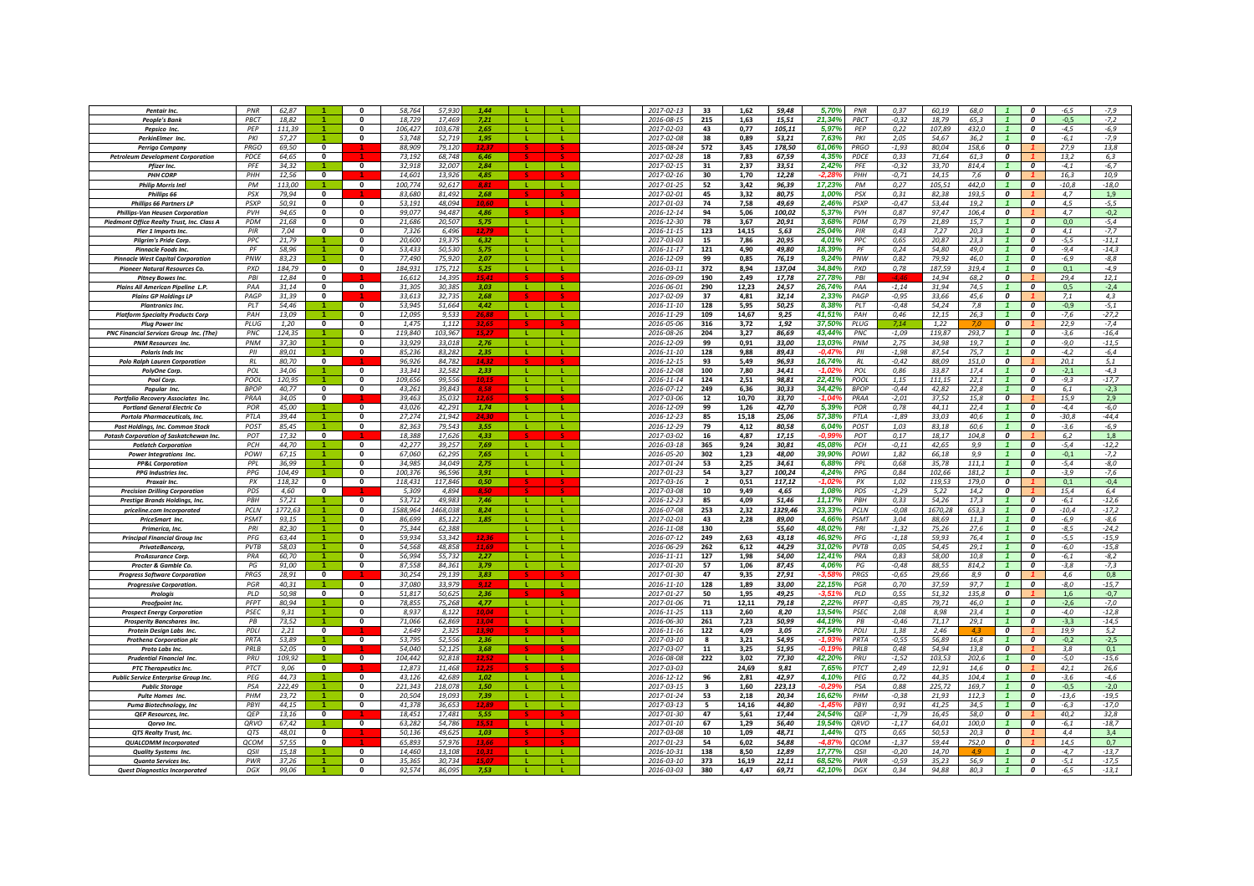| Pentair Inc.                                                           | PNR              | 62,87          |                         |              | 58,764           | 57.93            | 144               |              |          | 2017-02-13               | 33             | 1,62         | 59,48          | 5,70%<br>PNR           | 0,37            | 60,19          | 68,0         |                         | 0                | $-6,5$        | $-7,9$         |
|------------------------------------------------------------------------|------------------|----------------|-------------------------|--------------|------------------|------------------|-------------------|--------------|----------|--------------------------|----------------|--------------|----------------|------------------------|-----------------|----------------|--------------|-------------------------|------------------|---------------|----------------|
| <b>People's Bank</b>                                                   | PBCT             | 18,82          |                         |              | 18,729           | 17,46            | 7,21              |              |          | 2016-08-15               | 215            | 1,63         | 15,51          | 21,34%<br>PBCT         | $-0,32$         | 18,79          | 65,3         |                         | 0                | $-0,5$        | $-7,2$         |
| Pepsico Inc.                                                           | PEP              | 111.39         |                         | $\Omega$     | 106.427          | 103.67           | 2.65              |              |          | 2017-02-03               | 43             | 0.77         | 105,11         | 5.97%<br>PFP           | 0.22            | 107.89         | 432.0        |                         | $\boldsymbol{0}$ | $-4.5$        | $-6.9$         |
| <b>PerkinFlmer</b> Inc.                                                | PKI              | 57.27          |                         | $\mathbf{0}$ | 53.748           | 52.71            | 1.95              |              |          | 2017-02-08               | 38             | 0.89         | 53.21          | PKI<br>7,63%           | 2,05            | 54.67          | 36.2         |                         | $\boldsymbol{0}$ | $-6,1$        | $-7,9$         |
| <b>Perriao Company</b>                                                 | PRGO             | 69.50          | $\mathbf{0}$            |              | 88.90            | 79.120           |                   |              |          | 2015-08-24               | 572            | 3.45         | 178.50         | 61.06%<br><b>PRGO</b>  | $-1.93$         | 80.04          | 158.6        | $\boldsymbol{o}$        |                  | 27.9          | 13.8           |
| <b>Petroleum Development Corporation</b>                               | <b>PDCE</b>      | 64,65          | $\overline{\mathbf{0}}$ |              | 73,192           | 68,748           | 6.46              |              |          | 2017-02-28               | 18             | 7,83         | 67,59          | 4,35%<br><b>PDCE</b>   | 0,33            | 71,64          | 61,3         | $\overline{\mathbf{c}}$ |                  | 13,2          | 6,3            |
| Pfizer Inc.                                                            | PFE              | 34,32          |                         | $\mathbf{0}$ | 32.918           | 32.007           | 2.84              | -11          | -11      | 2017-02-15               | 31             | 2,37         | 33.51          | 2,42%<br>PFF           | $-0,32$         | 33.70          | 814,4        |                         | $\boldsymbol{0}$ | $-4,1$        | $-6,7$         |
| <b>PHH CORP</b>                                                        | PHH              | 12,56          | $\mathbf{0}$            |              | 14.601           | 13,926           | 4,85              |              |          | 2017-02-16               | 30             | 1,70         | 12,28          | PHH<br>-2.28           | $-0,71$         | 14,15          | 7,6          | $\boldsymbol{o}$        |                  | 16,3          | 10,9           |
| <b>Philip Morris Inti</b>                                              | <b>PM</b>        | 113,00         |                         | $\mathbf{0}$ | 100.774          | 92,617           |                   | - L -        | -11      | 2017-01-25               | 52             | 3,42         | 96,39          | 17,23%<br><b>PM</b>    | 0,27            | 105.51         | 442,0        | $\mathbf{1}$            | $\Omega$         | $-10,8$       | $-18,0$        |
| Phillips 66                                                            | PSX              | 79,94          | $\bf{0}$                |              | 83.680           | 81,492           | 2,68              |              |          | 2017-02-01               | 45             | 3,32         | 80,75          | 1,00%<br>PSX           | 0,31            | 82,38          | 193,5        | $\boldsymbol{o}$        |                  | 4,7           | 1,9            |
| <b>Phillips 66 Partners LP</b>                                         | <b>PSXP</b>      | 50,91          | 0                       | $\mathbf{0}$ | 53,191           | 48,094           | 10.60             | -11          | L.       | 2017-01-03               | 74             | 7,58         | 49,69          | 2,46%<br>PSXP          | $-0,47$         | 53,44          | 19,2         | $\overline{1}$          | $\mathbf{r}$     | 4,5           | $-5,5$         |
| <b>Phillips-Van Heusen Corporation</b>                                 | <b>PVH</b>       | 94,65          | 0                       | $\Omega$     | 99.077           | 94.487           | 4,86              |              |          | 2016-12-14               | 94             | 5,06         | 100,02         | 5,37%<br>PVH           | 0,87            | 97,47          | 106.4        | 0                       |                  | 4,7           | $-0,2$         |
| Piedmont Office Realty Trust, Inc. Class A                             | <b>PDM</b>       | 21.68          | 0                       | $\mathbf{0}$ | 21.686           | 20.507           | 5,75              |              |          | 2016-12-30               | 78             | 3,67         | 20,91          | 3,68%<br><b>PDM</b>    | 0,79            | 21,89          | 15.7         |                         | $\boldsymbol{0}$ | 0,0           | $-5,4$         |
| Pier 1 Imports Inc.                                                    | <b>PIR</b>       | 7.04           | $\Omega$                | $\Omega$     | 7.326            | 6.496            | 12.7 <sub>0</sub> |              |          | 2016-11-15               | 123            | 14.15        | 5.63           | 25.04%<br>PIR          | 0.43            | 7.27           | 20.3         |                         | $\Omega$         | 4.1           | $-7.7$         |
| Pilgrim's Pride Corp.                                                  | PPC              | 21.79          |                         | $\Omega$     | 20,600           | 19.375           | 6.32              |              |          | 2017-03-03               | 15             | 7,86         | 20.95          | 4.01%<br>PPC           | 0.65            | 20.87          | 23.3         |                         | $\boldsymbol{0}$ | $-5.5$        | $-11.1$        |
| Pinnacle Foods Inc.                                                    | $P$ F            | 58.96          | $\blacktriangleleft$    | $\mathbf{r}$ | 53.433           | 50.534           | 5.75              |              |          | 2016-11-17               | 121            | 4,90         | 49,80          | 18,39%<br><b>PF</b>    | 0,24            | 54,80          | 49.0         |                         | $\boldsymbol{o}$ | $-9,4$        | $-14,3$        |
| <b>Pinnacle West Capital Corporation</b>                               | PNW              | 83,23          |                         | $\Omega$     | 77,490           | 75,920           | 2.07              |              |          | 2016-12-09               | 99             | 0,85         | 76,19          | 9,24%<br>PNW           | 0,82            | 79,92          | 46,0         | $\overline{1}$          | 0                | $-6,9$        | $-8,8$         |
| <b>Pioneer Natural Resources Co.</b>                                   | <b>PXD</b>       | 184,79         | $\mathbf 0$             | $\Omega$     | 184,931          | 175,712          | 5,25              |              |          | 2016-03-11               | 372            | 8,94         | 137,04         | 34,84%<br><b>PXD</b>   | 0,78            | 187,59         | 319,4        |                         | $\boldsymbol{0}$ | 0,1           | $-4,9$         |
| <b>Pitney Bowes Inc.</b>                                               | PBI              | 12,84          | $\mathbf 0$             |              | 16,612           | 14,395           |                   |              |          | 2016-09-09               | 190            | 2,49         | 17,78          | 27,78%<br>PBI          |                 | 14,94          | 68,2         | 0                       |                  | 29,4          | 12,1           |
| Plains All American Pipeline L.P.                                      | PAA              | 31.14          | $\bf{0}$                | $\mathbf 0$  | 31.30            | 30.385           | 3,03              |              |          | 2016-06-01               | 290            | 12,23        | 24,57          | 26,74%<br>PAA          | $-1,14$         | 31.94          | 74.5         |                         | $\boldsymbol{0}$ | 0,5           | $-2,4$         |
| <b>Plains GP Holdings LP</b>                                           | PAGP             | 31.39          | $\bf{0}$                |              | 33.61            | 32.735           | 2.68              |              |          | 2017-02-09               | 37             | 4,81         | 32,14          | 2,33%<br>PAGP          | $-0.95$         | 33,66          | 45,6         | 0                       |                  | 7,1           | 4,3            |
| <b>Plantronics Inc.</b>                                                | PLT              | 54.46          |                         | $\mathbf{0}$ | 53.945           | 51.664           | 4.42              |              |          | 2016-11-10               | 128            | 5.95         | 50.25          | 8.38%<br>PLT           | $-0.48$         | 54.24          | 7.8          |                         | $\boldsymbol{o}$ | $-0,9$        | $-5,1$         |
| <b>Platform Specialty Products Corp</b>                                | PAH              | 13,09          |                         | $\mathbf{0}$ | 12,095           | 9,533            | 26.81             |              |          | 2016-11-29               | 109            | 14,67        | 9,25           | 41,519<br>PAH          | 0,46            | 12,15          | 26,3         |                         | 0                | -7,6          | $-27,2$        |
| <b>Plug Power Inc</b>                                                  | PLUG             | 1,20           | $\mathbf{0}$            | $\mathbf{0}$ | 1,475            | 1,112            |                   |              |          | 2016-05-06               | 316            | 3,72         | 1,92           | 37,50%<br>PLUG         | 7,14            | 1,22           |              | $\boldsymbol{o}$        |                  | 22,9          | $-7,4$         |
| <b>PNC Financial Services Group Inc. (The)</b>                         | PNC              | 124,35         |                         | $\Omega$     | 119,840          | 103.967          |                   | -11          | л.       | 2016-08-26               | 204            | 3,27         | 86,69          | 43,44%<br>PNC          | $-1,09$         | 119,87         | 293,7        | $\overline{1}$          | $\mathbf{a}$     | $-3,6$        | $-16,4$        |
| <b>PNM Resources Inc.</b>                                              | PNM              | 37.30          |                         | $\Omega$     | 33.929           | 33.018           | 2.76              | - 11 -       | л.       | 2016-12-09               | 99             | 0,91         | 33.00          | 13,03%<br>PNM          | 2,75            | 34,98          | 19.7         | $\mathbf{1}$            | $\overline{a}$   | $-9.0$        | $-11,5$        |
| <b>Polaris Inds Inc.</b>                                               | PII              | 89,01          |                         | $\mathbf{0}$ | 85,236           | 83,282           | 2,35              | л.           | Æ.       | 2016-11-10               | 128            | 9,88         | 89,43          | $-0,47$<br>PII         | $-1,98$         | 87,54          | 75,7         |                         | $\mathbf{a}$     | $-4,2$        | $-6,4$         |
| <b>Polo Ralph Lauren Corporation</b>                                   | RL               | 80,70          | 0                       |              | 96,926           | 84.782           | 14.3.             |              |          | 2016-12-15               | 93             | 5,49         | 96,93          | 16,74%<br><b>RL</b>    | $-0.42$         | 88,09          | 151,0        | 0                       |                  | 20,1          | 5,1            |
| PolyOne Corp.                                                          | POL              | 34.06          |                         | $\mathbf 0$  | 33,341           | 32,582           | 2,33              | -11          |          | 2016-12-08               | 100            | 7,80         | 34,41          | -1.02<br>POL           | 0,86            | 33,87          | 17.4         |                         | $\boldsymbol{0}$ | $-2,1$        | $-4,3$         |
| Pool Corp.                                                             | POOL             | 120,95         |                         | $\mathbf{0}$ | 109.65           | 99.55            | 10,15             |              |          | 2016-11-14               | 124            | 2,51         | 98,81          | 22,41%<br>POOL         | 1.15            | 111,15         | 22.1         |                         | $\boldsymbol{0}$ | $-9,3$        | $-17,7$        |
| Popular Inc                                                            | <b>BPOF</b>      | 40.77          | $\Omega$                | $\Omega$     | 43.261           | 39.843           |                   |              |          | 2016-07-12               | 249            | 6.36         | 30.33          | 34.42%<br><b>BPOP</b>  | $-0.44$         | 42.82          | 22.8         |                         | $\Omega$         | 6.1           | $-2.3$         |
| Portfolio Recovery Associates Inc.                                     | PRAA             | 34.05          | $\mathbf{0}$            |              | 39.463           | 35.032           | 12.6              |              |          | 2017-03-06               | 12             | 10.70        | 33.70          | $-1.04$<br>PRAA        | $-2,01$         | 37.52          | 15.8         | $\boldsymbol{o}$        |                  | 15.9          | 2,9            |
| <b>Portland General Electric Co</b>                                    | POR              | 45.00          |                         | $\Omega$     | 43.026           | 42.29            | 1.74              | - 13         | - 11     | 2016-12-09               | 99             | 1.26         | 42,70          | 5.399<br><b>POR</b>    | 0.78            | 44,11          | 22.4         |                         | $\Omega$         | $-4.4$        | $-6.0$         |
| Portola Pharmaceuticals, Inc.                                          | PTLA             | 39,44          |                         | $\Omega$     | 27,274           | 21.94            |                   |              | т.       | 2016-12-23               | 85             | 15,18        | 25,06          | 57,389<br>PTLA         | $-1,89$         | 33,03          | 40,6         |                         | 0                | $-30,8$       | $-44,4$        |
| Post Holdings, Inc. Common Stock                                       | POS <sub>7</sub> | 85,45          | $\mathbf{0}$            | $\Omega$     | 82,365           | 79,543           | 3.55              | - 11         |          | 2016-12-29               | 79             | 4,12         | 80,58          | 6,04%<br>POST<br>-0.99 | 1,03            | 83,18          | 60,6         | $\boldsymbol{0}$        | $\boldsymbol{o}$ | -3,6          | $-6,9$         |
| Potash Corporation of Saskatchewan Inc.<br><b>Potlatch Corporation</b> | POT<br>PCH       | 17,32<br>44,70 |                         | $\mathbf{0}$ | 18,388<br>42,277 | 17,626<br>39,257 | 4,33<br>7,69      |              |          | 2017-03-02<br>2016-03-18 | 16<br>365      | 4,87<br>9,24 | 17,15<br>30,81 | POT<br>45,08%<br>PCH   | 0,17<br>$-0.11$ | 18,17<br>42,65 | 104,8<br>9,9 |                         | $\boldsymbol{0}$ | 6,2<br>$-5,4$ | 1,8<br>$-12,2$ |
|                                                                        | POWI             | 67,15          |                         | $\mathbf{0}$ | 67.060           | 62.29            |                   |              |          | 2016-05-20               | 302            | 1,23         | 48,00          | 39.90<br>POWI          | 1.82            | 66.18          | 9.9          |                         | $\boldsymbol{0}$ | $-0,1$        | $-7,2$         |
| Power Integrations Inc.<br><b>PP&amp;L Corporation</b>                 | PPL              | 36.99          |                         | $\Omega$     | 34 98            | 34.049           | 7,65<br>2.75      |              |          | 2017-01-24               | 53             | 2.25         | 34.61          | 6.88<br>PPL            | 0.68            | 35.78          | 111.1        |                         | $\Omega$         | $-5.4$        | $-8.0$         |
| PPG Industries Inc.                                                    | PPG              | 104,49         |                         | 0            | 100,37           | 96,59            | 3.91              |              |          | 2017-01-23               | 54             | 3,27         | 100,24         | 4,24%<br>PPG           | 0,84            | 102,66         | 181,2        |                         | $\boldsymbol{0}$ | $-3,9$        | $-7,6$         |
| Praxair Inc.                                                           | PX               | 118,32         | $\mathbf 0$             | $\mathbf{0}$ | 118,431          | 117,846          | 0,50              |              | ъ.       | 2017-03-16               | $\overline{2}$ | 0,51         | 117,12         | PX<br>-1.02            | 1,02            | 119.53         | 179,0        | $\boldsymbol{o}$        |                  | 0,1           | $-0,4$         |
| <b>Precision Drilling Corporation</b>                                  | PDS              | 4,60           | $\mathbf{0}$            |              | 5.309            | 4.894            |                   |              |          | 2017-03-08               | 10             | 9,49         | 4,65           | 1,08%<br>PDS           | $-1,29$         | 5,22           | 14,2         | $\boldsymbol{o}$        |                  | 15,4          | 6,4            |
| Prestige Brands Holdings, Inc.                                         | PRH              | 57,21          |                         | $\Omega$     | 53.712           | 49.983           | 7,46              | - 11         | -11      | 2016-12-23               | 85             | 4,09         | 51,46          | 11,17%<br>PRH          | 0,33            | 54,26          | 17,3         | $\mathbf{1}$            | $\Omega$         | $-6,1$        | $-12,6$        |
| priceline.com Incorporated                                             | <b>PCLN</b>      | 1772,63        |                         | $\mathbf{0}$ | 1588.964         | 1468,038         | 8,24              | -11          | т.       | 2016-07-08               | 253            | 2,32         | 1329,46        | 33,33%<br>PCLN         | $-0.08$         | 1670,28        | 653,3        |                         | $\Omega$         | $-10,4$       | $-17,2$        |
| <b>PriceSmart Inc.</b>                                                 | <b>PSMT</b>      | 93,15          |                         | $\mathbf{0}$ | 86,699           | 85.122           | 1.85              |              |          | 2017-02-03               | 43             | 2,28         | 89,00          | 4,66%<br>PSMT          | 3,04            | 88,69          | 11,3         |                         | $\boldsymbol{0}$ | $-6,9$        | $-8,6$         |
| Primerica, Inc.                                                        | PRI              | 82,30          |                         | $\Omega$     | 75,344           | 62.38            |                   |              |          | 2016-11-08               | 130            |              | 55,60          | 48,02%<br>PRI          | $-1,32$         | 75,26          | 27,6         |                         | $\boldsymbol{0}$ | $-8,5$        | $-24,2$        |
| <b>Principal Financial Group Inc</b>                                   | PFG              | 63,44          |                         | $\mathbf{0}$ | 59.934           | 53.342           | 12,36             |              |          | 2016-07-12               | 249            | 2,63         | 43,18          | 46.92%<br>PFG          | $-1,18$         | 59.93          | 76,4         | $\overline{1}$          | $\boldsymbol{0}$ | $-5,5$        | $-15,9$        |
| <b>PrivateBancorr</b>                                                  | PVTB             | 58.03          |                         | $\Omega$     | 54.568           | 48.858           |                   |              |          | 2016-06-29               | 262            | 6.12         | 44.29          | 31.02%<br>PVTB         | 0.05            | 54.45          | 29.1         |                         | $\Omega$         | $-6.0$        | $-15.8$        |
| ProAssurance Corp.                                                     | PRA              | 60.70          | $\blacktriangleleft$    | $\Omega$     | 56.994           | 55.732           | 2.27              | $\mathbf{I}$ |          | 2016-11-11               | 127            | 1,98         | 54.00          | 12.41%<br>PRA          | 0.83            | 58.00          | 10.8         |                         | $\boldsymbol{0}$ | $-6.1$        | $-8,2$         |
| Procter & Gamble Co.                                                   | PG               | 91.00          | $\overline{1}$          | $\Omega$     | 87.558           | 84 361           | 3.79              | - 11         | <b>T</b> | 2017-01-20               | 57             | 1.06         | 87.45          | 4.06%<br>PG            | $-0.48$         | 88.55          | 814.2        |                         | $\Omega$         | $-3.8$        | $-7,3$         |
| <b>Progress Software Corporation</b>                                   | PRGS             | 28,91          | $\mathbf{0}$            |              | 30.254           | 29,139           | 3.83              |              |          | 2017-01-30               | 47             | 9,35         | 27,91          | $-3.58$<br><b>PRGS</b> | $-0,65$         | 29,66          | 8.9          | $\overline{\mathbf{c}}$ |                  | 4,6           | 0,8            |
| <b>Progressive Corporation.</b>                                        | PGR              | 40,31          |                         | $\Omega$     | 37,080           | 33.979           | 9.11              | - 11         | -11      | 2016-11-10               | 128            | 1,89         | 33,00          | 22,15%<br>PGR          | 0,70            | 37,59          | 97,7         |                         | $\boldsymbol{0}$ | $-8,0$        | $-15,7$        |
| Prologis                                                               | PLD              | 50,98          | $\mathbf{0}$            | $\Omega$     | 51,817           | 50,625           | 2,36              |              |          | 2017-01-27               | 50             | 1,95         | 49,25          | $-3.51'$<br>PLD        | 0,55            | 51,32          | 135,8        | 0                       |                  | 1,6           | $-0,7$         |
| Proofpoint Inc.                                                        | PFPT             | 80,94          |                         | $\Omega$     | 78,855           | 75,268           | 4,77              |              |          | 2017-01-06               | 71             | 12,11        | 79,18          | 2,22%<br>PFPT          | $-0.85$         | 79,71          | 46,0         |                         | 0                | $-2,6$        | $-7,0$         |
| <b>Prospect Energy Corporation</b>                                     | <b>PSEC</b>      | 9.31           |                         | $\mathbf{0}$ | 8.937            | 8.12.            |                   |              |          | 2016-11-25               | 113            | 2,60         | 8,20           | 13,54%<br><b>PSEC</b>  | 2,08            | 8.98           | 23.4         | $\mathbf{1}$            | $\boldsymbol{0}$ | $-4.0$        | $-12,8$        |
| <b>Prosperity Bancshares Inc.</b>                                      | $\cal PB$        | 73,52          |                         | $\mathbf{0}$ | 71,066           | 62,869           | 3.0               |              |          | 2016-06-30               | 261            | 7,23         | 50,99          | 44,19%<br>PB           | $-0,46$         | 71,17          | 29,1         |                         | 0                | $-3,3$        | $-14,5$        |
| Protein Desian Labs Inc.                                               | PDLI             | 2.21           | $\mathbf 0$             |              | 2,649            | 2,325            |                   |              |          | 2016-11-16               | 122            | 4,09         | 3,05           | 27,54%<br>PDLI         | 1,38            | 2,46           | 4.3          | 0                       |                  | 19,9          | 5,2            |
| <b>Prothena Corporation plc</b>                                        | PRTA             | 53,89          |                         | $\mathbf{0}$ | 53,795           | 52,556           | 2,36              | л.           | -11      | 2017-03-10               | 8              | 3,21         | 54,95          | PRTA<br>-1,93.         | $-0,55$         | 56,89          | 16,8         | $\mathbf{1}$            | $\boldsymbol{0}$ | $-0,2$        | $-2,5$         |
| Proto Labs Inc.                                                        | PRLB             | 52,05          | $\bf{0}$                |              | 54.040           | 52,125           | 3.68              |              |          | 2017-03-07               | 11             | 3,25         | 51,95          | <b>PRIR</b><br>$-0,19$ | 0,48            | 54.94          | 13,8         | $\boldsymbol{o}$        |                  | 3,8           | 0,1            |
| <b>Prudential Financial Inc.</b>                                       | PRU              | 109,92         |                         | $\mathbf{0}$ | 104.442          | 92,818           | 12,5.             | - 1.         | л.       | 2016-08-08               | 222            | 3,02         | 77,30          | 42,20%<br><b>PRII</b>  | $-1,52$         | 103,53         | 202,6        | $\overline{1}$          | $\overline{a}$   | $-5,0$        | $-15,6$        |
| <b>PTC Therapeutics Inc.</b>                                           | PTCT             | 9,06           | $\mathbf{0}$            |              | 12,873           | 11,468           |                   |              |          | 2017-03-03               |                | 24,69        | 9,81           | 7,65%<br><b>PTCT</b>   | 2,49            | 12,91          | 14,6         | $\boldsymbol{0}$        |                  | 42,1          | 26,6           |
| Public Service Enterprise Group Inc.                                   | PEG              | 44,73          |                         | $\mathbf 0$  | 43,126           | 42,689           | 1,02              |              |          | 2016-12-12               | 96             | 2,81         | 42,97          | 4,10%<br>PEG           | 0,72            | 44,35          | 104,4        | $\overline{1}$          | $\boldsymbol{0}$ | $-3.6$        | $-4,6$         |
| <b>Public Storage</b>                                                  | PSA              | 222,49         |                         | $\Omega$     | 221,343          | 218,07           | 1.50              | -11          |          | 2017-03-15               | 3              | 1.60         | 223,13         | PSA<br>-0.29           | 0,88            | 225,72         | 169,7        | $\mathbf{1}$            | $\boldsymbol{o}$ | $-0,5$        | $-2,0$         |
| Pulte Homes Inc.                                                       | PHM              | 23,72          |                         | $\mathbf{0}$ | 20.504           | 19.09            | 7,39              |              |          | 2017-01-24               | 53             | 2.18         | 20,34          | 16,62%<br>PHM          | $-0.38$         | 21,93          | 112.3        | $\mathbf{1}$            | $\boldsymbol{0}$ | $-13,6$       | $-19,5$        |
| Puma Biotechnology, Inc                                                | PRY              | 44.15          |                         | $\mathbf{0}$ | 41,378           | 36.65            | 12.8              | - L          |          | 2017-03-13               | 5              | 14,16        | 44,80          | -1.4<br>PRYI           | 0,91            | 41,25          | 34.5         |                         | $\boldsymbol{0}$ | $-6,3$        | $-17,0$        |
| <b>OEP Resources, Inc.</b>                                             | OEF              | 13.16          | $\mathbf{0}$            |              | 18.451           | 17.481           | 5.55              |              |          | 2017-01-30               | 47             | 5.61         | 17.44          | 24.54%<br><b>OEP</b>   | $-1.79$         | 16.45          | 58.0         | $\boldsymbol{o}$        |                  | 40.2          | 32.8           |
| <b>Qorvo Inc.</b>                                                      | ORVO             | 67.42          |                         | $\Omega$     | 63.282           | 54.786           |                   | - 11         | -11      | 2017-01-10               | 67             | 1.29         | 56.40          | 19.54%<br>ORVO         | $-1,17$         | 64.01          | 1000         |                         | $\Omega$         | $-6.1$        | $-18.7$        |
| QTS Realty Trust, Inc.                                                 | QTS              | 48.01          | $\bf{0}$                |              | 50.136           | 49.62            | 1.03              |              |          | 2017-03-08               | 10             | 1,09         | 48,71          | 1,449<br><b>QTS</b>    | 0,65            | 50,53          | 20.3         | $\overline{\mathbf{c}}$ |                  | 4.4           | 3,4            |
| QUALCOMM Incorporated                                                  | QCOM             | 57,55          | $\mathbf{0}$            |              | 65,895           | 57.976           |                   |              |          | 2017-01-23               | 54             | 6,02         | 54,88          | $-487$<br>QCOM         | $-1,37$         | 59,44          | 752,0        | $\boldsymbol{o}$        |                  | 14,5          | 0,7            |
| <b>Quality Systems Inc.</b>                                            | QSII             | 15,18          |                         | $\Omega$     | 14,460           | 13,108           |                   | -11          |          | 2016-10-31               | 138            | 8,50         | 12,89          | 17,77%<br>QSII         | $-0,20$         | 14,70          |              |                         | $\boldsymbol{0}$ | $-4,7$        | $-13,7$        |
| <b>Quanta Services Inc.</b>                                            | PWR              | 37,26          |                         | $\mathbf{0}$ | 35,36.           | 30,73            |                   |              |          | 2016-03-10               | 373            | 16,19        | 22,11          | 68,529<br>PWR          | $-0,59$         | 35,23          | 56,9         |                         | 0                | $-5,1$        | $-17,5$        |
| <b>Quest Diagnostics Incorporated</b>                                  | <b>DGX</b>       | 99.06          |                         | $\mathbf{0}$ | 92.574           | 86.09            | 7.53              |              |          | 2016-03-03               | 380            | 4,47         | 69,71          | 42.10%<br>DGX          | 0.34            | 94.88          | 80.3         |                         | $\boldsymbol{o}$ | $-6,5$        | $-13.1$        |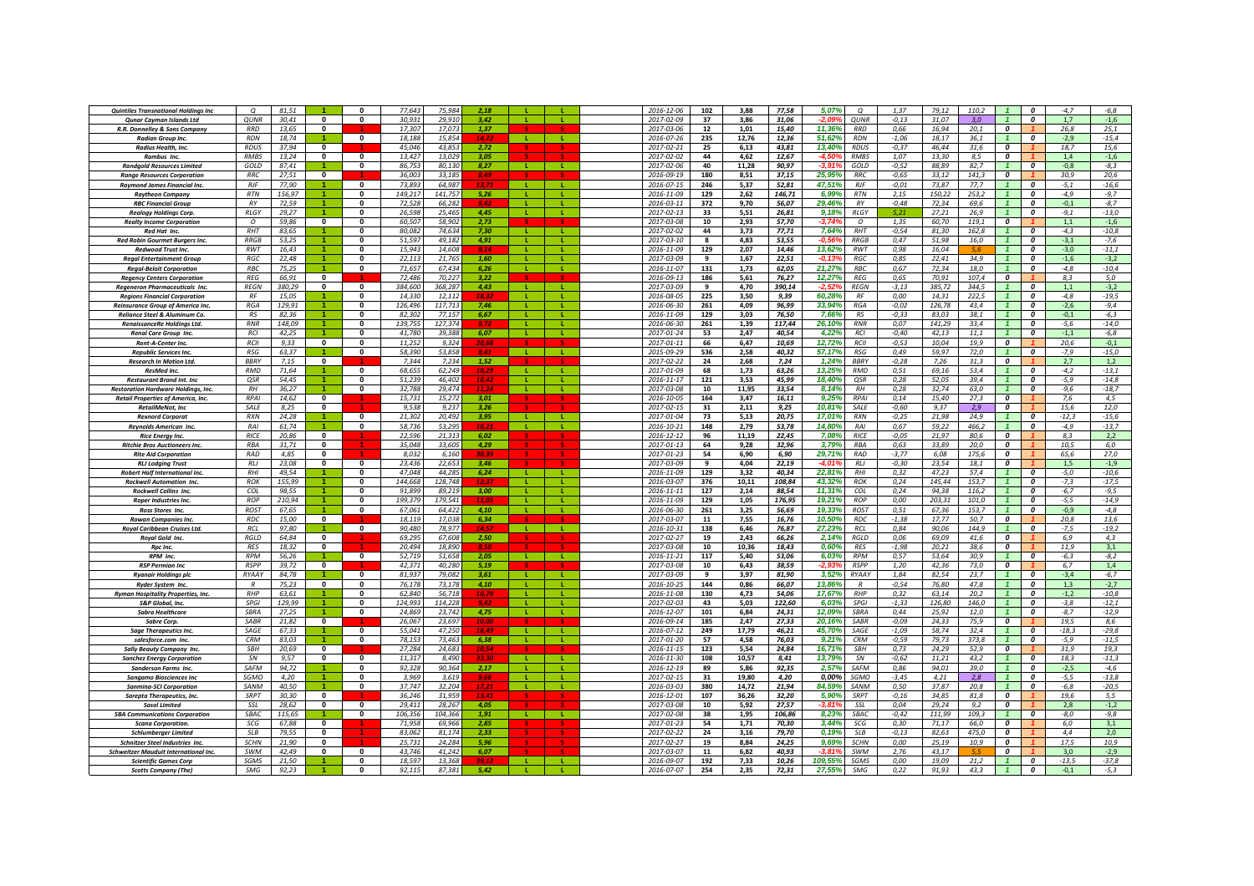| <b>Quintiles Transnational Holdings Inc</b>                             | $\Omega$                    | 81,51           |                          |              | 77,64            | 75.98              | 2.18           |              |              | 2016-12-06               | 102        | 3.88          | 77,58           | 5.079             | O                           | 1,37               | 79,12           | 110.2         |                                      |                       | $-4,7$           | $-6,8$            |
|-------------------------------------------------------------------------|-----------------------------|-----------------|--------------------------|--------------|------------------|--------------------|----------------|--------------|--------------|--------------------------|------------|---------------|-----------------|-------------------|-----------------------------|--------------------|-----------------|---------------|--------------------------------------|-----------------------|------------------|-------------------|
| <b>Qunar Cayman Islands Ltd</b>                                         | <b>QUNR</b>                 | 30,41           | $\mathbf{0}$             | 0            | 30.93            | 29.91              | 3.42           |              |              | 2017-02-09               | 37         | 3,86          | 31,06           | -2.09             | QUNR                        | $-0,13$            | 31.07           | 3.0           |                                      | $\boldsymbol{0}$      | 1,7              | $-1,6$            |
| R.R. Donnelley & Sons Company                                           | <b>RRD</b>                  | 13,65           | $\Omega$                 |              | 17.307           | 17.07              | 1.37           |              |              | 2017-03-06               | 12         | 1,01          | 15,40           | 11,36%            | <b>RRD</b>                  | 0,66               | 16,94           | 20,1          | $\boldsymbol{o}$                     |                       | 26,8             | 25,1              |
| Radian Group Inc.                                                       | <b>RDN</b>                  | 18,74           |                          | $\Omega$     | 18.188           | 15.854             | 14.7           | - 11         | - 11         | 2016-07-26               | 235        | 12,76         | 12,36           | 51,62%            | <b>RDN</b>                  | $-1,06$            | 18,17           | 36,1          |                                      | $\Omega$              | $-2,9$           | $-15,4$           |
| Radius Health, Inc.                                                     | <b>RDUS</b>                 | 37,94           | $\Omega$                 |              | 45,046           | 43.85              | 2,72           |              |              | 2017-02-21               | 25         | 6,13          | 43,81           | 13,40%            | <b>RDUS</b>                 | $-0.37$            | 46,44           | 31,6          | $\boldsymbol{o}$                     |                       | 18,7             | 15,6              |
| Rambus Inc.                                                             | <b>RMBS</b>                 | 13,24           | $\mathbf{0}$             | $\Omega$     | 13.42            | 13,029             | 3.05           | $\mathbf{L}$ |              | 2017-02-02               | 44         | 4,62          | 12,67           | -4.51             | <b>RMBS</b>                 | 1,07               | 13,30           | 8,5           | $\boldsymbol{o}$                     |                       | 1,4              | $-1,6$            |
| <b>Randgold Resources Limited</b><br><b>Range Resources Corporation</b> | GOLD<br><b>RRC</b>          | 87,41<br>27,51  | 0                        | 0            | 86,75<br>36,00   | 80,13<br>33,185    | 8,27           |              |              | 2017-02-06<br>2016-09-19 | 40<br>180  | 11,28<br>8,51 | 90,97<br>37,15  | 25,959            | GOLD<br><b>RRC</b>          | $-0,52$<br>$-0.65$ | 88,89<br>33,12  | 82,7<br>141,3 | 0                                    | 0                     | $-0,8$<br>30,9   | $-8,3$<br>20,6    |
| Raymond James Financial Inc.                                            | <b>RJF</b>                  | 77,90           |                          | $\mathbf{0}$ | 73,893           | 64,98              | 8.49           |              |              | 2016-07-15               | 246        | 5,37          | 52,81           | 47,51%            | <b>RJF</b>                  | $-0.01$            | 73,87           | 77,7          |                                      | $\boldsymbol{0}$      | $-5,1$           | $-16,6$           |
| <b>Raytheon Company</b>                                                 | <b>RTN</b>                  | 156.97          |                          | 0            | 149.217          | 141,757            | 5.26           |              |              | 2016-11-09               | 129        | 2.62          | 146.71          | 6.99%             | <b>RTN</b>                  | 2,15               | 150.22          | 253.2         |                                      | 0                     | $-4.9$           | $-9,7$            |
| <b>RBC Financial Group</b>                                              | <b>RV</b>                   | 72,59           |                          | $\Omega$     | 72,528           | 66,282             | 94.            | -11          | л.           | 2016-03-11               | 372        | 9,70          | 56,07           | 29,46%            | <b>RY</b>                   | $-0.48$            | 72,34           | 69,6          |                                      | $\Omega$              | $-0,1$           | $-8,7$            |
| <b>Realogy Holdings Corp.</b>                                           | RIGY                        | 29,27           |                          | $\Omega$     | 26,598           | 25.46              | 4.45           | -11          | <b>L</b>     | 2017-02-13               | 33         | 5,51          | 26,81           | 9.18%             | RLGY                        | 5.21               | 27,21           | 26,9          |                                      | $\Omega$              | $-9,1$           | $-13,0$           |
| <b>Realty Income Corporation</b>                                        | $\Omega$                    | 59,86           | $\mathbf{0}$             | $\mathbf{0}$ | 60.50            | 58.90              | 2,73           |              |              | 2017-03-08               | 10         | 2,93          | 57,70           | $-3.749$          | $\mathcal{O}$               | 1,35               | 60,70           | 119,1         | $\Omega$                             |                       | 1,1              | $-1,6$            |
| Red Hat Inc.                                                            | RHT                         | 83,65           |                          | 0            | 80,082           | 74,634             | 7,30           |              |              | 2017-02-02               | 44         | 3,73          | 77,71           | 7,64%             | RHT                         | $-0,54$            | 81,30           | 162,8         |                                      | 0                     | $-4,3$           | $-10,8$           |
| Red Robin Gourmet Burgers Inc.                                          | <b>RRGB</b>                 | 53,25           |                          | 0            | 51,597           | 49,182             | 4,91           | -11          | L.           | 2017-03-10               | 8          | 4,83          | 53,55           | -0.56             | <b>RRGB</b>                 | 0,47               | 51,98           | 16.0          |                                      | 0                     | $-3,1$           | $-7,6$            |
| <b>Redwood Trust Inc</b>                                                | <b>RWT</b>                  | 16,43           |                          | 0            | 15.94            | 14.60 <sub>i</sub> | 9.14           |              |              | 2016-11-09               | 129        | 2,07          | 14,46           | 13,62%            | RWT                         | 0,98               | 16.04           |               |                                      | $\boldsymbol{0}$      | $-3,0$           | $-11,1$           |
| <b>Reaal Entertainment Group</b>                                        | <b>RGC</b>                  | 22.48           |                          | $\Omega$     | 22.11            | 21 76              | 1.60           |              |              | 2017-03-09               | q          | 1.67          | 22,51           | -0.13             | RGC                         | 0.85               | 22.41           | 34.9          |                                      | $\Omega$              | $-1.6$           | $-3.2$            |
| <b>Regal-Beloit Corporation</b>                                         | <b>RBC</b>                  | 75.25           | $\blacktriangleleft$     | $\Omega$     | 71.657           | 67.434             | 6.26           | $\mathbf{L}$ | $\mathbf{L}$ | 2016-11-07               | 131        | 1,73          | 62.05           | 21.27%            | RBC                         | 0.67               | 72.34           | 18.0          |                                      | $\boldsymbol{o}$      | $-4.8$           | $-10,4$           |
| <b>Regency Centers Corporation</b>                                      | <b>REG</b>                  | 66,91           | $\Omega$                 |              | 72,486           | 70.227             | 3.22           |              |              | 2016-09-13               | 186        | 5,61          | 76,27           | 12,27%            | <b>REG</b>                  | 0,65               | 70,91           | 107.4         | $\boldsymbol{o}$                     |                       | 8.3              | 5.0               |
| Regeneron Pharmaceuticals Inc                                           | <b>REGN</b>                 | 380,29          | $\mathbf{0}$             | 0            | 384.600          | 368.28             | 4,43           | $\mathbf{I}$ | л.           | 2017-03-09               | 9          | 4,70          | 390,14          |                   | <b>REGN</b>                 | $-3,13$            | 385,72          | 344.5         |                                      | 0                     | 1,1              | $-3,2$            |
| <b>Regions Financial Corporation</b>                                    | <b>RF</b>                   | 15,05           |                          | n            | 14,330           | 12,112             | 18.32          | -11          | -11          | 2016-08-05               | 225        | 3,50          | 9,39            | 60,28%            | RF                          | 0,00               | 14,31           | 222,5         |                                      | 0                     | $-4,8$           | $-19,5$           |
| Reinsurance Group of America Inc.                                       | <b>RGA</b>                  | 129,91          |                          | 0            | 126,496          | 117,71             | 7,46           |              | L.           | 2016-06-30               | 261        | 4,09          | 96,99           | 33,94%            | <b>RGA</b>                  | $-0.02$            | 126,78          | 43,4          |                                      | 0                     | $-2,6$           | $-9,4$            |
| Reliance Steel & Aluminum Co.                                           | RS<br><b>RNR</b>            | 82,36           |                          | 0<br>0       | 82,302<br>139.75 | 77.15<br>127.37    | 6,67           |              |              | 2016-11-09               | 129        | 3,03          | 76,50           | 7,66%             | RS<br><b>RNR</b>            | $-0,33$            | 83.03<br>141.29 | 38,1<br>33.4  |                                      | 0<br>$\boldsymbol{0}$ | $-0,1$           | $-6,3$            |
| RenaissanceRe Holdings Ltd.<br>Renal Care Group Inc.                    | <b>RCI</b>                  | 148,09<br>42.25 |                          | 0            | 41.780           | 39.388             | 6.07           | л.           | L.           | 2016-06-30<br>2017-01-24 | 261<br>53  | 1,39<br>2.47  | 117,44<br>40.54 | 26,10%<br>4.22%   | RCI                         | 0,07<br>$-0.40$    | 42.13           | 11.1          |                                      | $\boldsymbol{o}$      | $-5,6$<br>$-1.1$ | $-14,0$<br>$-6,8$ |
| <b>Rent-A-Center Inc.</b>                                               | RCII                        | 9.33            | $\overline{\mathbf{0}}$  | $\mathbf{0}$ | 11.252           | 9.324              | 20.68          |              |              | 2017-01-11               | 66         | 6.47          | 10.69           | 12.72%            | RCII                        | $-0.53$            | 10.04           | 19.9          | $\overline{\mathbf{c}}$              |                       | 20.6             | $-0,1$            |
| <b>Republic Services Inc.</b>                                           | <b>RSG</b>                  | 63,37           |                          | $\mathbf{0}$ | 58,390           | 53,858             | 8.41           | -11          | ш.           | 2015-09-29               | 536        | 2,58          | 40,32           | 57,17%            | <b>RSG</b>                  | 0,49               | 59,97           | 72,0          | $\mathbf{1}$                         | $\boldsymbol{0}$      | $-7,9$           | $-15,0$           |
| <b>Research In Motion Ltd.</b>                                          | <b>BBRY</b>                 | 7,15            | $\Omega$                 |              | 7,344            | 7,234              | 1,52           |              |              | 2017-02-22               | 24         | 2,68          | 7,24            | 1,24%             | <b>BBRY</b>                 | $-0,28$            | 7,26            | 31,3          | 0                                    |                       | 2,7              | 1,2               |
| ResMed Inc.                                                             | <b>RMD</b>                  | 71,64           |                          | $\mathbf{0}$ | 68,655           | 62,249             | 10,29          | л.           | л.           | 2017-01-09               | 68         | 1,73          | 63,26           | 13,25%            | RMD                         | 0,51               | 69,16           | 53,4          | $\mathbf{1}$                         | $\boldsymbol{o}$      | $-4,2$           | $-13,1$           |
| <b>Restaurant Brand Int. Inc</b>                                        | QSR                         | 54,45           |                          | $\mathbf{0}$ | 51,239           | 46,402             | 10,42          | -11          | L.           | 2016-11-17               | 121        | 3,53          | 45,99           | 18,40%            | QSR                         | 0,28               | 52,05           | 39,4          |                                      | $\boldsymbol{0}$      | $-5,9$           | $-14,8$           |
| <b>Restoration Hardware Holdings, Inc.</b>                              | RH                          | 36,27           |                          | 0            | 32.78            | 29.47              | 11.24          |              |              | 2017-03-08               | 10         | 11,95         | 33.54           | 8.14%             | RH                          | 0,28               | 32.74           | 63.0          |                                      | $\boldsymbol{0}$      | $-9,6$           | $-18,7$           |
| <b>Retail Properties of America, Inc.</b>                               | <b>RPAI</b>                 | 14,62           | $\mathbf{0}$             |              | 15.731           | 15.27              | 3,01           |              |              | 2016-10-05               | 164        | 3,47          | 16.11           | 9.25%             | <b>RPAI</b>                 | 0.14               | 15.40           | 27.3          | $\boldsymbol{0}$                     |                       | 7,6              | 4,5               |
| RetailMeNot, Inc                                                        | SALE                        | 8,25            | $\Omega$                 |              | 9,535            | 9,23               | 3,26           |              |              | 2017-02-15               | 31         | 2,11          | 9,25            | 10,819            | SALE                        | $-0,60$            | 9,37            | 2,9           | 0                                    |                       | 15,6             | 12,0              |
| <b>Rexnord Corporal</b>                                                 | <b>RXN</b>                  | 24.28           |                          | $\mathbf{0}$ | 21.30            | 20.49              | 3.95           | - 11         |              | 2017-01-04               | 73         | 5,13          | 20,75           | 17.019            | <b>RXN</b>                  | $-0,25$            | 21,98           | 24.9          |                                      | $\boldsymbol{0}$      | $-12,3$          | $-15,6$           |
| <b>Revnolds American Inc.</b>                                           | <b>RAI</b>                  | 61,74           |                          | $\mathbf{0}$ | 58.73            | 53.29              | 10 P           | - 11         | л.           | 2016-10-21               | 148        | 2,79          | 53,78           | 14,80%            | <b>RAI</b>                  | 0,67               | 59,22           | 466.2         | $\overline{1}$                       | $\boldsymbol{o}$      | $-4.9$           | $-13,7$           |
| <b>Rice Energy Inc.</b>                                                 | <b>RICE</b>                 | 20,86           | $\mathbf{0}$             |              | 22.596           | 21,313             | 6.02           |              |              | 2016-12-12               | 96         | 11,19         | 22,45           | 7,08%             | <b>RICE</b>                 | $-0,05$            | 21,97           | 80,6          | $\boldsymbol{o}$                     |                       | 8.3              | 2,2               |
| <b>Ritchie Bros Auctioneers Inc.</b>                                    | <b>RBA</b>                  | 31,71           | $\mathbf{0}$<br>$\Omega$ |              | 35.04            | 33.60              | 4.29           |              |              | 2017-01-13               | 64         | 9,28          | 32,96           | 3,79%             | <b>RBA</b>                  | 0,63               | 33,89           | 20,0          | $\boldsymbol{0}$                     |                       | 10,5             | 6,0               |
| <b>Rite Aid Corporation</b>                                             | <b>RAD</b><br>RLJ           | 4,85<br>23.08   | $\mathbf{0}$             | $\mathbf{0}$ | 8.032<br>23.436  | 6,160<br>22.65     | 3.46           |              |              | 2017-01-23<br>2017-03-09 | 54<br>9    | 6,90          | 6,90<br>22.19   | 29,71%<br>$-4.01$ | RAD<br><b>RLJ</b>           | $-3,77$<br>$-0.30$ | 6,08<br>23.54   | 175,6<br>18.1 | $\boldsymbol{o}$<br>$\boldsymbol{o}$ |                       | 65,6<br>1.5      | 27,0<br>$-1.9$    |
| <b>RLJ Lodging Trust</b><br>Robert Half International Inc.              | RH                          | 49.54           |                          |              | 47.04            | 44.28              | 6.24           |              |              | 2016-11-09               | 129        | 4,04<br>3,32  | 40,34           | 22,81             | RHI                         | 0,32               | 47.23           | 57.4          |                                      | 0                     | $-5,0$           | $-10,6$           |
| <b>Rockwell Automation Inc.</b>                                         | <b>ROK</b>                  | 155,99          |                          | 0            | 144,668          | 128,748            |                |              |              | 2016-03-07               | 376        | 10,11         | 108,84          | 43,32             | ROK                         | 0,24               | 145,44          | 153,7         |                                      | $\boldsymbol{0}$      | $-7,3$           | $-17,5$           |
| <b>Rockwell Collins Inc.</b>                                            | COL                         | 98,55           |                          | 0            | 91.89            | 89,219             | 3,00           | -11          | -11          | 2016-11-11               | 127        | 2.14          | 88.54           | 11.31%            | COI                         | 0,24               | 94.38           | 116,2         |                                      | $\boldsymbol{0}$      | $-6,7$           | $-9,5$            |
| <b>Roper Industries Inc.</b>                                            | <b>ROP</b>                  | 210.94          |                          | 0            | 199.379          | 179.54             |                | п.           | п.           | 2016-11-09               | 129        | 1,05          | 176,95          | 19.21%            | <b>ROP</b>                  | 0.00               | 203.31          | 101.0         |                                      | $\boldsymbol{0}$      | $-5,5$           | $-14,9$           |
| Ross Stores Inc.                                                        | <b>ROST</b>                 | 67,65           |                          | $\Omega$     | 67,061           | 64,422             | 4,10           | -11          | <b>L</b>     | 2016-06-30               | 261        | 3,25          | 56,69           | 19.33%            | <b>ROST</b>                 | 0,51               | 67.36           | 153,7         |                                      | $\Omega$              | $-0.9$           | $-4,8$            |
| <b>Rowan Companies Inc.</b>                                             | <b>RDC</b>                  | 15,00           | $\mathbf{0}$             |              | 18.11            | 17.038             | 6,34           |              |              | 2017-03-07               | 11         | 7,55          | 16,76           | 10,50%            | <b>RDC</b>                  | $-1,38$            | 17,77           | 50,7          | $\Omega$                             |                       | 20,8             | 13,6              |
| Royal Caribbean Cruises Ltd.                                            | RCL                         | 97,80           |                          | $\Omega$     | 90,480           | 78,977             | 14.57          | <b>L</b>     | <b>L</b>     | 2016-10-31               | 138        | 6,46          | 76,87           | 27,23%            | RCL                         | 0,84               | 90,06           | 144,9         |                                      | $\boldsymbol{0}$      | $-7,5$           | $-19,2$           |
| Royal Gold Inc.                                                         | <b>RGLD</b>                 | 64,84           | $\mathbf{0}$             |              | 69,29            | 67,608             | 2,50           |              |              | 2017-02-27               | 19         | 2,43          | 66,26           | 2,14%             | RGLD                        | 0,06               | 69,09           | 41,6          | 0                                    |                       | 6,9              | 4,3               |
| <b>Rpc Inc</b>                                                          | <b>RFS</b>                  | 18,32           | 0                        |              | 20,494           | 18.89              | 8.50           |              |              | 2017-03-08               | 10         | 10,36         | 18,43           | 0,60%             | <b>RFS</b>                  | $-1,98$            | 20,21           | 38,6          | 0                                    |                       | 11,9             | 3,1               |
| RPM Inc.                                                                | <b>RPM</b>                  | 56,26           |                          | $\mathbf{0}$ | 52.71            | 51.65              | 2,05           | -11          | <b>L</b>     | 2016-11-21               | 117        | 5,40          | 53,06           | 6.03%             | <b>RPM</b>                  | 0.57               | 53.64           | 30.9          |                                      | $\boldsymbol{0}$      | -6,3             | $-8,2$            |
| <b>RSP Permian Inc.</b>                                                 | <b>RSPP</b><br><b>RYAAY</b> | 39.72<br>84.78  | $\mathbf{0}$             | $\mathbf{0}$ | 42.371<br>81.937 | 40.280<br>79.08    | 5.19<br>3.61   | - 11         | -11          | 2017-03-08<br>2017-03-09 | 10<br>9    | 6.43<br>3.97  | 38.59<br>81,90  | -2.93<br>3.52%    | <b>RSPP</b><br><b>RYAAY</b> | 1,20<br>1.84       | 42.36<br>82.54  | 73.0<br>23.7  | $\boldsymbol{o}$                     | $\boldsymbol{0}$      | 6,7<br>$-3.4$    | 1,4<br>$-6,7$     |
| <b>Ryanair Holdings plc</b><br><b>Ryder System Inc</b>                  | $\overline{R}$              | 75.23           | $\Omega$                 | $\Omega$     | 76.178           | 73.178             | 4.10           | $\mathbf{L}$ | $\mathbf{L}$ | 2016-10-25               | 144        | 0.86          | 66,07           | 13,86%            | $\overline{R}$              | $-0.54$            | 76.80           | 47.8          |                                      | $\Omega$              | 1.3              | $-2,7$            |
| <b>Ryman Hospitality Properties, Inc.</b>                               | <b>RHP</b>                  | 63,61           |                          | $\Omega$     | 62,840           | 56,718             | 10.79          |              | $\mathbf{L}$ | 2016-11-08               | 130        | 4,73          | 54,06           | 17,67%            | $R$ H $F$                   | 0,32               | 63,14           | 20,2          |                                      | $\boldsymbol{0}$      | $-1,2$           | $-10,8$           |
| S&P Global, Inc.                                                        | SPGI                        | 129,99          |                          | 0            | 124,993          | 114,228            |                |              | т.           | 2017-02-03               | 43         | 5,03          | 122,60          | 6,03%             | SPGI                        | $-1,33$            | 126,80          | 146,0         |                                      | 0                     | $-3,8$           | $-12,1$           |
| <b>Sabra Healthcare</b>                                                 | SBRA                        | 27,25           |                          | 0            | 24,86            | 23,742             | 4,75           |              |              | 2016-12-07               | 101        | 6,84          | 24,31           | 12,09%            | SBRA                        | 0,44               | 25,92           | 12,0          |                                      | 0                     | $-8,7$           | $-12,9$           |
| Sabre Corp.                                                             | SABR                        | 21,82           | 0                        |              | 26,067           | 23,697             | 10.00          |              |              | 2016-09-14               | 185        | 2,47          | 27,33           | 20,16%            | SARR                        | $-0.09$            | 24,33           | 75,9          | 0                                    |                       | 19,5             | 8,6               |
| <b>Sage Therapeutics Inc.</b>                                           | SAGE                        | 67,33           |                          | 0            | 55,041           | 47.25              | 16.49          |              |              | 2016-07-12               | 249        | 17,79         | 46,21           | 45,70%            | SAGE                        | $-1,09$            | 58.74           | 32.4          |                                      | $\boldsymbol{0}$      | $-18,3$          | $-29,8$           |
| salesforce.com Inc.                                                     | <b>CRM</b>                  | 83.03           |                          | $\mathbf{0}$ | 78.153           | 73.463             | 6.38           | л.           | L.           | 2017-01-20               | 57         | 4.58          | 76.03           | 9.219             | <b>CRM</b>                  | $-0.59$            | 79.73           | 373.8         |                                      | $\boldsymbol{o}$      | $-5.9$           | $-11,5$           |
| <b>Sally Beauty Company Inc.</b>                                        | <b>SRH</b>                  | 20.69           | $\Omega$                 |              | 27.284           | 24.68              | 10,54          |              |              | 2016-11-15               | 123        | 5,54          | 24,84           | 16.71%            | <b>SRH</b>                  | 0,73               | 24,29           | 52.9          | $\mathbf{r}$                         |                       | 31,9             | 19,3              |
| <b>Sanchez Energy Corporation</b>                                       | SN                          | 9.57            | $\mathbf{0}$             | 0            | 11,317           | 8.490              | 3.34           | - 12         | п.           | 2016-11-30               | 108        | 10,57         | 8,41            | 13,79%            | SN                          | $-0,62$            | 11,21           | 43,2          | $\mathbf{1}$                         | $\boldsymbol{0}$      | 18,3             | $-11,3$           |
| Sanderson Farms Inc.                                                    | SAFM                        | 94,72           |                          | $\mathbf{0}$ | 92,328           | 90,364             | 2,17           | л.           |              | 2016-12-19               | 89         | 5,86          | 92,35           | 2,57%             | SAFM                        | 0,86               | 94,01           | 39,0          | $\mathbf{1}$                         | $\boldsymbol{o}$      | $-2,5$           | $-4,6$            |
| <b>Sangamo Biosciences Inc</b>                                          | SGMO                        | 4,20            |                          | 0            | 3,969            | 3.61               | 9,66           |              |              | 2017-02-15               | 31         | 19,80         | 4,20            | 0,00%             | SGMO                        | $-3,45$            | 4,21            | 2,8           |                                      | $\boldsymbol{0}$      | $-5,5$           | $-13,8$           |
| <b>Sanmina-SCI Corporation</b>                                          | SANM<br>SRPT                | 40,50<br>30.30  | $\mathbf{0}$             | $\mathbf 0$  | 37,747<br>36.246 | 32,204<br>31.95    | 17.21<br>13.41 | -11          | Æ.           | 2016-03-03<br>2016-12-01 | 380<br>107 | 14,72         | 21,94           | 84,59%<br>5.90%   | SANM<br><b>SRPT</b>         | 0,50<br>$-0.16$    | 37,87<br>34.85  | 20,8<br>81.8  | $\boldsymbol{0}$                     | 0                     | $-6,8$<br>19,6   | $-20,5$<br>5.5    |
| <b>Sarepta Therapeutics, Inc.</b><br>Sasol Limited                      | SSI                         | 28,62           | $\mathbf{0}$             | 0            | 29.41            | 28.26              | 4.05           |              |              | 2017-03-08               | 10         | 36,26<br>5,92 | 32,20<br>27,57  | $-3.81$           | SSL                         | 0.04               | 29.24           | 9.2           | 0                                    |                       | 2.8              | $-1,2$            |
| <b>SBA Communications Corporation</b>                                   | <b>SRAC</b>                 | 115.65          |                          | $\Omega$     | 106.35           | 104.366            | 1.91           | - 11         | $\mathbf{L}$ | 2017-02-08               | 38         | 1.95          | 106.86          | 8.23%             | SBAC                        | $-0.42$            | 111.99          | 109.3         |                                      | $\boldsymbol{o}$      | $-8.0$           | $-9.8$            |
| <b>Scana Corporation</b>                                                | SCG                         | 67,88           | $\mathbf{0}$             |              | 71.958           | 69.96              | 2.85           |              |              | 2017-01-23               | 54         | 1,71          | 70,30           | 3.44%             | SCG                         | 0,30               | 71,17           | 66.0          | $\boldsymbol{o}$                     |                       | 6.0              | 3,1               |
| Schlumberger Limited                                                    | SL <sub>B</sub>             | 79,55           | $\mathbf{0}$             |              | 83.06            | 81.17              | 2.33           |              |              | 2017-02-22               | 24         | 3,16          | 79,70           | 0,19%             | <b>SLB</b>                  | $-0.13$            | 82,63           | 475.0         | $\overline{\mathbf{c}}$              |                       | 4.4              | 2,0               |
| Schnitzer Steel Industries Inc.                                         | <b>SCHN</b>                 | 21,90           | $\Omega$                 |              | 25.73            | 24,284             | 5.96           |              |              | 2017-02-27               | 19         | 8,84          | 24,25           | 9,69%             | <b>SCHN</b>                 | 0,00               | 25,19           | 10,9          | $\boldsymbol{o}$                     |                       | 17,5             | 10,9              |
| <b>Schweitzer Mauduit International Inc.</b>                            | SWM                         | 42,49           | $\mathbf{0}$             | 0            | 43,746           | 41,242             | 6,07           |              |              | 2017-03-07               | 11         | 6,82          | 40,93           | -3 81             | SWM                         | 2,76               | 43,17           |               | 0                                    |                       | 3,0              | $-2,9$            |
| <b>Scientific Games Corp</b>                                            | SGMS                        | 21,50           |                          | 0            | 18,59            | 13,368             |                |              |              | 2016-09-07               | 192        | 7,33          | 10,26           | 109,55%           | SGMS                        | 0,00               | 19,09           | 21,2          |                                      | 0                     | $-13,5$          | $-37,8$           |
| <b>Scotts Company (The)</b>                                             | SMG                         | 92,23           |                          | 0            | 92.115           | 87.381             | 5.42           |              |              | 2016-07-07               | 254        | 2,35          | 72,31           | 27.55%            | SMG                         | 0,22               | 91.93           | 43.3          |                                      | 0                     | $-0.1$           | $-5,3$            |
|                                                                         |                             |                 |                          |              |                  |                    |                |              |              |                          |            |               |                 |                   |                             |                    |                 |               |                                      |                       |                  |                   |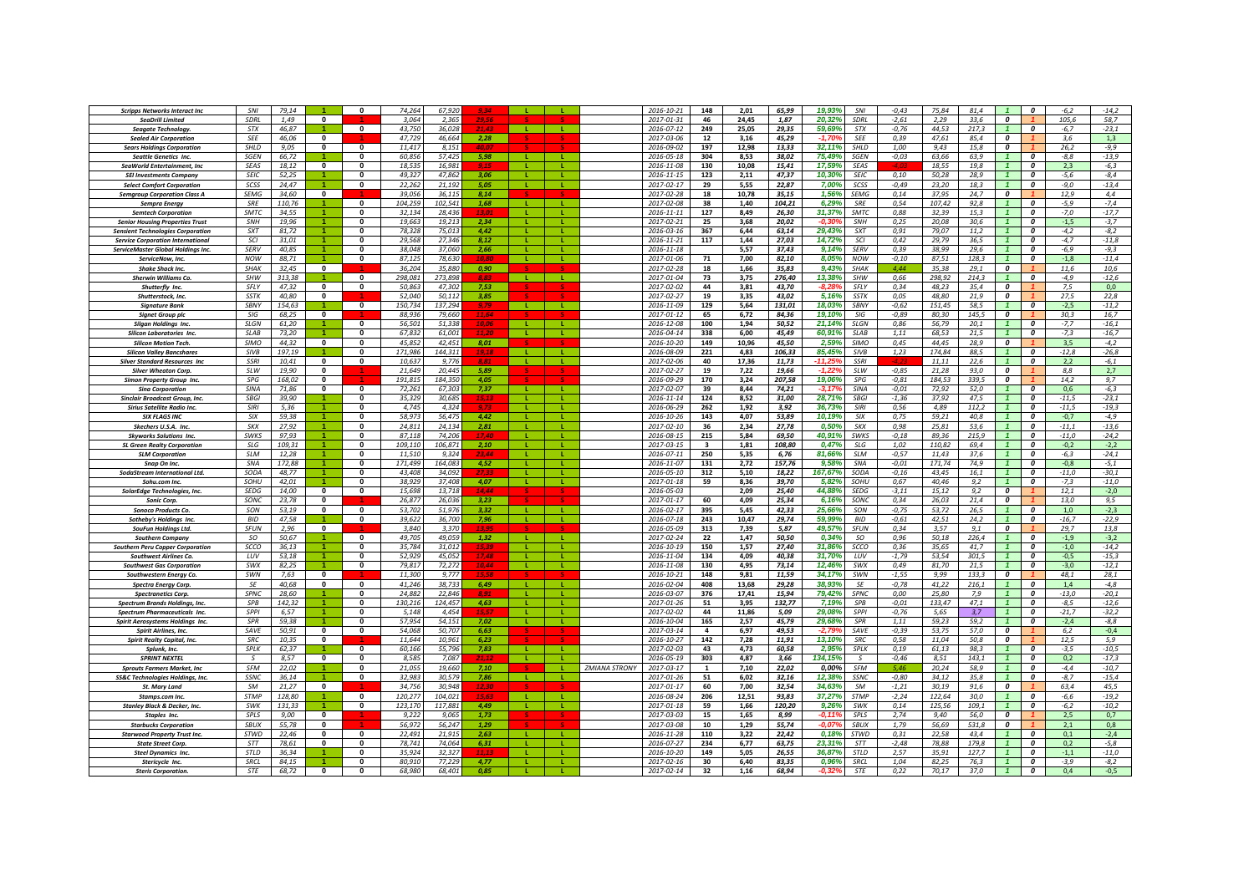| <b>Scripps Networks Interact Inc</b>                                | SNI                        | 79.14          |                           |                              | 74,264           | 67,92            | 9 R.A          |                          | 2016-10-21                         | 148                     | 2,01          | 65,99          | 19.93%            | SNI                        | $-0,43$          | 75,84          | 81,4          |                         | $\boldsymbol{0}$                     | $-6,2$           | $-14,2$            |
|---------------------------------------------------------------------|----------------------------|----------------|---------------------------|------------------------------|------------------|------------------|----------------|--------------------------|------------------------------------|-------------------------|---------------|----------------|-------------------|----------------------------|------------------|----------------|---------------|-------------------------|--------------------------------------|------------------|--------------------|
| SeaDrill Limited                                                    | SDRL                       | 1,49           | 0                         |                              | 3,064            | 2.365            |                |                          | 2017-01-31                         | 46                      | 24,45         | 1,87           | 20,32%            | SDRL                       | $-2,61$          | 2,29           | 33,6          | $\boldsymbol{o}$        |                                      | 105,6            | 58,7               |
| Seagate Technology.                                                 | STX                        | 46,87          |                           | $\mathbf{0}$                 | 43.750           | 36,028           |                | - Li<br>л.               | 2016-07-12                         | 249                     | 25,05         | 29,35          | 59,69%            | STX                        | $-0,76$          | 44,53          | 217,3         | $\mathbf{1}$            | $\boldsymbol{o}$                     | $-6,7$           | $-23,1$            |
| <b>Sealed Air Corporation</b>                                       | <b>SEE</b>                 | 46,06          | $\mathbf{0}$              |                              | 47,729           | 46,664           | 2,28           |                          | 2017-03-06                         | 12                      | 3,16          | 45,29          | $-1.70$           | SEE                        | 0,39             | 47,61          | 85,4          | $\boldsymbol{0}$        |                                      | 3,6              | 1,3                |
| <b>Sears Holdings Corporation</b>                                   | <b>SHLD</b>                | 9.05           | $\mathbf{0}$              | $\Omega$                     | 11.417           | 8.15             |                |                          | 2016-09-02                         | 197                     | 12.98         | 13.33          | 32.11%            | <b>SHLD</b>                | 1.00             | 9,43           | 15.8          | $\boldsymbol{o}$        |                                      | 26,2             | $-9.9$             |
| <b>Seattle Genetics Inc.</b><br>SeaWorld Entertainment, Inc.        | SGEN<br>SEAS               | 66,72<br>18,12 | $\mathbf{0}$              | $\mathbf{0}$                 | 60.85<br>18.53   | 57.42<br>16,981  | 5,98           |                          | 2016-05-18<br>2016-11-08           | 304<br>130              | 8.53<br>10,08 | 38,02<br>15,41 | 75,49%<br>17,599  | <b>SGEN</b><br>SEAS        | $-0,03$          | 63.66<br>18,55 | 63.9<br>19,8  |                         | 0<br>$\boldsymbol{0}$                | $-8,8$<br>2,3    | $-13,9$<br>$-6,3$  |
| <b>SEI Investments Company</b>                                      | <b>SEIC</b>                | 52.25          |                           | $\mathbf{0}$                 | 49.327           | 47.862           | 3.06           | -11<br>т.                | $2016 - 11 - 15$                   | 123                     | 2.11          | 47.37          | 10.30%            | <b>SEIC</b>                | 0.10             | 50.28          | 28.9          |                         | $\boldsymbol{0}$                     | -5,6             | $-8,4$             |
| <b>Select Comfort Corporation</b>                                   | SCSS                       | 24.47          |                           | $\overline{\mathbf{0}}$      | 22.262           | 21,192           | 5.05           | - L -<br>ъ.              | 2017-02-17                         | 29                      | 5,55          | 22.87          | 7.00%             | SCSS                       | $-0,49$          | 23.20          | 18.3          |                         | $\overline{\mathbf{c}}$              | $-9.0$           | $-13,4$            |
| <b>Semgroup Corporation Class A</b>                                 | <b>SFMG</b>                | 34.60          | $\mathbf{0}$              |                              | 39.056           | 36.115           | 8.14           |                          | 2017-02-28                         | 18                      | 10.78         | 35.15          | 1.56%             | <b>SFMG</b>                | 0.14             | 37.95          | 24.7          | $\overline{0}$          |                                      | 12.9             | 4,4                |
| <b>Sempra Energy</b>                                                | SRF                        | 110,76         |                           | $\mathbf{0}$                 | 104,259          | 102,541          | 1,68           | -1.<br>л.                | 2017-02-08                         | 38                      | 1,40          | 104,21         | 6,29%             | SRE                        | 0,54             | 107,42         | 92,8          | $\mathbf{1}$            | $\boldsymbol{o}$                     | $-5,9$           | $-7,4$             |
| <b>Semtech Corporation</b>                                          | <b>SMTC</b>                | 34,55          |                           | $\Omega$                     | 32.134           | 28,436           |                |                          | 2016-11-11                         | 127                     | 8,49          | 26,30          | 31,37%            | SMTC                       | 0,88             | 32,39          | 15,3          |                         | $\Omega$                             | -7,0             | $-17,7$            |
| <b>Senior Housing Properties Trust</b>                              | SNH                        | 19,96          | -1.                       | $\mathbf{0}$                 | 19,663           | 19,213           | 2,34           | -11<br>L.                | 2017-02-21                         | 25                      | 3,68          | 20,02          | $-0,30$           | SNH                        | 0,25             | 20,08          | 30,6          |                         | $\boldsymbol{o}$                     | $-1,5$           | $-3,7$             |
| <b>Sensient Technologies Corporation</b>                            | <b>SXT</b>                 | 81.72          |                           | $\Omega$                     | 78.328           | 75.013           | 4.42           |                          | 2016-03-16                         | 367                     | 6.44          | 63,14          | 29.43%            | <b>SXT</b>                 | 0.91             | 79.07          | 11.2          |                         | $\Omega$                             | $-4.2$           | $-8.2$             |
| <b>Service Corporation International</b>                            | <b>SCI</b>                 | 31.01          | $\blacktriangleleft$      | $\Omega$                     | 29.568           | 27.346           | 8.12           |                          | 2016-11-21                         | 117                     | 1.44          | 27,03          | 14.72%            | SCI                        | 0,42             | 29.79          | 36.5          | $\mathbf{1}$            | $\boldsymbol{o}$                     | $-4.7$           | $-11,8$            |
| ServiceMaster Global Holdings Inc.                                  | SERV                       | 40,85          | $\blacktriangleleft$      | $\mathbf{0}$                 | 38,048           | 37,060           | 2,66           | $\mathbf{L}$             | 2016-11-18                         |                         | 5,57          | 37,43          | 9,14%             | SERV                       | 0,39             | 38,99          | 29,6          |                         | $\boldsymbol{0}$                     | $-6,9$           | $-9,3$             |
| ServiceNow, Inc.                                                    | <b>NOW</b>                 | 88.71          |                           | $\Omega$                     | 87.125           | 78.630           | 10.81          |                          | 2017-01-06                         | 71                      | 7.00          | 82.10          | 8.05%             | <b>NOW</b>                 | $-0.10$          | 87.51          | 128.3         |                         | $\boldsymbol{o}$                     | $-1.8$           | $-11.4$            |
| <b>Shake Shack Inc.</b>                                             | <b>SHAK</b>                | 32,45          | $\mathbf{0}$              |                              | 36.204           | 35,880           | 0.90           |                          | 2017-02-28                         | 18                      | 1,66          | 35.83          | 9.43%             | <b>SHAK</b>                | 4.44             | 35.38          | 29.1          | $\boldsymbol{o}$        |                                      | 11,6             | 10,6               |
| Sherwin Williams Co.                                                | SHW                        | 313.38         |                           | $\Omega$                     | 298.081          | 273.898          | 99             | - 11<br>- 11             | 2017-01-04                         | 73                      | 3,75          | 276,40         | 13,38%            | <b>SHW</b>                 | 0,66             | 298,92         | 214.3         | $\overline{1}$          | $\Omega$                             | $-4.9$           | $-12,6$            |
| Shutterfly Inc.                                                     | <b>SFLY</b>                | 47.32          | $\ddot{\mathbf{0}}$       | $\Omega$                     | 50.863           | 47.302           | 7.53           |                          | 2017-02-02                         | 44                      | 3,81          | 43,70          | -8.28             | SFLY                       | 0.34             | 48.23          | 35.4          | $\overline{a}$          |                                      | 7.5              | 0,0                |
| Shutterstock, Inc                                                   | SSTK                       | 40,80          | $\mathbf 0$               |                              | 52,040           | 50,112           | 3,85           |                          | 2017-02-27                         | 19                      | 3,35          | 43,02          | 5,16%             | SSTK                       | 0,05             | 48,80          | 21,9          | $\overline{\mathbf{c}}$ |                                      | 27,5             | 22,8               |
| <b>Sianature Bank</b>                                               | SBNY                       | 154,63         |                           | 0                            | 150,734          | 137,294          |                | <b>L</b>                 | 2016-11-09                         | 129                     | 5,64          | 131,01         | 18,03%            | SBNY                       | $-0,62$          | 151,45         | 58,5          |                         | 0                                    | $-2,5$           | $-11,2$            |
| Signet Group plc                                                    | SIG                        | 68,25          | 0                         |                              | 88,936           | 79.66            |                |                          | 2017-01-12                         | 65                      | 6,72          | 84,36          | 19,10%            | SIG                        | $-0,89$          | 80,30          | 145,5         | 0                       |                                      | 30,3             | 16,7               |
| Silgan Holdings Inc.                                                | <b>SLGN</b>                | 61,20          |                           | $\mathbf{0}$<br>$\Omega$     | 56.50            | 51.33            |                |                          | 2016-12-08                         | 100                     | 1,94          | 50,52          | 21.14%            | <b>SLGN</b>                | 0,86             | 56,79          | 20,1          |                         | $\boldsymbol{0}$                     | $-7,7$           | $-16,1$            |
| Silicon Laboratories Inc.<br><b>Silicon Motion Tech.</b>            | <b>SLAB</b><br><b>SIMO</b> | 73.20<br>44,32 | $\overline{\mathbf{0}}$   | $\overline{\mathbf{0}}$      | 67.832<br>45,852 | 61.001<br>42,451 | 8.01           | л.                       | 2016-04-14<br>2016-10-20           | 338<br>149              | 6.00<br>10,96 | 45.49<br>45,50 | 60.91%<br>2,59%   | <b>SLAB</b><br><b>SIMO</b> | 1.11<br>0,45     | 68.53<br>44,45 | 21.5<br>28,9  | $\overline{\mathbf{c}}$ | $\boldsymbol{o}$                     | $-7.3$<br>3,5    | $-16.7$<br>$-4,2$  |
| <b>Silicon Valley Bancshares</b>                                    | SIVB                       | 197,19         |                           | $\mathbf{0}$                 | 171,986          | 144,311          | 19.11          | - L.                     | 2016-08-09                         | 221                     | 4,83          | 106,33         | 85,45%            | SIVB                       | 1,23             | 174.84         | 88.5          | $\mathbf{1}$            | 0                                    | $-12,8$          | $-26,8$            |
|                                                                     | <b>SSRI</b>                | 10,41          | 0                         | $\mathbf{0}$                 | 10,637           | 9.77             |                | -11                      | 2017-02-06                         | 40                      | 17,36         | 11,73          | -11.25            | SSRI                       |                  | 11,11          | 22,6          |                         | $\boldsymbol{0}$                     | 2,2              | $-6,1$             |
| <b>Silver Standard Resources Inc</b><br><b>Silver Wheaton Corp.</b> | SLW                        | 19,90          | 0                         |                              | 21,649           | 20,445           | 5.89           |                          | 2017-02-27                         | 19                      | 7,22          | 19,66          | $-1.22$           | SLW                        | $-0.85$          | 21,28          | 93,0          | $\boldsymbol{o}$        |                                      | 8,8              | 2,7                |
| <b>Simon Property Group Inc.</b>                                    | SPG                        | 168,02         | 0                         |                              | 191,815          | 184,350          | 4,05           |                          | 2016-09-29                         | 170                     | 3,24          | 207,58         | 19,06%            | SPG                        | $-0.81$          | 184,53         | 339,5         | 0                       |                                      | 14,2             | 9,7                |
| <b>Sina Corporation</b>                                             | SINA                       | 71.86          | $\mathbf{0}$              | $\mathbf 0$                  | 72.261           | 67.303           | 7,37           | $\mathbf{L}$             | 2017-02-07                         | 39                      | 8.44          | 74.21          | $-3.17$           | <b>SINA</b>                | $-0.01$          | 72.92          | 52.0          |                         | $\Omega$                             | 0.6              | $-6.3$             |
| <b>Sinclair Broadcast Group, Inc.</b>                               | SBGI                       | 39,90          |                           | $\mathbf{0}$                 | 35,329           | 30.685           | 15,13          |                          | 2016-11-14                         | 124                     | 8,52          | 31,00          | 28,71%            | SBGI                       | $-1.36$          | 37,92          | 47.5          | $\mathbf{1}$            | 0                                    | $-11,5$          | $-23,1$            |
| Sirius Satellite Radio Inc.                                         | SIRI                       | 5.36           |                           | $\mathbf{0}$                 | 4.74             | 4.32.            | 9.73           |                          | 2016-06-29                         | 262                     | 1,92          | 3,92           | 36,73%            | SIRI                       | 0,56             | 4,89           | 112.2         | $\mathbf{1}$            | $\boldsymbol{0}$                     | $-11,5$          | $-19,3$            |
| <b>SIX FLAGS INC</b>                                                | $\mathcal{L}$              | 59.38          |                           |                              | 58.973           | 56.475           | 4.42           |                          | 2016-10-26                         | 143                     | 4.07          | 53.89          | 10.19%            | $\zeta$                    | 0.75             | 59.21          | 40.8          |                         | $\Omega$                             | $-0.7$           | $-4.9$             |
| Skechers U.S.A. Inc.                                                | <b>SKX</b>                 | 27.92          | $\blacktriangleleft$      | $\Omega$                     | 24.811           | 24.134           | 2.81           | -11                      | 2017-02-10                         | 36                      | 2.34          | 27.78          | 0.50%             | <b>SKX</b>                 | 0.98             | 25.81          | 53.6          |                         | $\boldsymbol{o}$                     | $-11.1$          | $-13,6$            |
| <b>Skyworks Solutions Inc.</b>                                      | <b>SWKS</b>                | 97.93          | $\blacktriangleleft$      | $\mathbf{r}$                 | 87.118           | 74,206           |                | $\mathbf{L}$<br>×.       | 2016-08-15                         | 215                     | 5,84          | 69,50          | 40,91%            | <b>SWKS</b>                | $-0,18$          | 89.36          | 215.9         |                         | $\Omega$                             | $-11.0$          | $-24,2$            |
| <b>SL Green Realty Corporation</b>                                  | SLG                        | 109,31         | $\blacktriangleleft$      | $\mathbf{0}$                 | 109,110          | 106.871          | 2.10           | $\mathbf{I}$<br><b>T</b> | 2017-03-15                         | $\overline{\mathbf{3}}$ | 1,81          | 108,80         | 0,47%             | SLG                        | 1,02             | 110,82         | 69,4          | $\overline{1}$          | $\boldsymbol{0}$                     | $-0,2$           | $-2,2$             |
| <b>SLM Corporation</b>                                              | <b>SLM</b>                 | 12,28          | $\blacktriangleleft$      | $\Omega$                     | 11,510           | 9,324            |                | л.                       | 2016-07-11                         | 250                     | 5,35          | 6,76           | 81,66%            | <b>SLM</b>                 | $-0,57$          | 11,43          | 37,6          |                         | $\boldsymbol{0}$                     | $-6,3$           | $-24,1$            |
| Snap On Inc.                                                        | SNA                        | 172,88         |                           |                              | 171,499          | 164,083          | 4,52           |                          | 2016-11-07                         | 131                     | 2,72          | 157,76         | 9,58%             | SNA                        | $-0.01$          | 171,74         | 74,9          |                         | $\boldsymbol{0}$                     | $-0,8$           | $-5,1$             |
| SodaStream International Ltd.                                       | SODA                       | 48,77          |                           | $\Omega$                     | 43,408           | 34,092           |                |                          | 2016-05-10                         | 312                     | 5,10          | 18,22          | 167,67%           | SODA                       | $-0,16$          | 43,45          | 16,1          |                         | $\boldsymbol{0}$                     | $-11,0$          | $-30,1$            |
| Sohu.com Inc.                                                       | SOHU                       | 42.01          |                           |                              | 38.92            | 37.408           | 4.07           |                          | $2017 - 01 - 18$                   | 59                      | 8.36          | 39,70          | 5.82%             | SOHU                       | 0.67             | 40.46          | 9.2           |                         | $\boldsymbol{o}$                     | $-7,3$           | $-11,0$            |
| SolarEdge Technologies, Inc.                                        | <b>SEDG</b>                | 14,00          | $\mathbf 0$               | $\mathbf{0}$                 | 15,69            | 13,718           | 14.44          |                          | 2016-05-03                         |                         | 2,09          | 25,40          | 44,88             | SEDG                       | $-3, 11$         | 15,12          | 9,2           | 0                       |                                      | 12,1             | $-2,0$             |
| Sonic Corp.                                                         | <b>SONC</b><br>SON         | 23,78<br>53.19 | 0<br>$\mathbf{0}$         | $\mathbf{0}$                 | 26,877<br>53.702 | 26,036           | 3,23<br>3.32   |                          | 2017-01-17<br>2016-02-17           | 60<br>395               | 4,09<br>5.45  | 25,34<br>42.33 | 6,16%<br>25.66%   | SONC<br>SON                | 0,34<br>$-0,75$  | 26,03<br>53.72 | 21,4<br>26.5  | 0                       | $\boldsymbol{0}$                     | 13,0<br>1.0      | 9,5<br>$-2,3$      |
| <b>Sonoco Products Co.</b>                                          | RID                        | 47.58          |                           | $\Omega$                     | 39.622           | 51,976<br>36,700 | 7,96           | -1.<br>- 11              | $2016 - 07 - 18$                   | 243                     | 10.47         | 29,74          | 59.99%            | RID                        | $-0,61$          | 42.51          | 24.2          |                         | $\Omega$                             | $-16,7$          | $-22,9$            |
| Sotheby's Holdings Inc.<br>SouFun Holdinas Ltd.                     | <b>SFUN</b>                | 2.96           | $\Omega$                  |                              | 3.840            | 3.370            |                |                          | 2016-05-09                         | 313                     | 7,39          | 5,87           | 49.57%            | <b>SFUN</b>                | 0.34             | 3.57           | 9.1           | $\overline{\mathbf{c}}$ |                                      | 29.7             | 13,8               |
| <b>Southern Company</b>                                             | SO.                        | 50,67          |                           | $\mathbf{0}$                 | 49,705           | 49,059           | 1,32           | -11<br>L.                | 2017-02-24                         | 22                      | 1,47          | 50,50          | 0,34%             | so                         | 0,96             | 50,18          | 226,4         |                         | $\boldsymbol{0}$                     | $-1,9$           | $-3,2$             |
| <b>Southern Peru Copper Corporation</b>                             | <b>SCCO</b>                | 36,13          |                           | $\mathbf{0}$                 | 35,784           | 31,012           | 15,39          |                          | 2016-10-19                         | 150                     | 1,57          | 27,40          | 31,86%            | scco                       | 0,36             | 35,65          | 41,7          |                         | $\Omega$                             | $-1,0$           | $-14,2$            |
| Southwest Airlines Co.                                              | LUV                        | 53,18          | -1.                       | $\mathbf{0}$                 | 52,929           | 45.052           | 17.48          | л.                       | 2016-11-04                         | 134                     | 4,09          | 40,38          | 31,70%            | LUV                        | $-1,79$          | 53,54          | 301,5         |                         | $\boldsymbol{0}$                     | $-0,5$           | $-15,3$            |
| <b>Southwest Gas Corporation</b>                                    | SWX                        | 82.25          |                           | $\mathbf{0}$                 | 79,817           | 72.27.           | 10.44          | $\mathbf{I}$             | 2016-11-08                         | 130                     | 4,95          | 73,14          | 12,46%            | <b>SWX</b>                 | 0,49             | 81,70          | 21.5          | $\mathbf{1}$            | $\boldsymbol{o}$                     | $-3,0$           | $-12,1$            |
| Southwestern Energy Co.                                             | SWN                        | 7,63           | 0                         |                              | 11.30            | 9.77             | 15.51          |                          | 2016-10-21                         | 148                     | 9,81          | 11,59          | 34.17%            | SWN                        | $-1.55$          | 9.99           | 133.3         | $\overline{\mathbf{c}}$ |                                      | 48.1             | 28,1               |
| Spectra Energy Corp.                                                | SE                         | 40,68          | O                         | $\Omega$                     | 41,246           | 38,733           | 6,49           | $\mathbf{L}$             | 2016-02-04                         | 408                     | 13,68         | 29,28          | 38,93%            | SE                         | $-0,78$          | 41,22          | 216,1         |                         | $\Omega$                             | 1,4              | $-4,8$             |
| <b>Spectranetics Corp.</b>                                          | SPNC                       | 28,60          |                           | $\Omega$                     | 24.882           | 22.846           | R <sub>1</sub> | $\mathbf{I}$             | 2016-03-07                         | 376                     | 17,41         | 15,94          | 79,42%            | <b>SPNC</b>                | 0,00             | 25,80          | 7,9           |                         | $\boldsymbol{0}$                     | $-13,0$          | $-20,1$            |
| <b>Spectrum Brands Holdinas, Inc.</b>                               | <b>SPB</b>                 | 142,32         | и.                        | $\Omega$                     | 130,216          | 124,457          | 4.63           | $\mathbf{I}$<br>т.       | 2017-01-26                         | 51                      | 3,95          | 132,77         | 7,19%             | SPB                        | $-0.01$          | 133.47         | 47.1          | $\overline{1}$          | $\overline{\mathbf{c}}$              | $-8.5$           | $-12,6$            |
| <b>Spectrum Pharmaceuticals Inc.</b>                                | SPPI                       | 6,57           | $\blacktriangleleft$      | $\Omega$                     | 5,148            | 4,454            |                |                          | 2017-02-02                         | 44                      | 11,86         | 5,09           | 29,08%            | SPPI                       | $-0,76$          | 5,65           | 3,7           |                         | $\boldsymbol{o}$                     | $-21,7$          | $-32,2$            |
| Spirit Aerosystems Holdings Inc.                                    | <b>SPR</b>                 | 59,38          |                           | $\Omega$                     | 57,954           | 54,151           | 7,02           |                          | 2016-10-04                         | 165                     | 2,57          | 45,79          | 29,68%            | <b>SPR</b>                 | 1,11             | 59,23          | 59,2          |                         | $\Omega$                             | $-2,4$           | $-8,8$             |
| Spirit Airlines, Inc.                                               | SAVE                       | 50,91          | $\overline{\mathfrak{o}}$ | $\mathbf{r}$                 | 54,068           | 50,707           | 6,63           |                          | 2017-03-14                         | $\overline{a}$          | 6,97          | 49,53          | $-2,79$           | SAVE                       | $-0,39$          | 53,75          | 57,0          | $\overline{\mathbf{c}}$ |                                      | 6,2              | $-0,4$             |
| <b>Spirit Realty Capital, Inc.</b>                                  | SRC                        | 10,35          | 0                         |                              | 11,644           | 10,961           | 6,23           |                          | 2016-10-27                         | 142                     | 7,28          | 11,91          | 13,10%            | <b>SRC</b>                 | 0,58             | 11,04          | 50,8          | 0                       |                                      | 12,5             | 5,9                |
| Splunk, Inc.<br><b>SPRINT NEXTEL</b>                                | SPLK                       | 62,37<br>8,57  | $\mathbf{0}$              | $\mathbf{0}$<br>$\mathbf{0}$ | 60,166<br>8.585  | 55,796<br>7,087  | 7,83<br>21.11  |                          | 2017-02-03<br>2016-05-19           | 43<br>303               | 4,73<br>4,87  | 60,58<br>3,66  | 2,95%<br>134, 15% | <b>SPIK</b><br>.s          | 0, 19<br>$-0,46$ | 61,13<br>8,51  | 98.3<br>143.1 | $\mathbf{1}$            | $\boldsymbol{0}$<br>$\boldsymbol{0}$ | $-3,5$<br>0,2    | $-10,5$<br>$-17,3$ |
| <b>Sprouts Farmers Market, Inc.</b>                                 | <b>SFM</b>                 | 22.02          |                           | $\mathbf{0}$                 | 21.055           | 19,660           | 7.10           |                          | <b>ZMIANA STRONY</b><br>2017-03-17 |                         | 7.10          | 22.02          | 0.00%             | <b>SFM</b>                 | 5,46             | 20.24          | 58.9          |                         | $\boldsymbol{o}$                     |                  | $-10,7$            |
| SS&C Technologies Holdings, Inc.                                    | SSNC                       | 36,14          |                           | $\overline{0}$               | 32.983           | 30.579           | 7.86           | -1.                      | 2017-01-26                         | 1<br>51                 | 6.02          | 32.16          | 12.38%            | SSNC                       | $-0.80$          | 34.12          | 35.8          |                         | $\Omega$                             | $-4,4$<br>$-8,7$ | $-15,4$            |
| <b>St. Mary Land</b>                                                | SM                         | 21,27          | 0                         |                              | 34,756           | 30,948           | 12,30          |                          | 2017-01-17                         | 60                      | 7,00          | 32,54          | 34,63%            | SM                         | -1,21            | 30,19          | 91,6          | 0                       |                                      | 63,4             | 45,5               |
| Stamps.com Inc.                                                     | <b>STMP</b>                | 128,80         |                           | $\mathbf{0}$                 | 120,277          | 104,021          | 15.63          | - L                      | 2016-08-24                         | 206                     | 12,51         | 93,83          | 37,27%            | <b>STMP</b>                | $-2,24$          | 122,64         | 30.0          |                         | 0                                    | -6,6             | $-19,2$            |
| <b>Stanley Black &amp; Decker, Inc.</b>                             | SWK                        | 131,33         |                           |                              | 123,17           | 117.88           | 4,49           |                          | 2017-01-18                         | 59                      | 1,66          | 120,20         | 9,26%             | SWK                        | 0,14             | 125,56         | 109.1         |                         | $\boldsymbol{0}$                     | $-6,2$           | $-10,2$            |
| <b>Staples</b> Inc.                                                 | SPLS                       | 9.00           | $\bf{0}$                  |                              | 9.222            | 9.06             | 1.73           |                          | 2017-03-03                         | 15                      | 1,65          | 8,99           | $-0.11$           | SPLS                       | 2.74             | 9.40           | 56.0          | $\boldsymbol{o}$        |                                      | 2.5              | 0.7                |
| <b>Starbucks Corporation</b>                                        | SRIIX                      | 55.78          | $\Omega$                  |                              | 56.972           | 56.247           | 1.29           |                          | 2017-03-08                         | 10                      | 1,29          | 55,74          | $-0.07$           | SRIIX                      | 1.79             | 56.69          | 531.8         | $\overline{0}$          |                                      | 2.1              | 0.8                |
| <b>Starwood Property Trust Inc.</b>                                 | <b>STWD</b>                | 22,46          | $\overline{0}$            | $\overline{\mathbf{0}}$      | 22,491           | 21,915           | 2.63           | - L.<br>T.               | 2016-11-28                         | 110                     | 3,22          | 22,42          | 0,18              | <b>STWD</b>                | 0,31             | 22,58          | 43,4          | $\overline{1}$          | $\overline{\mathbf{c}}$              | 0,1              | $-2,4$             |
| <b>State Street Corp.</b>                                           | STT                        | 78,61          | 0                         | $\mathbf{0}$                 | 78,741           | 74,064           | 6,31           |                          | 2016-07-27                         | 234                     | 6,77          | 63,75          | 23,319            | STT                        | $-2,48$          | 78,88          | 179,8         |                         | 0                                    | 0,2              | $-5,8$             |
| <b>Steel Dynamics Inc</b>                                           | <b>STLD</b>                | 36,34          |                           | $\Omega$                     | 35,924           | 32,321           |                |                          | 2016-10-20                         | 149                     | 5,05          | 26,55          | 36,87%            | STLD                       | 2,57             | 35,91          | 127.3         |                         | 0                                    | $-1,1$           | $-11,0$            |
| Stericycle Inc.                                                     | SRCL                       | 84,15          |                           | $\mathbf 0$                  | 80,910           | 77,229           | 4,77           |                          | 2017-02-16                         | 30                      | 6,40          | 83,35          | 0,96%             | SRCL                       | 1,04             | 82,25          | 76,3          |                         | 0                                    | $-3,9$           | $-8,2$             |
| <b>Steris Corporation.</b>                                          | STE                        | 68,72          | $\mathbf{0}$              | $\mathbf{0}$                 | 68,980           | 68,401           | 0.85           |                          | 2017-02-14                         | 32                      | 1.16          | 68.94          | -0.3              | STE                        | 0,22             | 70.17          | 37,0          | $\mathbf{1}$            | $\boldsymbol{o}$                     | 0,4              | $-0,5$             |
|                                                                     |                            |                |                           |                              |                  |                  |                |                          |                                    |                         |               |                |                   |                            |                  |                |               |                         |                                      |                  |                    |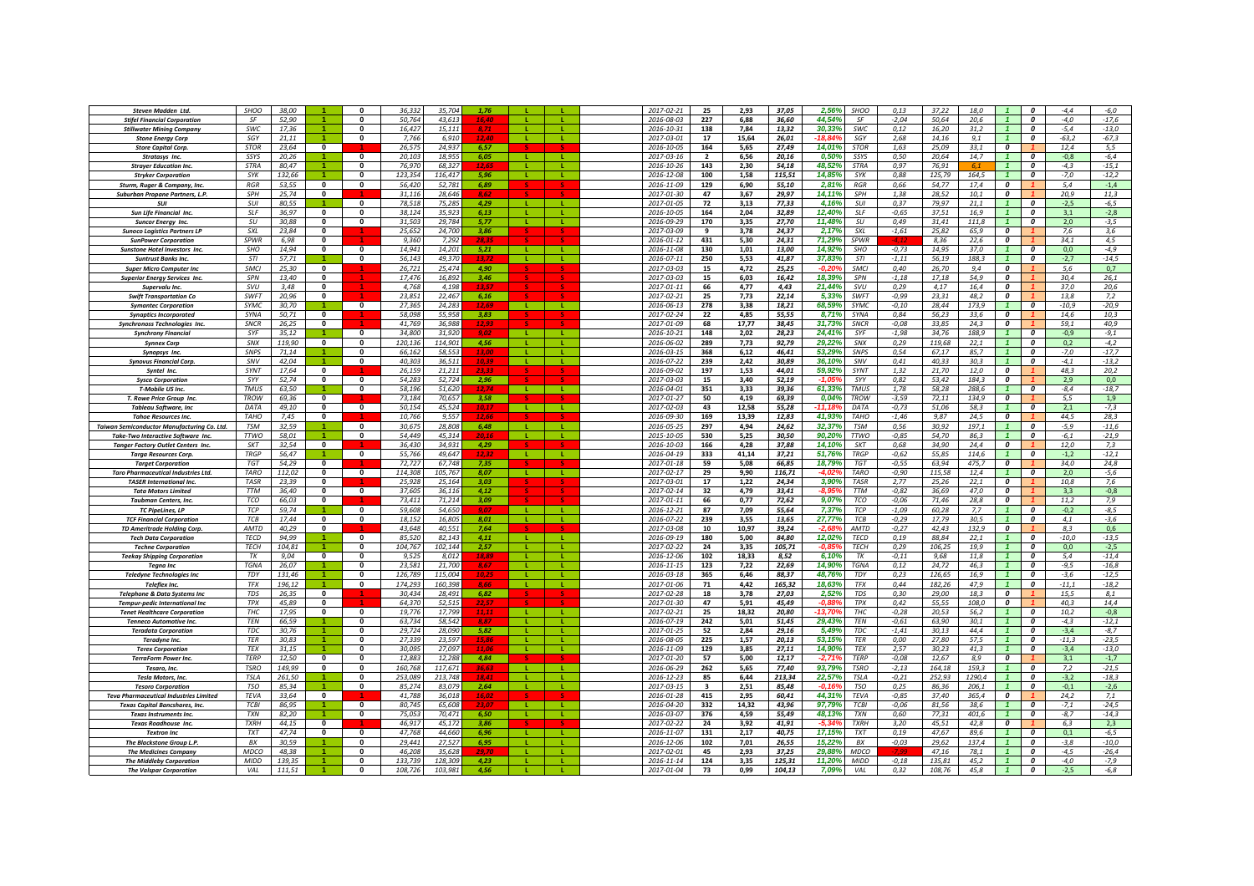| Steven Madden Ltd.                                                    | <b>SHOO</b>               | 38,00          |                          | $\Omega$     | 36,332<br>35,704           | 1.76         |              |              | 2017-02-21               | 25                      | 2,93         | 37,05          | 2,56%           | <b>SHOO</b> | 0,13               | 37,22          | 18,0        |                         | $\Omega$         | $-4,4$        | $-6,0$        |
|-----------------------------------------------------------------------|---------------------------|----------------|--------------------------|--------------|----------------------------|--------------|--------------|--------------|--------------------------|-------------------------|--------------|----------------|-----------------|-------------|--------------------|----------------|-------------|-------------------------|------------------|---------------|---------------|
| <b>Stifel Financial Corporation</b>                                   | SF                        | 52,90          |                          | $\Omega$     | 50,764<br>43,613           |              |              |              | 2016-08-03               | 227                     | 6,88         | 36,60          | 44,54%          | SF          | $-2,04$            | 50,64          | 20,6        |                         | 0                | $-4,0$        | $-17,6$       |
| <b>Stillwater Mining Company</b>                                      | <b>SWC</b>                | 17.36          |                          | $\Omega$     | 16,427<br>15.11            |              |              |              | 2016-10-31               | 138                     | 7,84         | 13.32          | 30.33%          | <b>SWC</b>  | 0.12               | 16.20          | 31.2        |                         | $\boldsymbol{0}$ | $-5.4$        | $-13,0$       |
| <b>Stone Energy Corp</b>                                              | SGY                       | 21.11          |                          | $\mathbf{0}$ | 7.766<br>6.91              |              |              |              | 2017-03-01               | 17                      | 15,64        | 26,01          |                 | SGY         | 2.68               | 14.16          | 9.1         |                         | $\boldsymbol{0}$ | $-63.2$       | $-67,3$       |
| <b>Store Capital Corp.</b>                                            | <b>STOR</b>               | 23.64          | $\mathbf{0}$             |              | 26.575<br>24.937           | 6.57         |              |              | 2016-10-05               | 164                     | 5.65         | 27.49          | 14.01%          | <b>STOR</b> | 1.63               | 25.09          | 33.1        | 0                       |                  | 12.4          | 5.5           |
| Stratasys Inc.                                                        | SSYS                      | 20,26          |                          | $\mathbf{0}$ | 20,103<br>18,955           | 6,05         |              |              | 2017-03-16               | $\overline{\mathbf{2}}$ | 6,56         | 20,16          | 0,50%           | SSYS        | 0,50               | 20,64          | 14,7        |                         | O                | $-0,8$        | $-6,4$        |
| <b>Strayer Education Inc.</b>                                         | <b>STRA</b>               | 80,47          |                          | $\Omega$     | 76.970<br>68.327           |              |              |              | 2016-10-26               | 143                     | 2,30         | 54.18          | 48.52%          | STRA        | 0,97               | 76.91          | 6.1         |                         | $\boldsymbol{0}$ | $-4,3$        | $-15,1$       |
| <b>Stryker Corporation</b>                                            | SYK                       | 132,66         |                          | $\mathbf{0}$ | 123.354<br>116,417         | 5,96         | <b>L</b>     | л.           | 2016-12-08               | 100                     | 1,58         | 115,51         | 14,85%          | SYK         | 0,88               | 125.79         | 164,5       |                         | $\boldsymbol{0}$ | $-7,0$        | $-12,2$       |
| Sturm, Ruger & Company, Inc.                                          | <b>RGR</b>                | 53,55          | 0                        | $\mathbf{0}$ | 56,420<br>52.781           | 6,89         |              |              | 2016-11-09               | 129                     | 6,90         | 55,10          | 2.81%           | RGR         | 0,66               | 54.77          | 17,4        | $\Omega$                |                  | 5,4           | $-1,4$        |
| Suburban Propane Partners, L.P.                                       | SPH                       | 25,74          | $\bf{0}$                 |              | 31,116<br>28.646           | 8.62         |              |              | 2017-01-30               | 47                      | 3,67         | 29,97          | 14,11%          | SPH         | 1,38               | 28,52          | 10,1        | $\mathbf{r}$            |                  | 20,9          | 11,3          |
| <b>SUI</b>                                                            | $S$ U                     | 80,55          |                          | $\Omega$     | 78,518<br>75.28            | 4,29         | $\mathbf{L}$ |              | 2017-01-05               | 72                      | 3,13         | 77,33          | 4,16%           | SUI         | 0,37               | 79,97          | 21,1        |                         | $\boldsymbol{0}$ | $-2,5$        | $-6,5$        |
| <b>Sun Life Financial Inc.</b>                                        | <b>SLF</b>                | 36.97          | $\mathbf{0}$             | $\Omega$     | 38,124<br>35.923           | 6.13         | -11          | л.           | 2016-10-05               | 164                     | 2.04         | 32,89          | 12,40%          | <b>SLF</b>  | $-0,65$            | 37.51          | 16.9        |                         | 0                | 3,1           | $-2,8$        |
| <b>Suncor Enerav Inc</b>                                              | SI                        | 30.88          | $\mathbf{0}$             | $\Omega$     | $31.50^{\circ}$<br>29.784  | 5,77         |              |              | 2016-09-29               | 170                     | 3,35         | 27,70          | 11,48%          | SU          | 0,49               | 31,41          | 111.8       |                         | $\boldsymbol{0}$ | 2,0           | $-3,5$        |
| <b>Sunoco Logistics Partners LP</b>                                   | $\zeta$                   | 23.84          | $\Omega$                 |              | 25.652<br>24.700           | 3.86         |              |              | 2017-03-09               | $\mathbf{q}$            | 3.78         | 24.37          | 2.17%           | SXL         | $-1.61$            | 25.82          | 65.9        | 0                       |                  | 7.6           | 3.6           |
| <b>SunPower Corporation</b>                                           | <b>SPWR</b>               | 6.98           | $\mathbf{0}$             |              | 9.360<br>7.292             | 28.34        |              |              | 2016-01-12               | 431                     | 5.30         | 24.31          | 71.29%          | <b>SPWR</b> |                    | 8.36           | 22.6        | 0                       |                  | 34.1          | 4,5           |
| <b>Sunstone Hotel Investors Inc</b>                                   | <b>SHO</b>                | 14,94          | $\Omega$                 | $\Omega$     | 14.941<br>14.201           | 5.21         | $\mathbf{L}$ | - 11         | 2016-11-08               | 130                     | 1,01         | 13,00          | 14,92%          | <b>SHO</b>  | $-0,73$            | 14,95          | 37.0        |                         | $\boldsymbol{0}$ | 0.0           | $-4,9$        |
| <b>Suntrust Banks Inc</b>                                             | STI                       | 57,71          |                          | $\Omega$     | 56,143<br>49.370           |              |              |              | 2016-07-11               | 250                     | 5,53         | 41,87          | 37,83%          | STI         | $-1,11$            | 56,19          | 188.3       | $\mathbf{1}$            | $\boldsymbol{0}$ | $-2,7$        | $-14,5$       |
| <b>Super Micro Computer Inc</b>                                       | SMCI                      | 25,30          | $\mathbf 0$              |              | 26,721<br>25.474           | 4.90         |              |              | 2017-03-03               | 15                      | 4,72         | 25,25          | -0.20           | SMCI        | 0,40               | 26,70          | 9,4         | 0                       |                  | 5,6           | 0,7           |
| <b>Superior Energy Services Inc.</b>                                  | SPN                       | 13,40          | $\mathbf 0$              |              | 17,476<br>16,892           | 3,46         |              |              | 2017-03-03               | 15                      | 6,03         | 16,42          | 18,39%          | SPN         | $-1,18$            | 17,18          | 54,9        | 0                       |                  | 30,4          | 26,1          |
| Supervalu Inc.                                                        | <b>SVU</b>                | 3.48           | $\bf{0}$                 |              | 4.768<br>4.198             |              |              |              | 2017-01-11               | 66                      | 4,77         | 4,43           | 21,44%          | SVIJ        | 0,29               | 4.17           | 16.4        | $\boldsymbol{0}$        |                  | 37,0          | 20,6          |
| <b>Swift Transportation Co</b>                                        | <b>SWFT</b>               | 20.96          | $\bf{0}$                 |              | 23.851<br>22.467           | 6.16         |              |              | 2017-02-21               | 25                      | 7,73         | 22,14          | 5,33%           | SWFT        | $-0,99$            | 23.31          | 48.2        | $\boldsymbol{0}$        |                  | 13,8          | 7,2           |
| <b>Symantec Corporation</b>                                           | <b>SYMC</b>               | 30.70          |                          | $\mathbf{0}$ | 27.365<br>24.283           | 12.69        | л.           | л.           | 2016-06-13               | 278                     | 3.38         | 18.21          | 68.59%          | SYMC        | $-0.10$            | 28.44          | 173.9       |                         | 0                | $-10.9$       | $-20.9$       |
| <b>Synaptics Incorporated</b>                                         | SYNA                      | 50,71          | $\mathbf 0$              |              | 58,098<br>55,958           | 3.83         |              |              | 2017-02-24               | 22                      | 4,85         | 55,55          | 8,71%           | SYNA        | 0,84               | 56,23          | 33,6        | 0                       |                  | 14,6          | 10,3          |
| Synchronoss Technologies Inc.                                         | <b>SNCR</b>               | 26,25          | $\mathbf{0}$             |              | 41,769<br>36.988           | 12,93        |              |              | 2017-01-09               | 68                      | 17,77        | 38,45          | 31,73%          | <b>SNCR</b> | $-0,08$            | 33,85          | 24.3        | 0                       |                  | 59,1          | 40,9          |
| <b>Synchrony Financial</b>                                            | SYF                       | 35,12          |                          | $\Omega$     | 34,800<br>31,920           | 9.0          | -11          | л.           | 2016-10-21               | 148                     | 2,02         | 28,23          | 24,41%          | SYF         | $-1,98$            | 34,76          | 188.9       | $\mathbf{1}$            | $\Omega$         | $-0,9$        | $-9,1$        |
| <b>Synnex Corp</b>                                                    | SNX                       | 119.90         | $\mathbf{0}$             | $\mathbf{0}$ | 120,136<br>114,901         | 4,56         | - 11 -       | т.           | 2016-06-02               | 289                     | 7,73         | 92,79          | 29,22%          | SNX         | 0,29               | 119.68         | 22.1        | $\mathbf{1}$            | $\boldsymbol{o}$ | 0,2           | $-4,2$        |
| Synopsys Inc.                                                         | SNPS                      | 71,14          |                          | $\mathbf{0}$ | 66,162<br>58,553           | 13,00        | -11          | л.           | 2016-03-15               | 368                     | 6,12         | 46,41          | 53,29%          | SNPS        | 0,54               | 67,17          | 85,7        |                         | $\boldsymbol{0}$ | $-7,0$        | $-17,7$       |
| <b>Synovus Financial Corp.</b>                                        | SNV                       | 42,04          |                          | $\mathbf 0$  | 40,305<br>36.51            | 10.39        |              |              | 2016-07-22               | 239                     | 2,42         | 30,89          | 36,10%          | SNV         | 0,41               | 40,33          | 30,3        |                         | $\boldsymbol{o}$ | $-4,1$        | $-13,2$       |
| Syntel Inc.                                                           | SYNT                      | 17,64          | $\mathbf{0}$             |              | 26,159<br>21.21            | 23,33        |              |              | 2016-09-02               | 197                     | 1,53         | 44,01          | 59,92%          | SYNT        | 1,32               | 21,70          | 12,0        | 0                       |                  | 48,3          | 20,2          |
| <b>Sysco Corporation</b>                                              | SYY                       | 52.74          | $\bf{0}$                 | $\Omega$     | 54.28<br>52.724            | 2,96         |              |              | 2017-03-03               | 15                      | 3,40         | 52,19          | $-1.05$         | SYY         | 0,82               | 53,42          | 184.3       | $\boldsymbol{0}$        |                  | 2,9           | 0,0           |
| T-Mobile US Inc.                                                      | <b>TMUS</b>               | 63.50          |                          | $\Omega$     | 58.196<br>51.620           | 12.74        | - 11         |              | 2016-04-01               | 351                     | 3.33         | 39,36          | 61.33%          | <b>TMUS</b> | 1.78               | 58.28          | 288.6       |                         | $\Omega$         | $-8.4$        | $-18.7$       |
| T. Rowe Price Group Inc.                                              | <b>TROW</b>               | 69.36          | $\mathbf{0}$             |              | 73.184<br>70.657           | 3.58         |              |              | 2017-01-27               | 50                      | 4.19         | 69.39          | 0.04%           | <b>TROW</b> | $-3.59$            | 72.11          | 134.9       | $\boldsymbol{o}$        |                  | 5.5           | 1,9           |
| <b>Tableau Software, Inc</b>                                          | DATA                      | 49.10          | $\mathbf{0}$             | $\Omega$     | 50.154<br>45.524           | 10.17        | $\mathbf{L}$ | - 11         | 2017-02-03               | 43                      | 12,58        | 55,28          | $-1111$         | DATA        | $-0,73$            | 51,06          | 58.3        |                         | $\Omega$         | 2.1           | $-7,3$        |
| <b>Tahoe Resources Inc</b>                                            | <b>TAHO</b>               | 7,45           | $\mathbf{0}$             |              | 10,766<br>9.55             |              |              |              | 2016-09-30               | 169                     | 13,39        | 12,83          | 41,939          | <b>TAHO</b> | $-1,46$            | 9,87           | 24,5        | $\overline{\mathbf{c}}$ |                  | 44,5          | 28,3          |
| Taiwan Semiconductor Manufacturing Co. Ltd                            | <b>TSM</b>                | 32,59          |                          | $\Omega$     | 30,675<br>28,808           | 6,48         | $\mathbf{L}$ | -11          | 2016-05-25               | 297                     | 4,94         | 24,62          | 32,37%          | <b>TSM</b>  | 0,56               | 30,92          | 197,1       |                         | $\boldsymbol{0}$ | $-5,9$        | $-11,6$       |
| Take-Two Interactive Software Inc.                                    | <b>TTWO</b>               | 58,01          |                          | $\Omega$     | 54,449<br>45,314           |              | $\mathbf{I}$ | <b>L</b>     | 2015-10-05               | 530                     | 5,25         | 30,50          | 90,20%          | <b>TTWO</b> | $-0.85$            | 54,70          | 86,3        |                         | $\boldsymbol{0}$ | $-6,1$        | $-21,9$       |
| <b>Tanger Factory Outlet Centers Inc.</b>                             | <b>SKT</b>                | 32,54          | $\mathbf{0}$             |              | 36,430<br>34,931           | 4,29         |              |              | 2016-10-03               | 166                     | 4,28         | 37,88          | 14, 109         | SKT         | 0,68               | 34,90          | 24.4        | $\boldsymbol{0}$        |                  | 12,0          | 7,3           |
| <b>Targa Resources Corp.</b>                                          | <b>TRGP</b>               | 56.47          |                          | $\mathbf{0}$ | 55.766<br>49.647           |              |              |              | 2016-04-19               | 333                     | 41,14        | 37,21          | 51.76           | <b>TRGP</b> | $-0,62$            | 55.85          | 114.6       |                         | $\boldsymbol{0}$ | $-1.2$        | $-12,1$       |
| <b>Target Corporation</b>                                             | <b>TGT</b>                | 54.29          | $\mathbf{0}$             |              | 72.727<br>67.748           | 7.35         |              |              | 2017-01-18               | 59                      | 5.08         | 66.85          | 18.79%          | <b>TGT</b>  | $-0.55$            | 63.94          | 475.7       | 0                       |                  | 34.0          | 24.8          |
| <b>Taro Pharmaceutical Industries Ltd.</b>                            | <b>TARO</b>               | 112,02         | $\mathbf 0$              | $\mathbf 0$  | 114,308<br>105,767         | 8,07         | . .          | ш.           | 2017-02-17               | 29                      | 9,90         | 116,71         | -4.02           | <b>TARO</b> | $-0,90$            | 115,58         | 12,4        |                         | 0                | 2,0           | -5,6          |
| <b>TASER International Inc.</b>                                       | <b>TASR</b><br><b>TTM</b> | 23,39          | $\bf{0}$                 |              | 25,928<br>25,164           | 3,03         |              |              | 2017-03-01               | 17                      | 1,22         | 24,34          | 3,90%           | <b>TASR</b> | 2,77               | 25,26          | 22,1        | 0<br>$\mathbf{a}$       |                  | 10,8          | 7,6           |
| <b>Tata Motors Limited</b>                                            | <b>TCO</b>                | 36,40          | $\mathbf{0}$<br>$\Omega$ | $\mathbf{0}$ | 37,605<br>36,116<br>73.411 | 4.12         |              |              | 2017-02-14               | 32                      | 4,79         | 33,41          | -8.95<br>9.07%  | <b>TTM</b>  | $-0,82$            | 36,69          | 47,0        | $\Omega$                |                  | 3,3           | $-0,8$        |
| <b>Taubman Centers, Inc.</b>                                          | <b>TCP</b>                | 66.03          |                          | $\Omega$     | 71.214<br>54.650           | 3,09<br>9.07 | -11          | л.           | 2017-01-11               | 66<br>87                | 0,77         | 72,62          |                 | TCO         | $-0,06$            | 71,46          | 28,8        |                         | $\boldsymbol{0}$ | 11,2          | 7,9<br>$-8,5$ |
| <b>TC PipeLines, LP</b>                                               | TCB                       | 59,74<br>17,44 | $\bf{0}$                 | $\mathbf{0}$ | 59,608<br>18,152<br>16.80  | 8,01         |              |              | 2016-12-21<br>2016-07-22 | 239                     | 7,09<br>3,55 | 55,64<br>13,65 | 7,37%<br>27,77% | TCP<br>TCB  | $-1,09$<br>$-0,29$ | 60,28<br>17,79 | 7,7<br>30,5 |                         | $\boldsymbol{0}$ | $-0,2$<br>4,1 | $-3,6$        |
| <b>TCF Financial Corporation</b><br><b>TD Ameritrade Holding Corp</b> | AMTD                      | 40,29          | $\mathbf{0}$             |              | 43,648<br>40.55:           | 7.64         |              |              | 2017-03-08               | 10                      | 10,97        | 39,24          | -2.68           | AMTD        | $-0,27$            | 42,43          | 132,9       | 0                       |                  | 8,3           | 0,6           |
| <b>Tech Data Corporation</b>                                          | <b>TFCD</b>               | 94.99          |                          | $\Omega$     | 85.520<br>82.14            | 4,11         | $\mathbf{L}$ |              | 2016-09-19               | 180                     | 5,00         | 84,80          | 12,02%          | <b>TECD</b> | 0, 19              | 88.84          | 22,1        |                         | $\boldsymbol{0}$ | 10,0          | $-13,5$       |
| <b>Techne Corporation</b>                                             | <b>TECH</b>               | 104.81         |                          | $\Omega$     | 104.767<br>102.144         | 2.57         |              |              | 2017-02-22               | 24                      | 3,35         | 105.71         | ۹۶.             | <b>TFCH</b> | 0.29               | 106.25         | 19.9        |                         | $\Omega$         | 0.0           | $-2.5$        |
| <b>Teekay Shipping Corporation</b>                                    | TK                        | 9.04           | $\mathbf{0}$             | $\Omega$     | 9.525<br>8.012             | 18.89        | $\mathbf{L}$ | $\mathbf{L}$ | 2016-12-06               | 102                     | 18.33        | 8.52           | 6.10%           | TK          | $-0.11$            | 9.68           | 11.8        |                         | $\boldsymbol{o}$ | 5.4           | $-11,4$       |
| <b>Teana Inc</b>                                                      | <b>TGNA</b>               | 26.07          | $\blacktriangleleft$     | $\Omega$     | 23.581<br>21,700           |              | -11          | $\mathbf{L}$ | 2016-11-15               | 123                     | 7,22         | 22,69          | 14.90%          | <b>TGNA</b> | 0.12               | 24.72          | 46.3        |                         | $\Omega$         | $-9.5$        | $-16,8$       |
| <b>Teledyne Technologies Inc</b>                                      | TDY                       | 131,46         | $\blacktriangleleft$     | $\mathbf{0}$ | 126,789<br>115,004         |              | -11          | -11          | 2016-03-18               | 365                     | 6,46         | 88,37          | 48,76%          | TDY         | 0,23               | 126,65         | 16,9        |                         | $\boldsymbol{0}$ | $-3,6$        | $-12,5$       |
| <b>Teleflex Inc.</b>                                                  | <b>TFX</b>                | 196,12         |                          | $\Omega$     | 174,293<br>160,398         |              |              | л.           | 2017-01-06               | 71                      | 4,42         | 165,32         | 18,63%          | <b>TFX</b>  | 0,44               | 182,26         | 47.9        |                         | $\boldsymbol{0}$ | $-11,1$       | $-18,2$       |
| <b>Telephone &amp; Data Systems Inc</b>                               | TDS                       | 26,35          | $\mathbf 0$              |              | 30,434<br>28,491           | 6,82         |              |              | 2017-02-28               | 18                      | 3,78         | 27,03          | 2,52%           | <b>TDS</b>  | 0,30               | 29,00          | 18,3        | 0                       |                  | 15,5          | 8,1           |
| Tempur-pedic International Inc                                        | TPX                       | 45,89          | 0                        |              | 64,370<br>52,515           |              |              |              | 2017-01-30               | 47                      | 5,91         | 45,49          | -0.81           | TPX         | 0,42               | 55,55          | 108,0       | 0                       |                  | 40,3          | 14,4          |
| <b>Tenet Healthcare Corporation</b>                                   | THC                       | 17.95          | $\mathbf{0}$             | $\mathbf{0}$ | 19.776<br>17.799           |              |              |              | 2017-02-21               | 25                      | 18.32        | 20,80          | $-13.70$        | THC         | $-0,28$            | 20.53          | 56.2        |                         | $\boldsymbol{0}$ | 10,2          | $-0,8$        |
| <b>Tenneco Automotive Inc.</b>                                        | TEN                       | 66,59          |                          | $\mathbf{0}$ | 63,734<br>58,542           | 8.87         |              |              | 2016-07-19               | 242                     | 5,01         | 51,45          | 29,43%          | TEN         | $-0.61$            | 63,90          | 30,1        |                         | 0                | $-4,3$        | $-12,1$       |
| <b>Teradata Corporation</b>                                           | TDC                       | 30,76          |                          | $\Omega$     | 29,724<br>28,090           | 5,82         |              |              | 2017-01-25               | 52                      | 2,84         | 29,16          | 5,49%           | TDC         | $-1,41$            | 30,13          | 44,4        |                         | 0                | $-3,4$        | $-8,7$        |
| Teradyne Inc.                                                         | <b>TER</b>                | 30,83          |                          | $\mathbf{0}$ | 27,339<br>23.597           | 15,86        |              | л.           | 2016-08-05               | 225                     | 1,57         | 20.13          | 53.15%          | <b>TFR</b>  | 0,00               | 27,80          | 57,5        |                         | $\boldsymbol{0}$ | $-11,3$       | $-23,5$       |
| <b>Terex Corporation</b>                                              | <b>TEX</b>                | 31,15          |                          | $\mathbf{0}$ | 30,095<br>27,097           |              | - 11 -       |              | 2016-11-09               | 129                     | 3,85         | 27,11          | 14,90%          | <b>TFX</b>  | 2,57               | 30,23          | 41,3        |                         | $\boldsymbol{o}$ | $-3,4$        | $-13,0$       |
| <b>TerraForm Power Inc.</b>                                           | TFRP                      | 12,50          | $\mathbf{0}$             | $\Omega$     | 12.883<br>12,288           | 4,84         |              |              | 2017-01-20               | 57                      | 5,00         | 12,17          | -2,719          | <b>TFRP</b> | $-0.08$            | 12,67          | 8.9         | $\mathbf{a}$            |                  | 3,1           | $-1,7$        |
| Tesaro, Inc.                                                          | <b>TSRO</b>               | 149,99         | $\mathbf{0}$             | $\Omega$     | 160,768<br>117,671         | 36,63        | -11          | ÷.           | 2016-06-29               | 262                     | 5,65         | 77,40          | 93,79%          | <b>TSRO</b> | $-2,13$            | 164,18         | 159,3       | $\mathbf{1}$            | $\boldsymbol{0}$ | 7,2           | $-21,5$       |
| Tesla Motors, Inc.                                                    | <b>TSLA</b>               | 261,50         |                          | 0            | 253,089<br>213,748         | 18.41        |              |              | 2016-12-23               | 85                      | 6.44         | 213,34         | 22,57%          | <b>TSLA</b> | $-0,21$            | 252,93         | 1290,4      |                         | $\boldsymbol{o}$ | $-3,2$        | $-18,3$       |
| <b>Tesoro Corporation</b>                                             | <b>TSO</b>                | 85,34          |                          | $\mathbf 0$  | 85,274<br>83.079           | 2,64         | -11          | ÷.           | 2017-03-15               | 3                       | 2,51         | 85,48          | -0.16           | <b>TSO</b>  | 0,25               | 86.36          | 206.1       |                         | 0                | $-0,1$        | $-2,6$        |
| <b>Teva Pharmaceutical Industries Limited</b>                         | <b>TFVA</b>               | 33.64          | $\mathbf{0}$             |              | 41.788<br>36.01            | 16,02        |              |              | 2016-01-28               | 415                     | 2,95         | 60,41          | 44.31%          | <b>TFVA</b> | $-0.85$            | 37,40          | 365.4       | $\boldsymbol{0}$        |                  | 24,2          | 7,1           |
| <b>Texas Capital Bancshares, Inc</b>                                  | TC <sub>B</sub>           | 86,95          |                          | $\Omega$     | 80,745<br>65.608           | 23.07        | $\mathbf{L}$ |              | 2016-04-20               | 332                     | 14,32        | 43,96          | 97,79%          | <b>TCBI</b> | $-0,06$            | 81,56          | 38.6        |                         | $\boldsymbol{0}$ | $-7,1$        | $-24,5$       |
| <b>Texas Instruments Inc</b>                                          | <b>TXN</b>                | 82.20          |                          | $\Omega$     | 75.053<br>70.471           | 6.50         | $\mathbf{L}$ | $\mathbf{L}$ | 2016-03-07               | 376                     | 4.59         | 55.49          | 48.13%          | <b>TXN</b>  | 0.60               | 77.31          | 401.6       |                         | $\boldsymbol{o}$ | $-8.7$        | $-14,3$       |
| <b>Texas Roadhouse Inc.</b>                                           | <b>TYRH</b>               | 44.15          | $\Omega$                 |              | 46.917<br>45.172           | 3.86         |              |              | 2017-02-22               | 24                      | 3.92         | 41,91          | -5.34           | <b>TXRH</b> | 3.20               | 45.51          | 42.8        | $\Omega$                |                  | 6.3           | 2.3           |
| <b>Textron Inc</b>                                                    | <b>TXT</b>                | 47,74          | $\mathbf{0}$             | $\Omega$     | 47.768<br>44.660           | 6.96         | - 11         | -11          | 2016-11-07               | 131                     | 2,17         | 40,75          | 17,15%          | <b>TXT</b>  | 0, 19              | 47.67          | 89.6        |                         | $\boldsymbol{0}$ | 0.1           | $-6,5$        |
| The Blackstone Group L.P.                                             | BX                        | 30,59          |                          | $\Omega$     | 29,441<br>27.527           | 6.95         |              |              | 2016-12-06               | 102                     | 7,01         | 26,55          | 15,229          | BX          | $-0,03$            | 29,62          | 137.4       |                         | $\boldsymbol{0}$ | $-3,8$        | $-10,0$       |
| <b>The Medicines Company</b>                                          | MDCO                      | 48,38          |                          | $\Omega$     | 35,628<br>46,208           |              |              |              | 2017-02-01               | 45                      | 2,93         | 37,25          | 29,889          | MDCO        |                    | 47,16          | 78,1        |                         | $\boldsymbol{0}$ | $-4,5$        | $-26,4$       |
| <b>The Middleby Corporation</b>                                       | <b>MIDD</b>               | 139,35         |                          | $\Omega$     | 133,739<br>128,309         | 4,23         |              |              | 2016-11-14               | 124                     | 3,35         | 125,31         | 11,20           | MIDD        | $-0.18$            | 135,81         | 45,2        |                         | 0                | $-4,0$        | $-7,9$        |
| <b>The Valspar Corporation</b>                                        | VAL                       | 111.51         |                          | $\mathbf{0}$ | 108.726<br>103,981         | 4.56         |              |              | 2017-01-04               | 73                      | 0,99         | 104.13         | 7.09%           | VAL         | 0,32               | 108.76         | 45.8        |                         | 0                | $-2,5$        | $-6,8$        |
|                                                                       |                           |                |                          |              |                            |              |              |              |                          |                         |              |                |                 |             |                    |                |             |                         |                  |               |               |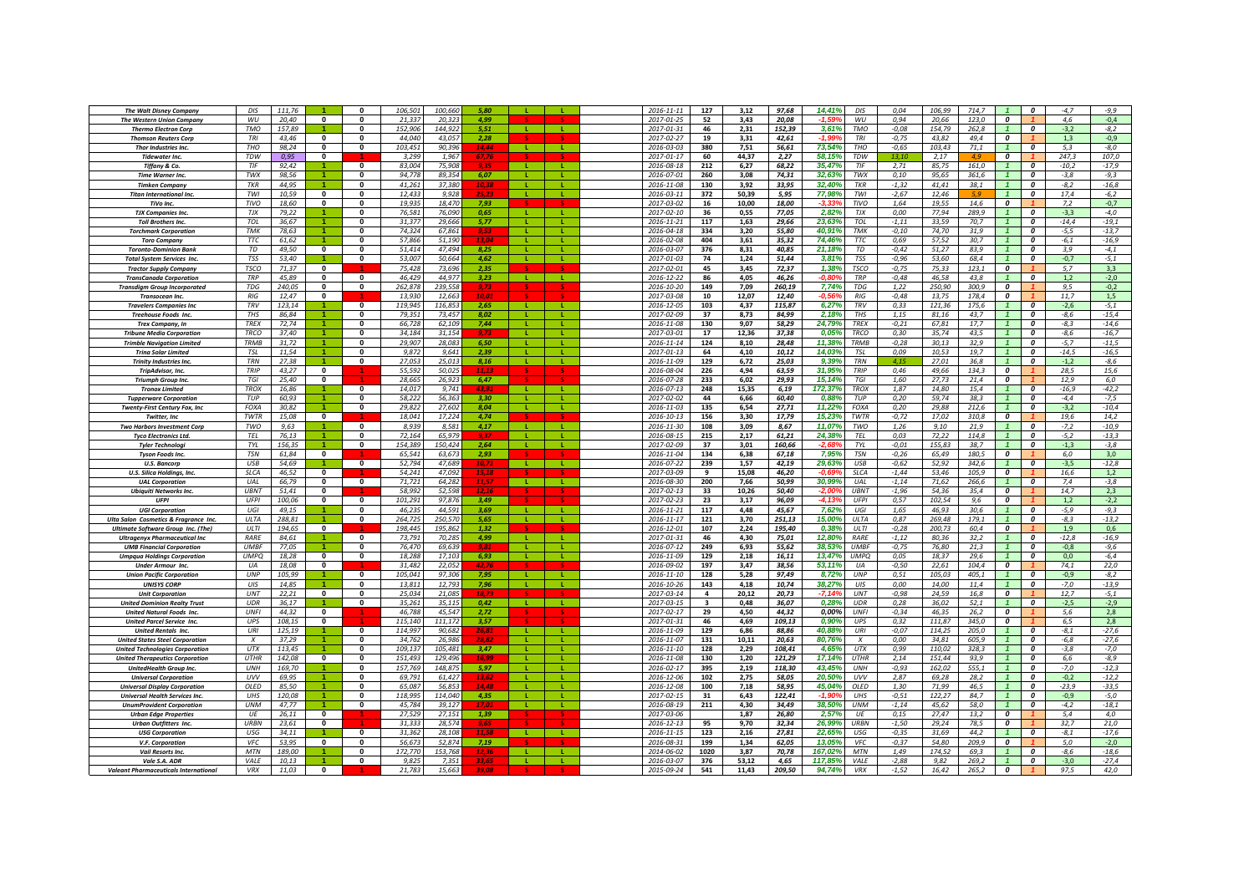| <b>The Walt Disney Company</b>                                                     | DIS                        | 111.76          |                             | $\Omega$                 | 106.501<br>100,660                     | 5.80           |              |              | 2016-11-11               | 127                     | 3,12         | 97,68           | 14,41%            | DIS               | 0.04               | 106.99<br>714.7                  |                                    | $\boldsymbol{0}$                   | $-4.7$           | -9,9              |
|------------------------------------------------------------------------------------|----------------------------|-----------------|-----------------------------|--------------------------|----------------------------------------|----------------|--------------|--------------|--------------------------|-------------------------|--------------|-----------------|-------------------|-------------------|--------------------|----------------------------------|------------------------------------|------------------------------------|------------------|-------------------|
| <b>The Western Union Company</b>                                                   | WU                         | 20,40           | $\mathbf{0}$                | $\Omega$                 | 20,323<br>21,337                       | 4.99           |              |              | 2017-01-25               | 52                      | 3,43         | 20,08           | $-1.59$           | WU                | 0,94               | 123,0<br>20,66                   | $\boldsymbol{o}$                   |                                    | 4,6              | $-0,4$            |
| <b>Thermo Electron Corp</b>                                                        | <b>TMO</b>                 | 157,89          |                             | $\Omega$                 | 152,906<br>144,922                     |                | - 11         | $\mathbf{I}$ | 2017-01-31               | 46                      | 2,31         | 152,39          | 3,61%             | <b>TMO</b>        | $-0.08$            | 154,79<br>262,8                  | $\overline{1}$                     | $\boldsymbol{o}$                   | $-3,2$           | $-8,2$            |
| <b>Thomson Reuters Corp</b>                                                        | TRI                        | 43,46           | $\mathbf{0}$                | $\Omega$                 | 44.040<br>43,057                       | 2,28           |              |              | 2017-02-27               | 19                      | 3,31         | 42,61           | -1.99             | TRI               | $-0,75$            | 43,82<br>49,4                    | 0                                  |                                    | 1,3              | $-0,9$            |
| Thor Industries Inc.                                                               | <b>THO</b>                 | 98.24           | $\bf{0}$                    | $\mathbf{0}$             | 103.451<br>90.396                      | 4.44           | $\mathbf{L}$ |              | 2016-03-03               | 380                     | 7,51         | 56,61           | 73.54%            | <b>THO</b>        | $-0,65$            | 71.1<br>103.43                   |                                    | 0                                  | 5.3              | $-8,0$            |
| <b>Tidewater Inc.</b>                                                              | <b>TDW</b>                 | 0.95            | $\mathbf 0$                 |                          | 3.29<br>1.967                          |                |              |              | 2017-01-17               | 60                      | 44,37        | 2,27            | 58,15%            | TDW               | 13.10              | 2.17                             | 0                                  |                                    | 247,3            | 107,0             |
| Tiffany & Co.                                                                      | TIF                        | 92,42           |                             | $\mathbf{0}$             | 83.004<br>75,908                       |                |              |              | 2016-08-18               | 212                     | 6,27         | 68,22           | 35,479            | TIF               | 2,71               | 161,0<br>85,75                   |                                    | 0                                  | $-10,2$          | $-17,9$           |
| <b>Time Warner Inc.</b>                                                            | <b>TWX</b>                 | 98.56           |                             | $\Omega$                 | 94.778<br>89.354                       | 6.07           |              | л.           | 2016-07-01               | 260                     | 3.08         | 74.31           | 32.63%            | <b>TWX</b>        | 0.10               | 361.6<br>95.65                   |                                    | $\boldsymbol{0}$                   | $-3,8$           | $-9,3$            |
| <b>Timken Company</b>                                                              | <b>TKR</b>                 | 44.95           |                             | $\mathbf{0}$             | 41.261<br>37,380                       | 10,38          | - 12         | л.           | 2016-11-08               | 130                     | 3.92         | 33.95           | 32.40%            | <b>TKR</b>        | $-1,32$            | 41.41<br>38.1                    |                                    | $\boldsymbol{0}$                   | $-8,2$           | $-16,8$           |
| <b>Titan International Inc.</b>                                                    | <b>TWI</b>                 | 10.59           | $\mathbf{0}$                | $\Omega$                 | 12.433<br>9.925                        |                | - 11 -       | -11          | 2016-03-11               | 372                     | 50,39        | 5,95            | 77,98%            | <b>TWI</b>        | $-2,67$            | 12,46                            | $\overline{1}$                     | $\Omega$                           | 17,4             | $-6,2$            |
| TiVo Inc.                                                                          | <b>TIVO</b>                | 18,60           | $\mathbf{0}$                | $\Omega$                 | 19.935<br>18,470                       | 7,93           |              |              | 2017-03-02               | 16                      | 10,00        | 18,00           | $-3.33$           | TIVO              | 1,64               | 14,6<br>19,55                    | $\boldsymbol{o}$                   |                                    | 7,2              | $-0,7$            |
| <b>TJX Companies Inc.</b>                                                          | <b>TIX</b>                 | 79,22           |                             | $\Omega$                 | 76,581<br>76,090                       | 0,65           | л.           | ÷.           | 2017-02-10               | 36                      | 0,55         | 77,05           | 2,82%             | <b>TIX</b>        | 0,00               | 289,9<br>77,94                   |                                    | $\boldsymbol{0}$                   | $-3,3$           | $-4,0$            |
| <b>Toll Brothers Inc</b>                                                           | TOL                        | 36,67           |                             | $\Omega$                 | 31,377<br>29,666                       | 5,77           | -11          | ÷.           | 2016-11-21               | 117                     | 1,63         | 29,66           | 23,63%            | TOL               | $-1, 11$           | 33,59<br>70,7                    |                                    | 0                                  | $-14,4$          | $-19,1$           |
| <b>Torchmark Corporation</b>                                                       | <b>TMK</b>                 | 78,63           |                             | $\mathbf{0}$             | 74.324<br>67.861                       | 9,53           |              |              | 2016-04-18               | 334                     | 3,20         | 55,80           | 40.91%            | TMK               | $-0, 10$           | 74,70<br>31.9                    |                                    | $\boldsymbol{0}$                   | $-5,5$           | $-13,7$           |
| <b>Toro Company</b>                                                                | TTC                        | 61,62           |                             | $\mathbf{0}$<br>$\Omega$ | 57.866<br>51.190                       | 13.04          |              |              | 2016-02-08               | 404                     | 3,61         | 35,32           | 74.46%            | TTC:              | 0,69               | 57.52<br>30.7                    |                                    | $\boldsymbol{0}$                   | $-6,1$           | $-16,9$           |
| <b>Toronto-Dominion Bank</b>                                                       | <b>TD</b><br><b>TSS</b>    | 49.50<br>53.40  | $\mathbf{0}$                | $\Omega$                 | 51.414<br>47.494<br>53.007<br>50.664   | 8.25<br>4.62   | -11          | $\mathbf{I}$ | 2016-03-07<br>2017-01-03 | 376<br>74               | 8.31         | 40.85           | 21.18%<br>3.81%   | TD<br>TSS         | $-0.42$<br>$-0.96$ | 51.27<br>83.9<br>53.60<br>68.4   |                                    | $\boldsymbol{o}$<br>$\overline{a}$ | 3.9<br>$-0.7$    | $-4,1$<br>$-5.1$  |
| <b>Total System Services Inc.</b>                                                  | <b>TSCO</b>                |                 | $\overline{\mathbf{0}}$     |                          | 75.428<br>73.696                       | 2.35           |              |              | 2017-02-01               | 45                      | 1,24         | 51,44<br>72.37  | 1.38%             | <b>TSCO</b>       | $-0.75$            | 75.33<br>123.1                   | $\overline{0}$                     |                                    | 5.7              | 3.3               |
| <b>Tractor Supply Company</b>                                                      | <b>TRP</b>                 | 71,37<br>45,89  |                             | $\Omega$                 | 46,429<br>44.977                       |                | $\mathbf{L}$ | л.           |                          |                         | 3,45         |                 | -0.80             |                   |                    | 46,58<br>43,8                    |                                    | $\boldsymbol{0}$                   | 1,2              | $-2,0$            |
| <b>TransCanada Corporation</b>                                                     | TDG                        | 240,05          | $\mathbf 0$<br>$\mathbf{0}$ | $\Omega$                 | 262,878<br>239.558                     | 3,23           |              |              | 2016-12-22<br>2016-10-20 | 86<br>149               | 4,05<br>7,09 | 46,26<br>260,19 | 7,74%             | <b>TRP</b><br>TDG | $-0,48$<br>1,22    | 250,90<br>300,9                  | 0                                  |                                    | 9.5              | $-0,2$            |
| <b>Transdigm Group Incorporated</b><br>Transocean Inc.                             | RIG                        | 12,47           | $\bf{0}$                    |                          | 13,930<br>12,663                       | ta a           |              |              | 2017-03-08               | 10                      | 12,07        | 12,40           | $-0.56$           | RIG               | $-0.48$            | 13,75<br>178,4                   | 0                                  |                                    | 11,7             | 1,5               |
| <b>Travelers Companies Inc</b>                                                     | <b>TRV</b>                 | 123,14          |                             | $\mathbf{0}$             | 119.945<br>116.853                     | 2,65           |              |              | 2016-12-05               | 103                     | 4,37         | 115,87          | 6,27%             | <b>TRV</b>        | 0,33               | 121.36<br>175.6                  |                                    | $\boldsymbol{0}$                   | $-2,6$           | $-5,1$            |
| Treehouse Foods Inc.                                                               | THS                        | 86,84           |                             | $\mathbf{0}$             | 79,351<br>73.457                       | 8.02           |              |              | 2017-02-09               | 37                      | 8,73         | 84,99           | 2,18%             | <b>THS</b>        | 1,15               | 81,16<br>43.7                    |                                    | $\boldsymbol{0}$                   | -8,6             | $-15,4$           |
| <b>Trex Company, In</b>                                                            | <b>TREX</b>                | 72.74           |                             | $\mathbf{0}$             | 66.728<br>62.109                       | 7.44           |              |              | 2016-11-08               | 130                     | 9.07         | 58.29           | 24.79%            | <b>TREX</b>       | $-0.21$            | 67.81<br>17.7                    |                                    | 0                                  | $-8.3$           | $-14,6$           |
| <b>Tribune Media Corporation</b>                                                   | <b>TRCO</b>                | 37,40           |                             | $\mathbf{0}$             | 34.184<br>31.154                       | 9.73           |              |              | 2017-03-01               | 17                      | 12,36        | 37,38           | 0,05%             | <b>TRCO</b>       | 0,30               | 35,74<br>43,5                    |                                    | $\boldsymbol{0}$                   | $-8,6$           | $-16,7$           |
| <b>Trimble Navigation Limited</b>                                                  | <b>TRMB</b>                | 31,72           |                             | $\mathbf{0}$             | 29.907<br>28.083                       | 6.50           | - 12         | п.           | $2016 - 11 - 14$         | 124                     | 8,10         | 28.48           | 11.38%            | <b>TRMB</b>       | $-0,28$            | 30.13<br>32,9                    |                                    | $\boldsymbol{0}$                   | $-5,7$           | $-11,5$           |
| <b>Tring Solar Limited</b>                                                         | <b>TSL</b>                 | 11,54           |                             | $\Omega$                 | 9,872<br>9.641                         | 2,39           |              |              | 2017-01-13               | 64                      | 4,10         | 10,12           | 14,03%            | TSL               | 0,09               | 10,53<br>19,7                    |                                    | $\boldsymbol{o}$                   | $-14,5$          | $-16,5$           |
| <b>Trinity Industries Inc.</b>                                                     | <b>TRN</b>                 | 27,38           |                             | $\Omega$                 | 27,053<br>25,013                       | 8,16           | -11          |              | 2016-11-09               | 129                     | 6,72         | 25,03           | 9,39%             | <b>TRN</b>        | 4,15               | 27,01<br>36,8                    | $\mathbf{1}$                       | $\boldsymbol{0}$                   | $-1,2$           | $-8,6$            |
| TripAdvisor, Inc.                                                                  | <b>TRIP</b>                | 43,27           | $\mathbf{0}$                |                          | 55,592<br>50,025                       | 11.13          |              |              | 2016-08-04               | 226                     | 4,94         | 63,59           | 31,95%            | <b>TRIP</b>       | 0,46               | 49,66<br>134,3                   | $\boldsymbol{0}$                   |                                    | 28,5             | 15,6              |
| <b>Triumph Group Inc.</b>                                                          | TGI                        | 25.40           | $\mathbf{0}$                |                          | 28.665<br>26.92                        | 6,47           |              |              | 2016-07-28               | 233                     | 6,02         | 29,93           | 15,14%            | TGI               | 1,60               | 27,73<br>21.4                    | 0                                  |                                    | 12.9             | 6,0               |
| <b>Tronox Limited</b>                                                              | <b>TROX</b>                | 16.86           |                             | $\mathbf{0}$             | 14,017<br>9.74                         | 43.91          | $\mathbf{L}$ |              | 2016-07-13               | 248                     | 15,35        | 6,19            | 172,37%           | TROX              | 1.87               | 14.80<br>15.4                    |                                    | $\boldsymbol{0}$                   | $-16,9$          | $-42,2$           |
| <b>Tupperware Corporation</b>                                                      | TUP                        | 60,93           |                             | $\mathbf{0}$             | 58,222<br>56.363                       | 3,30           |              |              | 2017-02-02               | 44                      | 6,66         | 60,40           | 0,88%             | TUP               | 0,20               | 59,74<br>38.3                    | $\overline{1}$                     | $\boldsymbol{0}$                   | $-4,4$           | $-7,5$            |
| Twenty-First Century Fox, Inc                                                      | <b>FOXA</b>                | 30.82           |                             | $\mathbf{0}$             | 29.822<br>27.602                       | 8.04           | -11          | л.           | 2016-11-03               | 135                     | 6,54         | 27,71           | 11,22%            | <b>FOXA</b>       | 0,20               | 29.88<br>212.6                   |                                    | $\boldsymbol{o}$                   | $-3,2$           | $-10,4$           |
| Twitter, Ind                                                                       | <b>TWTR</b>                | 15.08           | $\Omega$                    |                          | 17.224<br>18.041                       | 474            |              |              | 2016-10-13               | 156                     | 3,30         | 17,79           | 15.23%            | <b>TWTR</b>       | $-0,72$            | 17.02<br>310.8                   | $\Omega$                           |                                    | 19,6             | 14,2              |
| <b>Two Harbors Investment Corp</b>                                                 | <b>TWO</b>                 | 9,63            |                             | $\Omega$                 | 8.939<br>8.581                         | 4.17           | $\mathbf{L}$ | - 11         | 2016-11-30               | 108                     | 3,09         | 8,67            | 11,07%            | TWO               | 1,26               | 9,10<br>21.9                     |                                    | $\boldsymbol{0}$                   | $-7,2$           | $-10,9$           |
| <b>Tyco Electronics Ltd.</b>                                                       | TEL                        | 76,13           |                             | $\mathbf{r}$             | 72,164<br>65.979                       | 0.2            |              | т.           | 2016-08-15               | 215                     | 2,17         | 61,21           | 24,38%            | <b>TEL</b>        | 0,03               | 72,22<br>114.8                   |                                    | $\boldsymbol{0}$                   | $-5,2$           | $-13,3$           |
| <b>Tyler Technolog</b>                                                             | TYL                        | 156,35          |                             | $\Omega$                 | 154,389<br>150.424                     | 2,64           |              | ÷.           | 2017-02-09               | 37                      | 3,01         | 160,66          |                   | TYL.              | $-0,01$            | 155.83<br>38.7                   |                                    | $\boldsymbol{o}$                   | $-1,3$           | $-3,8$            |
| <b>Tyson Foods Inc.</b>                                                            | <b>TSN</b>                 | 61,84           | $\mathbf 0$                 |                          | 65,541<br>63,673                       | 2,93           |              |              | 2016-11-04               | 134                     | 6,38         | 67,18           | 7,95%             | <b>TSN</b>        | $-0,26$            | 65,49<br>180,5                   | 0                                  |                                    | 6,0              | 3,0               |
| <b>U.S. Bancorp</b>                                                                | <b>USB</b>                 | 54,69           |                             | $\mathbf{0}$             | 52.794<br>47.68                        |                |              |              | 2016-07-22               | 239                     | 1,57         | 42,19           | 29,639            | <b>USB</b>        | $-0,62$            | 52.92<br>342.6                   |                                    | $\boldsymbol{0}$                   | $-3,5$           | $-12,8$           |
| U.S. Silica Holdings, Inc.                                                         | SLCA                       | 46.52           | $\mathbf{0}$                |                          | 54.24<br>47,092                        |                |              |              | 2017-03-09               | 9                       | 15,08        | 46,20           | -0.6.             | SLCA              | $-1,44$            | 53.46<br>105.9                   | $\boldsymbol{o}$                   |                                    | 16,6             | 1,2               |
| <b>UAL Corporation</b>                                                             | <b>UAL</b>                 | 66.79           | $\mathbf{0}$                | $\mathbf{0}$             | 71.721<br>64.282                       |                | $\mathbf{L}$ | $\mathbf{L}$ | 2016-08-30               | 200                     | 7.66         | 50.99           | 30.99%            | <b>UAL</b>        | $-1.14$            | 71.62<br>266.6                   |                                    | $\boldsymbol{o}$                   | 7.4              | $-3,8$            |
| <b>Ubiquiti Networks Inc.</b>                                                      | <b>UBNT</b><br><b>UFPI</b> | 51,41           | $\Omega$                    |                          | 58.992<br>52.598                       |                |              |              | 2017-02-13               | 33                      | 10,26        | 50.40           | -2,00             | <b>UBNT</b>       | $-1,96$<br>0,57    | 54.36<br>35.4                    | $\overline{0}$<br>$\boldsymbol{0}$ |                                    | 14,7             | 2,3               |
| <b>UFPI</b>                                                                        |                            | 100,06          | $\mathbf{0}$                | $\Omega$<br>$\mathbf{0}$ | 101,291<br>97.87<br>44,591             | 3,49           |              | л.           | 2017-02-23               | 23                      | 3,17         | 96,09           | -4.13             | UFPI              |                    | 102,54<br>9,6                    | $\mathbf{1}$                       | $\boldsymbol{o}$                   | 1,2              | $-2,2$            |
| <b>UGI Corporation</b>                                                             | UGI<br>ULTA                | 49,15<br>288,81 |                             | $\mathbf 0$              | 46,235<br>264,725<br>250,570           | 3.69<br>5,65   | -11<br>-11   | ÷.           | 2016-11-21<br>2016-11-17 | 117<br>121              | 4,48<br>3,70 | 45,67<br>251,13 | 7,62%<br>15,00%   | UGI<br>ULTA       | 1,65<br>0,87       | 46,93<br>30,6<br>269,48<br>179,1 | $\overline{1}$                     | $\boldsymbol{0}$                   | $-5,9$<br>$-8,3$ | $-9,3$<br>$-13,2$ |
| Ulta Salon Cosmetics & Fragrance Inc.<br><b>Ultimate Software Group Inc. (The)</b> | ULTI                       | 194,65          | $\mathbf{0}$                |                          | 198,445<br>195,862                     | 1,32           |              |              | 2016-12-01               | 107                     | 2,24         | 195,40          | 0,38%             | ULTI              | $-0.28$            | 200,73<br>60,4                   | $\boldsymbol{0}$                   |                                    | 1,9              | 0,6               |
| <b>Ultragenyx Pharmaceutical Inc</b>                                               | <b>RARF</b>                | 84,61           |                             | $\Omega$                 | 73.791<br>70.28                        | 4,99           |              |              | 2017-01-31               | 46                      | 4,30         | 75,01           | 12.80%            | RARE              | $-1,12$            | 32.2<br>80.36                    | $\overline{1}$                     | $\boldsymbol{0}$                   | $-12,8$          | $-16.9$           |
| <b>UMB Financial Corporation</b>                                                   | <b>IIMRF</b>               | 77.05           |                             | $\Omega$                 | 76.470<br>69.639                       | 9.81           |              |              | 2016-07-12               | 249                     | 6.93         | 55,62           | 38.53%            | <b>UMBF</b>       | $-0.75$            | 76.80<br>21.3                    |                                    | $\Omega$                           | $-0.8$           | $-9.6$            |
| <b>Umpqua Holdings Corporation</b>                                                 | <b>UMPQ</b>                | 18,28           | $\mathbf 0$                 | $\mathbf{0}$             | 18,288<br>17,103                       | 6,93           | $\mathbf{L}$ |              | 2016-11-09               | 129                     | 2,18         | 16,11           | 13,47%            | UMPG              | 0,05               | 18,37<br>29,6                    |                                    | $\boldsymbol{0}$                   | 0,0              | $-6,4$            |
| <b>Under Armour Inc.</b>                                                           | UA                         | 18,08           | $\mathbf{0}$                |                          | 31.482<br>22.052                       | 42.71          |              |              | 2016-09-02               | 197                     | 3,47         | 38,56           | 53,11%            | UA                | $-0,50$            | 22,61<br>104.4                   | $\boldsymbol{o}$                   |                                    | 74,1             | 22,0              |
| <b>Union Pacific Corporation</b>                                                   | <b>UNP</b>                 | 105,99          |                             | $\Omega$                 | 105.041<br>97.306                      | 7.95           | - 11         | -11          | 2016-11-10               | 128                     | 5,28         | 97,49           | 8,72%             | <b>UNP</b>        | 0,51               | 105.03<br>405.1                  |                                    | $\boldsymbol{0}$                   | $-0,9$           | $-8,2$            |
| <b>UNISYS CORP</b>                                                                 | UIS                        | 14,85           |                             | $\Omega$                 | 13,811<br>12,793                       | 7.96           | - 11         |              | 2016-10-26               | 143                     | 4,18         | 10,74           | 38,27%            | UIS               | 0,00               | 14,00<br>11.4                    |                                    | $\Omega$                           | $-7,0$           | $-13,9$           |
| <b>Unit Corporation</b>                                                            | UNT                        | 22,21           | $\mathbf{0}$                | $\Omega$                 | 25,034<br>21,085                       |                |              |              | 2017-03-14               | $\overline{a}$          | 20,12        | 20,73           | $-7.149$          | <b>UNT</b>        | $-0,98$            | 24,59<br>16,8                    | 0                                  |                                    | 12,7             | $-5,1$            |
| <b>United Dominion Realty Trust</b>                                                | <b>UDR</b>                 | 36,17           |                             | $\Omega$                 | 35,261<br>35,115                       | 0.42           | Ŧ            | $\mathbf{L}$ | 2017-03-15               | $\overline{\mathbf{3}}$ | 0,48         | 36,07           | 0,28%             | <b>UDR</b>        | 0,28               | 52,1<br>36,02                    |                                    | $\boldsymbol{0}$                   | $-2,5$           | $-2,9$            |
| <b>United Natural Foods Inc.</b>                                                   | <b>UNFI</b>                | 44,32           | $\mathbf 0$                 |                          | 46,788<br>45,547                       | 2,72           |              |              | 2017-02-17               | 29                      | 4,50         | 44,32           | 0,00%             | <b>UNFI</b>       | $-0,34$            | 46,35<br>26,2                    | 0                                  |                                    | 5,6              | 2,8               |
| United Parcel Service Inc.                                                         | UPS                        | 108,15          | $\mathbf 0$                 |                          | 115,140<br>111,172                     | 3,57           |              |              | 2017-01-31               | 46                      | 4,69         | 109,13          | 0,90%             | UPS               | 0,32               | 111,87<br>345,0                  | 0                                  |                                    | 6,5              | 2,8               |
| <b>United Rentals Inc.</b>                                                         | URI                        | 125,19          |                             | $\mathbf{0}$             | 114,997<br>90,682                      | 26.81          |              |              | 2016-11-09               | 129                     | 6,86         | 88,86           | 40,88%            | URI               | $-0.07$            | 114,25<br>205,0                  |                                    | 0                                  | $-8,1$           | $-27,6$           |
| <b>United States Steel Corporation</b>                                             | $\boldsymbol{x}$           | 37,29           |                             | $\mathbf{0}$             | 34.762<br>26,986                       | 28 R           |              | л.           | 2016-11-07               | 131                     | 10,11        | 20.63           | 80.76%            | $\boldsymbol{x}$  | 0.00               | 34.81<br>605.9                   |                                    | $\boldsymbol{o}$                   | $-6,8$           | $-27,6$           |
| <b>United Technologies Corporation</b>                                             | UTX                        | 113,45          |                             | $\Omega$                 | 109.137<br>105,481                     | 3,47           |              |              | 2016-11-10               | 128                     | 2,29         | 108,41          | 4,65%             | UTX               | 0,99               | 110.02<br>328.3                  |                                    | $\Omega$                           | $-3,8$           | $-7,0$            |
| <b>United Therapeutics Corporation</b>                                             | <b>IITHR</b>               | 142,08          | $\Omega$                    | $\Omega$                 | 151,493<br>129,496                     | 16 Q           | - 11 -       | л.           | 2016-11-08               | 130                     | 1,20         | 121,29          | 17.14%            | <b>IITHR</b>      | 2,14               | 151,44<br>93.9                   | $\mathbf{1}$                       | $\Omega$                           | 6,6              | $-8,9$            |
| UnitedHealth Group Inc.                                                            | <b>UNH</b>                 | 169,70          |                             | $\mathbf 0$              | 157,769<br>148.875                     | 5.97           | л.           | L.           | 2016-02-17               | 395                     | 2,19         | 118,30          | 43,45%            | <b>UNH</b>        | $-0,93$            | 555,1<br>162,02                  | $\mathbf{1}$                       | $\boldsymbol{o}$                   | $-7,0$           | $-12,3$           |
| <b>Universal Corporation</b>                                                       | UW                         | 69,95           |                             | $\mathbf 0$<br>$\Omega$  | 69,791<br>61,427                       | 13,62          | л.           | ÷.           | 2016-12-06               | 102                     | 2,75         | 58,05           | 20,50%            | UW                | 2,87               | 69,28<br>28,2                    |                                    | 0                                  | $-0,2$           | $-12,2$           |
| <b>Universal Display Corporation</b>                                               | OLED<br><b>UHS</b>         | 85,50           |                             | $\mathbf{0}$             | 65,087<br>56,853<br>118.995<br>114.040 | 14,48<br>4,35  |              |              | 2016-12-08               | 100<br>31               | 7,18         | 58,95           | 45,04%<br>$-1.90$ | OLED              | 1,30               | 71,99<br>46,5<br>122,27<br>84.7  | $\mathbf{1}$                       | 0<br>$\boldsymbol{0}$              | $-23,9$          | $-33,5$           |
| <b>Universal Health Services Inc</b><br><b>UnumProvident Corporation</b>           | <b>UNM</b>                 | 120,08<br>47,77 |                             | $\mathbf{0}$             | 45,784<br>39.127                       | 17.0           | $\mathbf{L}$ |              | 2017-02-15<br>2016-08-19 | 211                     | 6,43<br>4,30 | 122,41<br>34,49 | 38.50%            | UHS<br><b>UNM</b> | $-0.51$<br>$-1,14$ | 45.62<br>58.0                    |                                    | $\boldsymbol{0}$                   | $-0,9$<br>$-4,2$ | $-5,0$<br>$-18,1$ |
| <b>Urban Edge Properties</b>                                                       | $U$ F                      | 26.11           | $\mathbf{0}$                |                          | 27.529<br>27.15:                       | 1.39           |              |              | 2017-03-06               |                         | 1.87         | 26.80           | 2.57%             | UE                | 0.15               | 27.47<br>13.2                    | 0                                  |                                    | 5.4              | 4.0               |
| Urban Outfitters Inc.                                                              | <b>URBN</b>                | 23.61           | $\mathbf{0}$                |                          | 31.335<br>28.574                       | 9 <sub>6</sub> |              |              | 2016-12-13               | 95                      | 9,70         | 32,34           | 26.99%            | <b>URBN</b>       | $-1,50$            | 29,24<br>78.5                    | $\boldsymbol{0}$                   |                                    | 32.7             | 21,0              |
| <b>USG Corporation</b>                                                             | USG                        | 34,11           |                             | $\overline{\mathbf{0}}$  | 31,362<br>28,108                       |                | - 11         | -11          | 2016-11-15               | 123                     | 2,16         | 27,81           | 22,65%            | USG               | $-0.35$            | 44.2<br>31,69                    | $\overline{1}$                     | $\boldsymbol{0}$                   | $-8,1$           | $-17,6$           |
| V.F. Corporation                                                                   | VFC                        | 53,95           | $\mathbf{0}$                | $\Omega$                 | 52.874<br>56,675                       | 7,19           |              |              | 2016-08-31               | 199                     | 1,34         | 62,05           | 13,05%            | <b>VFC</b>        | $-0,37$            | 54,80<br>209.9                   | $\boldsymbol{o}$                   |                                    | 5.0              | $-2,0$            |
| Vail Resorts Inc.                                                                  | <b>MTN</b>                 | 189,00          |                             | $\Omega$                 | 172,770<br>153,768                     |                | - 11         | л.           | 2014-06-02               | 1020                    | 3,87         | 70,78           | 167,02%           | <b>MTN</b>        | 1,49               | 174,52<br>69,3                   |                                    | $\boldsymbol{0}$                   | $-8,6$           | $-18,6$           |
| Vale S.A. ADR                                                                      | VALE                       | 10,13           |                             | $\mathbf{0}$             | 9,825<br>7,35                          |                |              |              | 2016-03-07               | 376                     | 53,12        | 4,65            | 117,85%           | VALE              | $-2,88$            | 9,82<br>269,2                    |                                    | 0                                  | $-3,0$           | $-27,4$           |
| <b>Valeant Pharmaceuticals International</b>                                       | <b>VRX</b>                 | 11,03           | $\mathbf{0}$                |                          | 21.783<br>15,663                       |                |              |              | 2015-09-24               | 541                     | 11,43        | 209.50          | 94,74%            | VRX               | $-1,52$            | 265,2<br>16.42                   | $\boldsymbol{o}$                   |                                    | 97,5             | 42,0              |
|                                                                                    |                            |                 |                             |                          |                                        |                |              |              |                          |                         |              |                 |                   |                   |                    |                                  |                                    |                                    |                  |                   |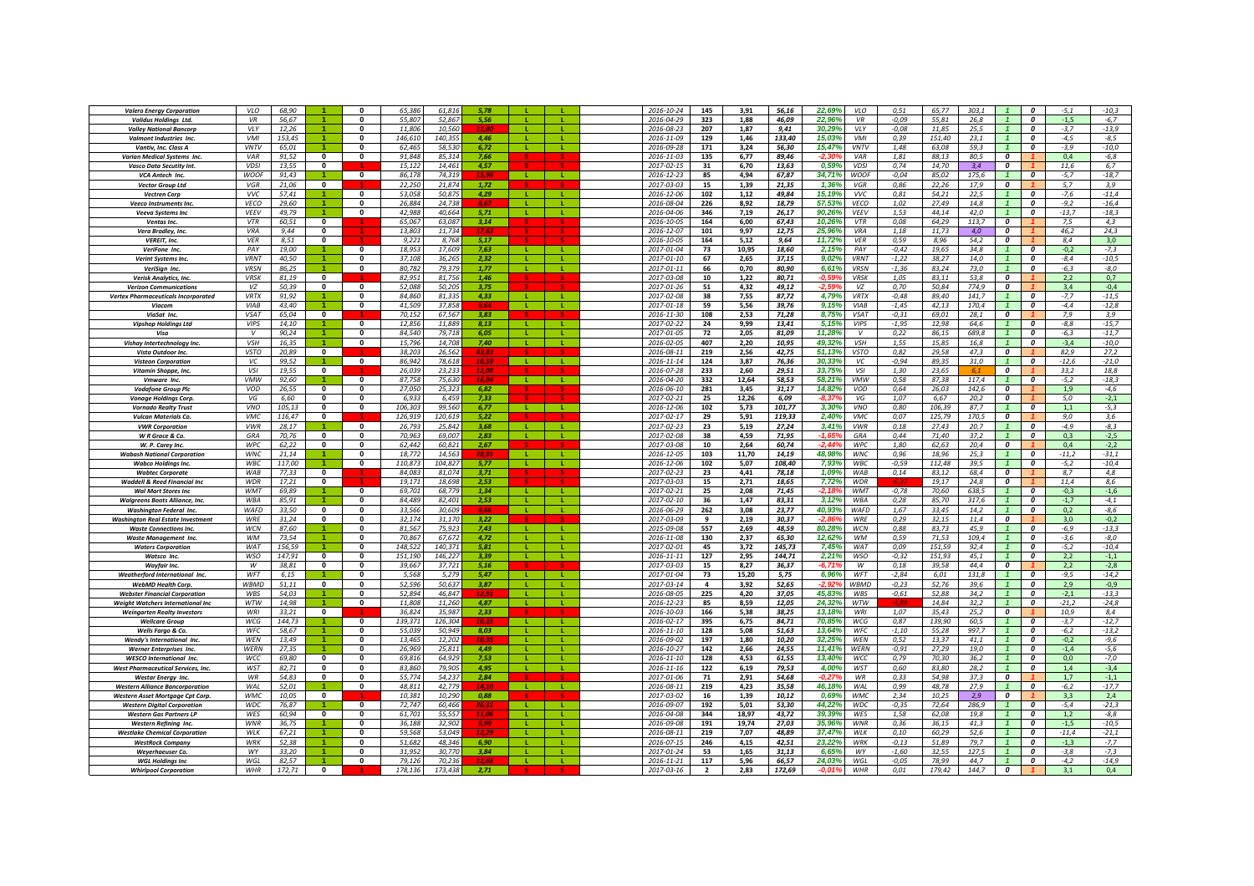| <b>Valero Energy Corporation</b>                                            | VLO                       | 68,90          |                                     | $\Omega$                 | 65,386           | 61,816           | 5.78          |              |              | 2016-10-24               | 145            | 3,91          | 56,16          | 22,69%             | VLO                      | 0,51               | 65,77<br>303,1                   |                         | $\boldsymbol{0}$                 | $-5,1$           | $-10,3$           |
|-----------------------------------------------------------------------------|---------------------------|----------------|-------------------------------------|--------------------------|------------------|------------------|---------------|--------------|--------------|--------------------------|----------------|---------------|----------------|--------------------|--------------------------|--------------------|----------------------------------|-------------------------|----------------------------------|------------------|-------------------|
| Validus Holdings Ltd.                                                       | VR                        | 56,67          |                                     | 0                        | 55,807           | 52,867           | 5.56          |              |              | 2016-04-29               | 323            | 1,88          | 46,09          | 22,96%             | VR                       | $-0.09$            | 55,81<br>26,8                    |                         | 0                                | $-1,5$           | $-6,7$            |
| <b>Valley National Bancorp</b>                                              | <b>VIY</b>                | 12,26          |                                     | $\mathbf{0}$             | 11.806           | 10.56            |               |              |              | 2016-08-23               | 207            | 1,87          | 9,41           | 30.29%             | <b>VIY</b>               | $-0.08$            | 25.5<br>11.85                    |                         | $\boldsymbol{0}$                 | $-3.7$           | $-13,9$           |
| Valmont Industries Inc.                                                     | <b>VMI</b>                | 153.45         |                                     | $\mathbf{0}$             | 146.610          | 140.35           | 4.46          |              |              | 2016-11-09               | 129            | 1,46          | 133.40         | 15.039             | VMI                      | 0.39               | 151.40<br>23.1                   |                         | 0                                | $-4,5$           | $-8,5$            |
| Vantiv. Inc. Class A                                                        | <b>VNTV</b>               | 65.01          |                                     | $\Omega$                 | 62.465           | 58.530           | 6.72          |              | <b>L</b>     | 2016-09-28               | 171            | 3.24          | 56.30          | 15.47%             | <b>VNTV</b>              | 1.48               | 63.08<br>59.3                    |                         | $\boldsymbol{o}$                 | $-3.9$           | $-10.0$           |
| <b>Varian Medical Systems Inc</b>                                           | VAR<br><b>VDSI</b>        | 91,52          | $\overline{0}$<br>$\mathbf{0}$      | $\overline{0}$           | 91,848<br>15.122 | 85,314           | 7.66          |              |              | 2016-11-03<br>2017-02-15 | 135<br>31      | 6,77          | 89,46          | 0.59%              | VAR<br><b>VDSI</b>       | 1,81<br>0.74       | 88,13<br>80,5                    | $\overline{0}$<br>0     |                                  | 0,4<br>11.6      | $-6,8$            |
| <b>Vasco Data Secutity Int.</b>                                             | <b>WOOF</b>               | 13,55<br>91,43 |                                     | $\mathbf{0}$             | 86,178           | 14,461<br>74.319 | 4,57<br>15.96 | <b>L</b>     | <b>L</b>     | 2016-12-23               | 85             | 6,70<br>4,94  | 13,63<br>67,87 | 34,71%             | <b>WOOF</b>              | $-0,04$            | 14,70<br>3,4<br>85.02<br>175,6   | $\overline{1}$          | $\boldsymbol{o}$                 | $-5,7$           | 6,7<br>$-18,7$    |
| VCA Antech Inc.<br><b>Vector Group Ltd</b>                                  | VGR                       | 21,06          | $\mathbf{0}$                        |                          | 22,250           | 21.874           | 1,72          |              |              | 2017-03-03               | 15             | 1,39          | 21,35          | 1,36%              | VGR                      | 0,86               | 22,26<br>17,9                    | $\overline{a}$          |                                  | 5,7              | 3,9               |
| <b>Vectren Corp</b>                                                         | <b>WC</b>                 | 57,41          |                                     | $\Omega$                 | 53,058           | 50,875           | 4,29          | -11          | л.           | 2016-12-06               | 102            | 1,12          | 49,84          | 15,19%             | <b>VVC</b>               | 0,81               | 54,21<br>22,5                    |                         | $\boldsymbol{0}$                 | $-7,6$           | $-11,4$           |
| Veeco Instruments Inc.                                                      | VECO                      | 29,60          |                                     | $\mathbf{0}$             | 26,884           | 24.73            | 8.67          |              |              | 2016-08-04               | 226            | 8,92          | 18,79          | 57,53%             | VECO                     | 1,02               | 27,49<br>14,8                    | $\overline{1}$          | 0                                | $-9,2$           | $-16,4$           |
| Veeva Systems Inc                                                           | <b>VEEV</b>               | 49.79          |                                     | $\Omega$                 | 42,988           | 40.664           | 5,71          | -11          | <b>L</b>     | 2016-04-06               | 346            | 7,19          | 26,17          | 90,26%             | <b>VEEV</b>              | 1,53               | 44.14<br>42.0                    |                         | 0                                | $-13,7$          | $-18,3$           |
| <b>Ventas Inc</b>                                                           | VTR                       | 60.51          | $\mathbf{0}$                        |                          | 65.067           | 63.087           | 3,14          |              |              | 2016-10-05               | 164            | 6,00          | 67,43          | 10.26%             | <b>VTR</b>               | 0,08               | 64.29<br>113,7                   | 0                       |                                  | 7,5              | 4,3               |
| Vera Bradley, Inc.                                                          | <b>VRA</b>                | 9.44           | $\Omega$                            |                          | 13.803           | 11 734           | 17.6          |              |              | 2016-12-07               | 101            | 9.97          | 12,75          | 25.96%             | VRA                      | 1.18               | 11.73<br>4.0                     | 0                       |                                  | 46.2             | 24.3              |
| <b>VEREIT, Inc.</b>                                                         | <b>VER</b>                | 8.51           | $\Omega$                            |                          | 9.221            | 8.768            | 5.17          |              |              | 2016-10-05               | 164            | 5,12          | 9.64           | 11.72%             | <b>VER</b>               | 0.59               | 8.96<br>54.2                     | 0                       |                                  | 8,4              | 3,0               |
| VeriFone Inc.                                                               | PAY                       | 19.00          |                                     | $\Omega$                 | 18.953           | 17,609           | 7.63          | m.           | - 11         | 2017-01-04               | 73             | 10,95         | 18,60          | 2.15%              | PAY                      | $-0,42$            | 19.65<br>34.8                    | $\overline{1}$          | $\Omega$                         | $-0.2$           | $-7,3$            |
| Verint Systems Inc                                                          | <b>VRNT</b>               | 40,50          | $\overline{4}$                      | $\Omega$                 | 37,108           | 36,265           | 2.32          |              |              | 2017-01-10               | 67             | 2,65          | 37,15          | 9,02%              | <b>VRNT</b>              | $-1,22$            | 38,27<br>14,0                    | $\mathbf{1}$            | 0                                | $-8,4$           | $-10,5$           |
| VeriSign Inc.                                                               | VRSN                      | 86,25          | $\blacktriangleleft$                | $\Omega$                 | 80,782           | 79,379           | 1,77          | -11          | т.           | 2017-01-11               | 66             | 0,70          | 80,90          | 6,61%              | VRSN                     | $-1,36$            | 83,24<br>73,0                    | $\mathbf{1}$            | $\boldsymbol{0}$                 | $-6,3$           | $-8,0$            |
| Verisk Analytics, Inc.                                                      | <b>VRSK</b>               | 81,19          | $\ddot{\mathbf{0}}$<br>$\mathbf{0}$ | $\mathbf{0}$             | 82,951           | 81,756<br>50.205 | 1,46          |              |              | 2017-03-08               | 10<br>51       | 1,22          | 80,71          | $-0.59$            | <b>VRSK</b><br>VZ        | 1,05               | 83,11<br>53,8<br>774.9           | 0<br>0                  |                                  | 2,2              | 0,7               |
| <b>Verizon Communications</b><br><b>Vertex Pharmaceuticals Incorporated</b> | VZ<br><b>VRTX</b>         | 50,39<br>91.92 |                                     | $\mathbf{0}$             | 52,088<br>84.860 | 81.33            | 3,75<br>4,33  |              |              | 2017-01-26<br>2017-02-08 | 38             | 4,32<br>7,55  | 49,12<br>87,72 | 4.79%              | <b>VRTX</b>              | 0,70<br>$-0,48$    | 50,84<br>89.40<br>141.7          | $\mathbf{1}$            | $\boldsymbol{0}$                 | 3,4<br>$-7,7$    | $-0,4$<br>$-11,5$ |
| Viacom                                                                      | <b>VIAB</b>               | 43.40          |                                     | $\mathbf{0}$             | 41.509           | 37,858           | 9.64          | Æ.           | т.           | 2017-01-18               | 59             | 5,56          | 39.76          | 9.15%              | VIAB                     | $-1,45$            | 42.13<br>170.4                   |                         | $\boldsymbol{o}$                 | $-4.4$           | $-12,8$           |
| ViaSat Inc.                                                                 | <b>VSAT</b>               | 65,04          | $\mathbf 0$                         |                          | 70,152           | 67,567           | 3,83          |              |              | 2016-11-30               | 108            | 2,53          | 71,28          | 8,75%              | VSAT                     | $-0.31$            | 69,01<br>28,1                    | 0                       |                                  | 7,9              | 3,9               |
| <b>Vipshop Holdings Ltd</b>                                                 | <b>VIPS</b>               | 14,10          |                                     | $\Omega$                 | 12,856           | 11.889           | 8.13          | - L.         | л.           | 2017-02-22               | 24             | 9,99          | 13.41          | 5,15%              | <b>VIPS</b>              | $-1,95$            | 12.98<br>64,6                    | $\mathbf{1}$            | $\boldsymbol{0}$                 | $-8,8$           | $-15,7$           |
| Visa                                                                        | $\mathcal{V}$             | 90,24          |                                     | $\Omega$                 | 84.540           | 79.718           | 6.05          | - 11 -       |              | 2017-01-05               | 72             | 2,05          | 81,09          | 11,28%             | $\mathcal{V}$            | 0,22               | 689.8<br>86,15                   | $\mathbf{1}$            | $\boldsymbol{0}$                 | $-6,3$           | $-11,7$           |
| Vishay Intertechnology Inc.                                                 | <b>VSH</b>                | 16.35          |                                     | $\mathbf{0}$             | 15,796           | 14.708           | 7,40          | <b>L</b>     | л.           | 2016-02-05               | 407            | 2,20          | 10,95          | 49,32%             | VSH                      | 1,55               | 15,85<br>16,8                    |                         | $\overline{a}$                   | $-3,4$           | -10,0             |
| Vista Outdoor Inc.                                                          | <b>VSTO</b>               | 20,89          | $\mathbf{0}$                        |                          | 38,203           | 26,562           | 43,83         |              |              | 2016-08-11               | 219            | 2,56          | 42,75          | 51,13%             | <b>VSTO</b>              | 0,82               | 29.58<br>47,3                    | $\boldsymbol{0}$        |                                  | 82,9             | 27,2              |
| <b>Visteon Corporation</b>                                                  | VC                        | 99,52          |                                     | $\mathbf 0$              | 86,942           | 78,618           | 10,59         | -11          | L.           | 2016-11-14               | 124            | 3,87          | 76,36          | 30,33%             | vc                       | $-0,94$            | 89,35<br>31,0                    | $\overline{1}$          | $\boldsymbol{o}$                 | $-12,6$          | $-21,0$           |
| Vitamin Shoppe, Inc.                                                        | <b>VSI</b>                | 19,55          | $\mathbf{0}$                        |                          | 26,039           | 23,233           | 12,08         |              |              | 2016-07-28               | 233            | 2,60          | 29,51          | 33,75%             | VSI                      | 1,30               | 23,65                            | 0                       |                                  | 33,2             | 18,8              |
| <b>Vmware</b> Inc                                                           | <b>VMW</b>                | 92.60          |                                     | $\mathbf{0}$             | 87,758           | 75,630           | 16.04         | -11          | $\mathbf{L}$ | 2016-04-20               | 332            | 12,64         | 58,53          | 58,21%             | <b>VMW</b>               | 0,58               | 87,38<br>117.4                   | $\mathbf{1}$            | $\boldsymbol{0}$                 | $-5,2$           | $-18,3$           |
| <b>Vodafone Group Plc</b>                                                   | VOD<br>VG                 | 26.55<br>6.60  | $\Omega$<br>$\mathbf{0}$            | $\Omega$<br>$\Omega$     | 27.050<br>6.933  | 25.32<br>6.459   | 6.82<br>7.33  |              |              | 2016-06-10<br>2017-02-21 | 281<br>25      | 3.45<br>12.26 | 31.17<br>6.09  | 14.82%<br>-8.37    | VOD<br>VG                | 0.64<br>1.07       | 26.03<br>142.6<br>6.67<br>20.2   | 0<br>0                  |                                  | 1.9<br>5.0       | $-4.6$<br>$-2,1$  |
| <b>Vonage Holdings Corp</b><br><b>Vornado Realty Trust</b>                  | <b>VNO</b>                | 105,13         | $\Omega$                            | $\Omega$                 | 106.303          | 99.56            | 6.77          | - 11         | - 11         | 2016-12-06               | 102            | 5.73          | 101,77         | 3.30%              | <b>VNO</b>               | 0.80               | 87.7<br>10630                    | $\overline{1}$          | $\Omega$                         | 1.1              | $-5,3$            |
| Vulcan Materials Co.                                                        | <b>VMC</b>                | 116,47         | $\mathbf{0}$                        |                          | 126,919          | 120.619          | 5.22          |              |              | 2017-02-17               | 29             | 5,91          | 119,33         | 2,40%              | VMC                      | 0,07               | 125.79<br>170,5                  | $\overline{\mathbf{c}}$ |                                  | 9.0              | 3,6               |
| <b>VWR Corporation</b>                                                      | <b>VWR</b>                | 28,17          |                                     | $\Omega$                 | 26,793           | 25.842           | 3.68          | - 11         | -11          | 2017-02-23               | 23             | 5,19          | 27,24          | 3,41%              | <b>VWR</b>               | 0,18               | 27,43<br>20,7                    |                         | $\mathbf{r}$                     | $-4,9$           | $-8,3$            |
| W R Grace & Co.                                                             | GRA                       | 70,76          | $\mathbf 0$                         | $\Omega$                 | 70,965           | 69,007           | 2,83          |              | L.           | 2017-02-08               | 38             | 4,59          | 71,95          |                    | GRA                      | 0,44               | 37,2<br>71,40                    |                         | $\boldsymbol{0}$                 | 0,3              | $-2,5$            |
| W. P. Carev Inc.                                                            | WPC                       | 62,22          | $\mathbf{0}$                        | $\Omega$                 | 62,442           | 60,821           | 2,67          |              |              | 2017-03-08               | 10             | 2,64          | 60,74          | .2 AA              | WPC                      | 1,80               | 62,63<br>20,4                    | 0                       |                                  | 0,4              | $-2,2$            |
| <b>Wabash National Corporation</b>                                          | <b>WNC</b>                | 21.14          |                                     |                          | 18.772           | 14.56            |               |              |              | 2016-12-05               | 103            | 11.70         | 14.19          | 48.98              | <b>WNC</b>               | 0.96               | 18.96<br>25.3                    |                         | 0                                | $-11,2$          | $-31,1$           |
| <b>Wabco Holdinas Inc.</b>                                                  | WBC                       | 117.00         |                                     | $\mathbf{0}$             | 110.873          | 104.827          | 5.77          |              | <b>L</b>     | 2016-12-06               | 102            | 5.07          | 108.40         | 7.939              | WBC                      | $-0.59$            | 112.48<br>39.5                   |                         | $\boldsymbol{o}$                 | $-5.2$           | $-10.4$           |
| <b>Wabtec Corporate</b>                                                     | <b>WAR</b>                | 77,33          | $\mathbf{0}$                        |                          | 84.083           | 81,074           | 3,71          |              |              | 2017-02-23               | 23             | 4,41          | 78,18          | 1,09%              | WAB                      | 0,14               | 83,12<br>68,4                    | 0                       |                                  | 8,7              | 4,8               |
| <b>Waddell &amp; Reed Financial Inc.</b>                                    | <b>WDR</b><br><b>M/MT</b> | 17,21          | $\mathbf{0}$                        |                          | 19.171           | 18.69            | 2.53          |              |              | 2017-03-03               | 15             | 2.71          | 18,65          | 7,72%              | <b>WDR</b>               |                    | 19.17<br>24.8                    | 0                       |                                  | 11.4             | 8,6               |
| <b>Wal Mart Stores Inc</b>                                                  | <b>WBA</b>                | 69.89<br>85.91 |                                     | $\Omega$<br>$\Omega$     | 69.701<br>84.489 | 68.779<br>82,401 | 1,34<br>2,53  | -1.<br>-11   | л.           | 2017-02-21<br>2017-02-10 | 25<br>36       | 2,08<br>1,47  | 71,45<br>83,31 | -2,189<br>3.12%    | <b>WMT</b><br><b>WBA</b> | $-0,78$<br>0,28    | 70.60<br>638.5<br>85.70<br>317,6 | $\mathbf{1}$            | $\boldsymbol{0}$<br>$\mathbf{r}$ | $-0,3$<br>$-1,7$ | $-1,6$<br>$-4,1$  |
| <b>Walgreens Boots Alliance, Inc.</b><br><b>Washington Federal Inc.</b>     | <b>WAFD</b>               | 33,50          | $\mathbf{0}$                        | $\Omega$                 | 33.566           | 30.609           | 9.66          | л.           | ÷.           | 2016-06-29               | 262            | 3,08          | 23,77          | 40,93%             | <b>WAFD</b>              | 1,67               | 33.45<br>14,2                    |                         | $\boldsymbol{0}$                 | 0,2              | $-8,6$            |
| <b>Washington Real Estate Investment</b>                                    | <b>WRF</b>                | 31,24          | $\mathbf 0$                         | $\mathbf 0$              | 32,174           | 31,170           | 3,22          |              |              | 2017-03-09               | 9              | 2,19          | 30,37          | -2 Rf              | WRE                      | 0,29               | 32,15<br>11,4                    | 0                       |                                  | 3,0              | $-0,2$            |
| <b>Waste Connections Inc.</b>                                               | WCN                       | 87,60          |                                     | $\Omega$                 | 81,567           | 75.92            | 7.43          | -11          |              | 2015-09-08               | 557            | 2,69          | 48,59          | 80,28%             | WCN                      | 0,88               | 83,73<br>45,9                    |                         | 0                                | -6,9             | $-13,3$           |
| <b>Waste Management Inc</b>                                                 | <b>WM</b>                 | 73.54          |                                     | $\mathbf{0}$             | 70,867           | 67.67.           | 4,72          |              |              | 2016-11-08               | 130            | 2,37          | 65,30          | 12,62%             | <b>WM</b>                | 0.59               | 71.53<br>109.4                   | $\overline{1}$          | $\boldsymbol{0}$                 | $-3,6$           | $-8,0$            |
| <b>Waters Corporation</b>                                                   | <b>WAT</b>                | 156.59         |                                     | $\Omega$                 | 148.522          | 140.371          | 5.81          |              |              | 2017-02-01               | 45             | 3.72          | 145.73         | 7.45%              | <b>WAT</b>               | 0.09               | 151.59<br>92.4                   | $\overline{1}$          | $\Omega$                         | $-5.2$           | $-10.4$           |
| Watsco Inc.                                                                 | <b>WSO</b>                | 147.91         | $\mathbf{0}$                        | $\Omega$                 | 151.190          | 146.227          | 3.39          | $\mathbf{L}$ | л.           | 2016-11-11               | 127            | 2.95          | 144.71         | 2.21%              | <b>WSO</b>               | $-0.32$            | 151.93<br>45.1                   | $\overline{1}$          | $\boldsymbol{o}$                 | 2,2              | $-1,1$            |
| <b>Wayfair Inc.</b>                                                         | $\overline{w}$            | 38,81          | $\Omega$                            | $\Omega$                 | 39.667           | 37.721           | 5.16          |              |              | 2017-03-03               | 15             | 8,27          | 36,37          | $-6.719$           | W                        | 0.18               | 39.58<br>44.4                    | $\overline{0}$          |                                  | 2,2              | $-2,8$            |
| Weatherford International Inc.                                              | WFT                       | 6,15           |                                     | $\Omega$                 | 5,568            | 5,279            | 5.47          | - 11         | $\mathbf{L}$ | 2017-01-04               | 73             | 15,20         | 5,75           | 6,96%<br>$-2.92$   | <b>WFT</b>               | $-2,84$            | 6,01<br>131.8                    | $\mathbf{1}$            | $\boldsymbol{0}$                 | $-9,5$           | $-14,2$           |
| <b>WebMD Health Corp.</b><br><b>Webster Financial Corporation</b>           | WBMD<br>WBS               | 51,11<br>54,03 | $\mathbf{0}$                        | $\Omega$<br>$\mathbf{0}$ | 52,596<br>52,894 | 50,637<br>46,847 | 3,87          |              | т.           | 2017-03-14<br>2016-08-05 | 4<br>225       | 3,92<br>4,20  | 52,65<br>37,05 | 45,83%             | WBMD<br>WBS              | $-0,23$<br>$-0.61$ | 52,76<br>39,6<br>52,88<br>34,2   |                         | $\boldsymbol{0}$<br>0            | 2,9<br>$-2,1$    | $-0,9$<br>$-13,3$ |
| <b>Weight Watchers International Inc</b>                                    | WTW                       | 14,98          |                                     | $\Omega$                 | 11,808           | 11,260           | 4.87          |              | л.           | 2016-12-23               | 85             | 8,59          | 12,05          | 24,32%             | WTW                      |                    | 14,84<br>32,2                    |                         | $\boldsymbol{0}$                 | $-21,2$          | $-24,8$           |
| <b>Weingarten Realty Investors</b>                                          | <b>WRI</b>                | 33.21          | $\mathbf{0}$                        |                          | 36.824           | 35.987           | 2,33          |              |              | 2016-10-03               | 166            | 5,38          | 38,25          | 13,18%             | WRI                      | 1,07               | 35.43<br>25.2                    | 0                       |                                  | 10.9             | 8,4               |
| <b>Wellcare Group</b>                                                       | WCG                       | 144,73         |                                     | $\mathbf 0$              | 139,371          | 126,304          | 10.3.         |              |              | 2016-02-17               | 395            | 6,75          | 84,71          | 70,859             | WCG                      | 0,87               | 139,90<br>60,5                   |                         | 0                                | $-3,7$           | $-12,7$           |
| Wells Fargo & Co.                                                           | WFC                       | 58,67          |                                     | 0                        | 55,039           | 50,949           | 8,03          |              |              | 2016-11-10               | 128            | 5,08          | 51,63          | 13,64%             | WFC                      | $-1,10$            | 55,28<br>997,7                   |                         | 0                                | $-6,2$           | $-13,2$           |
| Wendy's International Inc.                                                  | WEN                       | 13,49          |                                     | $\mathbf{0}$             | 13,465           | 12,202           | 10.3.         |              |              | 2016-09-02               | 197            | 1,80          | 10,20          | 32.25%             | WEN                      | 0,52               | 13,37<br>41,1                    |                         | $\boldsymbol{o}$                 | $-0,2$           | $-9,6$            |
| Werner Enterprises Inc.                                                     | <b>WERN</b>               | 27,35          |                                     | $\mathbf{0}$             | 26,969           | 25,811           | 4.49          |              |              | 2016-10-27               | 142            | 2,66          | 24,55          | 11.41%             | <b>WFRN</b>              | $-0,91$            | 19,0<br>27,29                    | $\mathbf{1}$            | $\mathbf{a}$                     | $-1,4$           | $-5,6$            |
| <b>WESCO International Inc.</b>                                             | <b>WCC</b>                | 69,80          | $\mathbf{0}$                        | $\Omega$                 | 69,816           | 64,929           | 7,53          | л.           |              | 2016-11-10               | 128            | 4,53          | 61,55          | 13,40%             | WCC                      | 0,79               | 36,2<br>70.30                    | $\mathbf{1}$            | $\mathbf{a}$                     | 0.0              | $-7,0$            |
| <b>West Pharmaceutical Services, Inc.</b>                                   | WST                       | 82,71          | $\mathbf{0}$                        | $\mathbf{0}$             | 83.860           | 79.90            | 4,95          | <b>L</b>     | ÷.           | 2016-11-16               | 122            | 6,19          | 79,53          | 4,00%              | WST                      | 0,60               | 83,80<br>28,2                    |                         | $\boldsymbol{0}$                 | 1,4              | $-3,4$            |
| <b>Westar Energy Inc.</b><br><b>Western Alliance Bancorporation</b>         | WR<br>WAL                 | 54,83<br>52,01 | $\mathbf 0$                         | $\mathbf 0$<br>0         | 55,774<br>48,811 | 54,237<br>42,779 | 2,84<br>14.10 | -11          | -11          | 2017-01-06<br>2016-08-11 | 71<br>219      | 2,91<br>4,23  | 54,68<br>35,58 | $-0,27%$<br>46,18% | WR<br>WAL                | 0,33<br>0,99       | 54,98<br>37,3<br>48,78<br>27,9   | 0                       | 0                                | 1,7              | $-1,1$            |
| <b>Western Asset Mortgage Cpt Corp</b>                                      | <b>WMC</b>                | 10,05          | $\mathbf{0}$                        |                          | 10,381           | 10,290           | 0,88          |              |              | 2017-03-02               | 16             | 1,39          | 10,12          | 0.69%              | WMC                      | 2,34               | 10,25<br>2.9                     | $\boldsymbol{0}$        |                                  | $-6,2$<br>3.3    | $-17,7$<br>2,4    |
| <b>Western Digital Corporation</b>                                          | WDC                       | 76,87          |                                     | $\mathbf{0}$             | 72,747           | 60.46            | 20.3          | -L.          |              | 2016-09-07               | 192            | 5,01          | 53,30          | 44.22              | WDC                      | $-0.35$            | 72,64<br>286.9                   |                         | $\boldsymbol{0}$                 | $-5,4$           | $-21,3$           |
| <b>Western Gas Partners LP</b>                                              | WES                       | 60.94          | $\mathbf{0}$                        | $\Omega$                 | 61.701           | 55.557           | 110           | $\mathbf{I}$ |              | 2016-04-08               | 344            | 18.97         | 43.72          | 39.39%             | WES                      | 1.58               | 62.08<br>19.8                    | $\overline{1}$          | $\boldsymbol{o}$                 | 1.2              | $-8,8$            |
| <b>Western Refining Inc.</b>                                                | <b>WNR</b>                | 36.75          |                                     | $\Omega$                 | 36.188           | 32.902           | 0.00          | -11          | $\mathbf{L}$ | 2016-09-08               | 191            | 19.74         | 27.03          | 35.96%             | <b>WNR</b>               | 0.36               | 41.3<br>36.15                    | $\overline{1}$          | $\Omega$                         | $-1.5$           | $-10.5$           |
| <b>Westlake Chemical Corporation</b>                                        | WLK                       | 67,21          | $\blacktriangleleft$                | $\Omega$                 | 59.568           | 53.049           |               | -11          | -11          | 2016-08-11               | 219            | 7,07          | 48,89          | 37,47%             | WLK                      | 0,10               | 52,6<br>60,29                    | $\overline{1}$          | $\boldsymbol{0}$                 | $-11,4$          | $-21,1$           |
| <b>WestRock Company</b>                                                     | WRK                       | 52,38          | $\blacktriangleleft$                | $\Omega$                 | 51,682           | 48.346           | 6.90          | - 11         | т.           | 2016-07-15               | 246            | 4,15          | 42,51          | 23,229             | WRK                      | $-0,13$            | 51,89<br>79,7                    |                         | $\boldsymbol{0}$                 | $-1,3$           | $-7,7$            |
| <b>Weverhaeuser Co.</b>                                                     | WY                        | 33,20          |                                     | $\Omega$                 | 31,952           | 30,77            | 3.84          |              |              | 2017-01-24               | 53             | 1,65          | 31,13          | 6,65%              | WY                       | $-1,60$            | 32,55<br>127,5                   |                         | $\boldsymbol{0}$                 | $-3,8$           | $-7,3$            |
| <b>WGL Holdings Inc</b>                                                     | WGL                       | 82,57          |                                     | $\mathbf{0}$             | 79,126           | 70,23            |               |              | L.           | 2016-11-21               | 117            | 5,96          | 66,57          | 24,039             | WGL                      | $-0.05$            | 78,99<br>44,7                    |                         | 0                                | $-4,2$           | $-14,9$           |
| <b>Whirlpool Corporation</b>                                                | WHR                       | 172,71         | $\mathbf{0}$                        |                          | 178.136          | 173,438          | 2.71          |              |              | 2017-03-16               | $\overline{2}$ | 2.83          | 172,69         | -0.01              | <b>WHR</b>               | 0,01               | 179.42<br>144.7                  | $\boldsymbol{o}$        |                                  | 3,1              | 0,4               |